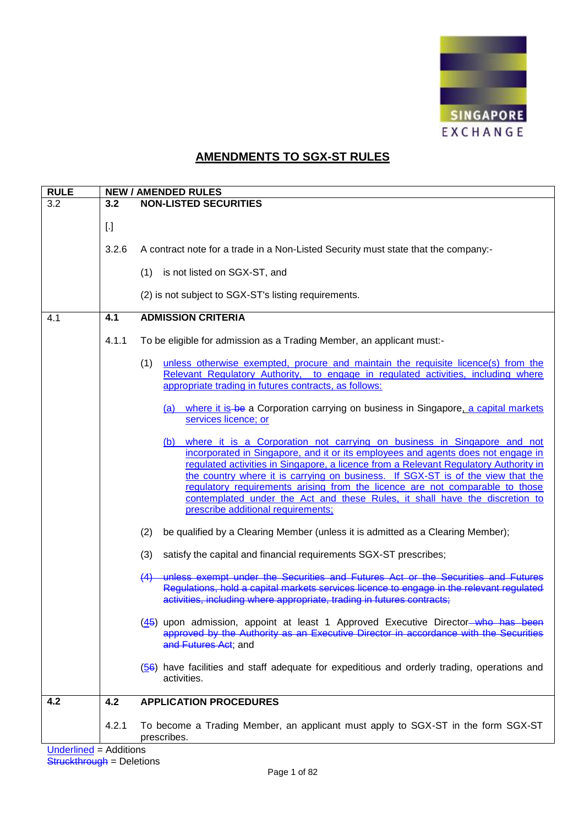

## **AMENDMENTS TO SGX-ST RULES**

| <b>RULE</b> | <b>NEW / AMENDED RULES</b> |                                                                                                                                                                                                                                                                                                                                                                                                                                                                                                                                                 |  |
|-------------|----------------------------|-------------------------------------------------------------------------------------------------------------------------------------------------------------------------------------------------------------------------------------------------------------------------------------------------------------------------------------------------------------------------------------------------------------------------------------------------------------------------------------------------------------------------------------------------|--|
| 3.2         | 3.2                        | <b>NON-LISTED SECURITIES</b>                                                                                                                                                                                                                                                                                                                                                                                                                                                                                                                    |  |
|             | $[.]$                      |                                                                                                                                                                                                                                                                                                                                                                                                                                                                                                                                                 |  |
|             | 3.2.6                      | A contract note for a trade in a Non-Listed Security must state that the company:-                                                                                                                                                                                                                                                                                                                                                                                                                                                              |  |
|             |                            | (1) is not listed on SGX-ST, and                                                                                                                                                                                                                                                                                                                                                                                                                                                                                                                |  |
|             |                            | (2) is not subject to SGX-ST's listing requirements.                                                                                                                                                                                                                                                                                                                                                                                                                                                                                            |  |
| 4.1         | 4.1                        | <b>ADMISSION CRITERIA</b>                                                                                                                                                                                                                                                                                                                                                                                                                                                                                                                       |  |
|             | 4.1.1                      | To be eligible for admission as a Trading Member, an applicant must:-                                                                                                                                                                                                                                                                                                                                                                                                                                                                           |  |
|             |                            | unless otherwise exempted, procure and maintain the requisite licence(s) from the<br>(1)<br>Relevant Regulatory Authority, to engage in regulated activities, including where<br>appropriate trading in futures contracts, as follows:                                                                                                                                                                                                                                                                                                          |  |
|             |                            | (a) where it is be a Corporation carrying on business in Singapore, a capital markets<br>services licence; or                                                                                                                                                                                                                                                                                                                                                                                                                                   |  |
|             |                            | (b) where it is a Corporation not carrying on business in Singapore and not<br>incorporated in Singapore, and it or its employees and agents does not engage in<br>regulated activities in Singapore, a licence from a Relevant Regulatory Authority in<br>the country where it is carrying on business. If SGX-ST is of the view that the<br>regulatory requirements arising from the licence are not comparable to those<br>contemplated under the Act and these Rules, it shall have the discretion to<br>prescribe additional requirements; |  |
|             |                            | be qualified by a Clearing Member (unless it is admitted as a Clearing Member);<br>(2)                                                                                                                                                                                                                                                                                                                                                                                                                                                          |  |
|             |                            | satisfy the capital and financial requirements SGX-ST prescribes;<br>(3)                                                                                                                                                                                                                                                                                                                                                                                                                                                                        |  |
|             |                            | (4) unless exempt under the Securities and Futures Act or the Securities and Futures<br>Regulations, hold a capital markets services licence to engage in the relevant regulated<br>activities, including where appropriate, trading in futures contracts;                                                                                                                                                                                                                                                                                      |  |
|             |                            | (45) upon admission, appoint at least 1 Approved Executive Director-who has been<br>approved by the Authority as an Executive Director in accordance with the Securities<br>and Futures Act; and                                                                                                                                                                                                                                                                                                                                                |  |
|             |                            | (56) have facilities and staff adequate for expeditious and orderly trading, operations and<br>activities.                                                                                                                                                                                                                                                                                                                                                                                                                                      |  |
| 4.2         | 4.2                        | <b>APPLICATION PROCEDURES</b>                                                                                                                                                                                                                                                                                                                                                                                                                                                                                                                   |  |
|             | 4.2.1                      | To become a Trading Member, an applicant must apply to SGX-ST in the form SGX-ST<br>prescribes.                                                                                                                                                                                                                                                                                                                                                                                                                                                 |  |
|             |                            |                                                                                                                                                                                                                                                                                                                                                                                                                                                                                                                                                 |  |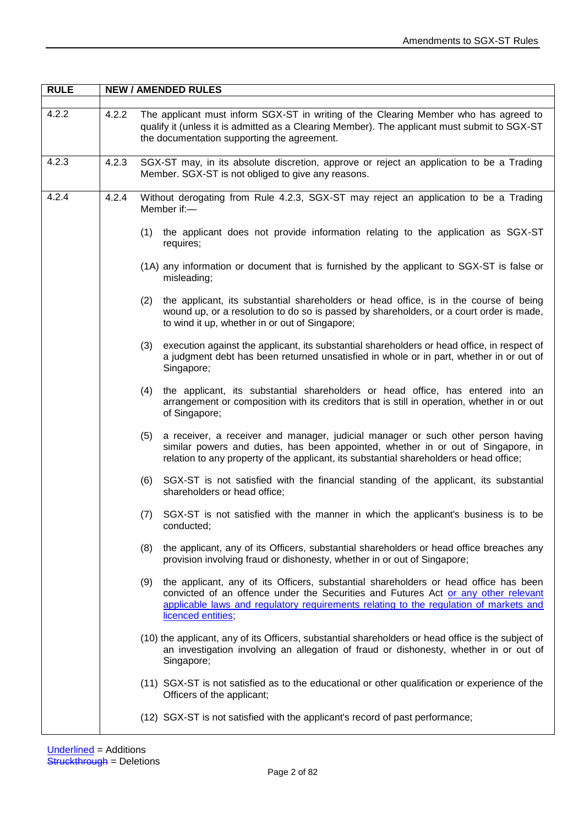| <b>RULE</b> | <b>NEW / AMENDED RULES</b> |                                                                                                                                                                                                                                                                                                  |  |
|-------------|----------------------------|--------------------------------------------------------------------------------------------------------------------------------------------------------------------------------------------------------------------------------------------------------------------------------------------------|--|
| 4.2.2       | 4.2.2                      | The applicant must inform SGX-ST in writing of the Clearing Member who has agreed to<br>qualify it (unless it is admitted as a Clearing Member). The applicant must submit to SGX-ST<br>the documentation supporting the agreement.                                                              |  |
| 4.2.3       | 4.2.3                      | SGX-ST may, in its absolute discretion, approve or reject an application to be a Trading<br>Member. SGX-ST is not obliged to give any reasons.                                                                                                                                                   |  |
| 4.2.4       | 4.2.4                      | Without derogating from Rule 4.2.3, SGX-ST may reject an application to be a Trading<br>Member if:-                                                                                                                                                                                              |  |
|             |                            | the applicant does not provide information relating to the application as SGX-ST<br>(1)<br>requires;                                                                                                                                                                                             |  |
|             |                            | (1A) any information or document that is furnished by the applicant to SGX-ST is false or<br>misleading;                                                                                                                                                                                         |  |
|             |                            | the applicant, its substantial shareholders or head office, is in the course of being<br>(2)<br>wound up, or a resolution to do so is passed by shareholders, or a court order is made,<br>to wind it up, whether in or out of Singapore;                                                        |  |
|             |                            | (3)<br>execution against the applicant, its substantial shareholders or head office, in respect of<br>a judgment debt has been returned unsatisfied in whole or in part, whether in or out of<br>Singapore;                                                                                      |  |
|             |                            | the applicant, its substantial shareholders or head office, has entered into an<br>(4)<br>arrangement or composition with its creditors that is still in operation, whether in or out<br>of Singapore;                                                                                           |  |
|             |                            | a receiver, a receiver and manager, judicial manager or such other person having<br>(5)<br>similar powers and duties, has been appointed, whether in or out of Singapore, in<br>relation to any property of the applicant, its substantial shareholders or head office;                          |  |
|             |                            | (6)<br>SGX-ST is not satisfied with the financial standing of the applicant, its substantial<br>shareholders or head office;                                                                                                                                                                     |  |
|             |                            | SGX-ST is not satisfied with the manner in which the applicant's business is to be<br>(7)<br>conducted;                                                                                                                                                                                          |  |
|             |                            | (8)<br>the applicant, any of its Officers, substantial shareholders or head office breaches any<br>provision involving fraud or dishonesty, whether in or out of Singapore;                                                                                                                      |  |
|             |                            | (9)<br>the applicant, any of its Officers, substantial shareholders or head office has been<br>convicted of an offence under the Securities and Futures Act or any other relevant<br>applicable laws and regulatory requirements relating to the regulation of markets and<br>licenced entities; |  |
|             |                            | (10) the applicant, any of its Officers, substantial shareholders or head office is the subject of<br>an investigation involving an allegation of fraud or dishonesty, whether in or out of<br>Singapore;                                                                                        |  |
|             |                            | (11) SGX-ST is not satisfied as to the educational or other qualification or experience of the<br>Officers of the applicant;                                                                                                                                                                     |  |
|             |                            | (12) SGX-ST is not satisfied with the applicant's record of past performance;                                                                                                                                                                                                                    |  |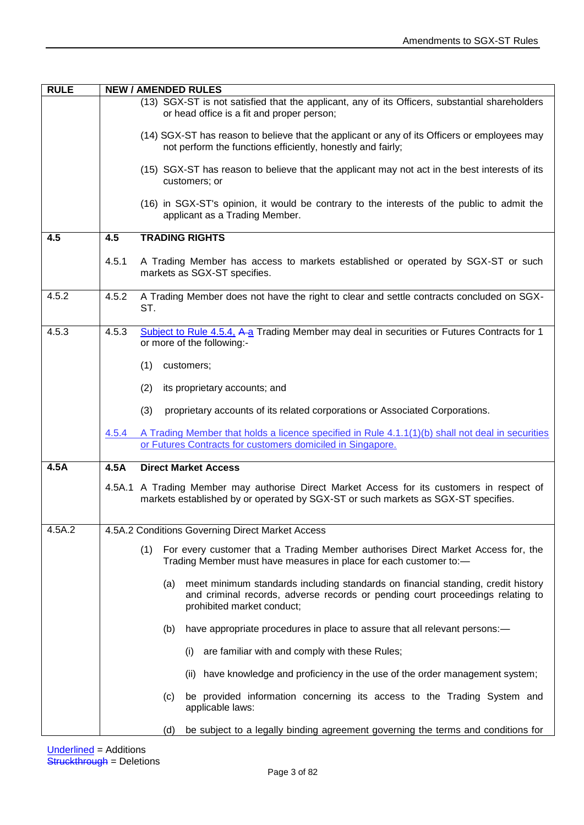| <b>RULE</b> | <b>NEW / AMENDED RULES</b> |                                                                                                                                                                                                         |  |  |
|-------------|----------------------------|---------------------------------------------------------------------------------------------------------------------------------------------------------------------------------------------------------|--|--|
|             |                            | (13) SGX-ST is not satisfied that the applicant, any of its Officers, substantial shareholders<br>or head office is a fit and proper person;                                                            |  |  |
|             |                            | (14) SGX-ST has reason to believe that the applicant or any of its Officers or employees may<br>not perform the functions efficiently, honestly and fairly;                                             |  |  |
|             |                            | (15) SGX-ST has reason to believe that the applicant may not act in the best interests of its<br>customers; or                                                                                          |  |  |
|             |                            | (16) in SGX-ST's opinion, it would be contrary to the interests of the public to admit the<br>applicant as a Trading Member.                                                                            |  |  |
| 4.5         | 4.5                        | <b>TRADING RIGHTS</b>                                                                                                                                                                                   |  |  |
|             | 4.5.1                      | A Trading Member has access to markets established or operated by SGX-ST or such<br>markets as SGX-ST specifies.                                                                                        |  |  |
| 4.5.2       | 4.5.2                      | A Trading Member does not have the right to clear and settle contracts concluded on SGX-<br>ST.                                                                                                         |  |  |
| 4.5.3       | 4.5.3                      | Subject to Rule 4.5.4, A-a Trading Member may deal in securities or Futures Contracts for 1<br>or more of the following:-                                                                               |  |  |
|             |                            | (1)<br>customers;                                                                                                                                                                                       |  |  |
|             |                            | (2)<br>its proprietary accounts; and                                                                                                                                                                    |  |  |
|             |                            | (3)<br>proprietary accounts of its related corporations or Associated Corporations.                                                                                                                     |  |  |
|             | 4.5.4                      | A Trading Member that holds a licence specified in Rule 4.1.1(1)(b) shall not deal in securities<br>or Futures Contracts for customers domiciled in Singapore.                                          |  |  |
| 4.5A        | 4.5A                       | <b>Direct Market Access</b>                                                                                                                                                                             |  |  |
|             |                            | 4.5A.1 A Trading Member may authorise Direct Market Access for its customers in respect of<br>markets established by or operated by SGX-ST or such markets as SGX-ST specifies.                         |  |  |
| 4.5A.2      |                            | 4.5A.2 Conditions Governing Direct Market Access                                                                                                                                                        |  |  |
|             |                            | For every customer that a Trading Member authorises Direct Market Access for, the<br>(1)<br>Trading Member must have measures in place for each customer to:-                                           |  |  |
|             |                            | meet minimum standards including standards on financial standing, credit history<br>(a)<br>and criminal records, adverse records or pending court proceedings relating to<br>prohibited market conduct; |  |  |
|             |                            | have appropriate procedures in place to assure that all relevant persons:-<br>(b)                                                                                                                       |  |  |
|             |                            | are familiar with and comply with these Rules;<br>(i)                                                                                                                                                   |  |  |
|             |                            | (ii) have knowledge and proficiency in the use of the order management system;                                                                                                                          |  |  |
|             |                            | be provided information concerning its access to the Trading System and<br>(c)<br>applicable laws:                                                                                                      |  |  |
|             |                            | be subject to a legally binding agreement governing the terms and conditions for<br>(d)                                                                                                                 |  |  |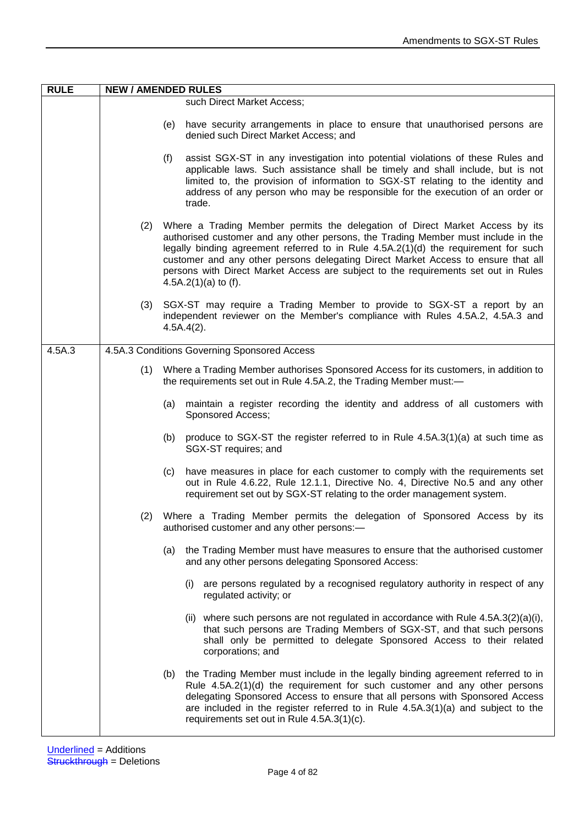| <b>RULE</b> | <b>NEW / AMENDED RULES</b> |                                                                                                                                                                                                                                                                                                                                                                                                                                                                   |  |
|-------------|----------------------------|-------------------------------------------------------------------------------------------------------------------------------------------------------------------------------------------------------------------------------------------------------------------------------------------------------------------------------------------------------------------------------------------------------------------------------------------------------------------|--|
|             |                            | such Direct Market Access;                                                                                                                                                                                                                                                                                                                                                                                                                                        |  |
|             |                            | have security arrangements in place to ensure that unauthorised persons are<br>(e)<br>denied such Direct Market Access; and                                                                                                                                                                                                                                                                                                                                       |  |
|             |                            | assist SGX-ST in any investigation into potential violations of these Rules and<br>applicable laws. Such assistance shall be timely and shall include, but is not<br>limited to, the provision of information to SGX-ST relating to the identity and<br>address of any person who may be responsible for the execution of an order or<br>trade.                                                                                                                   |  |
|             | (2)                        | Where a Trading Member permits the delegation of Direct Market Access by its<br>authorised customer and any other persons, the Trading Member must include in the<br>legally binding agreement referred to in Rule 4.5A.2(1)(d) the requirement for such<br>customer and any other persons delegating Direct Market Access to ensure that all<br>persons with Direct Market Access are subject to the requirements set out in Rules<br>4.5A.2 $(1)(a)$ to $(f)$ . |  |
|             | (3)                        | SGX-ST may require a Trading Member to provide to SGX-ST a report by an<br>independent reviewer on the Member's compliance with Rules 4.5A.2, 4.5A.3 and<br>$4.5A.4(2)$ .                                                                                                                                                                                                                                                                                         |  |
| 4.5A.3      |                            | 4.5A.3 Conditions Governing Sponsored Access                                                                                                                                                                                                                                                                                                                                                                                                                      |  |
|             | (1)                        | Where a Trading Member authorises Sponsored Access for its customers, in addition to<br>the requirements set out in Rule 4.5A.2, the Trading Member must:-                                                                                                                                                                                                                                                                                                        |  |
|             |                            | maintain a register recording the identity and address of all customers with<br>Sponsored Access;                                                                                                                                                                                                                                                                                                                                                                 |  |
|             |                            | produce to SGX-ST the register referred to in Rule $4.5A.3(1)(a)$ at such time as<br>(b)<br>SGX-ST requires; and                                                                                                                                                                                                                                                                                                                                                  |  |
|             |                            | have measures in place for each customer to comply with the requirements set<br>out in Rule 4.6.22, Rule 12.1.1, Directive No. 4, Directive No.5 and any other<br>requirement set out by SGX-ST relating to the order management system.                                                                                                                                                                                                                          |  |
|             | (2)                        | Where a Trading Member permits the delegation of Sponsored Access by its<br>authorised customer and any other persons:-                                                                                                                                                                                                                                                                                                                                           |  |
|             |                            | the Trading Member must have measures to ensure that the authorised customer<br>and any other persons delegating Sponsored Access:                                                                                                                                                                                                                                                                                                                                |  |
|             |                            | are persons regulated by a recognised regulatory authority in respect of any<br>(i)<br>regulated activity; or                                                                                                                                                                                                                                                                                                                                                     |  |
|             |                            | (ii) where such persons are not regulated in accordance with Rule $4.5A.3(2)(a)(i)$ ,<br>that such persons are Trading Members of SGX-ST, and that such persons<br>shall only be permitted to delegate Sponsored Access to their related<br>corporations; and                                                                                                                                                                                                     |  |
|             |                            | the Trading Member must include in the legally binding agreement referred to in<br>(b)<br>Rule $4.5A.2(1)(d)$ the requirement for such customer and any other persons<br>delegating Sponsored Access to ensure that all persons with Sponsored Access<br>are included in the register referred to in Rule $4.5A.3(1)(a)$ and subject to the<br>requirements set out in Rule 4.5A.3(1)(c).                                                                         |  |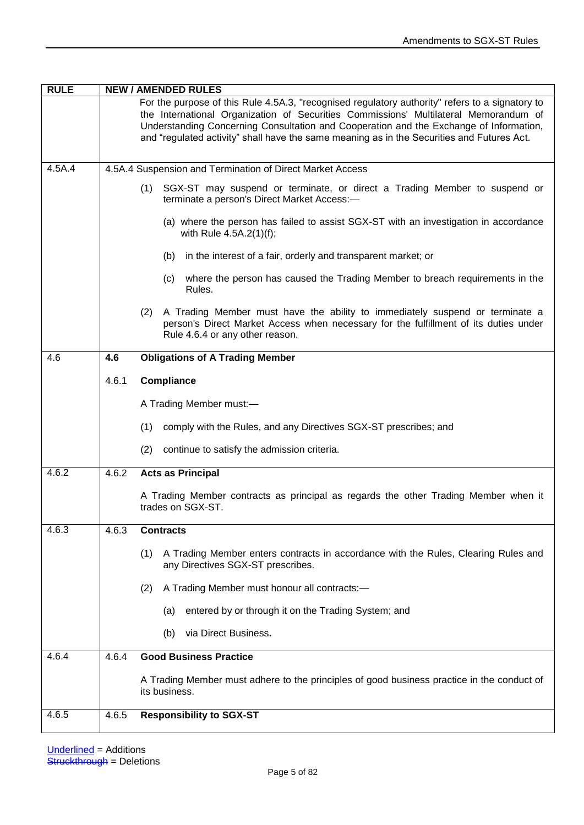| For the purpose of this Rule 4.5A.3, "recognised regulatory authority" refers to a signatory to                                                                                                                                                                              |  |
|------------------------------------------------------------------------------------------------------------------------------------------------------------------------------------------------------------------------------------------------------------------------------|--|
| the International Organization of Securities Commissions' Multilateral Memorandum of<br>Understanding Concerning Consultation and Cooperation and the Exchange of Information,<br>and "regulated activity" shall have the same meaning as in the Securities and Futures Act. |  |
| 4.5A.4<br>4.5A.4 Suspension and Termination of Direct Market Access                                                                                                                                                                                                          |  |
| SGX-ST may suspend or terminate, or direct a Trading Member to suspend or<br>(1)<br>terminate a person's Direct Market Access:-                                                                                                                                              |  |
| (a) where the person has failed to assist SGX-ST with an investigation in accordance<br>with Rule $4.5A.2(1)(f)$ ;                                                                                                                                                           |  |
| in the interest of a fair, orderly and transparent market; or<br>(b)                                                                                                                                                                                                         |  |
| where the person has caused the Trading Member to breach requirements in the<br>(C)<br>Rules.                                                                                                                                                                                |  |
| (2) A Trading Member must have the ability to immediately suspend or terminate a<br>person's Direct Market Access when necessary for the fulfillment of its duties under<br>Rule 4.6.4 or any other reason.                                                                  |  |
| <b>Obligations of A Trading Member</b><br>4.6<br>4.6                                                                                                                                                                                                                         |  |
| 4.6.1<br><b>Compliance</b>                                                                                                                                                                                                                                                   |  |
| A Trading Member must:-                                                                                                                                                                                                                                                      |  |
| comply with the Rules, and any Directives SGX-ST prescribes; and<br>(1)                                                                                                                                                                                                      |  |
| (2)<br>continue to satisfy the admission criteria.                                                                                                                                                                                                                           |  |
| 4.6.2<br>4.6.2<br><b>Acts as Principal</b>                                                                                                                                                                                                                                   |  |
| A Trading Member contracts as principal as regards the other Trading Member when it<br>trades on SGX-ST.                                                                                                                                                                     |  |
| 4.6.3<br>4.6.3<br><b>Contracts</b>                                                                                                                                                                                                                                           |  |
| A Trading Member enters contracts in accordance with the Rules, Clearing Rules and<br>(1)<br>any Directives SGX-ST prescribes.                                                                                                                                               |  |
| A Trading Member must honour all contracts:-<br>(2)                                                                                                                                                                                                                          |  |
| entered by or through it on the Trading System; and<br>(a)                                                                                                                                                                                                                   |  |
| via Direct Business.<br>(b)                                                                                                                                                                                                                                                  |  |
| 4.6.4<br>4.6.4<br><b>Good Business Practice</b>                                                                                                                                                                                                                              |  |
| A Trading Member must adhere to the principles of good business practice in the conduct of<br>its business.                                                                                                                                                                  |  |
| 4.6.5<br>4.6.5<br><b>Responsibility to SGX-ST</b>                                                                                                                                                                                                                            |  |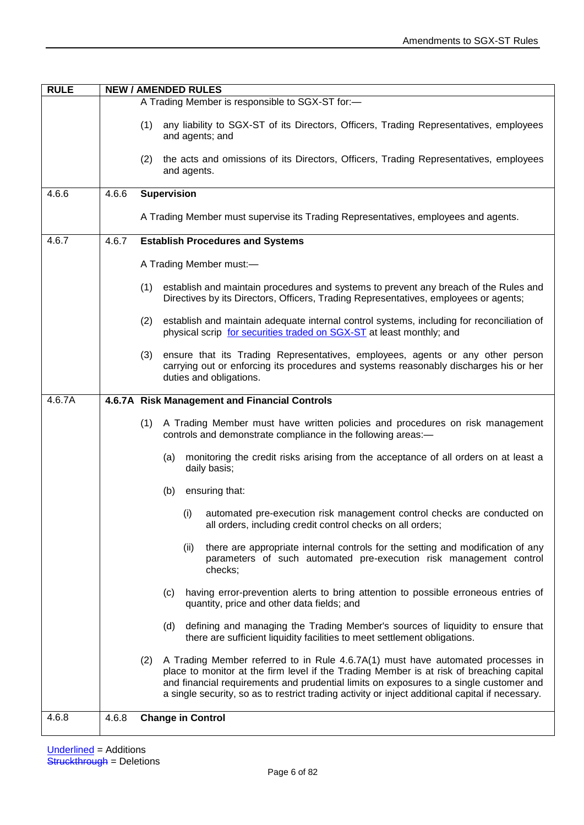| <b>RULE</b> |       | <b>NEW / AMENDED RULES</b>                                                                                                                                                                                                                                                                                                                                                       |
|-------------|-------|----------------------------------------------------------------------------------------------------------------------------------------------------------------------------------------------------------------------------------------------------------------------------------------------------------------------------------------------------------------------------------|
|             |       | A Trading Member is responsible to SGX-ST for:-                                                                                                                                                                                                                                                                                                                                  |
|             |       | any liability to SGX-ST of its Directors, Officers, Trading Representatives, employees<br>(1)<br>and agents; and                                                                                                                                                                                                                                                                 |
|             |       | the acts and omissions of its Directors, Officers, Trading Representatives, employees<br>(2)<br>and agents.                                                                                                                                                                                                                                                                      |
| 4.6.6       | 4.6.6 | <b>Supervision</b>                                                                                                                                                                                                                                                                                                                                                               |
|             |       | A Trading Member must supervise its Trading Representatives, employees and agents.                                                                                                                                                                                                                                                                                               |
| 4.6.7       | 4.6.7 | <b>Establish Procedures and Systems</b>                                                                                                                                                                                                                                                                                                                                          |
|             |       | A Trading Member must:-                                                                                                                                                                                                                                                                                                                                                          |
|             |       | establish and maintain procedures and systems to prevent any breach of the Rules and<br>(1)<br>Directives by its Directors, Officers, Trading Representatives, employees or agents;                                                                                                                                                                                              |
|             |       | (2)<br>establish and maintain adequate internal control systems, including for reconciliation of<br>physical scrip for securities traded on SGX-ST at least monthly; and                                                                                                                                                                                                         |
|             |       | ensure that its Trading Representatives, employees, agents or any other person<br>(3)<br>carrying out or enforcing its procedures and systems reasonably discharges his or her<br>duties and obligations.                                                                                                                                                                        |
| 4.6.7A      |       | 4.6.7A Risk Management and Financial Controls                                                                                                                                                                                                                                                                                                                                    |
|             |       | A Trading Member must have written policies and procedures on risk management<br>(1)<br>controls and demonstrate compliance in the following areas:-                                                                                                                                                                                                                             |
|             |       | monitoring the credit risks arising from the acceptance of all orders on at least a<br>(a)<br>daily basis;                                                                                                                                                                                                                                                                       |
|             |       | ensuring that:<br>(b)                                                                                                                                                                                                                                                                                                                                                            |
|             |       | automated pre-execution risk management control checks are conducted on<br>(i)<br>all orders, including credit control checks on all orders;                                                                                                                                                                                                                                     |
|             |       | there are appropriate internal controls for the setting and modification of any<br>(ii)<br>parameters of such automated pre-execution risk management control<br>checks;                                                                                                                                                                                                         |
|             |       | having error-prevention alerts to bring attention to possible erroneous entries of<br>(c)<br>quantity, price and other data fields; and                                                                                                                                                                                                                                          |
|             |       | defining and managing the Trading Member's sources of liquidity to ensure that<br>(d)<br>there are sufficient liquidity facilities to meet settlement obligations.                                                                                                                                                                                                               |
|             |       | A Trading Member referred to in Rule 4.6.7A(1) must have automated processes in<br>(2)<br>place to monitor at the firm level if the Trading Member is at risk of breaching capital<br>and financial requirements and prudential limits on exposures to a single customer and<br>a single security, so as to restrict trading activity or inject additional capital if necessary. |
| 4.6.8       | 4.6.8 | <b>Change in Control</b>                                                                                                                                                                                                                                                                                                                                                         |
|             |       |                                                                                                                                                                                                                                                                                                                                                                                  |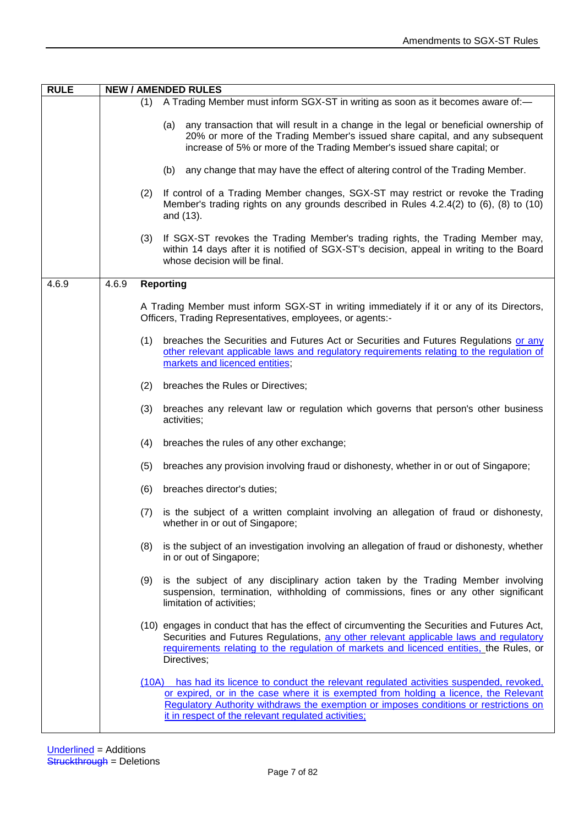| <b>RULE</b> |       |     | <b>NEW / AMENDED RULES</b>                                                                                                                                                                                                                                                                                                         |
|-------------|-------|-----|------------------------------------------------------------------------------------------------------------------------------------------------------------------------------------------------------------------------------------------------------------------------------------------------------------------------------------|
|             |       | (1) | A Trading Member must inform SGX-ST in writing as soon as it becomes aware of:-                                                                                                                                                                                                                                                    |
|             |       |     | any transaction that will result in a change in the legal or beneficial ownership of<br>(a)<br>20% or more of the Trading Member's issued share capital, and any subsequent<br>increase of 5% or more of the Trading Member's issued share capital; or                                                                             |
|             |       |     | (b) any change that may have the effect of altering control of the Trading Member.                                                                                                                                                                                                                                                 |
|             |       | (2) | If control of a Trading Member changes, SGX-ST may restrict or revoke the Trading<br>Member's trading rights on any grounds described in Rules 4.2.4(2) to (6), (8) to (10)<br>and (13).                                                                                                                                           |
|             |       | (3) | If SGX-ST revokes the Trading Member's trading rights, the Trading Member may,<br>within 14 days after it is notified of SGX-ST's decision, appeal in writing to the Board<br>whose decision will be final.                                                                                                                        |
| 4.6.9       | 4.6.9 |     | <b>Reporting</b>                                                                                                                                                                                                                                                                                                                   |
|             |       |     | A Trading Member must inform SGX-ST in writing immediately if it or any of its Directors,<br>Officers, Trading Representatives, employees, or agents:-                                                                                                                                                                             |
|             |       | (1) | breaches the Securities and Futures Act or Securities and Futures Regulations or any<br>other relevant applicable laws and regulatory requirements relating to the regulation of<br>markets and licenced entities;                                                                                                                 |
|             |       | (2) | breaches the Rules or Directives;                                                                                                                                                                                                                                                                                                  |
|             |       | (3) | breaches any relevant law or regulation which governs that person's other business<br>activities;                                                                                                                                                                                                                                  |
|             |       | (4) | breaches the rules of any other exchange;                                                                                                                                                                                                                                                                                          |
|             |       | (5) | breaches any provision involving fraud or dishonesty, whether in or out of Singapore;                                                                                                                                                                                                                                              |
|             |       | (6) | breaches director's duties;                                                                                                                                                                                                                                                                                                        |
|             |       | (7) | is the subject of a written complaint involving an allegation of fraud or dishonesty,<br>whether in or out of Singapore;                                                                                                                                                                                                           |
|             |       | (8) | is the subject of an investigation involving an allegation of fraud or dishonesty, whether<br>in or out of Singapore;                                                                                                                                                                                                              |
|             |       | (9) | is the subject of any disciplinary action taken by the Trading Member involving<br>suspension, termination, withholding of commissions, fines or any other significant<br>limitation of activities;                                                                                                                                |
|             |       |     | (10) engages in conduct that has the effect of circumventing the Securities and Futures Act,<br>Securities and Futures Regulations, any other relevant applicable laws and regulatory<br>requirements relating to the regulation of markets and licenced entities, the Rules, or<br>Directives;                                    |
|             |       |     | (10A) has had its licence to conduct the relevant regulated activities suspended, revoked,<br>or expired, or in the case where it is exempted from holding a licence, the Relevant<br>Regulatory Authority withdraws the exemption or imposes conditions or restrictions on<br>it in respect of the relevant regulated activities; |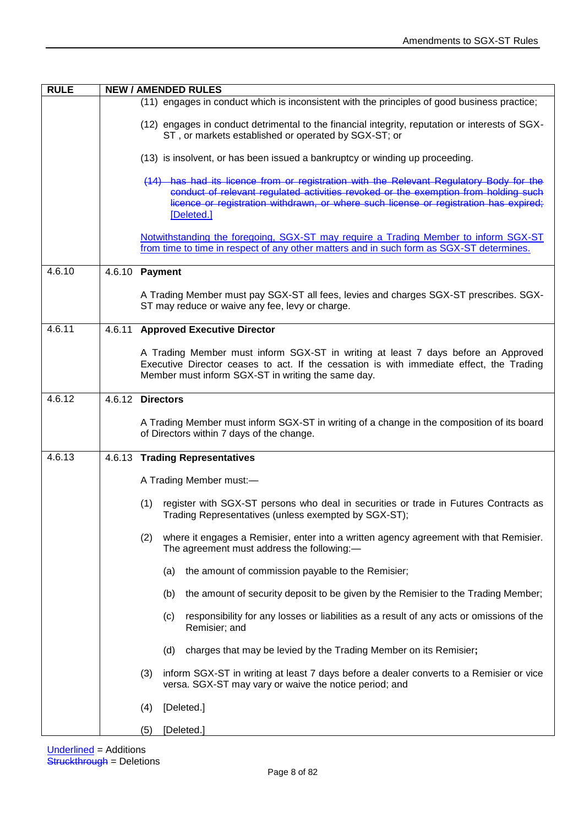| <b>RULE</b> | <b>NEW / AMENDED RULES</b>                                                                                                                                                                                                                                                            |
|-------------|---------------------------------------------------------------------------------------------------------------------------------------------------------------------------------------------------------------------------------------------------------------------------------------|
|             | (11) engages in conduct which is inconsistent with the principles of good business practice;                                                                                                                                                                                          |
|             | (12) engages in conduct detrimental to the financial integrity, reputation or interests of SGX-<br>ST, or markets established or operated by SGX-ST; or                                                                                                                               |
|             | (13) is insolvent, or has been issued a bankruptcy or winding up proceeding.                                                                                                                                                                                                          |
|             | (14) has had its licence from or registration with the Relevant Regulatory Body for the<br>conduct of relevant regulated activities revoked or the exemption from holding such<br>licence or registration withdrawn, or where such license or registration has expired;<br>[Deleted.] |
|             | Notwithstanding the foregoing, SGX-ST may require a Trading Member to inform SGX-ST<br>from time to time in respect of any other matters and in such form as SGX-ST determines.                                                                                                       |
| 4.6.10      | 4.6.10 Payment                                                                                                                                                                                                                                                                        |
|             | A Trading Member must pay SGX-ST all fees, levies and charges SGX-ST prescribes. SGX-<br>ST may reduce or waive any fee, levy or charge.                                                                                                                                              |
| 4.6.11      | 4.6.11 Approved Executive Director                                                                                                                                                                                                                                                    |
|             | A Trading Member must inform SGX-ST in writing at least 7 days before an Approved<br>Executive Director ceases to act. If the cessation is with immediate effect, the Trading<br>Member must inform SGX-ST in writing the same day.                                                   |
| 4.6.12      | 4.6.12 Directors                                                                                                                                                                                                                                                                      |
|             | A Trading Member must inform SGX-ST in writing of a change in the composition of its board<br>of Directors within 7 days of the change.                                                                                                                                               |
| 4.6.13      | 4.6.13 Trading Representatives                                                                                                                                                                                                                                                        |
|             | A Trading Member must:-                                                                                                                                                                                                                                                               |
|             | register with SGX-ST persons who deal in securities or trade in Futures Contracts as<br>(1)<br>Trading Representatives (unless exempted by SGX-ST);                                                                                                                                   |
|             | where it engages a Remisier, enter into a written agency agreement with that Remisier.<br>(2)<br>The agreement must address the following:-                                                                                                                                           |
|             | the amount of commission payable to the Remisier;<br>(a)                                                                                                                                                                                                                              |
|             | the amount of security deposit to be given by the Remisier to the Trading Member;<br>(b)                                                                                                                                                                                              |
|             | responsibility for any losses or liabilities as a result of any acts or omissions of the<br>(c)<br>Remisier; and                                                                                                                                                                      |
|             | (d)<br>charges that may be levied by the Trading Member on its Remisier;                                                                                                                                                                                                              |
|             | (3)<br>inform SGX-ST in writing at least 7 days before a dealer converts to a Remisier or vice<br>versa. SGX-ST may vary or waive the notice period; and                                                                                                                              |
|             | [Deleted.]<br>(4)                                                                                                                                                                                                                                                                     |
|             | [Deleted.]<br>(5)                                                                                                                                                                                                                                                                     |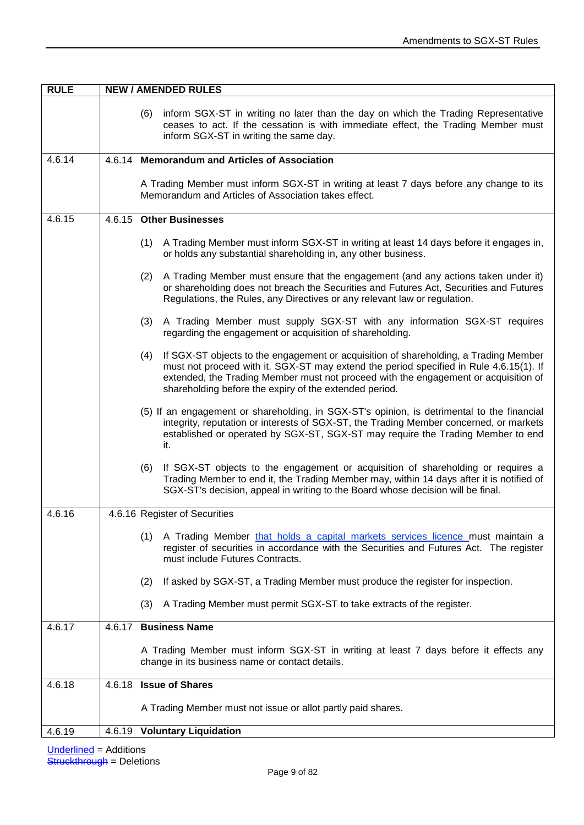| <b>RULE</b> | <b>NEW / AMENDED RULES</b>                                                                                                                                                                                                                                                                                                             |  |  |
|-------------|----------------------------------------------------------------------------------------------------------------------------------------------------------------------------------------------------------------------------------------------------------------------------------------------------------------------------------------|--|--|
|             | (6) inform SGX-ST in writing no later than the day on which the Trading Representative<br>ceases to act. If the cessation is with immediate effect, the Trading Member must<br>inform SGX-ST in writing the same day.                                                                                                                  |  |  |
| 4.6.14      | 4.6.14 Memorandum and Articles of Association                                                                                                                                                                                                                                                                                          |  |  |
|             | A Trading Member must inform SGX-ST in writing at least 7 days before any change to its<br>Memorandum and Articles of Association takes effect.                                                                                                                                                                                        |  |  |
| 4.6.15      | 4.6.15 Other Businesses                                                                                                                                                                                                                                                                                                                |  |  |
|             | A Trading Member must inform SGX-ST in writing at least 14 days before it engages in,<br>(1)<br>or holds any substantial shareholding in, any other business.                                                                                                                                                                          |  |  |
|             | A Trading Member must ensure that the engagement (and any actions taken under it)<br>(2)<br>or shareholding does not breach the Securities and Futures Act, Securities and Futures<br>Regulations, the Rules, any Directives or any relevant law or regulation.                                                                        |  |  |
|             | A Trading Member must supply SGX-ST with any information SGX-ST requires<br>(3)<br>regarding the engagement or acquisition of shareholding.                                                                                                                                                                                            |  |  |
|             | If SGX-ST objects to the engagement or acquisition of shareholding, a Trading Member<br>(4)<br>must not proceed with it. SGX-ST may extend the period specified in Rule 4.6.15(1). If<br>extended, the Trading Member must not proceed with the engagement or acquisition of<br>shareholding before the expiry of the extended period. |  |  |
|             | (5) If an engagement or shareholding, in SGX-ST's opinion, is detrimental to the financial<br>integrity, reputation or interests of SGX-ST, the Trading Member concerned, or markets<br>established or operated by SGX-ST, SGX-ST may require the Trading Member to end<br>it.                                                         |  |  |
|             | (6)<br>If SGX-ST objects to the engagement or acquisition of shareholding or requires a<br>Trading Member to end it, the Trading Member may, within 14 days after it is notified of<br>SGX-ST's decision, appeal in writing to the Board whose decision will be final.                                                                 |  |  |
| 4.6.16      | 4.6.16 Register of Securities                                                                                                                                                                                                                                                                                                          |  |  |
|             | (1) A Trading Member that holds a capital markets services licence must maintain a<br>register of securities in accordance with the Securities and Futures Act. The register<br>must include Futures Contracts.                                                                                                                        |  |  |
|             | If asked by SGX-ST, a Trading Member must produce the register for inspection.<br>(2)                                                                                                                                                                                                                                                  |  |  |
|             | A Trading Member must permit SGX-ST to take extracts of the register.<br>(3)                                                                                                                                                                                                                                                           |  |  |
| 4.6.17      | <b>Business Name</b><br>4.6.17                                                                                                                                                                                                                                                                                                         |  |  |
|             | A Trading Member must inform SGX-ST in writing at least 7 days before it effects any<br>change in its business name or contact details.                                                                                                                                                                                                |  |  |
| 4.6.18      | <b>Issue of Shares</b><br>4.6.18                                                                                                                                                                                                                                                                                                       |  |  |
|             | A Trading Member must not issue or allot partly paid shares.                                                                                                                                                                                                                                                                           |  |  |
| 4.6.19      | 4.6.19 Voluntary Liquidation                                                                                                                                                                                                                                                                                                           |  |  |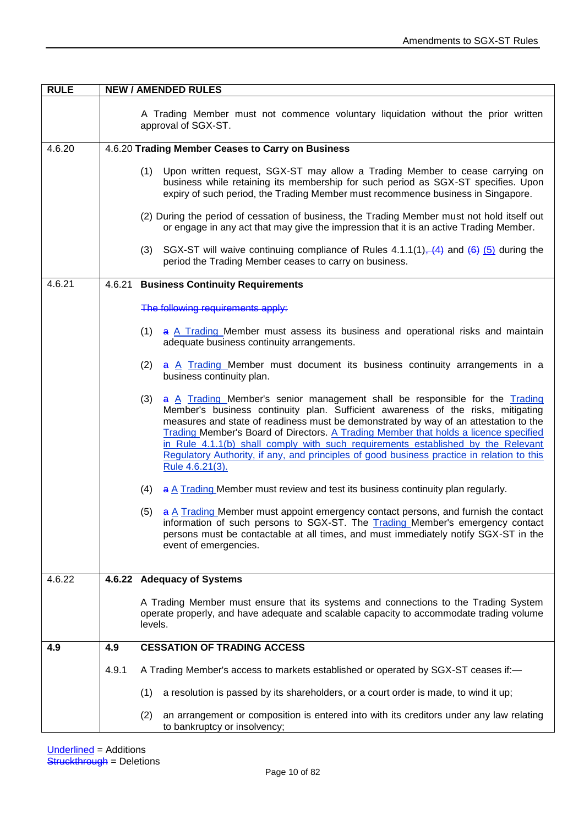| <b>RULE</b> |       | <b>NEW / AMENDED RULES</b>                                                                                                                                                                                                                                                                                                                                                                                                                                                                                                                                  |  |  |
|-------------|-------|-------------------------------------------------------------------------------------------------------------------------------------------------------------------------------------------------------------------------------------------------------------------------------------------------------------------------------------------------------------------------------------------------------------------------------------------------------------------------------------------------------------------------------------------------------------|--|--|
|             |       | A Trading Member must not commence voluntary liquidation without the prior written<br>approval of SGX-ST.                                                                                                                                                                                                                                                                                                                                                                                                                                                   |  |  |
| 4.6.20      |       | 4.6.20 Trading Member Ceases to Carry on Business                                                                                                                                                                                                                                                                                                                                                                                                                                                                                                           |  |  |
|             |       | (1)<br>Upon written request, SGX-ST may allow a Trading Member to cease carrying on<br>business while retaining its membership for such period as SGX-ST specifies. Upon<br>expiry of such period, the Trading Member must recommence business in Singapore.                                                                                                                                                                                                                                                                                                |  |  |
|             |       | (2) During the period of cessation of business, the Trading Member must not hold itself out<br>or engage in any act that may give the impression that it is an active Trading Member.                                                                                                                                                                                                                                                                                                                                                                       |  |  |
|             |       | SGX-ST will waive continuing compliance of Rules 4.1.1(1), (4) and (6) (5) during the<br>(3)<br>period the Trading Member ceases to carry on business.                                                                                                                                                                                                                                                                                                                                                                                                      |  |  |
| 4.6.21      |       | 4.6.21 Business Continuity Requirements                                                                                                                                                                                                                                                                                                                                                                                                                                                                                                                     |  |  |
|             |       |                                                                                                                                                                                                                                                                                                                                                                                                                                                                                                                                                             |  |  |
|             |       | The following requirements apply:                                                                                                                                                                                                                                                                                                                                                                                                                                                                                                                           |  |  |
|             |       | $(1)$ a A Trading Member must assess its business and operational risks and maintain<br>adequate business continuity arrangements.                                                                                                                                                                                                                                                                                                                                                                                                                          |  |  |
|             |       | a A Trading Member must document its business continuity arrangements in a<br>(2)<br>business continuity plan.                                                                                                                                                                                                                                                                                                                                                                                                                                              |  |  |
|             |       | a A Trading Member's senior management shall be responsible for the Trading<br>(3)<br>Member's business continuity plan. Sufficient awareness of the risks, mitigating<br>measures and state of readiness must be demonstrated by way of an attestation to the<br>Trading Member's Board of Directors. A Trading Member that holds a licence specified<br>in Rule 4.1.1(b) shall comply with such requirements established by the Relevant<br>Regulatory Authority, if any, and principles of good business practice in relation to this<br>Rule 4.6.21(3). |  |  |
|             |       | (4) $\Rightarrow$ A Trading Member must review and test its business continuity plan regularly.                                                                                                                                                                                                                                                                                                                                                                                                                                                             |  |  |
|             |       | $(5)$ a A Trading Member must appoint emergency contact persons, and furnish the contact<br>information of such persons to SGX-ST. The Trading Member's emergency contact<br>persons must be contactable at all times, and must immediately notify SGX-ST in the<br>event of emergencies.                                                                                                                                                                                                                                                                   |  |  |
| 4.6.22      |       | 4.6.22 Adequacy of Systems                                                                                                                                                                                                                                                                                                                                                                                                                                                                                                                                  |  |  |
|             |       | A Trading Member must ensure that its systems and connections to the Trading System<br>operate properly, and have adequate and scalable capacity to accommodate trading volume<br>levels.                                                                                                                                                                                                                                                                                                                                                                   |  |  |
| 4.9         | 4.9   | <b>CESSATION OF TRADING ACCESS</b>                                                                                                                                                                                                                                                                                                                                                                                                                                                                                                                          |  |  |
|             | 4.9.1 | A Trading Member's access to markets established or operated by SGX-ST ceases if:-                                                                                                                                                                                                                                                                                                                                                                                                                                                                          |  |  |
|             |       | a resolution is passed by its shareholders, or a court order is made, to wind it up;<br>(1)                                                                                                                                                                                                                                                                                                                                                                                                                                                                 |  |  |
|             |       | an arrangement or composition is entered into with its creditors under any law relating<br>(2)<br>to bankruptcy or insolvency;                                                                                                                                                                                                                                                                                                                                                                                                                              |  |  |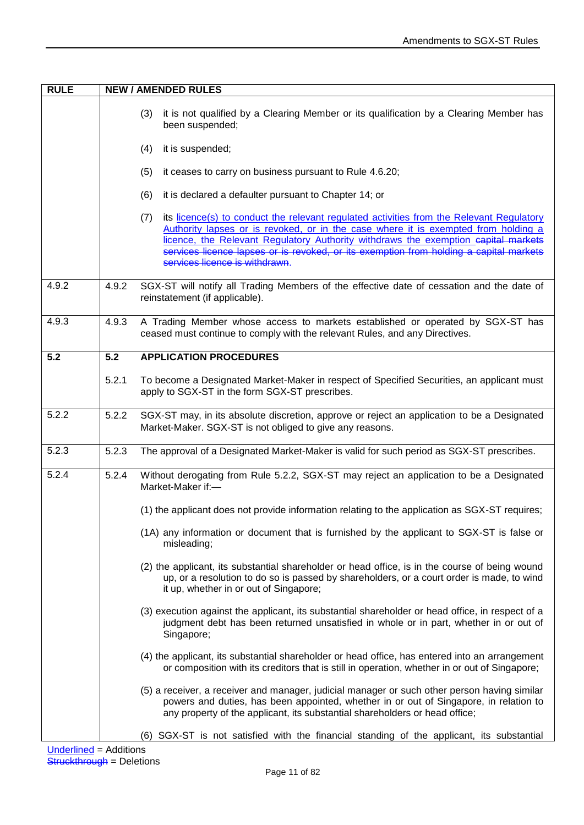| <b>RULE</b>               |       | <b>NEW / AMENDED RULES</b>                                                                                                                                                                                                                                                                                                                                                                              |
|---------------------------|-------|---------------------------------------------------------------------------------------------------------------------------------------------------------------------------------------------------------------------------------------------------------------------------------------------------------------------------------------------------------------------------------------------------------|
|                           |       | it is not qualified by a Clearing Member or its qualification by a Clearing Member has<br>(3)<br>been suspended;<br>it is suspended;<br>(4)<br>it ceases to carry on business pursuant to Rule 4.6.20;<br>(5)                                                                                                                                                                                           |
|                           |       | it is declared a defaulter pursuant to Chapter 14; or<br>(6)                                                                                                                                                                                                                                                                                                                                            |
|                           |       | its licence(s) to conduct the relevant regulated activities from the Relevant Regulatory<br>(7)<br>Authority lapses or is revoked, or in the case where it is exempted from holding a<br>licence, the Relevant Regulatory Authority withdraws the exemption capital markets<br>services licence lapses or is revoked, or its exemption from holding a capital markets<br>services licence is withdrawn. |
| 4.9.2                     | 4.9.2 | SGX-ST will notify all Trading Members of the effective date of cessation and the date of<br>reinstatement (if applicable).                                                                                                                                                                                                                                                                             |
| 4.9.3                     | 4.9.3 | A Trading Member whose access to markets established or operated by SGX-ST has<br>ceased must continue to comply with the relevant Rules, and any Directives.                                                                                                                                                                                                                                           |
| 5.2                       | 5.2   | <b>APPLICATION PROCEDURES</b>                                                                                                                                                                                                                                                                                                                                                                           |
|                           | 5.2.1 | To become a Designated Market-Maker in respect of Specified Securities, an applicant must<br>apply to SGX-ST in the form SGX-ST prescribes.                                                                                                                                                                                                                                                             |
| 5.2.2                     | 5.2.2 | SGX-ST may, in its absolute discretion, approve or reject an application to be a Designated<br>Market-Maker. SGX-ST is not obliged to give any reasons.                                                                                                                                                                                                                                                 |
| 5.2.3                     | 5.2.3 | The approval of a Designated Market-Maker is valid for such period as SGX-ST prescribes.                                                                                                                                                                                                                                                                                                                |
| 5.2.4                     | 5.2.4 | Without derogating from Rule 5.2.2, SGX-ST may reject an application to be a Designated<br>Market-Maker if:-                                                                                                                                                                                                                                                                                            |
|                           |       | (1) the applicant does not provide information relating to the application as SGX-ST requires;                                                                                                                                                                                                                                                                                                          |
|                           |       | (1A) any information or document that is furnished by the applicant to SGX-ST is false or<br>misleading;                                                                                                                                                                                                                                                                                                |
|                           |       | (2) the applicant, its substantial shareholder or head office, is in the course of being wound<br>up, or a resolution to do so is passed by shareholders, or a court order is made, to wind<br>it up, whether in or out of Singapore;                                                                                                                                                                   |
|                           |       | (3) execution against the applicant, its substantial shareholder or head office, in respect of a<br>judgment debt has been returned unsatisfied in whole or in part, whether in or out of<br>Singapore;                                                                                                                                                                                                 |
|                           |       | (4) the applicant, its substantial shareholder or head office, has entered into an arrangement<br>or composition with its creditors that is still in operation, whether in or out of Singapore;                                                                                                                                                                                                         |
|                           |       | (5) a receiver, a receiver and manager, judicial manager or such other person having similar<br>powers and duties, has been appointed, whether in or out of Singapore, in relation to<br>any property of the applicant, its substantial shareholders or head office;                                                                                                                                    |
| I Indorlingd - Additional |       | (6) SGX-ST is not satisfied with the financial standing of the applicant, its substantial                                                                                                                                                                                                                                                                                                               |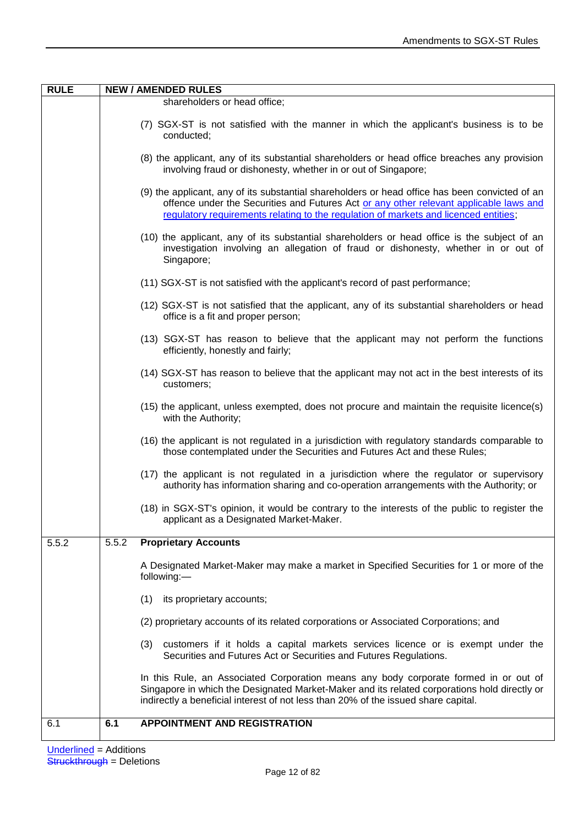| <b>RULE</b> |       | <b>NEW / AMENDED RULES</b>                                                                                                                                                                                                                                                       |
|-------------|-------|----------------------------------------------------------------------------------------------------------------------------------------------------------------------------------------------------------------------------------------------------------------------------------|
|             |       | shareholders or head office;                                                                                                                                                                                                                                                     |
|             |       | (7) SGX-ST is not satisfied with the manner in which the applicant's business is to be<br>conducted;                                                                                                                                                                             |
|             |       | (8) the applicant, any of its substantial shareholders or head office breaches any provision<br>involving fraud or dishonesty, whether in or out of Singapore;                                                                                                                   |
|             |       | (9) the applicant, any of its substantial shareholders or head office has been convicted of an<br>offence under the Securities and Futures Act or any other relevant applicable laws and<br>regulatory requirements relating to the regulation of markets and licenced entities; |
|             |       | (10) the applicant, any of its substantial shareholders or head office is the subject of an<br>investigation involving an allegation of fraud or dishonesty, whether in or out of<br>Singapore;                                                                                  |
|             |       | (11) SGX-ST is not satisfied with the applicant's record of past performance;                                                                                                                                                                                                    |
|             |       | (12) SGX-ST is not satisfied that the applicant, any of its substantial shareholders or head<br>office is a fit and proper person;                                                                                                                                               |
|             |       | (13) SGX-ST has reason to believe that the applicant may not perform the functions<br>efficiently, honestly and fairly;                                                                                                                                                          |
|             |       | (14) SGX-ST has reason to believe that the applicant may not act in the best interests of its<br>customers;                                                                                                                                                                      |
|             |       | (15) the applicant, unless exempted, does not procure and maintain the requisite licence(s)<br>with the Authority;                                                                                                                                                               |
|             |       | (16) the applicant is not regulated in a jurisdiction with regulatory standards comparable to<br>those contemplated under the Securities and Futures Act and these Rules;                                                                                                        |
|             |       | (17) the applicant is not regulated in a jurisdiction where the regulator or supervisory<br>authority has information sharing and co-operation arrangements with the Authority; or                                                                                               |
|             |       | (18) in SGX-ST's opinion, it would be contrary to the interests of the public to register the<br>applicant as a Designated Market-Maker.                                                                                                                                         |
| 5.5.2       | 5.5.2 | <b>Proprietary Accounts</b>                                                                                                                                                                                                                                                      |
|             |       | A Designated Market-Maker may make a market in Specified Securities for 1 or more of the<br>following:-                                                                                                                                                                          |
|             |       | (1)<br>its proprietary accounts;                                                                                                                                                                                                                                                 |
|             |       | (2) proprietary accounts of its related corporations or Associated Corporations; and                                                                                                                                                                                             |
|             |       | customers if it holds a capital markets services licence or is exempt under the<br>(3)<br>Securities and Futures Act or Securities and Futures Regulations.                                                                                                                      |
|             |       | In this Rule, an Associated Corporation means any body corporate formed in or out of<br>Singapore in which the Designated Market-Maker and its related corporations hold directly or<br>indirectly a beneficial interest of not less than 20% of the issued share capital.       |
| 6.1         | 6.1   | <b>APPOINTMENT AND REGISTRATION</b>                                                                                                                                                                                                                                              |
|             |       |                                                                                                                                                                                                                                                                                  |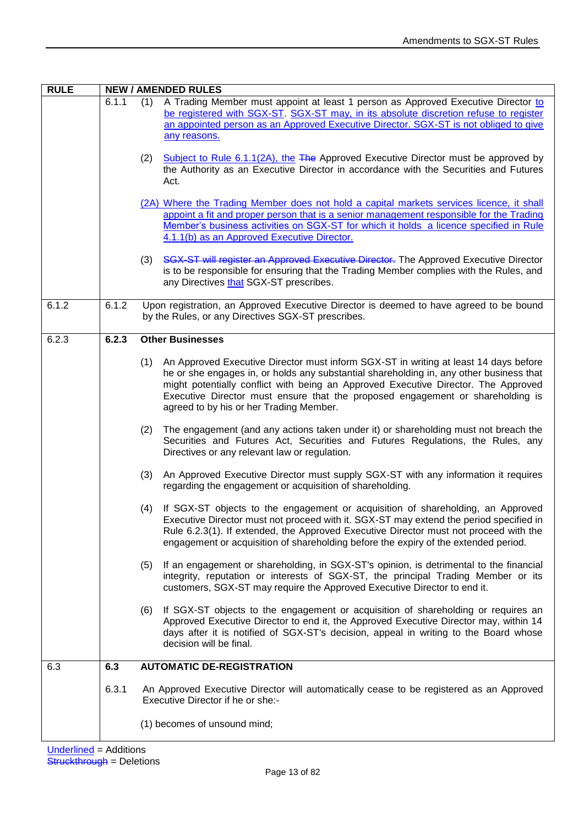| <b>RULE</b> | <b>NEW / AMENDED RULES</b> |                                                                                                                                                                                                                                                                                                                                                                                                           |
|-------------|----------------------------|-----------------------------------------------------------------------------------------------------------------------------------------------------------------------------------------------------------------------------------------------------------------------------------------------------------------------------------------------------------------------------------------------------------|
|             | 6.1.1                      | A Trading Member must appoint at least 1 person as Approved Executive Director to<br>(1)<br>be registered with SGX-ST. SGX-ST may, in its absolute discretion refuse to register<br>an appointed person as an Approved Executive Director. SGX-ST is not obliged to give<br>any reasons.                                                                                                                  |
|             |                            | Subject to Rule 6.1.1(2A), the $The$ Approved Executive Director must be approved by<br>(2)<br>the Authority as an Executive Director in accordance with the Securities and Futures<br>Act.                                                                                                                                                                                                               |
|             |                            | (2A) Where the Trading Member does not hold a capital markets services licence, it shall<br>appoint a fit and proper person that is a senior management responsible for the Trading<br>Member's business activities on SGX-ST for which it holds a licence specified in Rule<br>4.1.1(b) as an Approved Executive Director.                                                                               |
|             |                            | SGX-ST will register an Approved Executive Director. The Approved Executive Director<br>(3)<br>is to be responsible for ensuring that the Trading Member complies with the Rules, and<br>any Directives that SGX-ST prescribes.                                                                                                                                                                           |
| 6.1.2       | 6.1.2                      | Upon registration, an Approved Executive Director is deemed to have agreed to be bound<br>by the Rules, or any Directives SGX-ST prescribes.                                                                                                                                                                                                                                                              |
| 6.2.3       | 6.2.3                      | <b>Other Businesses</b>                                                                                                                                                                                                                                                                                                                                                                                   |
|             |                            | An Approved Executive Director must inform SGX-ST in writing at least 14 days before<br>(1)<br>he or she engages in, or holds any substantial shareholding in, any other business that<br>might potentially conflict with being an Approved Executive Director. The Approved<br>Executive Director must ensure that the proposed engagement or shareholding is<br>agreed to by his or her Trading Member. |
|             |                            | (2)<br>The engagement (and any actions taken under it) or shareholding must not breach the<br>Securities and Futures Act, Securities and Futures Regulations, the Rules, any<br>Directives or any relevant law or regulation.                                                                                                                                                                             |
|             |                            | An Approved Executive Director must supply SGX-ST with any information it requires<br>(3)<br>regarding the engagement or acquisition of shareholding.                                                                                                                                                                                                                                                     |
|             |                            | If SGX-ST objects to the engagement or acquisition of shareholding, an Approved<br>(4)<br>Executive Director must not proceed with it. SGX-ST may extend the period specified in<br>Rule 6.2.3(1). If extended, the Approved Executive Director must not proceed with the<br>engagement or acquisition of shareholding before the expiry of the extended period.                                          |
|             |                            | If an engagement or shareholding, in SGX-ST's opinion, is detrimental to the financial<br>(5)<br>integrity, reputation or interests of SGX-ST, the principal Trading Member or its<br>customers, SGX-ST may require the Approved Executive Director to end it.                                                                                                                                            |
|             |                            | If SGX-ST objects to the engagement or acquisition of shareholding or requires an<br>(6)<br>Approved Executive Director to end it, the Approved Executive Director may, within 14<br>days after it is notified of SGX-ST's decision, appeal in writing to the Board whose<br>decision will be final.                                                                                                      |
| 6.3         | 6.3                        | <b>AUTOMATIC DE-REGISTRATION</b>                                                                                                                                                                                                                                                                                                                                                                          |
|             | 6.3.1                      | An Approved Executive Director will automatically cease to be registered as an Approved<br>Executive Director if he or she:-                                                                                                                                                                                                                                                                              |
|             |                            | (1) becomes of unsound mind;                                                                                                                                                                                                                                                                                                                                                                              |
|             |                            |                                                                                                                                                                                                                                                                                                                                                                                                           |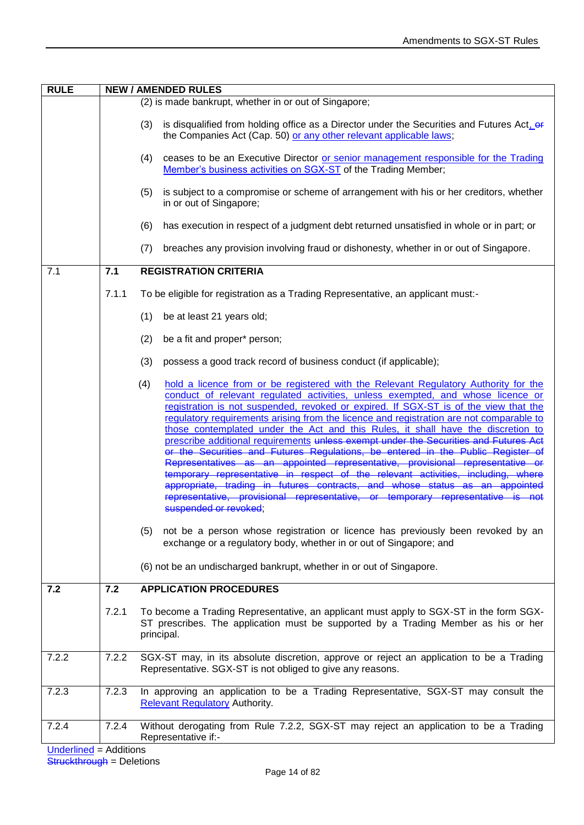| <b>RULE</b> | <b>NEW / AMENDED RULES</b> |                                                                                                                                                                                                                                                                                                                                                                                                                                                                                                                                                                                                                                                                                                                                                                                                                                                                                                                                                                                                                                                                                                                                                                |  |
|-------------|----------------------------|----------------------------------------------------------------------------------------------------------------------------------------------------------------------------------------------------------------------------------------------------------------------------------------------------------------------------------------------------------------------------------------------------------------------------------------------------------------------------------------------------------------------------------------------------------------------------------------------------------------------------------------------------------------------------------------------------------------------------------------------------------------------------------------------------------------------------------------------------------------------------------------------------------------------------------------------------------------------------------------------------------------------------------------------------------------------------------------------------------------------------------------------------------------|--|
|             |                            | (2) is made bankrupt, whether in or out of Singapore;                                                                                                                                                                                                                                                                                                                                                                                                                                                                                                                                                                                                                                                                                                                                                                                                                                                                                                                                                                                                                                                                                                          |  |
|             |                            | is disqualified from holding office as a Director under the Securities and Futures Act, $er$<br>(3)<br>the Companies Act (Cap. 50) or any other relevant applicable laws;                                                                                                                                                                                                                                                                                                                                                                                                                                                                                                                                                                                                                                                                                                                                                                                                                                                                                                                                                                                      |  |
|             |                            | ceases to be an Executive Director or senior management responsible for the Trading<br>(4)<br>Member's business activities on SGX-ST of the Trading Member;                                                                                                                                                                                                                                                                                                                                                                                                                                                                                                                                                                                                                                                                                                                                                                                                                                                                                                                                                                                                    |  |
|             |                            | is subject to a compromise or scheme of arrangement with his or her creditors, whether<br>(5)<br>in or out of Singapore;                                                                                                                                                                                                                                                                                                                                                                                                                                                                                                                                                                                                                                                                                                                                                                                                                                                                                                                                                                                                                                       |  |
|             |                            | has execution in respect of a judgment debt returned unsatisfied in whole or in part; or<br>(6)                                                                                                                                                                                                                                                                                                                                                                                                                                                                                                                                                                                                                                                                                                                                                                                                                                                                                                                                                                                                                                                                |  |
|             |                            | breaches any provision involving fraud or dishonesty, whether in or out of Singapore.<br>(7)                                                                                                                                                                                                                                                                                                                                                                                                                                                                                                                                                                                                                                                                                                                                                                                                                                                                                                                                                                                                                                                                   |  |
| 7.1         | 7.1                        | <b>REGISTRATION CRITERIA</b>                                                                                                                                                                                                                                                                                                                                                                                                                                                                                                                                                                                                                                                                                                                                                                                                                                                                                                                                                                                                                                                                                                                                   |  |
|             | 7.1.1                      | To be eligible for registration as a Trading Representative, an applicant must:-                                                                                                                                                                                                                                                                                                                                                                                                                                                                                                                                                                                                                                                                                                                                                                                                                                                                                                                                                                                                                                                                               |  |
|             |                            | be at least 21 years old;<br>(1)                                                                                                                                                                                                                                                                                                                                                                                                                                                                                                                                                                                                                                                                                                                                                                                                                                                                                                                                                                                                                                                                                                                               |  |
|             |                            | (2)<br>be a fit and proper* person;                                                                                                                                                                                                                                                                                                                                                                                                                                                                                                                                                                                                                                                                                                                                                                                                                                                                                                                                                                                                                                                                                                                            |  |
|             |                            | (3)<br>possess a good track record of business conduct (if applicable);                                                                                                                                                                                                                                                                                                                                                                                                                                                                                                                                                                                                                                                                                                                                                                                                                                                                                                                                                                                                                                                                                        |  |
|             |                            | hold a licence from or be registered with the Relevant Regulatory Authority for the<br>(4)<br>conduct of relevant regulated activities, unless exempted, and whose licence or<br>registration is not suspended, revoked or expired. If SGX-ST is of the view that the<br>regulatory requirements arising from the licence and registration are not comparable to<br>those contemplated under the Act and this Rules, it shall have the discretion to<br>prescribe additional requirements unless exempt under the Securities and Futures Act<br>or the Securities and Futures Regulations, be entered in the Public Register of<br>Representatives as an appointed representative, provisional representative or<br>temporary representative in respect of the relevant activities, including, where<br>appropriate, trading in futures contracts, and whose status as an appointed<br>representative, provisional representative, or temporary representative is not<br>suspended or revoked;<br>not be a person whose registration or licence has previously been revoked by an<br>(5)<br>exchange or a regulatory body, whether in or out of Singapore; and |  |
|             |                            | (6) not be an undischarged bankrupt, whether in or out of Singapore.                                                                                                                                                                                                                                                                                                                                                                                                                                                                                                                                                                                                                                                                                                                                                                                                                                                                                                                                                                                                                                                                                           |  |
|             |                            |                                                                                                                                                                                                                                                                                                                                                                                                                                                                                                                                                                                                                                                                                                                                                                                                                                                                                                                                                                                                                                                                                                                                                                |  |
| 7.2         | 7.2                        | <b>APPLICATION PROCEDURES</b>                                                                                                                                                                                                                                                                                                                                                                                                                                                                                                                                                                                                                                                                                                                                                                                                                                                                                                                                                                                                                                                                                                                                  |  |
|             | 7.2.1                      | To become a Trading Representative, an applicant must apply to SGX-ST in the form SGX-<br>ST prescribes. The application must be supported by a Trading Member as his or her<br>principal.                                                                                                                                                                                                                                                                                                                                                                                                                                                                                                                                                                                                                                                                                                                                                                                                                                                                                                                                                                     |  |
| 7.2.2       | 7.2.2                      | SGX-ST may, in its absolute discretion, approve or reject an application to be a Trading<br>Representative. SGX-ST is not obliged to give any reasons.                                                                                                                                                                                                                                                                                                                                                                                                                                                                                                                                                                                                                                                                                                                                                                                                                                                                                                                                                                                                         |  |
| 7.2.3       | 7.2.3                      | In approving an application to be a Trading Representative, SGX-ST may consult the<br><b>Relevant Regulatory Authority.</b>                                                                                                                                                                                                                                                                                                                                                                                                                                                                                                                                                                                                                                                                                                                                                                                                                                                                                                                                                                                                                                    |  |
| 7.2.4       | 7.2.4                      | Without derogating from Rule 7.2.2, SGX-ST may reject an application to be a Trading<br>Representative if:-                                                                                                                                                                                                                                                                                                                                                                                                                                                                                                                                                                                                                                                                                                                                                                                                                                                                                                                                                                                                                                                    |  |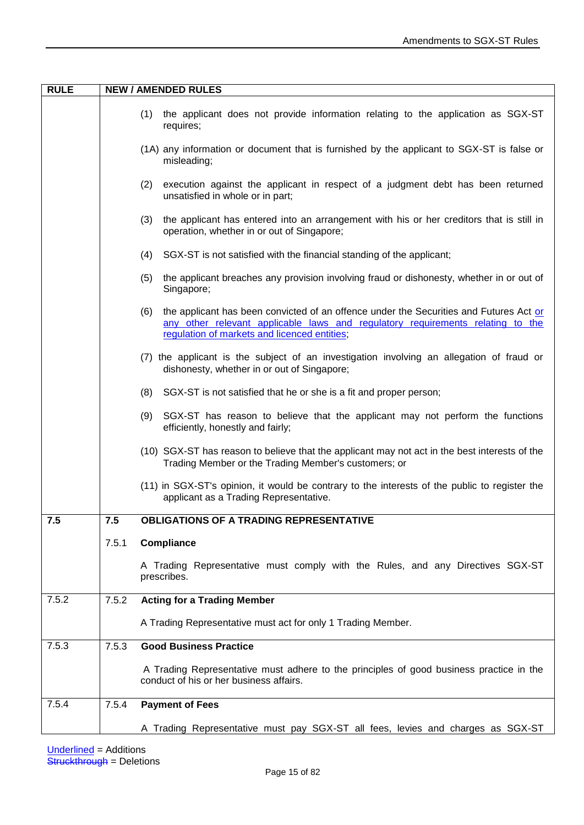| <b>RULE</b> | <b>NEW / AMENDED RULES</b> |                                                                                                                                                                                                                                 |
|-------------|----------------------------|---------------------------------------------------------------------------------------------------------------------------------------------------------------------------------------------------------------------------------|
|             |                            | (1)<br>the applicant does not provide information relating to the application as SGX-ST<br>requires;                                                                                                                            |
|             |                            | (1A) any information or document that is furnished by the applicant to SGX-ST is false or<br>misleading;                                                                                                                        |
|             |                            | (2)<br>execution against the applicant in respect of a judgment debt has been returned<br>unsatisfied in whole or in part;                                                                                                      |
|             |                            | (3)<br>the applicant has entered into an arrangement with his or her creditors that is still in<br>operation, whether in or out of Singapore;                                                                                   |
|             |                            | SGX-ST is not satisfied with the financial standing of the applicant;<br>(4)                                                                                                                                                    |
|             |                            | the applicant breaches any provision involving fraud or dishonesty, whether in or out of<br>(5)<br>Singapore;                                                                                                                   |
|             |                            | the applicant has been convicted of an offence under the Securities and Futures Act or<br>(6)<br>any other relevant applicable laws and regulatory requirements relating to the<br>regulation of markets and licenced entities; |
|             |                            | (7) the applicant is the subject of an investigation involving an allegation of fraud or<br>dishonesty, whether in or out of Singapore;                                                                                         |
|             |                            | (8) SGX-ST is not satisfied that he or she is a fit and proper person;                                                                                                                                                          |
|             |                            | (9)<br>SGX-ST has reason to believe that the applicant may not perform the functions<br>efficiently, honestly and fairly;                                                                                                       |
|             |                            | (10) SGX-ST has reason to believe that the applicant may not act in the best interests of the<br>Trading Member or the Trading Member's customers; or                                                                           |
|             |                            | (11) in SGX-ST's opinion, it would be contrary to the interests of the public to register the<br>applicant as a Trading Representative.                                                                                         |
| 7.5         | 7.5                        | <b>OBLIGATIONS OF A TRADING REPRESENTATIVE</b>                                                                                                                                                                                  |
|             | 7.5.1                      | Compliance                                                                                                                                                                                                                      |
|             |                            | A Trading Representative must comply with the Rules, and any Directives SGX-ST<br>prescribes.                                                                                                                                   |
| 7.5.2       | 7.5.2                      | <b>Acting for a Trading Member</b>                                                                                                                                                                                              |
|             |                            | A Trading Representative must act for only 1 Trading Member.                                                                                                                                                                    |
| 7.5.3       | 7.5.3                      | <b>Good Business Practice</b>                                                                                                                                                                                                   |
|             |                            | A Trading Representative must adhere to the principles of good business practice in the<br>conduct of his or her business affairs.                                                                                              |
| 7.5.4       | 7.5.4                      | <b>Payment of Fees</b>                                                                                                                                                                                                          |
|             |                            | A Trading Representative must pay SGX-ST all fees, levies and charges as SGX-ST                                                                                                                                                 |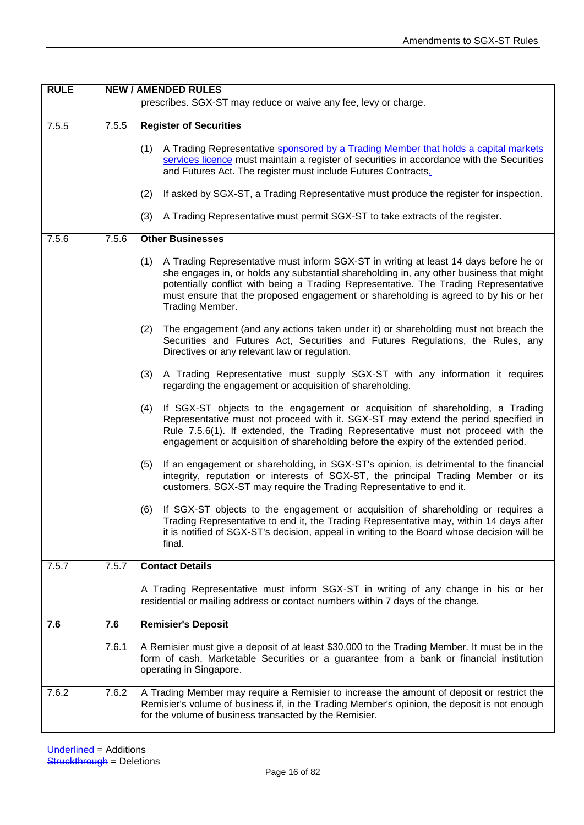| <b>RULE</b> |       | <b>NEW / AMENDED RULES</b>                                                                                                                                                                                                                                                                                                                                                               |  |  |
|-------------|-------|------------------------------------------------------------------------------------------------------------------------------------------------------------------------------------------------------------------------------------------------------------------------------------------------------------------------------------------------------------------------------------------|--|--|
|             |       | prescribes. SGX-ST may reduce or waive any fee, levy or charge.                                                                                                                                                                                                                                                                                                                          |  |  |
| 7.5.5       | 7.5.5 | <b>Register of Securities</b>                                                                                                                                                                                                                                                                                                                                                            |  |  |
|             |       | A Trading Representative sponsored by a Trading Member that holds a capital markets<br>(1)<br>services licence must maintain a register of securities in accordance with the Securities<br>and Futures Act. The register must include Futures Contracts.                                                                                                                                 |  |  |
|             |       | (2)<br>If asked by SGX-ST, a Trading Representative must produce the register for inspection.                                                                                                                                                                                                                                                                                            |  |  |
|             |       | A Trading Representative must permit SGX-ST to take extracts of the register.<br>(3)                                                                                                                                                                                                                                                                                                     |  |  |
| 7.5.6       | 7.5.6 | <b>Other Businesses</b>                                                                                                                                                                                                                                                                                                                                                                  |  |  |
|             |       | A Trading Representative must inform SGX-ST in writing at least 14 days before he or<br>(1)<br>she engages in, or holds any substantial shareholding in, any other business that might<br>potentially conflict with being a Trading Representative. The Trading Representative<br>must ensure that the proposed engagement or shareholding is agreed to by his or her<br>Trading Member. |  |  |
|             |       | The engagement (and any actions taken under it) or shareholding must not breach the<br>(2)<br>Securities and Futures Act, Securities and Futures Regulations, the Rules, any<br>Directives or any relevant law or regulation.                                                                                                                                                            |  |  |
|             |       | A Trading Representative must supply SGX-ST with any information it requires<br>(3)<br>regarding the engagement or acquisition of shareholding.                                                                                                                                                                                                                                          |  |  |
|             |       | If SGX-ST objects to the engagement or acquisition of shareholding, a Trading<br>(4)<br>Representative must not proceed with it. SGX-ST may extend the period specified in<br>Rule 7.5.6(1). If extended, the Trading Representative must not proceed with the<br>engagement or acquisition of shareholding before the expiry of the extended period.                                    |  |  |
|             |       | If an engagement or shareholding, in SGX-ST's opinion, is detrimental to the financial<br>(5)<br>integrity, reputation or interests of SGX-ST, the principal Trading Member or its<br>customers, SGX-ST may require the Trading Representative to end it.                                                                                                                                |  |  |
|             |       | If SGX-ST objects to the engagement or acquisition of shareholding or requires a<br>(6)<br>Trading Representative to end it, the Trading Representative may, within 14 days after<br>it is notified of SGX-ST's decision, appeal in writing to the Board whose decision will be<br>final.                                                                                                |  |  |
| 7.5.7       | 7.5.7 | <b>Contact Details</b>                                                                                                                                                                                                                                                                                                                                                                   |  |  |
|             |       | A Trading Representative must inform SGX-ST in writing of any change in his or her<br>residential or mailing address or contact numbers within 7 days of the change.                                                                                                                                                                                                                     |  |  |
| 7.6         | 7.6   | <b>Remisier's Deposit</b>                                                                                                                                                                                                                                                                                                                                                                |  |  |
|             | 7.6.1 | A Remisier must give a deposit of at least \$30,000 to the Trading Member. It must be in the<br>form of cash, Marketable Securities or a guarantee from a bank or financial institution<br>operating in Singapore.                                                                                                                                                                       |  |  |
| 7.6.2       | 7.6.2 | A Trading Member may require a Remisier to increase the amount of deposit or restrict the<br>Remisier's volume of business if, in the Trading Member's opinion, the deposit is not enough<br>for the volume of business transacted by the Remisier.                                                                                                                                      |  |  |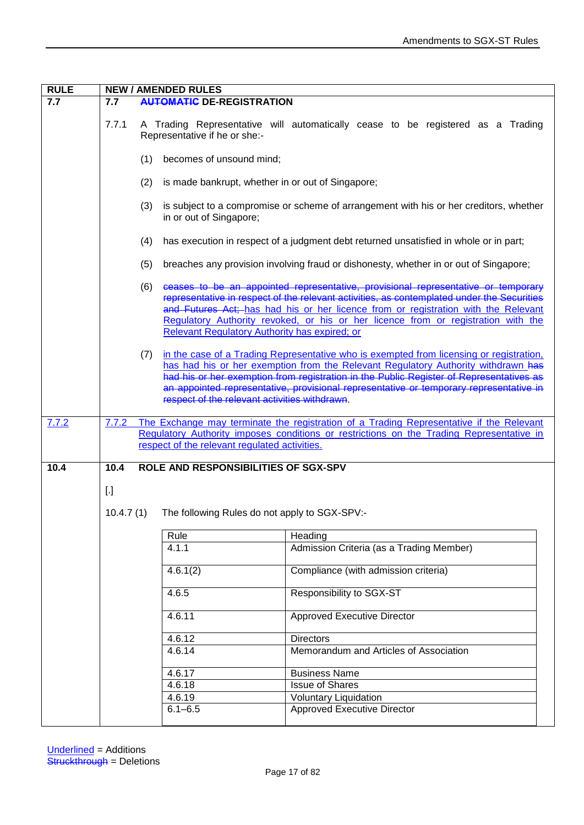| <b>RULE</b> | <b>NEW / AMENDED RULES</b> |                                                          |                                                                                                                                                                                                                                                                                                                                                                   |
|-------------|----------------------------|----------------------------------------------------------|-------------------------------------------------------------------------------------------------------------------------------------------------------------------------------------------------------------------------------------------------------------------------------------------------------------------------------------------------------------------|
| 7.7         | 7.7                        | <b>AUTOMATIC DE-REGISTRATION</b>                         |                                                                                                                                                                                                                                                                                                                                                                   |
|             | 7.7.1                      | Representative if he or she:-                            | A Trading Representative will automatically cease to be registered as a Trading                                                                                                                                                                                                                                                                                   |
|             |                            | becomes of unsound mind;<br>(1)                          |                                                                                                                                                                                                                                                                                                                                                                   |
|             |                            | (2)<br>is made bankrupt, whether in or out of Singapore; |                                                                                                                                                                                                                                                                                                                                                                   |
|             |                            | (3)<br>in or out of Singapore;                           | is subject to a compromise or scheme of arrangement with his or her creditors, whether                                                                                                                                                                                                                                                                            |
|             |                            | (4)                                                      | has execution in respect of a judgment debt returned unsatisfied in whole or in part;                                                                                                                                                                                                                                                                             |
|             |                            | (5)                                                      | breaches any provision involving fraud or dishonesty, whether in or out of Singapore;                                                                                                                                                                                                                                                                             |
|             |                            | (6)<br>Relevant Regulatory Authority has expired; or     | ceases to be an appointed representative, provisional representative or temporary<br>representative in respect of the relevant activities, as contemplated under the Securities<br>and Futures Act; has had his or her licence from or registration with the Relevant<br>Requlatory Authority revoked, or his or her licence from or registration with the        |
|             |                            | (7)<br>respect of the relevant activities withdrawn.     | in the case of a Trading Representative who is exempted from licensing or registration,<br>has had his or her exemption from the Relevant Regulatory Authority withdrawn has<br>had his or her exemption from registration in the Public Register of Representatives as<br>an appointed representative, provisional representative or temporary representative in |
| 7.7.2       | 7.7.2                      |                                                          | The Exchange may terminate the registration of a Trading Representative if the Relevant                                                                                                                                                                                                                                                                           |
|             |                            |                                                          | Requlatory Authority imposes conditions or restrictions on the Trading Representative in                                                                                                                                                                                                                                                                          |
|             |                            | respect of the relevant regulated activities.            |                                                                                                                                                                                                                                                                                                                                                                   |
| 10.4        | 10.4                       | ROLE AND RESPONSIBILITIES OF SGX-SPV                     |                                                                                                                                                                                                                                                                                                                                                                   |
|             |                            |                                                          |                                                                                                                                                                                                                                                                                                                                                                   |
|             | $\left[ . \right]$         |                                                          |                                                                                                                                                                                                                                                                                                                                                                   |
|             | 10.4.7(1)                  | The following Rules do not apply to SGX-SPV:-            |                                                                                                                                                                                                                                                                                                                                                                   |
|             |                            |                                                          |                                                                                                                                                                                                                                                                                                                                                                   |
|             |                            | Rule<br>4.1.1                                            | Heading<br>Admission Criteria (as a Trading Member)                                                                                                                                                                                                                                                                                                               |
|             |                            |                                                          |                                                                                                                                                                                                                                                                                                                                                                   |
|             |                            | 4.6.1(2)                                                 | Compliance (with admission criteria)                                                                                                                                                                                                                                                                                                                              |
|             |                            | 4.6.5                                                    | Responsibility to SGX-ST                                                                                                                                                                                                                                                                                                                                          |
|             |                            | 4.6.11                                                   | <b>Approved Executive Director</b>                                                                                                                                                                                                                                                                                                                                |
|             |                            | 4.6.12                                                   | <b>Directors</b>                                                                                                                                                                                                                                                                                                                                                  |
|             |                            | 4.6.14                                                   | Memorandum and Articles of Association                                                                                                                                                                                                                                                                                                                            |
|             |                            | 4.6.17                                                   | <b>Business Name</b>                                                                                                                                                                                                                                                                                                                                              |
|             |                            | 4.6.18                                                   | <b>Issue of Shares</b>                                                                                                                                                                                                                                                                                                                                            |
|             |                            | 4.6.19                                                   | <b>Voluntary Liquidation</b>                                                                                                                                                                                                                                                                                                                                      |
|             |                            | $6.1 - 6.5$                                              | <b>Approved Executive Director</b>                                                                                                                                                                                                                                                                                                                                |
|             |                            |                                                          |                                                                                                                                                                                                                                                                                                                                                                   |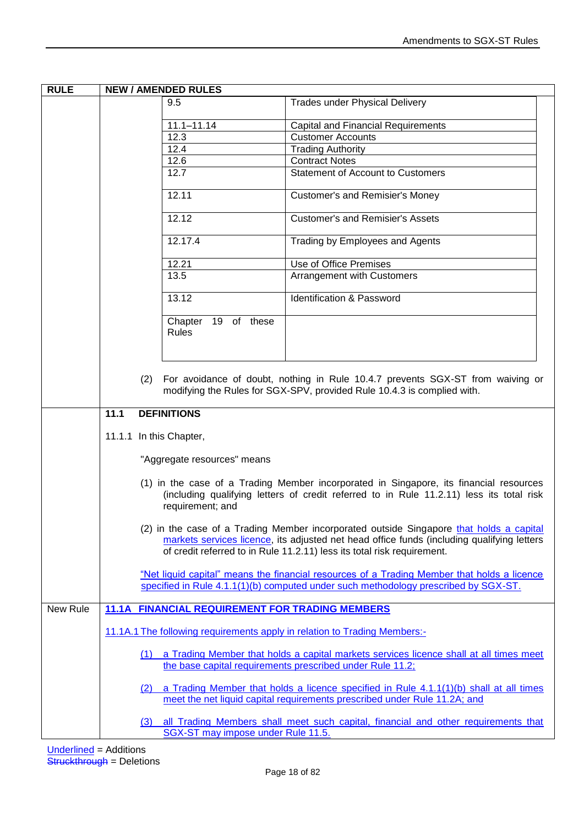| <b>RULE</b> | <b>NEW / AMENDED RULES</b> |                                                        |                                                                                                                                                                                                                                                                  |
|-------------|----------------------------|--------------------------------------------------------|------------------------------------------------------------------------------------------------------------------------------------------------------------------------------------------------------------------------------------------------------------------|
|             |                            | 9.5                                                    | <b>Trades under Physical Delivery</b>                                                                                                                                                                                                                            |
|             |                            | $11.1 - 11.14$                                         | Capital and Financial Requirements                                                                                                                                                                                                                               |
|             |                            | 12.3                                                   | <b>Customer Accounts</b>                                                                                                                                                                                                                                         |
|             |                            | 12.4                                                   | <b>Trading Authority</b>                                                                                                                                                                                                                                         |
|             |                            | 12.6                                                   | <b>Contract Notes</b>                                                                                                                                                                                                                                            |
|             |                            | 12.7                                                   | <b>Statement of Account to Customers</b>                                                                                                                                                                                                                         |
|             |                            |                                                        |                                                                                                                                                                                                                                                                  |
|             |                            | 12.11                                                  | <b>Customer's and Remisier's Money</b>                                                                                                                                                                                                                           |
|             |                            | 12.12                                                  | <b>Customer's and Remisier's Assets</b>                                                                                                                                                                                                                          |
|             |                            | 12.17.4                                                | Trading by Employees and Agents                                                                                                                                                                                                                                  |
|             |                            | 12.21                                                  | Use of Office Premises                                                                                                                                                                                                                                           |
|             |                            | 13.5                                                   | Arrangement with Customers                                                                                                                                                                                                                                       |
|             |                            |                                                        |                                                                                                                                                                                                                                                                  |
|             |                            | 13.12                                                  | Identification & Password                                                                                                                                                                                                                                        |
|             |                            | Chapter 19 of these<br>Rules                           |                                                                                                                                                                                                                                                                  |
|             |                            |                                                        |                                                                                                                                                                                                                                                                  |
|             | (2)                        |                                                        | For avoidance of doubt, nothing in Rule 10.4.7 prevents SGX-ST from waiving or<br>modifying the Rules for SGX-SPV, provided Rule 10.4.3 is complied with.                                                                                                        |
|             | 11.1                       | <b>DEFINITIONS</b>                                     |                                                                                                                                                                                                                                                                  |
|             |                            |                                                        |                                                                                                                                                                                                                                                                  |
|             | 11.1.1 In this Chapter,    |                                                        |                                                                                                                                                                                                                                                                  |
|             |                            | "Aggregate resources" means                            |                                                                                                                                                                                                                                                                  |
|             |                            | requirement; and                                       | (1) in the case of a Trading Member incorporated in Singapore, its financial resources<br>(including qualifying letters of credit referred to in Rule 11.2.11) less its total risk                                                                               |
|             |                            |                                                        | (2) in the case of a Trading Member incorporated outside Singapore that holds a capital<br>markets services licence, its adjusted net head office funds (including qualifying letters<br>of credit referred to in Rule 11.2.11) less its total risk requirement. |
|             |                            |                                                        | "Net liquid capital" means the financial resources of a Trading Member that holds a licence<br>specified in Rule 4.1.1(1)(b) computed under such methodology prescribed by SGX-ST.                                                                               |
| New Rule    |                            | <b>11.1A FINANCIAL REQUIREMENT FOR TRADING MEMBERS</b> |                                                                                                                                                                                                                                                                  |
|             |                            |                                                        | 11.1A.1 The following requirements apply in relation to Trading Members:-                                                                                                                                                                                        |
|             |                            |                                                        | (1) a Trading Member that holds a capital markets services licence shall at all times meet                                                                                                                                                                       |
|             |                            |                                                        | the base capital requirements prescribed under Rule 11.2;                                                                                                                                                                                                        |
|             | (2)                        |                                                        | a Trading Member that holds a licence specified in Rule 4.1.1(1)(b) shall at all times<br>meet the net liquid capital requirements prescribed under Rule 11.2A; and                                                                                              |
|             | (3)                        | SGX-ST may impose under Rule 11.5.                     | all Trading Members shall meet such capital, financial and other requirements that                                                                                                                                                                               |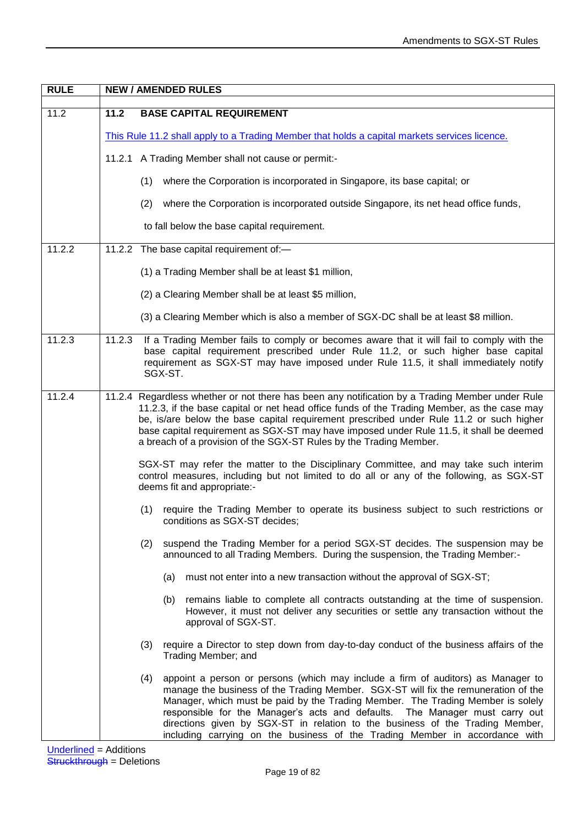| <b>RULE</b> | <b>NEW / AMENDED RULES</b> |                                                                                                                                                                                                                                                                                                                                                                                                                                                                                                                 |
|-------------|----------------------------|-----------------------------------------------------------------------------------------------------------------------------------------------------------------------------------------------------------------------------------------------------------------------------------------------------------------------------------------------------------------------------------------------------------------------------------------------------------------------------------------------------------------|
| 11.2        | $11.2$                     | <b>BASE CAPITAL REQUIREMENT</b>                                                                                                                                                                                                                                                                                                                                                                                                                                                                                 |
|             |                            | This Rule 11.2 shall apply to a Trading Member that holds a capital markets services licence.                                                                                                                                                                                                                                                                                                                                                                                                                   |
|             |                            | 11.2.1 A Trading Member shall not cause or permit:-                                                                                                                                                                                                                                                                                                                                                                                                                                                             |
|             |                            | (1)<br>where the Corporation is incorporated in Singapore, its base capital; or                                                                                                                                                                                                                                                                                                                                                                                                                                 |
|             |                            | where the Corporation is incorporated outside Singapore, its net head office funds,<br>(2)                                                                                                                                                                                                                                                                                                                                                                                                                      |
|             |                            | to fall below the base capital requirement.                                                                                                                                                                                                                                                                                                                                                                                                                                                                     |
| 11.2.2      |                            | 11.2.2 The base capital requirement of:-                                                                                                                                                                                                                                                                                                                                                                                                                                                                        |
|             |                            | (1) a Trading Member shall be at least \$1 million,                                                                                                                                                                                                                                                                                                                                                                                                                                                             |
|             |                            | (2) a Clearing Member shall be at least \$5 million,                                                                                                                                                                                                                                                                                                                                                                                                                                                            |
|             |                            | (3) a Clearing Member which is also a member of SGX-DC shall be at least \$8 million.                                                                                                                                                                                                                                                                                                                                                                                                                           |
| 11.2.3      | 11.2.3                     | If a Trading Member fails to comply or becomes aware that it will fail to comply with the<br>base capital requirement prescribed under Rule 11.2, or such higher base capital<br>requirement as SGX-ST may have imposed under Rule 11.5, it shall immediately notify<br>SGX-ST.                                                                                                                                                                                                                                 |
| 11.2.4      |                            | 11.2.4 Regardless whether or not there has been any notification by a Trading Member under Rule<br>11.2.3, if the base capital or net head office funds of the Trading Member, as the case may<br>be, is/are below the base capital requirement prescribed under Rule 11.2 or such higher<br>base capital requirement as SGX-ST may have imposed under Rule 11.5, it shall be deemed<br>a breach of a provision of the SGX-ST Rules by the Trading Member.                                                      |
|             |                            | SGX-ST may refer the matter to the Disciplinary Committee, and may take such interim<br>control measures, including but not limited to do all or any of the following, as SGX-ST<br>deems fit and appropriate:-                                                                                                                                                                                                                                                                                                 |
|             |                            | require the Trading Member to operate its business subject to such restrictions or<br>(1)<br>conditions as SGX-ST decides;                                                                                                                                                                                                                                                                                                                                                                                      |
|             |                            | suspend the Trading Member for a period SGX-ST decides. The suspension may be<br>(2)<br>announced to all Trading Members. During the suspension, the Trading Member:-                                                                                                                                                                                                                                                                                                                                           |
|             |                            | must not enter into a new transaction without the approval of SGX-ST;<br>(a)                                                                                                                                                                                                                                                                                                                                                                                                                                    |
|             |                            | remains liable to complete all contracts outstanding at the time of suspension.<br>(b)<br>However, it must not deliver any securities or settle any transaction without the<br>approval of SGX-ST.                                                                                                                                                                                                                                                                                                              |
|             |                            | require a Director to step down from day-to-day conduct of the business affairs of the<br>(3)<br>Trading Member; and                                                                                                                                                                                                                                                                                                                                                                                            |
|             |                            | (4)<br>appoint a person or persons (which may include a firm of auditors) as Manager to<br>manage the business of the Trading Member. SGX-ST will fix the remuneration of the<br>Manager, which must be paid by the Trading Member. The Trading Member is solely<br>responsible for the Manager's acts and defaults. The Manager must carry out<br>directions given by SGX-ST in relation to the business of the Trading Member,<br>including carrying on the business of the Trading Member in accordance with |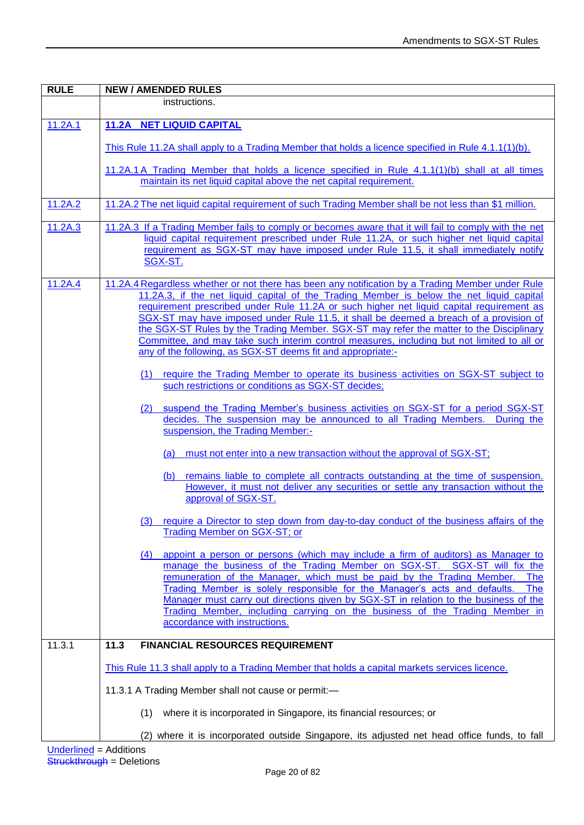| <b>RULE</b> | <b>NEW / AMENDED RULES</b>                                                                                                                                                                                                                                                                                                                                                                                                                                                                                                                                                                                                                 |
|-------------|--------------------------------------------------------------------------------------------------------------------------------------------------------------------------------------------------------------------------------------------------------------------------------------------------------------------------------------------------------------------------------------------------------------------------------------------------------------------------------------------------------------------------------------------------------------------------------------------------------------------------------------------|
|             | instructions.                                                                                                                                                                                                                                                                                                                                                                                                                                                                                                                                                                                                                              |
| 11.2A.1     | <b>11.2A NET LIQUID CAPITAL</b>                                                                                                                                                                                                                                                                                                                                                                                                                                                                                                                                                                                                            |
|             | This Rule 11.2A shall apply to a Trading Member that holds a licence specified in Rule 4.1.1(1)(b).                                                                                                                                                                                                                                                                                                                                                                                                                                                                                                                                        |
|             | 11.2A.1A Trading Member that holds a licence specified in Rule 4.1.1(1)(b) shall at all times<br>maintain its net liquid capital above the net capital requirement.                                                                                                                                                                                                                                                                                                                                                                                                                                                                        |
| 11.2A.2     | 11.2A.2 The net liquid capital requirement of such Trading Member shall be not less than \$1 million.                                                                                                                                                                                                                                                                                                                                                                                                                                                                                                                                      |
| 11.2A.3     | 11.2A.3 If a Trading Member fails to comply or becomes aware that it will fail to comply with the net<br>liquid capital requirement prescribed under Rule 11.2A, or such higher net liquid capital<br>requirement as SGX-ST may have imposed under Rule 11.5, it shall immediately notify<br>SGX-ST.                                                                                                                                                                                                                                                                                                                                       |
| 11.2A.4     | 11.2A.4 Regardless whether or not there has been any notification by a Trading Member under Rule<br>11.2A.3, if the net liquid capital of the Trading Member is below the net liquid capital<br>requirement prescribed under Rule 11.2A or such higher net liquid capital requirement as<br>SGX-ST may have imposed under Rule 11.5, it shall be deemed a breach of a provision of<br>the SGX-ST Rules by the Trading Member. SGX-ST may refer the matter to the Disciplinary<br>Committee, and may take such interim control measures, including but not limited to all or<br>any of the following, as SGX-ST deems fit and appropriate:- |
|             | require the Trading Member to operate its business activities on SGX-ST subject to<br>(1)<br>such restrictions or conditions as SGX-ST decides;                                                                                                                                                                                                                                                                                                                                                                                                                                                                                            |
|             | suspend the Trading Member's business activities on SGX-ST for a period SGX-ST<br>(2)<br>decides. The suspension may be announced to all Trading Members. During the<br>suspension, the Trading Member:-                                                                                                                                                                                                                                                                                                                                                                                                                                   |
|             | must not enter into a new transaction without the approval of SGX-ST;<br>(a)                                                                                                                                                                                                                                                                                                                                                                                                                                                                                                                                                               |
|             | remains liable to complete all contracts outstanding at the time of suspension.<br>(b)<br>However, it must not deliver any securities or settle any transaction without the<br>approval of SGX-ST.                                                                                                                                                                                                                                                                                                                                                                                                                                         |
|             | (3) require a Director to step down from day-to-day conduct of the business affairs of the<br>Trading Member on SGX-ST; or                                                                                                                                                                                                                                                                                                                                                                                                                                                                                                                 |
|             | appoint a person or persons (which may include a firm of auditors) as Manager to<br>(4)<br>manage the business of the Trading Member on SGX-ST. SGX-ST will fix the<br>remuneration of the Manager, which must be paid by the Trading Member.<br><b>The</b><br>Trading Member is solely responsible for the Manager's acts and defaults.<br><b>The</b><br>Manager must carry out directions given by SGX-ST in relation to the business of the<br>Trading Member, including carrying on the business of the Trading Member in<br>accordance with instructions.                                                                             |
| 11.3.1      | 11.3<br><b>FINANCIAL RESOURCES REQUIREMENT</b>                                                                                                                                                                                                                                                                                                                                                                                                                                                                                                                                                                                             |
|             | This Rule 11.3 shall apply to a Trading Member that holds a capital markets services licence.                                                                                                                                                                                                                                                                                                                                                                                                                                                                                                                                              |
|             | 11.3.1 A Trading Member shall not cause or permit:-                                                                                                                                                                                                                                                                                                                                                                                                                                                                                                                                                                                        |
|             | where it is incorporated in Singapore, its financial resources; or<br>(1)                                                                                                                                                                                                                                                                                                                                                                                                                                                                                                                                                                  |
|             | (2) where it is incorporated outside Singapore, its adjusted net head office funds, to fall                                                                                                                                                                                                                                                                                                                                                                                                                                                                                                                                                |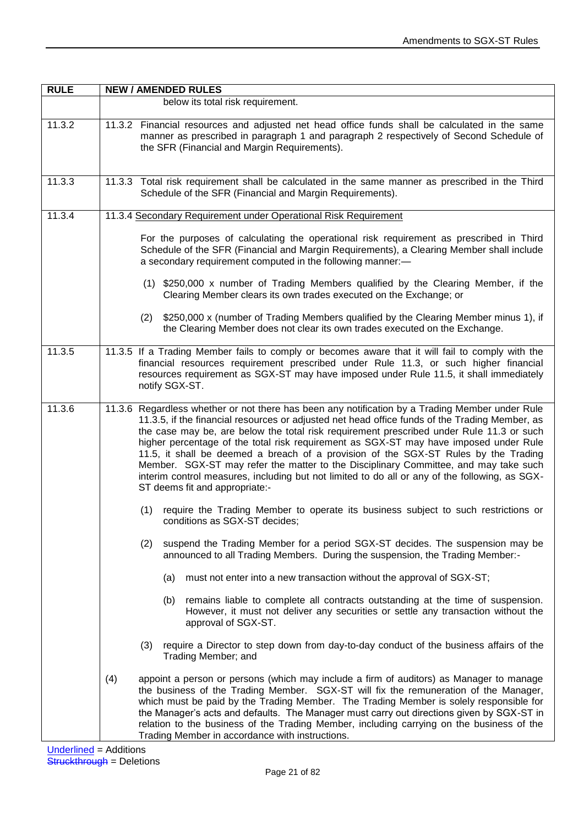| <b>RULE</b> | <b>NEW / AMENDED RULES</b>                                                                                                                                                                                                                                                                                                                                                                                                                                                                                                                                                                                                                                                                                |
|-------------|-----------------------------------------------------------------------------------------------------------------------------------------------------------------------------------------------------------------------------------------------------------------------------------------------------------------------------------------------------------------------------------------------------------------------------------------------------------------------------------------------------------------------------------------------------------------------------------------------------------------------------------------------------------------------------------------------------------|
|             | below its total risk requirement.                                                                                                                                                                                                                                                                                                                                                                                                                                                                                                                                                                                                                                                                         |
| 11.3.2      | 11.3.2 Financial resources and adjusted net head office funds shall be calculated in the same<br>manner as prescribed in paragraph 1 and paragraph 2 respectively of Second Schedule of<br>the SFR (Financial and Margin Requirements).                                                                                                                                                                                                                                                                                                                                                                                                                                                                   |
| 11.3.3      | 11.3.3 Total risk requirement shall be calculated in the same manner as prescribed in the Third<br>Schedule of the SFR (Financial and Margin Requirements).                                                                                                                                                                                                                                                                                                                                                                                                                                                                                                                                               |
| 11.3.4      | 11.3.4 Secondary Requirement under Operational Risk Requirement                                                                                                                                                                                                                                                                                                                                                                                                                                                                                                                                                                                                                                           |
|             | For the purposes of calculating the operational risk requirement as prescribed in Third<br>Schedule of the SFR (Financial and Margin Requirements), a Clearing Member shall include<br>a secondary requirement computed in the following manner:-                                                                                                                                                                                                                                                                                                                                                                                                                                                         |
|             | (1) \$250,000 x number of Trading Members qualified by the Clearing Member, if the<br>Clearing Member clears its own trades executed on the Exchange; or                                                                                                                                                                                                                                                                                                                                                                                                                                                                                                                                                  |
|             | \$250,000 x (number of Trading Members qualified by the Clearing Member minus 1), if<br>(2)<br>the Clearing Member does not clear its own trades executed on the Exchange.                                                                                                                                                                                                                                                                                                                                                                                                                                                                                                                                |
| 11.3.5      | 11.3.5 If a Trading Member fails to comply or becomes aware that it will fail to comply with the<br>financial resources requirement prescribed under Rule 11.3, or such higher financial<br>resources requirement as SGX-ST may have imposed under Rule 11.5, it shall immediately<br>notify SGX-ST.                                                                                                                                                                                                                                                                                                                                                                                                      |
| 11.3.6      | 11.3.6 Regardless whether or not there has been any notification by a Trading Member under Rule<br>11.3.5, if the financial resources or adjusted net head office funds of the Trading Member, as<br>the case may be, are below the total risk requirement prescribed under Rule 11.3 or such<br>higher percentage of the total risk requirement as SGX-ST may have imposed under Rule<br>11.5, it shall be deemed a breach of a provision of the SGX-ST Rules by the Trading<br>Member. SGX-ST may refer the matter to the Disciplinary Committee, and may take such<br>interim control measures, including but not limited to do all or any of the following, as SGX-<br>ST deems fit and appropriate:- |
|             | require the Trading Member to operate its business subject to such restrictions or<br>(1)<br>conditions as SGX-ST decides;                                                                                                                                                                                                                                                                                                                                                                                                                                                                                                                                                                                |
|             | suspend the Trading Member for a period SGX-ST decides. The suspension may be<br>(2)<br>announced to all Trading Members. During the suspension, the Trading Member:-                                                                                                                                                                                                                                                                                                                                                                                                                                                                                                                                     |
|             | must not enter into a new transaction without the approval of SGX-ST;<br>(a)                                                                                                                                                                                                                                                                                                                                                                                                                                                                                                                                                                                                                              |
|             | remains liable to complete all contracts outstanding at the time of suspension.<br>(b)<br>However, it must not deliver any securities or settle any transaction without the<br>approval of SGX-ST.                                                                                                                                                                                                                                                                                                                                                                                                                                                                                                        |
|             | require a Director to step down from day-to-day conduct of the business affairs of the<br>(3)<br>Trading Member; and                                                                                                                                                                                                                                                                                                                                                                                                                                                                                                                                                                                      |
|             | appoint a person or persons (which may include a firm of auditors) as Manager to manage<br>(4)<br>the business of the Trading Member. SGX-ST will fix the remuneration of the Manager,<br>which must be paid by the Trading Member. The Trading Member is solely responsible for<br>the Manager's acts and defaults. The Manager must carry out directions given by SGX-ST in<br>relation to the business of the Trading Member, including carrying on the business of the<br>Trading Member in accordance with instructions.                                                                                                                                                                             |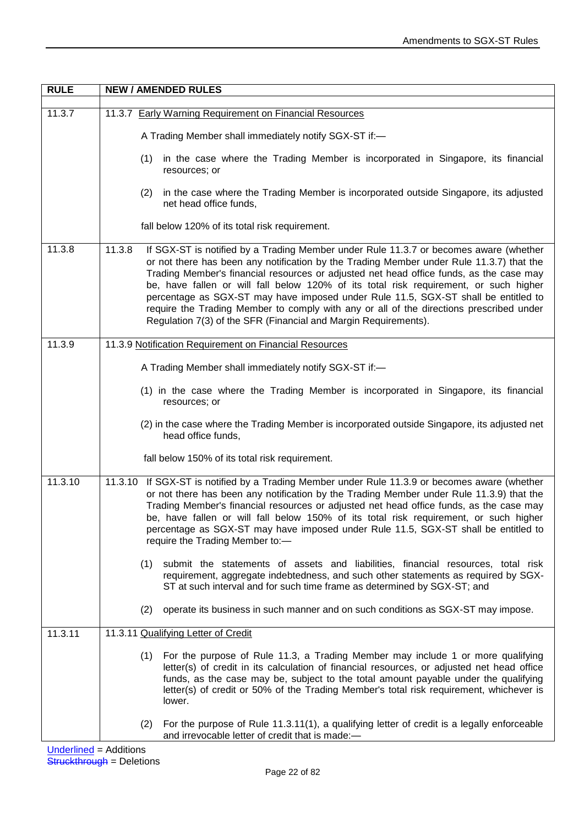| <b>RULE</b> | <b>NEW / AMENDED RULES</b>                                                                                                                                                                                                                                                                                                                                                                                                                                                                                                                                                                                                          |
|-------------|-------------------------------------------------------------------------------------------------------------------------------------------------------------------------------------------------------------------------------------------------------------------------------------------------------------------------------------------------------------------------------------------------------------------------------------------------------------------------------------------------------------------------------------------------------------------------------------------------------------------------------------|
| 11.3.7      | 11.3.7 Early Warning Requirement on Financial Resources                                                                                                                                                                                                                                                                                                                                                                                                                                                                                                                                                                             |
|             |                                                                                                                                                                                                                                                                                                                                                                                                                                                                                                                                                                                                                                     |
|             | A Trading Member shall immediately notify SGX-ST if:-                                                                                                                                                                                                                                                                                                                                                                                                                                                                                                                                                                               |
|             | (1) in the case where the Trading Member is incorporated in Singapore, its financial<br>resources; or                                                                                                                                                                                                                                                                                                                                                                                                                                                                                                                               |
|             | in the case where the Trading Member is incorporated outside Singapore, its adjusted<br>(2)<br>net head office funds,                                                                                                                                                                                                                                                                                                                                                                                                                                                                                                               |
|             | fall below 120% of its total risk requirement.                                                                                                                                                                                                                                                                                                                                                                                                                                                                                                                                                                                      |
| 11.3.8      | If SGX-ST is notified by a Trading Member under Rule 11.3.7 or becomes aware (whether<br>11.3.8<br>or not there has been any notification by the Trading Member under Rule 11.3.7) that the<br>Trading Member's financial resources or adjusted net head office funds, as the case may<br>be, have fallen or will fall below 120% of its total risk requirement, or such higher<br>percentage as SGX-ST may have imposed under Rule 11.5, SGX-ST shall be entitled to<br>require the Trading Member to comply with any or all of the directions prescribed under<br>Regulation 7(3) of the SFR (Financial and Margin Requirements). |
| 11.3.9      | 11.3.9 Notification Requirement on Financial Resources                                                                                                                                                                                                                                                                                                                                                                                                                                                                                                                                                                              |
|             | A Trading Member shall immediately notify SGX-ST if:-                                                                                                                                                                                                                                                                                                                                                                                                                                                                                                                                                                               |
|             | (1) in the case where the Trading Member is incorporated in Singapore, its financial<br>resources; or                                                                                                                                                                                                                                                                                                                                                                                                                                                                                                                               |
|             | (2) in the case where the Trading Member is incorporated outside Singapore, its adjusted net<br>head office funds,                                                                                                                                                                                                                                                                                                                                                                                                                                                                                                                  |
|             | fall below 150% of its total risk requirement.                                                                                                                                                                                                                                                                                                                                                                                                                                                                                                                                                                                      |
| 11.3.10     | 11.3.10 If SGX-ST is notified by a Trading Member under Rule 11.3.9 or becomes aware (whether<br>or not there has been any notification by the Trading Member under Rule 11.3.9) that the<br>Trading Member's financial resources or adjusted net head office funds, as the case may<br>be, have fallen or will fall below 150% of its total risk requirement, or such higher<br>percentage as SGX-ST may have imposed under Rule 11.5, SGX-ST shall be entitled to<br>require the Trading Member to:-                                                                                                                              |
|             | (1) submit the statements of assets and liabilities, financial resources, total risk<br>requirement, aggregate indebtedness, and such other statements as required by SGX-<br>ST at such interval and for such time frame as determined by SGX-ST; and                                                                                                                                                                                                                                                                                                                                                                              |
|             | operate its business in such manner and on such conditions as SGX-ST may impose.<br>(2)                                                                                                                                                                                                                                                                                                                                                                                                                                                                                                                                             |
| 11.3.11     | 11.3.11 Qualifying Letter of Credit                                                                                                                                                                                                                                                                                                                                                                                                                                                                                                                                                                                                 |
|             | (1) For the purpose of Rule 11.3, a Trading Member may include 1 or more qualifying<br>letter(s) of credit in its calculation of financial resources, or adjusted net head office<br>funds, as the case may be, subject to the total amount payable under the qualifying<br>letter(s) of credit or 50% of the Trading Member's total risk requirement, whichever is<br>lower.                                                                                                                                                                                                                                                       |
|             | For the purpose of Rule 11.3.11(1), a qualifying letter of credit is a legally enforceable<br>(2)<br>and irrevocable letter of credit that is made:-                                                                                                                                                                                                                                                                                                                                                                                                                                                                                |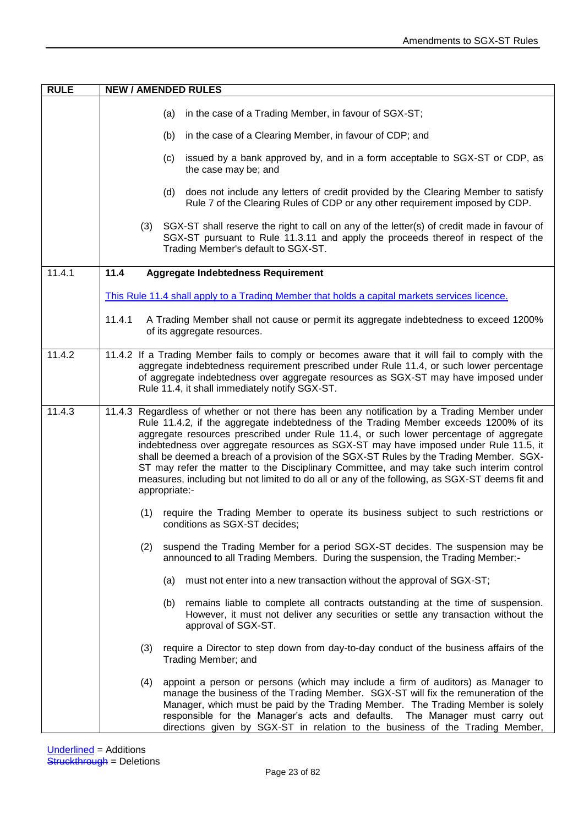| <b>RULE</b> | <b>NEW / AMENDED RULES</b>                                                                                                                                                                                                                                                                                                                                                                                                                                                                                                                                                                                                                                                        |
|-------------|-----------------------------------------------------------------------------------------------------------------------------------------------------------------------------------------------------------------------------------------------------------------------------------------------------------------------------------------------------------------------------------------------------------------------------------------------------------------------------------------------------------------------------------------------------------------------------------------------------------------------------------------------------------------------------------|
|             | in the case of a Trading Member, in favour of SGX-ST;<br>(a)                                                                                                                                                                                                                                                                                                                                                                                                                                                                                                                                                                                                                      |
|             | in the case of a Clearing Member, in favour of CDP; and<br>(b)                                                                                                                                                                                                                                                                                                                                                                                                                                                                                                                                                                                                                    |
|             | (c) issued by a bank approved by, and in a form acceptable to SGX-ST or CDP, as<br>the case may be; and                                                                                                                                                                                                                                                                                                                                                                                                                                                                                                                                                                           |
|             | (d) does not include any letters of credit provided by the Clearing Member to satisfy<br>Rule 7 of the Clearing Rules of CDP or any other requirement imposed by CDP.                                                                                                                                                                                                                                                                                                                                                                                                                                                                                                             |
|             | (3) SGX-ST shall reserve the right to call on any of the letter(s) of credit made in favour of<br>SGX-ST pursuant to Rule 11.3.11 and apply the proceeds thereof in respect of the<br>Trading Member's default to SGX-ST.                                                                                                                                                                                                                                                                                                                                                                                                                                                         |
| 11.4.1      | 11.4<br>Aggregate Indebtedness Requirement                                                                                                                                                                                                                                                                                                                                                                                                                                                                                                                                                                                                                                        |
|             | This Rule 11.4 shall apply to a Trading Member that holds a capital markets services licence.                                                                                                                                                                                                                                                                                                                                                                                                                                                                                                                                                                                     |
|             | 11.4.1<br>A Trading Member shall not cause or permit its aggregate indebtedness to exceed 1200%<br>of its aggregate resources.                                                                                                                                                                                                                                                                                                                                                                                                                                                                                                                                                    |
| 11.4.2      | 11.4.2 If a Trading Member fails to comply or becomes aware that it will fail to comply with the<br>aggregate indebtedness requirement prescribed under Rule 11.4, or such lower percentage<br>of aggregate indebtedness over aggregate resources as SGX-ST may have imposed under<br>Rule 11.4, it shall immediately notify SGX-ST.                                                                                                                                                                                                                                                                                                                                              |
| 11.4.3      | 11.4.3 Regardless of whether or not there has been any notification by a Trading Member under<br>Rule 11.4.2, if the aggregate indebtedness of the Trading Member exceeds 1200% of its<br>aggregate resources prescribed under Rule 11.4, or such lower percentage of aggregate<br>indebtedness over aggregate resources as SGX-ST may have imposed under Rule 11.5, it<br>shall be deemed a breach of a provision of the SGX-ST Rules by the Trading Member. SGX-<br>ST may refer the matter to the Disciplinary Committee, and may take such interim control<br>measures, including but not limited to do all or any of the following, as SGX-ST deems fit and<br>appropriate:- |
|             | (1) require the Trading Member to operate its business subject to such restrictions or<br>conditions as SGX-ST decides;                                                                                                                                                                                                                                                                                                                                                                                                                                                                                                                                                           |
|             | suspend the Trading Member for a period SGX-ST decides. The suspension may be<br>(2)<br>announced to all Trading Members. During the suspension, the Trading Member:-                                                                                                                                                                                                                                                                                                                                                                                                                                                                                                             |
|             | must not enter into a new transaction without the approval of SGX-ST;<br>(a)                                                                                                                                                                                                                                                                                                                                                                                                                                                                                                                                                                                                      |
|             | remains liable to complete all contracts outstanding at the time of suspension.<br>(b)<br>However, it must not deliver any securities or settle any transaction without the<br>approval of SGX-ST.                                                                                                                                                                                                                                                                                                                                                                                                                                                                                |
|             | require a Director to step down from day-to-day conduct of the business affairs of the<br>(3)<br>Trading Member; and                                                                                                                                                                                                                                                                                                                                                                                                                                                                                                                                                              |
|             | appoint a person or persons (which may include a firm of auditors) as Manager to<br>(4)<br>manage the business of the Trading Member. SGX-ST will fix the remuneration of the<br>Manager, which must be paid by the Trading Member. The Trading Member is solely<br>responsible for the Manager's acts and defaults. The Manager must carry out<br>directions given by SGX-ST in relation to the business of the Trading Member,                                                                                                                                                                                                                                                  |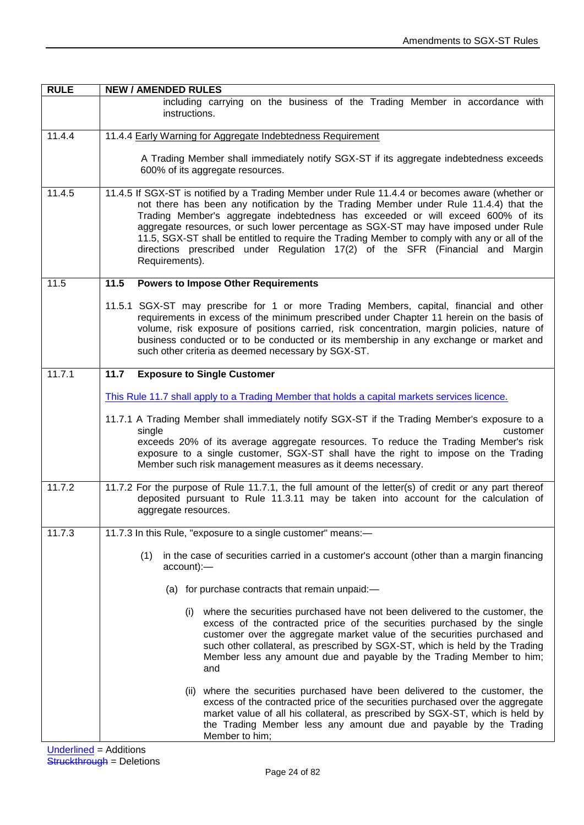| <b>RULE</b> | <b>NEW / AMENDED RULES</b>                                                                                                                                                                                                                                                                                                                                                                                                                                                                                                                                             |  |
|-------------|------------------------------------------------------------------------------------------------------------------------------------------------------------------------------------------------------------------------------------------------------------------------------------------------------------------------------------------------------------------------------------------------------------------------------------------------------------------------------------------------------------------------------------------------------------------------|--|
|             | including carrying on the business of the Trading Member in accordance with<br>instructions.                                                                                                                                                                                                                                                                                                                                                                                                                                                                           |  |
| 11.4.4      | 11.4.4 Early Warning for Aggregate Indebtedness Requirement                                                                                                                                                                                                                                                                                                                                                                                                                                                                                                            |  |
|             | A Trading Member shall immediately notify SGX-ST if its aggregate indebtedness exceeds<br>600% of its aggregate resources.                                                                                                                                                                                                                                                                                                                                                                                                                                             |  |
| 11.4.5      | 11.4.5 If SGX-ST is notified by a Trading Member under Rule 11.4.4 or becomes aware (whether or<br>not there has been any notification by the Trading Member under Rule 11.4.4) that the<br>Trading Member's aggregate indebtedness has exceeded or will exceed 600% of its<br>aggregate resources, or such lower percentage as SGX-ST may have imposed under Rule<br>11.5, SGX-ST shall be entitled to require the Trading Member to comply with any or all of the<br>directions prescribed under Regulation 17(2) of the SFR (Financial and Margin<br>Requirements). |  |
| 11.5        | 11.5<br><b>Powers to Impose Other Requirements</b>                                                                                                                                                                                                                                                                                                                                                                                                                                                                                                                     |  |
|             | 11.5.1 SGX-ST may prescribe for 1 or more Trading Members, capital, financial and other<br>requirements in excess of the minimum prescribed under Chapter 11 herein on the basis of<br>volume, risk exposure of positions carried, risk concentration, margin policies, nature of<br>business conducted or to be conducted or its membership in any exchange or market and<br>such other criteria as deemed necessary by SGX-ST.                                                                                                                                       |  |
| 11.7.1      | <b>Exposure to Single Customer</b><br>11.7                                                                                                                                                                                                                                                                                                                                                                                                                                                                                                                             |  |
|             | This Rule 11.7 shall apply to a Trading Member that holds a capital markets services licence.                                                                                                                                                                                                                                                                                                                                                                                                                                                                          |  |
|             | 11.7.1 A Trading Member shall immediately notify SGX-ST if the Trading Member's exposure to a<br>single<br>customer<br>exceeds 20% of its average aggregate resources. To reduce the Trading Member's risk<br>exposure to a single customer, SGX-ST shall have the right to impose on the Trading<br>Member such risk management measures as it deems necessary.                                                                                                                                                                                                       |  |
| 11.7.2      | 11.7.2 For the purpose of Rule 11.7.1, the full amount of the letter(s) of credit or any part thereof<br>deposited pursuant to Rule 11.3.11 may be taken into account for the calculation of<br>aggregate resources.                                                                                                                                                                                                                                                                                                                                                   |  |
| 11.7.3      | 11.7.3 In this Rule, "exposure to a single customer" means:-                                                                                                                                                                                                                                                                                                                                                                                                                                                                                                           |  |
|             | in the case of securities carried in a customer's account (other than a margin financing<br>(1)<br>$account$ :-                                                                                                                                                                                                                                                                                                                                                                                                                                                        |  |
|             | (a) for purchase contracts that remain unpaid:-                                                                                                                                                                                                                                                                                                                                                                                                                                                                                                                        |  |
|             | (i) where the securities purchased have not been delivered to the customer, the<br>excess of the contracted price of the securities purchased by the single<br>customer over the aggregate market value of the securities purchased and<br>such other collateral, as prescribed by SGX-ST, which is held by the Trading<br>Member less any amount due and payable by the Trading Member to him;<br>and                                                                                                                                                                 |  |
|             | (ii) where the securities purchased have been delivered to the customer, the<br>excess of the contracted price of the securities purchased over the aggregate<br>market value of all his collateral, as prescribed by SGX-ST, which is held by<br>the Trading Member less any amount due and payable by the Trading<br>Member to him;                                                                                                                                                                                                                                  |  |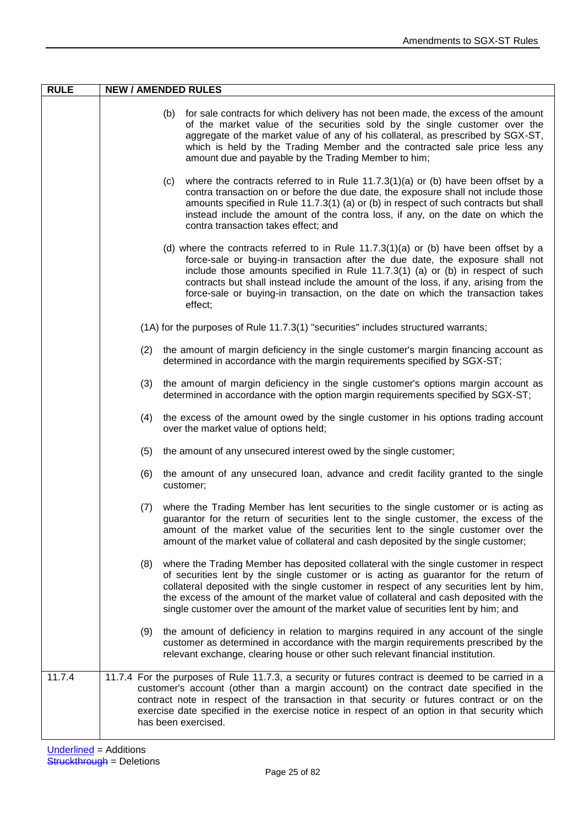| <b>RULE</b> | <b>NEW / AMENDED RULES</b>                                                                                                                                                                                                                                                                                                                                                                                                                                       |
|-------------|------------------------------------------------------------------------------------------------------------------------------------------------------------------------------------------------------------------------------------------------------------------------------------------------------------------------------------------------------------------------------------------------------------------------------------------------------------------|
|             | (b) for sale contracts for which delivery has not been made, the excess of the amount<br>of the market value of the securities sold by the single customer over the<br>aggregate of the market value of any of his collateral, as prescribed by SGX-ST,<br>which is held by the Trading Member and the contracted sale price less any<br>amount due and payable by the Trading Member to him;                                                                    |
|             | where the contracts referred to in Rule $11.7.3(1)(a)$ or (b) have been offset by a<br>(c)<br>contra transaction on or before the due date, the exposure shall not include those<br>amounts specified in Rule 11.7.3(1) (a) or (b) in respect of such contracts but shall<br>instead include the amount of the contra loss, if any, on the date on which the<br>contra transaction takes effect; and                                                             |
|             | (d) where the contracts referred to in Rule $11.7.3(1)(a)$ or (b) have been offset by a<br>force-sale or buying-in transaction after the due date, the exposure shall not<br>include those amounts specified in Rule 11.7.3(1) (a) or (b) in respect of such<br>contracts but shall instead include the amount of the loss, if any, arising from the<br>force-sale or buying-in transaction, on the date on which the transaction takes<br>effect;               |
|             | (1A) for the purposes of Rule 11.7.3(1) "securities" includes structured warrants;                                                                                                                                                                                                                                                                                                                                                                               |
|             | the amount of margin deficiency in the single customer's margin financing account as<br>(2)<br>determined in accordance with the margin requirements specified by SGX-ST;                                                                                                                                                                                                                                                                                        |
|             | the amount of margin deficiency in the single customer's options margin account as<br>(3)<br>determined in accordance with the option margin requirements specified by SGX-ST;                                                                                                                                                                                                                                                                                   |
|             | the excess of the amount owed by the single customer in his options trading account<br>(4)<br>over the market value of options held;                                                                                                                                                                                                                                                                                                                             |
|             | the amount of any unsecured interest owed by the single customer;<br>(5)                                                                                                                                                                                                                                                                                                                                                                                         |
|             | the amount of any unsecured loan, advance and credit facility granted to the single<br>(6)<br>customer;                                                                                                                                                                                                                                                                                                                                                          |
|             | where the Trading Member has lent securities to the single customer or is acting as<br>(7)<br>guarantor for the return of securities lent to the single customer, the excess of the<br>amount of the market value of the securities lent to the single customer over the<br>amount of the market value of collateral and cash deposited by the single customer;                                                                                                  |
|             | where the Trading Member has deposited collateral with the single customer in respect<br>(8)<br>of securities lent by the single customer or is acting as guarantor for the return of<br>collateral deposited with the single customer in respect of any securities lent by him,<br>the excess of the amount of the market value of collateral and cash deposited with the<br>single customer over the amount of the market value of securities lent by him; and |
|             | the amount of deficiency in relation to margins required in any account of the single<br>(9)<br>customer as determined in accordance with the margin requirements prescribed by the<br>relevant exchange, clearing house or other such relevant financial institution.                                                                                                                                                                                           |
| 11.7.4      | 11.7.4 For the purposes of Rule 11.7.3, a security or futures contract is deemed to be carried in a<br>customer's account (other than a margin account) on the contract date specified in the<br>contract note in respect of the transaction in that security or futures contract or on the<br>exercise date specified in the exercise notice in respect of an option in that security which<br>has been exercised.                                              |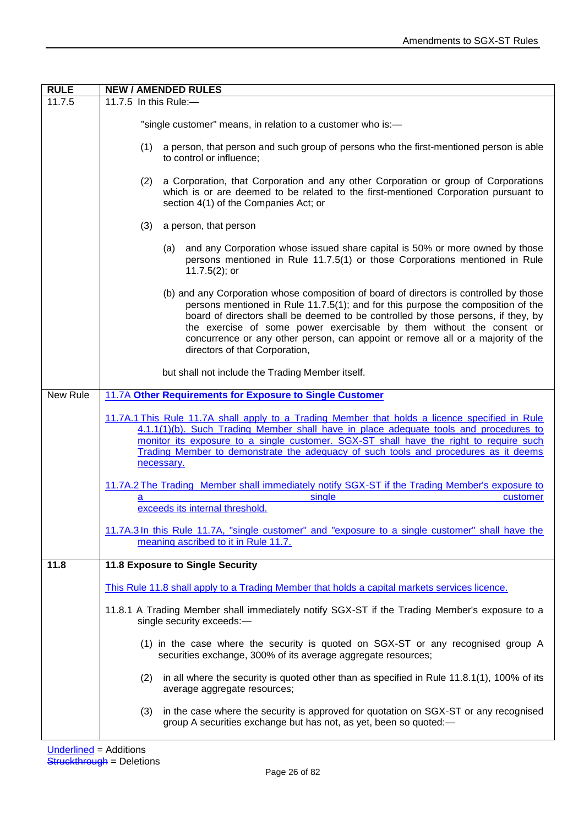| <b>RULE</b> | <b>NEW / AMENDED RULES</b>                                                                                                                                                                                                                                                                                                                                                                                                                                    |
|-------------|---------------------------------------------------------------------------------------------------------------------------------------------------------------------------------------------------------------------------------------------------------------------------------------------------------------------------------------------------------------------------------------------------------------------------------------------------------------|
| 11.7.5      | 11.7.5 In this Rule: $-$                                                                                                                                                                                                                                                                                                                                                                                                                                      |
|             | "single customer" means, in relation to a customer who is:-                                                                                                                                                                                                                                                                                                                                                                                                   |
|             | a person, that person and such group of persons who the first-mentioned person is able<br>(1)<br>to control or influence;                                                                                                                                                                                                                                                                                                                                     |
|             | a Corporation, that Corporation and any other Corporation or group of Corporations<br>(2)<br>which is or are deemed to be related to the first-mentioned Corporation pursuant to<br>section 4(1) of the Companies Act; or                                                                                                                                                                                                                                     |
|             | (3)<br>a person, that person                                                                                                                                                                                                                                                                                                                                                                                                                                  |
|             | (a) and any Corporation whose issued share capital is 50% or more owned by those<br>persons mentioned in Rule 11.7.5(1) or those Corporations mentioned in Rule<br>$11.7.5(2)$ ; or                                                                                                                                                                                                                                                                           |
|             | (b) and any Corporation whose composition of board of directors is controlled by those<br>persons mentioned in Rule 11.7.5(1); and for this purpose the composition of the<br>board of directors shall be deemed to be controlled by those persons, if they, by<br>the exercise of some power exercisable by them without the consent or<br>concurrence or any other person, can appoint or remove all or a majority of the<br>directors of that Corporation, |
|             | but shall not include the Trading Member itself.                                                                                                                                                                                                                                                                                                                                                                                                              |
| New Rule    | 11.7A Other Requirements for Exposure to Single Customer                                                                                                                                                                                                                                                                                                                                                                                                      |
|             | 11.7A.1 This Rule 11.7A shall apply to a Trading Member that holds a licence specified in Rule<br>4.1.1(1)(b). Such Trading Member shall have in place adequate tools and procedures to<br>monitor its exposure to a single customer. SGX-ST shall have the right to require such<br>Trading Member to demonstrate the adequacy of such tools and procedures as it deems<br>necessary.                                                                        |
|             | 11.7A.2 The Trading Member shall immediately notify SGX-ST if the Trading Member's exposure to<br>single<br>customer<br>a<br>exceeds its internal threshold.                                                                                                                                                                                                                                                                                                  |
|             | 11.7A.3 In this Rule 11.7A, "single customer" and "exposure to a single customer" shall have the<br>meaning ascribed to it in Rule 11.7.                                                                                                                                                                                                                                                                                                                      |
| 11.8        | 11.8 Exposure to Single Security                                                                                                                                                                                                                                                                                                                                                                                                                              |
|             | This Rule 11.8 shall apply to a Trading Member that holds a capital markets services licence.                                                                                                                                                                                                                                                                                                                                                                 |
|             | 11.8.1 A Trading Member shall immediately notify SGX-ST if the Trading Member's exposure to a<br>single security exceeds:-                                                                                                                                                                                                                                                                                                                                    |
|             | (1) in the case where the security is quoted on SGX-ST or any recognised group A<br>securities exchange, 300% of its average aggregate resources;                                                                                                                                                                                                                                                                                                             |
|             | in all where the security is quoted other than as specified in Rule 11.8.1(1), 100% of its<br>(2)<br>average aggregate resources;                                                                                                                                                                                                                                                                                                                             |
|             | in the case where the security is approved for quotation on SGX-ST or any recognised<br>(3)<br>group A securities exchange but has not, as yet, been so quoted:-                                                                                                                                                                                                                                                                                              |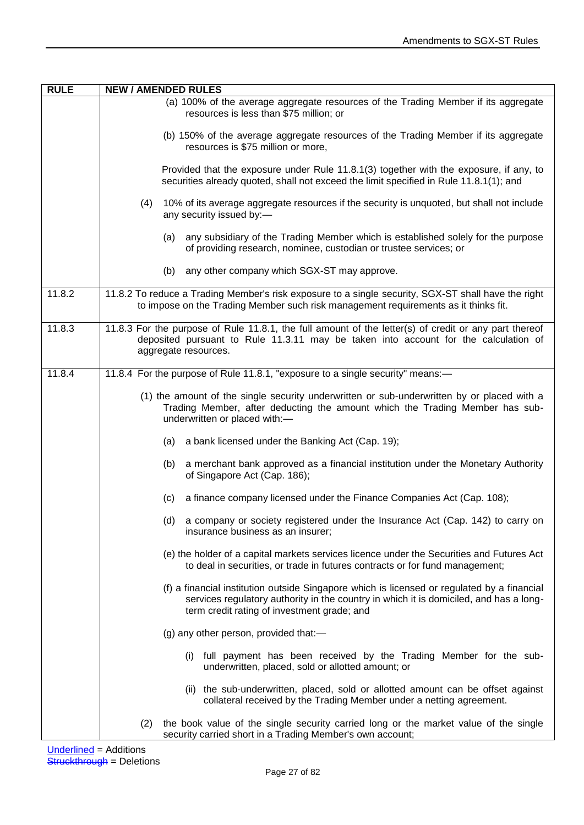| <b>RULE</b>                     | <b>NEW / AMENDED RULES</b>                                                                                                                                                                                                           |
|---------------------------------|--------------------------------------------------------------------------------------------------------------------------------------------------------------------------------------------------------------------------------------|
|                                 | (a) 100% of the average aggregate resources of the Trading Member if its aggregate<br>resources is less than \$75 million; or                                                                                                        |
|                                 | (b) 150% of the average aggregate resources of the Trading Member if its aggregate<br>resources is \$75 million or more,                                                                                                             |
|                                 | Provided that the exposure under Rule 11.8.1(3) together with the exposure, if any, to<br>securities already quoted, shall not exceed the limit specified in Rule 11.8.1(1); and                                                     |
|                                 | 10% of its average aggregate resources if the security is unquoted, but shall not include<br>(4)<br>any security issued by:-                                                                                                         |
|                                 | (a) any subsidiary of the Trading Member which is established solely for the purpose<br>of providing research, nominee, custodian or trustee services; or                                                                            |
|                                 | (b) any other company which SGX-ST may approve.                                                                                                                                                                                      |
| 11.8.2                          | 11.8.2 To reduce a Trading Member's risk exposure to a single security, SGX-ST shall have the right<br>to impose on the Trading Member such risk management requirements as it thinks fit.                                           |
| 11.8.3                          | 11.8.3 For the purpose of Rule 11.8.1, the full amount of the letter(s) of credit or any part thereof<br>deposited pursuant to Rule 11.3.11 may be taken into account for the calculation of<br>aggregate resources.                 |
| 11.8.4                          | 11.8.4 For the purpose of Rule 11.8.1, "exposure to a single security" means:-                                                                                                                                                       |
|                                 | (1) the amount of the single security underwritten or sub-underwritten by or placed with a<br>Trading Member, after deducting the amount which the Trading Member has sub-<br>underwritten or placed with:-                          |
|                                 | (a) a bank licensed under the Banking Act (Cap. 19);                                                                                                                                                                                 |
|                                 | a merchant bank approved as a financial institution under the Monetary Authority<br>(b)<br>of Singapore Act (Cap. 186);                                                                                                              |
|                                 | a finance company licensed under the Finance Companies Act (Cap. 108);<br>(c)                                                                                                                                                        |
|                                 | a company or society registered under the Insurance Act (Cap. 142) to carry on<br>(d)<br>insurance business as an insurer;                                                                                                           |
|                                 | (e) the holder of a capital markets services licence under the Securities and Futures Act<br>to deal in securities, or trade in futures contracts or for fund management;                                                            |
|                                 | (f) a financial institution outside Singapore which is licensed or regulated by a financial<br>services regulatory authority in the country in which it is domiciled, and has a long-<br>term credit rating of investment grade; and |
|                                 | (g) any other person, provided that:-                                                                                                                                                                                                |
|                                 | (i) full payment has been received by the Trading Member for the sub-<br>underwritten, placed, sold or allotted amount; or                                                                                                           |
|                                 | (ii) the sub-underwritten, placed, sold or allotted amount can be offset against<br>collateral received by the Trading Member under a netting agreement.                                                                             |
|                                 | the book value of the single security carried long or the market value of the single<br>(2)<br>security carried short in a Trading Member's own account;                                                                             |
| <b>I</b> Inderlined — Additions |                                                                                                                                                                                                                                      |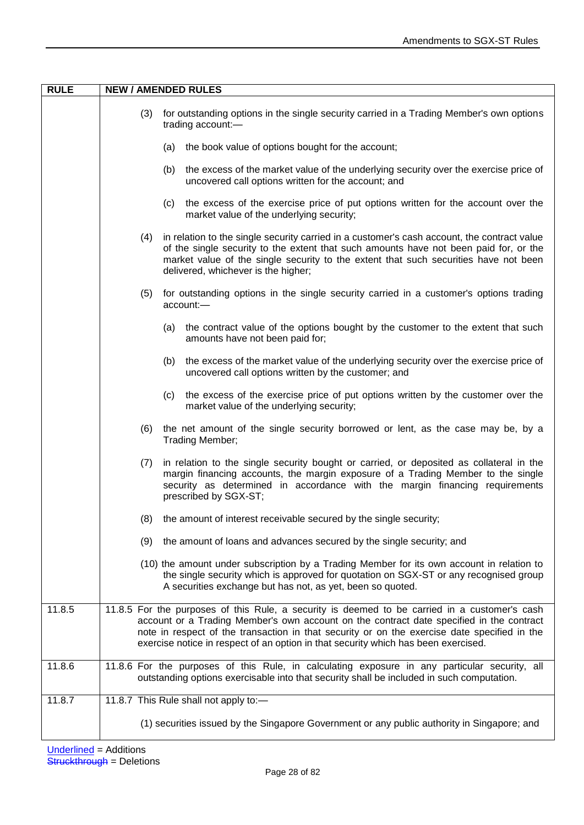| (3)<br>for outstanding options in the single security carried in a Trading Member's own options<br>trading account:-<br>the book value of options bought for the account;<br>(a)<br>(b) the excess of the market value of the underlying security over the exercise price of<br>uncovered call options written for the account; and<br>(c) the excess of the exercise price of put options written for the account over the<br>market value of the underlying security;<br>in relation to the single security carried in a customer's cash account, the contract value<br>(4) |
|-------------------------------------------------------------------------------------------------------------------------------------------------------------------------------------------------------------------------------------------------------------------------------------------------------------------------------------------------------------------------------------------------------------------------------------------------------------------------------------------------------------------------------------------------------------------------------|
|                                                                                                                                                                                                                                                                                                                                                                                                                                                                                                                                                                               |
|                                                                                                                                                                                                                                                                                                                                                                                                                                                                                                                                                                               |
|                                                                                                                                                                                                                                                                                                                                                                                                                                                                                                                                                                               |
|                                                                                                                                                                                                                                                                                                                                                                                                                                                                                                                                                                               |
| of the single security to the extent that such amounts have not been paid for, or the<br>market value of the single security to the extent that such securities have not been<br>delivered, whichever is the higher;                                                                                                                                                                                                                                                                                                                                                          |
| for outstanding options in the single security carried in a customer's options trading<br>(5)<br>account:-                                                                                                                                                                                                                                                                                                                                                                                                                                                                    |
| the contract value of the options bought by the customer to the extent that such<br>(a)<br>amounts have not been paid for;                                                                                                                                                                                                                                                                                                                                                                                                                                                    |
| the excess of the market value of the underlying security over the exercise price of<br>(b)<br>uncovered call options written by the customer; and                                                                                                                                                                                                                                                                                                                                                                                                                            |
| the excess of the exercise price of put options written by the customer over the<br>(c)<br>market value of the underlying security;                                                                                                                                                                                                                                                                                                                                                                                                                                           |
| (6)<br>the net amount of the single security borrowed or lent, as the case may be, by a<br>Trading Member;                                                                                                                                                                                                                                                                                                                                                                                                                                                                    |
| in relation to the single security bought or carried, or deposited as collateral in the<br>(7)<br>margin financing accounts, the margin exposure of a Trading Member to the single<br>security as determined in accordance with the margin financing requirements<br>prescribed by SGX-ST;                                                                                                                                                                                                                                                                                    |
| the amount of interest receivable secured by the single security;<br>(8)                                                                                                                                                                                                                                                                                                                                                                                                                                                                                                      |
| the amount of loans and advances secured by the single security; and<br>(9)                                                                                                                                                                                                                                                                                                                                                                                                                                                                                                   |
| (10) the amount under subscription by a Trading Member for its own account in relation to<br>the single security which is approved for quotation on SGX-ST or any recognised group<br>A securities exchange but has not, as yet, been so quoted.                                                                                                                                                                                                                                                                                                                              |
| 11.8.5 For the purposes of this Rule, a security is deemed to be carried in a customer's cash<br>11.8.5<br>account or a Trading Member's own account on the contract date specified in the contract<br>note in respect of the transaction in that security or on the exercise date specified in the<br>exercise notice in respect of an option in that security which has been exercised.                                                                                                                                                                                     |
| 11.8.6<br>11.8.6 For the purposes of this Rule, in calculating exposure in any particular security, all<br>outstanding options exercisable into that security shall be included in such computation.                                                                                                                                                                                                                                                                                                                                                                          |
| 11.8.7<br>11.8.7 This Rule shall not apply to:-                                                                                                                                                                                                                                                                                                                                                                                                                                                                                                                               |
| (1) securities issued by the Singapore Government or any public authority in Singapore; and                                                                                                                                                                                                                                                                                                                                                                                                                                                                                   |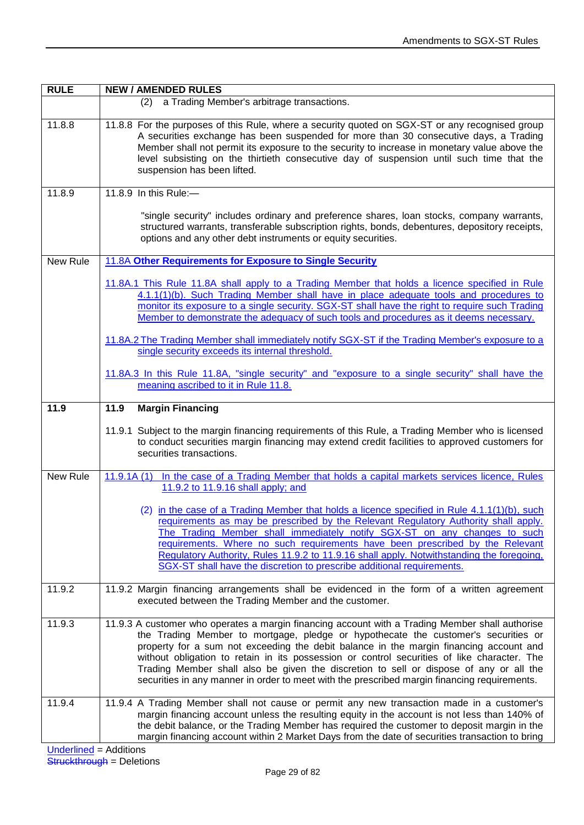| <b>RULE</b> | <b>NEW / AMENDED RULES</b>                                                                                                                                                                                                                                                                                                                                                                                                                                                                                                                                               |
|-------------|--------------------------------------------------------------------------------------------------------------------------------------------------------------------------------------------------------------------------------------------------------------------------------------------------------------------------------------------------------------------------------------------------------------------------------------------------------------------------------------------------------------------------------------------------------------------------|
|             | (2) a Trading Member's arbitrage transactions.                                                                                                                                                                                                                                                                                                                                                                                                                                                                                                                           |
| 11.8.8      | 11.8.8 For the purposes of this Rule, where a security quoted on SGX-ST or any recognised group<br>A securities exchange has been suspended for more than 30 consecutive days, a Trading<br>Member shall not permit its exposure to the security to increase in monetary value above the<br>level subsisting on the thirtieth consecutive day of suspension until such time that the<br>suspension has been lifted.                                                                                                                                                      |
| 11.8.9      | 11.8.9 In this Rule:-                                                                                                                                                                                                                                                                                                                                                                                                                                                                                                                                                    |
|             | "single security" includes ordinary and preference shares, loan stocks, company warrants,<br>structured warrants, transferable subscription rights, bonds, debentures, depository receipts,<br>options and any other debt instruments or equity securities.                                                                                                                                                                                                                                                                                                              |
| New Rule    | 11.8A Other Requirements for Exposure to Single Security                                                                                                                                                                                                                                                                                                                                                                                                                                                                                                                 |
|             | 11.8A.1 This Rule 11.8A shall apply to a Trading Member that holds a licence specified in Rule<br>4.1.1(1)(b). Such Trading Member shall have in place adequate tools and procedures to<br>monitor its exposure to a single security. SGX-ST shall have the right to require such Trading<br>Member to demonstrate the adequacy of such tools and procedures as it deems necessary.                                                                                                                                                                                      |
|             | 11.8A.2 The Trading Member shall immediately notify SGX-ST if the Trading Member's exposure to a<br>single security exceeds its internal threshold.                                                                                                                                                                                                                                                                                                                                                                                                                      |
|             | 11.8A.3 In this Rule 11.8A, "single security" and "exposure to a single security" shall have the<br>meaning ascribed to it in Rule 11.8.                                                                                                                                                                                                                                                                                                                                                                                                                                 |
| 11.9        | <b>Margin Financing</b><br>11.9                                                                                                                                                                                                                                                                                                                                                                                                                                                                                                                                          |
|             | 11.9.1 Subject to the margin financing requirements of this Rule, a Trading Member who is licensed<br>to conduct securities margin financing may extend credit facilities to approved customers for<br>securities transactions.                                                                                                                                                                                                                                                                                                                                          |
| New Rule    | In the case of a Trading Member that holds a capital markets services licence, Rules<br>11.9.1A(1)<br>11.9.2 to 11.9.16 shall apply; and                                                                                                                                                                                                                                                                                                                                                                                                                                 |
|             | (2) in the case of a Trading Member that holds a licence specified in Rule 4.1.1(1)(b), such<br>requirements as may be prescribed by the Relevant Regulatory Authority shall apply.<br>The Trading Member shall immediately notify SGX-ST on any changes to such<br>requirements. Where no such requirements have been prescribed by the Relevant<br>Regulatory Authority, Rules 11.9.2 to 11.9.16 shall apply. Notwithstanding the foregoing,<br>SGX-ST shall have the discretion to prescribe additional requirements.                                                 |
| 11.9.2      | 11.9.2 Margin financing arrangements shall be evidenced in the form of a written agreement<br>executed between the Trading Member and the customer.                                                                                                                                                                                                                                                                                                                                                                                                                      |
| 11.9.3      | 11.9.3 A customer who operates a margin financing account with a Trading Member shall authorise<br>the Trading Member to mortgage, pledge or hypothecate the customer's securities or<br>property for a sum not exceeding the debit balance in the margin financing account and<br>without obligation to retain in its possession or control securities of like character. The<br>Trading Member shall also be given the discretion to sell or dispose of any or all the<br>securities in any manner in order to meet with the prescribed margin financing requirements. |
| 11.9.4      | 11.9.4 A Trading Member shall not cause or permit any new transaction made in a customer's<br>margin financing account unless the resulting equity in the account is not less than 140% of<br>the debit balance, or the Trading Member has required the customer to deposit margin in the<br>margin financing account within 2 Market Days from the date of securities transaction to bring                                                                                                                                                                              |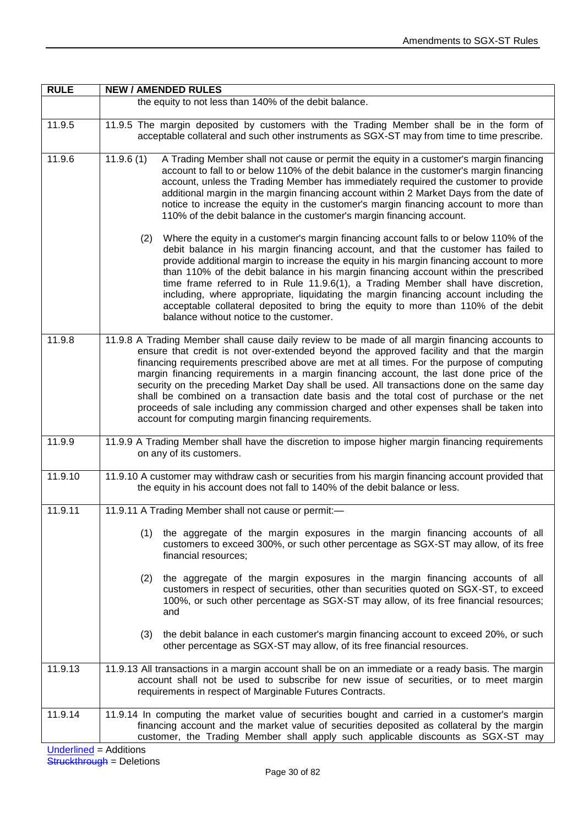| <b>RULE</b> | <b>NEW / AMENDED RULES</b>                                                                                                                                                                                                                                                                                                                                                                                                                                                                                                                                                                                                                                                                                                       |
|-------------|----------------------------------------------------------------------------------------------------------------------------------------------------------------------------------------------------------------------------------------------------------------------------------------------------------------------------------------------------------------------------------------------------------------------------------------------------------------------------------------------------------------------------------------------------------------------------------------------------------------------------------------------------------------------------------------------------------------------------------|
|             | the equity to not less than 140% of the debit balance.                                                                                                                                                                                                                                                                                                                                                                                                                                                                                                                                                                                                                                                                           |
| 11.9.5      | 11.9.5 The margin deposited by customers with the Trading Member shall be in the form of<br>acceptable collateral and such other instruments as SGX-ST may from time to time prescribe.                                                                                                                                                                                                                                                                                                                                                                                                                                                                                                                                          |
| 11.9.6      | 11.9.6(1)<br>A Trading Member shall not cause or permit the equity in a customer's margin financing<br>account to fall to or below 110% of the debit balance in the customer's margin financing<br>account, unless the Trading Member has immediately required the customer to provide<br>additional margin in the margin financing account within 2 Market Days from the date of<br>notice to increase the equity in the customer's margin financing account to more than<br>110% of the debit balance in the customer's margin financing account.                                                                                                                                                                              |
|             | Where the equity in a customer's margin financing account falls to or below 110% of the<br>(2)<br>debit balance in his margin financing account, and that the customer has failed to<br>provide additional margin to increase the equity in his margin financing account to more<br>than 110% of the debit balance in his margin financing account within the prescribed<br>time frame referred to in Rule 11.9.6(1), a Trading Member shall have discretion,<br>including, where appropriate, liquidating the margin financing account including the<br>acceptable collateral deposited to bring the equity to more than 110% of the debit<br>balance without notice to the customer.                                           |
| 11.9.8      | 11.9.8 A Trading Member shall cause daily review to be made of all margin financing accounts to<br>ensure that credit is not over-extended beyond the approved facility and that the margin<br>financing requirements prescribed above are met at all times. For the purpose of computing<br>margin financing requirements in a margin financing account, the last done price of the<br>security on the preceding Market Day shall be used. All transactions done on the same day<br>shall be combined on a transaction date basis and the total cost of purchase or the net<br>proceeds of sale including any commission charged and other expenses shall be taken into<br>account for computing margin financing requirements. |
| 11.9.9      | 11.9.9 A Trading Member shall have the discretion to impose higher margin financing requirements<br>on any of its customers.                                                                                                                                                                                                                                                                                                                                                                                                                                                                                                                                                                                                     |
| 11.9.10     | 11.9.10 A customer may withdraw cash or securities from his margin financing account provided that<br>the equity in his account does not fall to 140% of the debit balance or less.                                                                                                                                                                                                                                                                                                                                                                                                                                                                                                                                              |
| 11.9.11     | 11.9.11 A Trading Member shall not cause or permit:-                                                                                                                                                                                                                                                                                                                                                                                                                                                                                                                                                                                                                                                                             |
|             | (1)<br>the aggregate of the margin exposures in the margin financing accounts of all<br>customers to exceed 300%, or such other percentage as SGX-ST may allow, of its free<br>financial resources;                                                                                                                                                                                                                                                                                                                                                                                                                                                                                                                              |
|             | the aggregate of the margin exposures in the margin financing accounts of all<br>(2)<br>customers in respect of securities, other than securities quoted on SGX-ST, to exceed<br>100%, or such other percentage as SGX-ST may allow, of its free financial resources;<br>and                                                                                                                                                                                                                                                                                                                                                                                                                                                     |
|             | the debit balance in each customer's margin financing account to exceed 20%, or such<br>(3)<br>other percentage as SGX-ST may allow, of its free financial resources.                                                                                                                                                                                                                                                                                                                                                                                                                                                                                                                                                            |
| 11.9.13     | 11.9.13 All transactions in a margin account shall be on an immediate or a ready basis. The margin<br>account shall not be used to subscribe for new issue of securities, or to meet margin<br>requirements in respect of Marginable Futures Contracts.                                                                                                                                                                                                                                                                                                                                                                                                                                                                          |
| 11.9.14     | 11.9.14 In computing the market value of securities bought and carried in a customer's margin<br>financing account and the market value of securities deposited as collateral by the margin<br>customer, the Trading Member shall apply such applicable discounts as SGX-ST may<br>مممنناتهم                                                                                                                                                                                                                                                                                                                                                                                                                                     |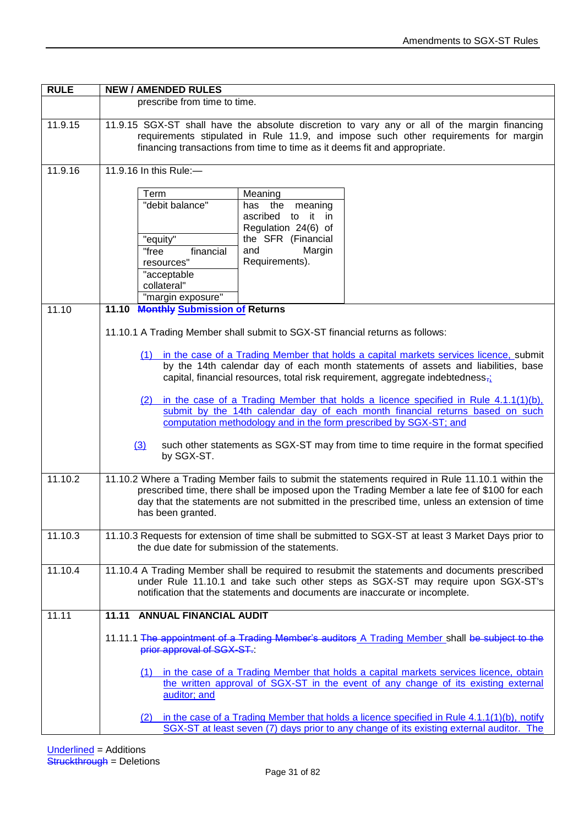| <b>RULE</b> | <b>NEW / AMENDED RULES</b>                                                                                                                                                                                                                                                                                                                                                                                                                                                                                                                                                                                                                                                                                                                                                                                                                                                                                                                       |
|-------------|--------------------------------------------------------------------------------------------------------------------------------------------------------------------------------------------------------------------------------------------------------------------------------------------------------------------------------------------------------------------------------------------------------------------------------------------------------------------------------------------------------------------------------------------------------------------------------------------------------------------------------------------------------------------------------------------------------------------------------------------------------------------------------------------------------------------------------------------------------------------------------------------------------------------------------------------------|
|             | prescribe from time to time.                                                                                                                                                                                                                                                                                                                                                                                                                                                                                                                                                                                                                                                                                                                                                                                                                                                                                                                     |
| 11.9.15     | 11.9.15 SGX-ST shall have the absolute discretion to vary any or all of the margin financing<br>requirements stipulated in Rule 11.9, and impose such other requirements for margin<br>financing transactions from time to time as it deems fit and appropriate.                                                                                                                                                                                                                                                                                                                                                                                                                                                                                                                                                                                                                                                                                 |
| 11.9.16     | 11.9.16 In this Rule:-                                                                                                                                                                                                                                                                                                                                                                                                                                                                                                                                                                                                                                                                                                                                                                                                                                                                                                                           |
|             | Term<br>Meaning<br>"debit balance"<br>has the<br>meaning<br>to it in<br>ascribed<br>Regulation 24(6) of<br>"equity"<br>the SFR (Financial<br>"free<br>financial<br>and<br>Margin<br>Requirements).<br>resources"<br>"acceptable<br>collateral"<br>"margin exposure"                                                                                                                                                                                                                                                                                                                                                                                                                                                                                                                                                                                                                                                                              |
| 11.10       | 11.10 Monthly Submission of Returns                                                                                                                                                                                                                                                                                                                                                                                                                                                                                                                                                                                                                                                                                                                                                                                                                                                                                                              |
| 11.10.2     | 11.10.1 A Trading Member shall submit to SGX-ST financial returns as follows:<br>(1) in the case of a Trading Member that holds a capital markets services licence, submit<br>by the 14th calendar day of each month statements of assets and liabilities, base<br>capital, financial resources, total risk requirement, aggregate indebtedness <sub>71</sub><br>(2) in the case of a Trading Member that holds a licence specified in Rule $4.1.1(1)(b)$ ,<br>submit by the 14th calendar day of each month financial returns based on such<br>computation methodology and in the form prescribed by SGX-ST; and<br>such other statements as SGX-ST may from time to time require in the format specified<br>$\underline{3}$<br>by SGX-ST.<br>11.10.2 Where a Trading Member fails to submit the statements required in Rule 11.10.1 within the<br>prescribed time, there shall be imposed upon the Trading Member a late fee of \$100 for each |
|             | day that the statements are not submitted in the prescribed time, unless an extension of time<br>has been granted.                                                                                                                                                                                                                                                                                                                                                                                                                                                                                                                                                                                                                                                                                                                                                                                                                               |
| 11.10.3     | 11.10.3 Requests for extension of time shall be submitted to SGX-ST at least 3 Market Days prior to<br>the due date for submission of the statements.                                                                                                                                                                                                                                                                                                                                                                                                                                                                                                                                                                                                                                                                                                                                                                                            |
| 11.10.4     | 11.10.4 A Trading Member shall be required to resubmit the statements and documents prescribed<br>under Rule 11.10.1 and take such other steps as SGX-ST may require upon SGX-ST's<br>notification that the statements and documents are inaccurate or incomplete.                                                                                                                                                                                                                                                                                                                                                                                                                                                                                                                                                                                                                                                                               |
| 11.11       | <b>ANNUAL FINANCIAL AUDIT</b><br>11.11                                                                                                                                                                                                                                                                                                                                                                                                                                                                                                                                                                                                                                                                                                                                                                                                                                                                                                           |
|             | 11.11.1 The appointment of a Trading Member's auditors A Trading Member shall be subject to the<br>prior approval of SGX-ST.<br>(1) in the case of a Trading Member that holds a capital markets services licence, obtain<br>the written approval of SGX-ST in the event of any change of its existing external                                                                                                                                                                                                                                                                                                                                                                                                                                                                                                                                                                                                                                  |
|             | auditor; and<br>(2) in the case of a Trading Member that holds a licence specified in Rule 4.1.1(1)(b), notify<br>SGX-ST at least seven (7) days prior to any change of its existing external auditor. The                                                                                                                                                                                                                                                                                                                                                                                                                                                                                                                                                                                                                                                                                                                                       |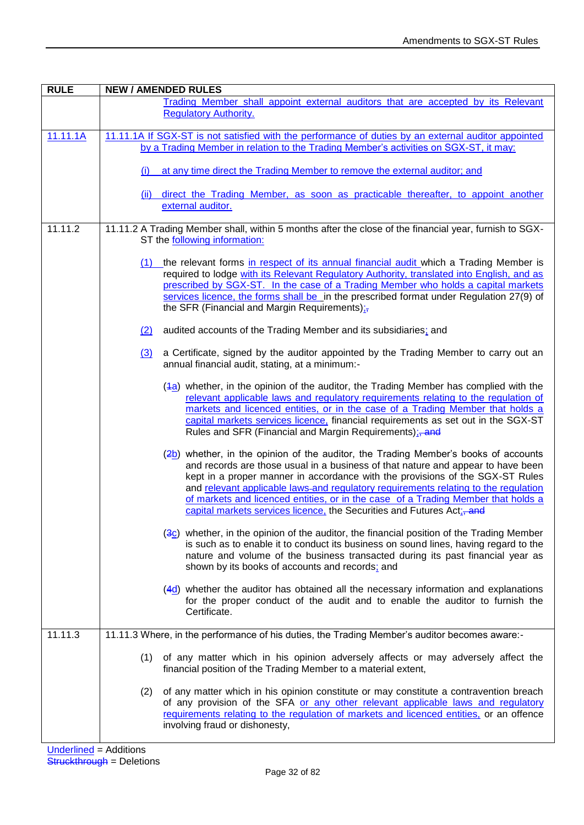| <b>RULE</b> | <b>NEW / AMENDED RULES</b>                                                                                                                                                                                                                                                                                                                                                                                                                                                                                              |
|-------------|-------------------------------------------------------------------------------------------------------------------------------------------------------------------------------------------------------------------------------------------------------------------------------------------------------------------------------------------------------------------------------------------------------------------------------------------------------------------------------------------------------------------------|
|             | Trading Member shall appoint external auditors that are accepted by its Relevant<br><b>Regulatory Authority.</b>                                                                                                                                                                                                                                                                                                                                                                                                        |
| 11.11.1A    | 11.11.1A If SGX-ST is not satisfied with the performance of duties by an external auditor appointed                                                                                                                                                                                                                                                                                                                                                                                                                     |
|             | by a Trading Member in relation to the Trading Member's activities on SGX-ST, it may:                                                                                                                                                                                                                                                                                                                                                                                                                                   |
|             | at any time direct the Trading Member to remove the external auditor; and<br>(i)                                                                                                                                                                                                                                                                                                                                                                                                                                        |
|             | (ii) direct the Trading Member, as soon as practicable thereafter, to appoint another<br>external auditor.                                                                                                                                                                                                                                                                                                                                                                                                              |
| 11.11.2     | 11.11.2 A Trading Member shall, within 5 months after the close of the financial year, furnish to SGX-<br>ST the following information:                                                                                                                                                                                                                                                                                                                                                                                 |
|             | (1) the relevant forms in respect of its annual financial audit which a Trading Member is                                                                                                                                                                                                                                                                                                                                                                                                                               |
|             | required to lodge with its Relevant Regulatory Authority, translated into English, and as                                                                                                                                                                                                                                                                                                                                                                                                                               |
|             | prescribed by SGX-ST. In the case of a Trading Member who holds a capital markets<br>services licence, the forms shall be in the prescribed format under Regulation 27(9) of<br>the SFR (Financial and Margin Requirements);                                                                                                                                                                                                                                                                                            |
|             | (2)<br>audited accounts of the Trading Member and its subsidiaries; and                                                                                                                                                                                                                                                                                                                                                                                                                                                 |
|             | a Certificate, signed by the auditor appointed by the Trading Member to carry out an<br>$\left(3\right)$<br>annual financial audit, stating, at a minimum:-                                                                                                                                                                                                                                                                                                                                                             |
|             | (4a) whether, in the opinion of the auditor, the Trading Member has complied with the<br>relevant applicable laws and regulatory requirements relating to the regulation of                                                                                                                                                                                                                                                                                                                                             |
|             | markets and licenced entities, or in the case of a Trading Member that holds a<br>capital markets services licence, financial requirements as set out in the SGX-ST<br>Rules and SFR (Financial and Margin Requirements); and                                                                                                                                                                                                                                                                                           |
|             | $\frac{2b}{2}$ whether, in the opinion of the auditor, the Trading Member's books of accounts<br>and records are those usual in a business of that nature and appear to have been<br>kept in a proper manner in accordance with the provisions of the SGX-ST Rules<br>and relevant applicable laws-and regulatory requirements relating to the regulation<br>of markets and licenced entities, or in the case of a Trading Member that holds a<br>capital markets services licence, the Securities and Futures Act;-and |
|             | (3c) whether, in the opinion of the auditor, the financial position of the Trading Member<br>is such as to enable it to conduct its business on sound lines, having regard to the<br>nature and volume of the business transacted during its past financial year as<br>shown by its books of accounts and records; and                                                                                                                                                                                                  |
|             | $(4d)$ whether the auditor has obtained all the necessary information and explanations<br>for the proper conduct of the audit and to enable the auditor to furnish the<br>Certificate.                                                                                                                                                                                                                                                                                                                                  |
| 11.11.3     | 11.11.3 Where, in the performance of his duties, the Trading Member's auditor becomes aware:-                                                                                                                                                                                                                                                                                                                                                                                                                           |
|             | of any matter which in his opinion adversely affects or may adversely affect the<br>(1)<br>financial position of the Trading Member to a material extent,                                                                                                                                                                                                                                                                                                                                                               |
|             | of any matter which in his opinion constitute or may constitute a contravention breach<br>(2)<br>of any provision of the SFA or any other relevant applicable laws and regulatory<br>requirements relating to the regulation of markets and licenced entities, or an offence<br>involving fraud or dishonesty,                                                                                                                                                                                                          |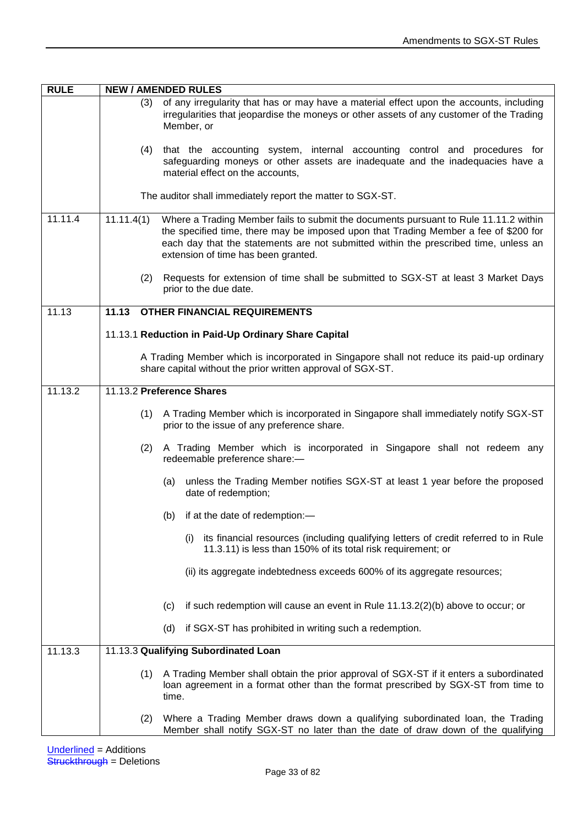| <b>RULE</b> | <b>NEW / AMENDED RULES</b>                                                                                                                                                                                                                                                                                                |
|-------------|---------------------------------------------------------------------------------------------------------------------------------------------------------------------------------------------------------------------------------------------------------------------------------------------------------------------------|
|             | of any irregularity that has or may have a material effect upon the accounts, including<br>(3)<br>irregularities that jeopardise the moneys or other assets of any customer of the Trading<br>Member, or                                                                                                                  |
|             | that the accounting system, internal accounting control and procedures for<br>(4)<br>safeguarding moneys or other assets are inadequate and the inadequacies have a<br>material effect on the accounts,                                                                                                                   |
|             | The auditor shall immediately report the matter to SGX-ST.                                                                                                                                                                                                                                                                |
| 11.11.4     | 11.11.4(1)<br>Where a Trading Member fails to submit the documents pursuant to Rule 11.11.2 within<br>the specified time, there may be imposed upon that Trading Member a fee of \$200 for<br>each day that the statements are not submitted within the prescribed time, unless an<br>extension of time has been granted. |
|             | (2)<br>Requests for extension of time shall be submitted to SGX-ST at least 3 Market Days<br>prior to the due date.                                                                                                                                                                                                       |
| 11.13       | 11.13<br><b>OTHER FINANCIAL REQUIREMENTS</b>                                                                                                                                                                                                                                                                              |
|             | 11.13.1 Reduction in Paid-Up Ordinary Share Capital                                                                                                                                                                                                                                                                       |
|             | A Trading Member which is incorporated in Singapore shall not reduce its paid-up ordinary<br>share capital without the prior written approval of SGX-ST.                                                                                                                                                                  |
| 11.13.2     | 11.13.2 Preference Shares                                                                                                                                                                                                                                                                                                 |
|             | (1) A Trading Member which is incorporated in Singapore shall immediately notify SGX-ST<br>prior to the issue of any preference share.                                                                                                                                                                                    |
|             | (2)<br>A Trading Member which is incorporated in Singapore shall not redeem any<br>redeemable preference share:-                                                                                                                                                                                                          |
|             | unless the Trading Member notifies SGX-ST at least 1 year before the proposed<br>(a)<br>date of redemption;                                                                                                                                                                                                               |
|             | if at the date of redemption:-<br>(b)                                                                                                                                                                                                                                                                                     |
|             | its financial resources (including qualifying letters of credit referred to in Rule<br>(i)<br>11.3.11) is less than 150% of its total risk requirement; or                                                                                                                                                                |
|             | (ii) its aggregate indebtedness exceeds 600% of its aggregate resources;                                                                                                                                                                                                                                                  |
|             | if such redemption will cause an event in Rule 11.13.2(2)(b) above to occur; or<br>(c)                                                                                                                                                                                                                                    |
|             | if SGX-ST has prohibited in writing such a redemption.<br>(d)                                                                                                                                                                                                                                                             |
| 11.13.3     | 11.13.3 Qualifying Subordinated Loan                                                                                                                                                                                                                                                                                      |
|             | A Trading Member shall obtain the prior approval of SGX-ST if it enters a subordinated<br>(1)<br>loan agreement in a format other than the format prescribed by SGX-ST from time to<br>time.                                                                                                                              |
|             | Where a Trading Member draws down a qualifying subordinated loan, the Trading<br>(2)<br>Member shall notify SGX-ST no later than the date of draw down of the qualifying                                                                                                                                                  |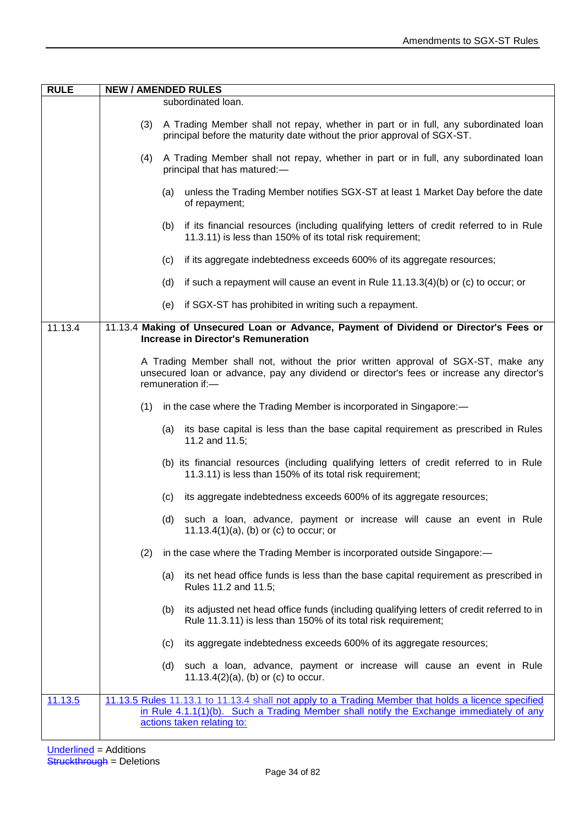| <b>RULE</b> | <b>NEW / AMENDED RULES</b>                                                                                                                                                                           |
|-------------|------------------------------------------------------------------------------------------------------------------------------------------------------------------------------------------------------|
|             | subordinated loan.                                                                                                                                                                                   |
|             | (3)<br>A Trading Member shall not repay, whether in part or in full, any subordinated loan<br>principal before the maturity date without the prior approval of SGX-ST.                               |
|             | A Trading Member shall not repay, whether in part or in full, any subordinated loan<br>(4)<br>principal that has matured:-                                                                           |
|             | unless the Trading Member notifies SGX-ST at least 1 Market Day before the date<br>(a)<br>of repayment;                                                                                              |
|             | if its financial resources (including qualifying letters of credit referred to in Rule<br>(b)<br>11.3.11) is less than 150% of its total risk requirement;                                           |
|             | if its aggregate indebtedness exceeds 600% of its aggregate resources;<br>(c)                                                                                                                        |
|             | if such a repayment will cause an event in Rule $11.13.3(4)(b)$ or (c) to occur; or<br>(d)                                                                                                           |
|             | if SGX-ST has prohibited in writing such a repayment.<br>(e)                                                                                                                                         |
| 11.13.4     | 11.13.4 Making of Unsecured Loan or Advance, Payment of Dividend or Director's Fees or<br><b>Increase in Director's Remuneration</b>                                                                 |
|             | A Trading Member shall not, without the prior written approval of SGX-ST, make any<br>unsecured loan or advance, pay any dividend or director's fees or increase any director's<br>remuneration if:- |
|             | in the case where the Trading Member is incorporated in Singapore:-<br>(1)                                                                                                                           |
|             | its base capital is less than the base capital requirement as prescribed in Rules<br>(a)<br>11.2 and 11.5;                                                                                           |
|             | (b) its financial resources (including qualifying letters of credit referred to in Rule<br>11.3.11) is less than 150% of its total risk requirement;                                                 |
|             | its aggregate indebtedness exceeds 600% of its aggregate resources;<br>(c)                                                                                                                           |
|             | (d) such a loan, advance, payment or increase will cause an event in Rule<br>11.13.4 $(1)(a)$ , $(b)$ or $(c)$ to occur; or                                                                          |
|             | in the case where the Trading Member is incorporated outside Singapore:-<br>(2)                                                                                                                      |
|             | its net head office funds is less than the base capital requirement as prescribed in<br>(a)<br>Rules 11.2 and 11.5;                                                                                  |
|             | its adjusted net head office funds (including qualifying letters of credit referred to in<br>(b)<br>Rule 11.3.11) is less than 150% of its total risk requirement;                                   |
|             | its aggregate indebtedness exceeds 600% of its aggregate resources;<br>(c)                                                                                                                           |
|             | such a loan, advance, payment or increase will cause an event in Rule<br>(d)<br>11.13.4(2)(a), (b) or (c) to occur.                                                                                  |
| 11.13.5     | 11.13.5 Rules 11.13.1 to 11.13.4 shall not apply to a Trading Member that holds a licence specified                                                                                                  |
|             | in Rule 4.1.1(1)(b). Such a Trading Member shall notify the Exchange immediately of any<br>actions taken relating to:                                                                                |
|             |                                                                                                                                                                                                      |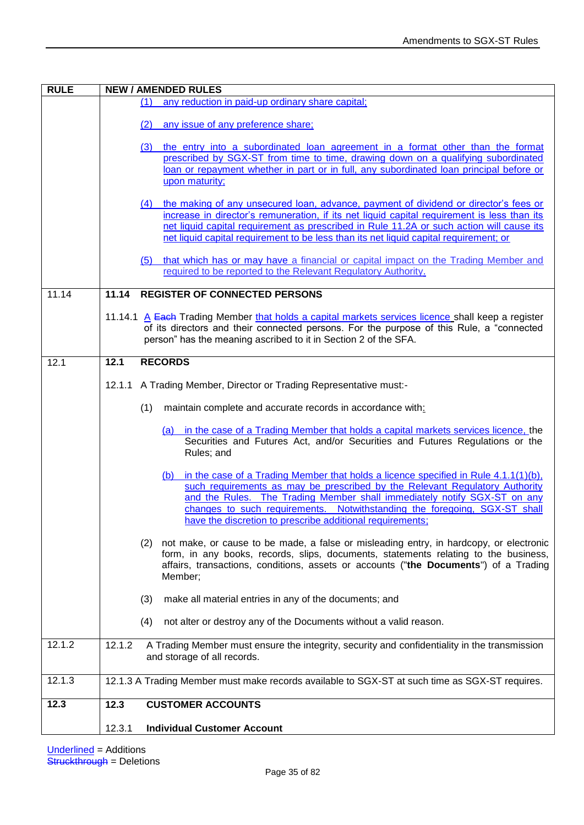| <b>RULE</b> | <b>NEW / AMENDED RULES</b>                                                                                                                                                                                                                                                                                                                                                                   |
|-------------|----------------------------------------------------------------------------------------------------------------------------------------------------------------------------------------------------------------------------------------------------------------------------------------------------------------------------------------------------------------------------------------------|
|             | any reduction in paid-up ordinary share capital;<br>(1)                                                                                                                                                                                                                                                                                                                                      |
|             | any issue of any preference share;<br>(2)                                                                                                                                                                                                                                                                                                                                                    |
|             | (3)<br>the entry into a subordinated loan agreement in a format other than the format<br>prescribed by SGX-ST from time to time, drawing down on a qualifying subordinated<br>loan or repayment whether in part or in full, any subordinated loan principal before or<br>upon maturity;                                                                                                      |
|             | (4) the making of any unsecured loan, advance, payment of dividend or director's fees or<br>increase in director's remuneration, if its net liquid capital requirement is less than its<br>net liquid capital requirement as prescribed in Rule 11.2A or such action will cause its<br>net liquid capital requirement to be less than its net liquid capital requirement; or                 |
|             | that which has or may have a financial or capital impact on the Trading Member and<br>(5)<br>required to be reported to the Relevant Regulatory Authority.                                                                                                                                                                                                                                   |
| 11.14       | <b>REGISTER OF CONNECTED PERSONS</b><br>11.14                                                                                                                                                                                                                                                                                                                                                |
|             | 11.14.1 A Each Trading Member that holds a capital markets services licence shall keep a register<br>of its directors and their connected persons. For the purpose of this Rule, a "connected<br>person" has the meaning ascribed to it in Section 2 of the SFA.                                                                                                                             |
| 12.1        | <b>RECORDS</b><br>12.1                                                                                                                                                                                                                                                                                                                                                                       |
|             | 12.1.1 A Trading Member, Director or Trading Representative must:-                                                                                                                                                                                                                                                                                                                           |
|             | maintain complete and accurate records in accordance with:<br>(1)                                                                                                                                                                                                                                                                                                                            |
|             | (a) in the case of a Trading Member that holds a capital markets services licence, the<br>Securities and Futures Act, and/or Securities and Futures Regulations or the<br>Rules; and                                                                                                                                                                                                         |
|             | (b) in the case of a Trading Member that holds a licence specified in Rule 4.1.1(1)(b),<br>such requirements as may be prescribed by the Relevant Regulatory Authority<br>and the Rules. The Trading Member shall immediately notify SGX-ST on any<br>changes to such requirements. Notwithstanding the foregoing, SGX-ST shall<br>have the discretion to prescribe additional requirements; |
|             | (2) not make, or cause to be made, a false or misleading entry, in hardcopy, or electronic<br>form, in any books, records, slips, documents, statements relating to the business,<br>affairs, transactions, conditions, assets or accounts ("the Documents") of a Trading<br>Member;                                                                                                         |
|             | (3)<br>make all material entries in any of the documents; and                                                                                                                                                                                                                                                                                                                                |
|             | not alter or destroy any of the Documents without a valid reason.<br>(4)                                                                                                                                                                                                                                                                                                                     |
| 12.1.2      | 12.1.2<br>A Trading Member must ensure the integrity, security and confidentiality in the transmission<br>and storage of all records.                                                                                                                                                                                                                                                        |
| 12.1.3      | 12.1.3 A Trading Member must make records available to SGX-ST at such time as SGX-ST requires.                                                                                                                                                                                                                                                                                               |
| 12.3        | <b>CUSTOMER ACCOUNTS</b><br>12.3                                                                                                                                                                                                                                                                                                                                                             |
|             | 12.3.1<br><b>Individual Customer Account</b>                                                                                                                                                                                                                                                                                                                                                 |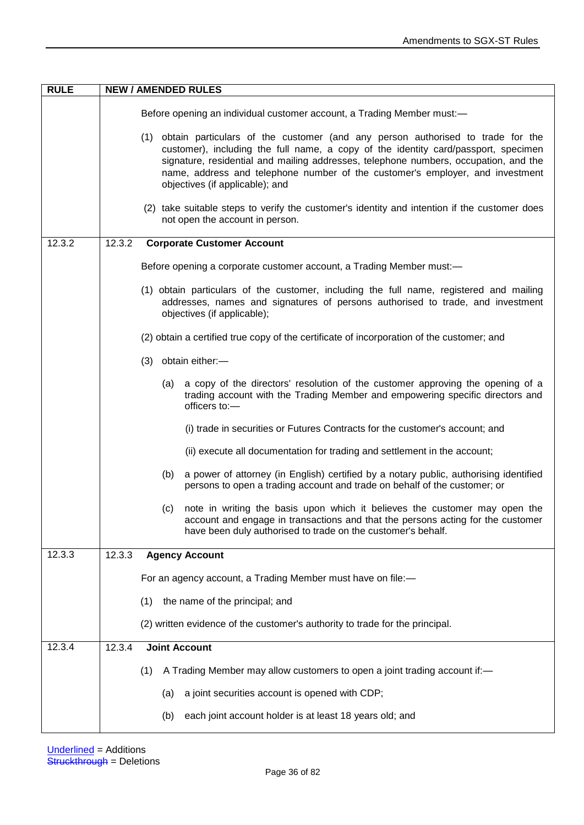| <b>RULE</b> | <b>NEW / AMENDED RULES</b>                                                                                                                                                                                                                                                                                                                                                           |
|-------------|--------------------------------------------------------------------------------------------------------------------------------------------------------------------------------------------------------------------------------------------------------------------------------------------------------------------------------------------------------------------------------------|
|             | Before opening an individual customer account, a Trading Member must:-                                                                                                                                                                                                                                                                                                               |
|             | (1) obtain particulars of the customer (and any person authorised to trade for the<br>customer), including the full name, a copy of the identity card/passport, specimen<br>signature, residential and mailing addresses, telephone numbers, occupation, and the<br>name, address and telephone number of the customer's employer, and investment<br>objectives (if applicable); and |
|             | (2) take suitable steps to verify the customer's identity and intention if the customer does<br>not open the account in person.                                                                                                                                                                                                                                                      |
| 12.3.2      | 12.3.2<br><b>Corporate Customer Account</b>                                                                                                                                                                                                                                                                                                                                          |
|             | Before opening a corporate customer account, a Trading Member must:-                                                                                                                                                                                                                                                                                                                 |
|             | (1) obtain particulars of the customer, including the full name, registered and mailing<br>addresses, names and signatures of persons authorised to trade, and investment<br>objectives (if applicable);                                                                                                                                                                             |
|             | (2) obtain a certified true copy of the certificate of incorporation of the customer; and                                                                                                                                                                                                                                                                                            |
|             | (3) obtain either:-                                                                                                                                                                                                                                                                                                                                                                  |
|             | a copy of the directors' resolution of the customer approving the opening of a<br>(a)<br>trading account with the Trading Member and empowering specific directors and<br>officers to:-                                                                                                                                                                                              |
|             | (i) trade in securities or Futures Contracts for the customer's account; and                                                                                                                                                                                                                                                                                                         |
|             | (ii) execute all documentation for trading and settlement in the account;                                                                                                                                                                                                                                                                                                            |
|             | a power of attorney (in English) certified by a notary public, authorising identified<br>(b)<br>persons to open a trading account and trade on behalf of the customer; or                                                                                                                                                                                                            |
|             | note in writing the basis upon which it believes the customer may open the<br>(c)<br>account and engage in transactions and that the persons acting for the customer<br>have been duly authorised to trade on the customer's behalf.                                                                                                                                                 |
| 12.3.3      | 12.3.3<br><b>Agency Account</b>                                                                                                                                                                                                                                                                                                                                                      |
|             | For an agency account, a Trading Member must have on file:-                                                                                                                                                                                                                                                                                                                          |
|             | the name of the principal; and<br>(1)                                                                                                                                                                                                                                                                                                                                                |
|             | (2) written evidence of the customer's authority to trade for the principal.                                                                                                                                                                                                                                                                                                         |
| 12.3.4      | 12.3.4<br><b>Joint Account</b>                                                                                                                                                                                                                                                                                                                                                       |
|             | A Trading Member may allow customers to open a joint trading account if:-<br>(1)                                                                                                                                                                                                                                                                                                     |
|             | a joint securities account is opened with CDP;<br>(a)                                                                                                                                                                                                                                                                                                                                |
|             | each joint account holder is at least 18 years old; and<br>(b)                                                                                                                                                                                                                                                                                                                       |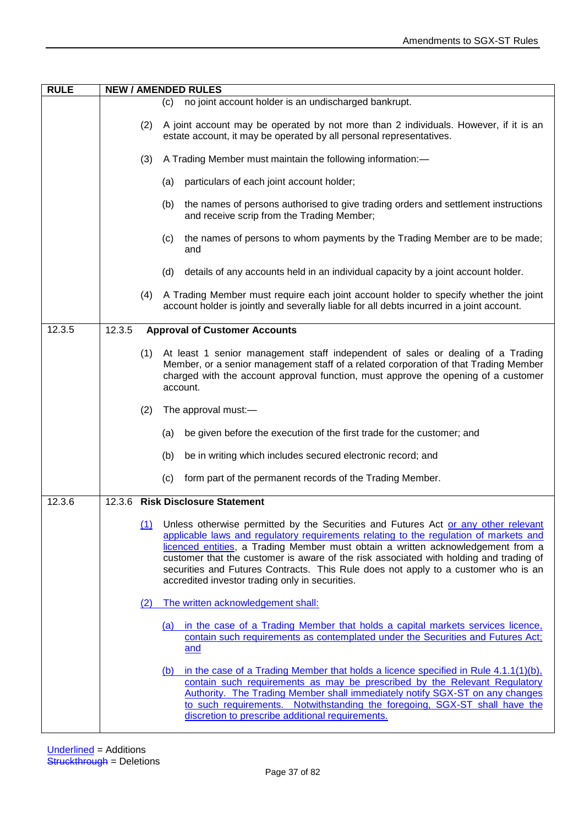| <b>RULE</b> | <b>NEW / AMENDED RULES</b> |                                                                                                                                                                                                                                                                                                                                                                                                                                                                                                    |  |
|-------------|----------------------------|----------------------------------------------------------------------------------------------------------------------------------------------------------------------------------------------------------------------------------------------------------------------------------------------------------------------------------------------------------------------------------------------------------------------------------------------------------------------------------------------------|--|
|             |                            | no joint account holder is an undischarged bankrupt.<br>(c)                                                                                                                                                                                                                                                                                                                                                                                                                                        |  |
|             | (2)                        | A joint account may be operated by not more than 2 individuals. However, if it is an<br>estate account, it may be operated by all personal representatives.                                                                                                                                                                                                                                                                                                                                        |  |
|             | (3)                        | A Trading Member must maintain the following information:-                                                                                                                                                                                                                                                                                                                                                                                                                                         |  |
|             |                            | particulars of each joint account holder;<br>(a)                                                                                                                                                                                                                                                                                                                                                                                                                                                   |  |
|             |                            | the names of persons authorised to give trading orders and settlement instructions<br>(b)<br>and receive scrip from the Trading Member;                                                                                                                                                                                                                                                                                                                                                            |  |
|             |                            | the names of persons to whom payments by the Trading Member are to be made;<br>(c)<br>and                                                                                                                                                                                                                                                                                                                                                                                                          |  |
|             |                            | details of any accounts held in an individual capacity by a joint account holder.<br>(d)                                                                                                                                                                                                                                                                                                                                                                                                           |  |
|             | (4)                        | A Trading Member must require each joint account holder to specify whether the joint<br>account holder is jointly and severally liable for all debts incurred in a joint account.                                                                                                                                                                                                                                                                                                                  |  |
| 12.3.5      | 12.3.5                     | <b>Approval of Customer Accounts</b>                                                                                                                                                                                                                                                                                                                                                                                                                                                               |  |
|             | (1)                        | At least 1 senior management staff independent of sales or dealing of a Trading<br>Member, or a senior management staff of a related corporation of that Trading Member<br>charged with the account approval function, must approve the opening of a customer<br>account.                                                                                                                                                                                                                          |  |
|             | (2)                        | The approval must:-                                                                                                                                                                                                                                                                                                                                                                                                                                                                                |  |
|             |                            | be given before the execution of the first trade for the customer; and<br>(a)                                                                                                                                                                                                                                                                                                                                                                                                                      |  |
|             |                            | be in writing which includes secured electronic record; and<br>(b)                                                                                                                                                                                                                                                                                                                                                                                                                                 |  |
|             |                            | form part of the permanent records of the Trading Member.<br>(c)                                                                                                                                                                                                                                                                                                                                                                                                                                   |  |
| 12.3.6      |                            | 12.3.6 Risk Disclosure Statement                                                                                                                                                                                                                                                                                                                                                                                                                                                                   |  |
|             | (1)                        | Unless otherwise permitted by the Securities and Futures Act or any other relevant<br>applicable laws and regulatory requirements relating to the regulation of markets and<br>licenced entities, a Trading Member must obtain a written acknowledgement from a<br>customer that the customer is aware of the risk associated with holding and trading of<br>securities and Futures Contracts. This Rule does not apply to a customer who is an<br>accredited investor trading only in securities. |  |
|             | (2)                        | The written acknowledgement shall:                                                                                                                                                                                                                                                                                                                                                                                                                                                                 |  |
|             |                            | (a) in the case of a Trading Member that holds a capital markets services licence,<br>contain such requirements as contemplated under the Securities and Futures Act;<br>and                                                                                                                                                                                                                                                                                                                       |  |
|             |                            | in the case of a Trading Member that holds a licence specified in Rule $4.1.1(1)(b)$ ,<br>(b)<br>contain such requirements as may be prescribed by the Relevant Regulatory<br>Authority. The Trading Member shall immediately notify SGX-ST on any changes<br>to such requirements. Notwithstanding the foregoing, SGX-ST shall have the<br>discretion to prescribe additional requirements.                                                                                                       |  |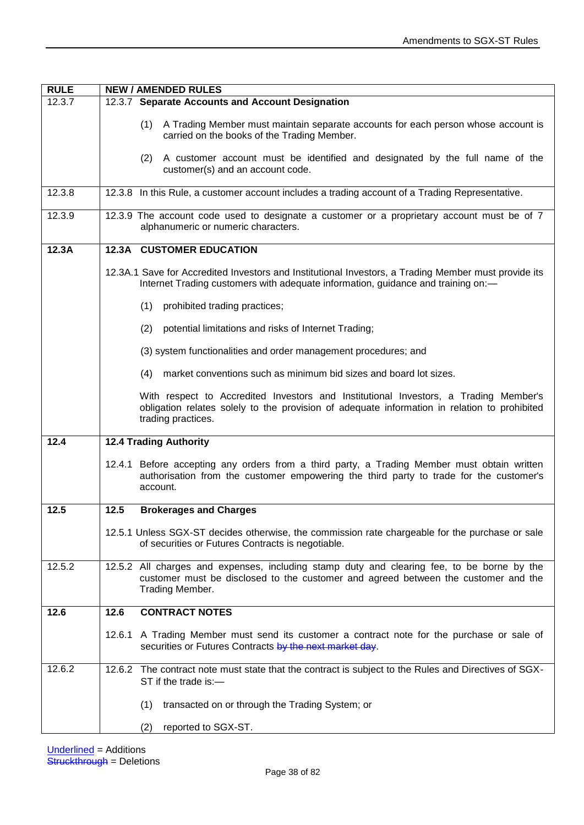| <b>RULE</b> | <b>NEW / AMENDED RULES</b>                                                                                                                                                                                 |  |  |
|-------------|------------------------------------------------------------------------------------------------------------------------------------------------------------------------------------------------------------|--|--|
| 12.3.7      | 12.3.7 Separate Accounts and Account Designation                                                                                                                                                           |  |  |
|             | A Trading Member must maintain separate accounts for each person whose account is<br>(1)<br>carried on the books of the Trading Member.                                                                    |  |  |
|             | (2) A customer account must be identified and designated by the full name of the<br>customer(s) and an account code.                                                                                       |  |  |
| 12.3.8      | 12.3.8 In this Rule, a customer account includes a trading account of a Trading Representative.                                                                                                            |  |  |
| 12.3.9      | 12.3.9 The account code used to designate a customer or a proprietary account must be of 7<br>alphanumeric or numeric characters.                                                                          |  |  |
| 12.3A       | <b>12.3A CUSTOMER EDUCATION</b>                                                                                                                                                                            |  |  |
|             | 12.3A.1 Save for Accredited Investors and Institutional Investors, a Trading Member must provide its<br>Internet Trading customers with adequate information, guidance and training on:-                   |  |  |
|             | (1)<br>prohibited trading practices;                                                                                                                                                                       |  |  |
|             | potential limitations and risks of Internet Trading;<br>(2)                                                                                                                                                |  |  |
|             | (3) system functionalities and order management procedures; and                                                                                                                                            |  |  |
|             | market conventions such as minimum bid sizes and board lot sizes.<br>(4)                                                                                                                                   |  |  |
|             | With respect to Accredited Investors and Institutional Investors, a Trading Member's<br>obligation relates solely to the provision of adequate information in relation to prohibited<br>trading practices. |  |  |
| 12.4        | <b>12.4 Trading Authority</b>                                                                                                                                                                              |  |  |
|             | 12.4.1 Before accepting any orders from a third party, a Trading Member must obtain written<br>authorisation from the customer empowering the third party to trade for the customer's<br>account.          |  |  |
| 12.5        | 12.5<br><b>Brokerages and Charges</b>                                                                                                                                                                      |  |  |
|             | 12.5.1 Unless SGX-ST decides otherwise, the commission rate chargeable for the purchase or sale<br>of securities or Futures Contracts is negotiable.                                                       |  |  |
| 12.5.2      | 12.5.2 All charges and expenses, including stamp duty and clearing fee, to be borne by the<br>customer must be disclosed to the customer and agreed between the customer and the<br>Trading Member.        |  |  |
| 12.6        | <b>CONTRACT NOTES</b><br>12.6                                                                                                                                                                              |  |  |
|             | 12.6.1 A Trading Member must send its customer a contract note for the purchase or sale of<br>securities or Futures Contracts by the next market day.                                                      |  |  |
| 12.6.2      | 12.6.2 The contract note must state that the contract is subject to the Rules and Directives of SGX-<br>ST if the trade is:-                                                                               |  |  |
|             | (1)<br>transacted on or through the Trading System; or                                                                                                                                                     |  |  |
|             | reported to SGX-ST.<br>(2)                                                                                                                                                                                 |  |  |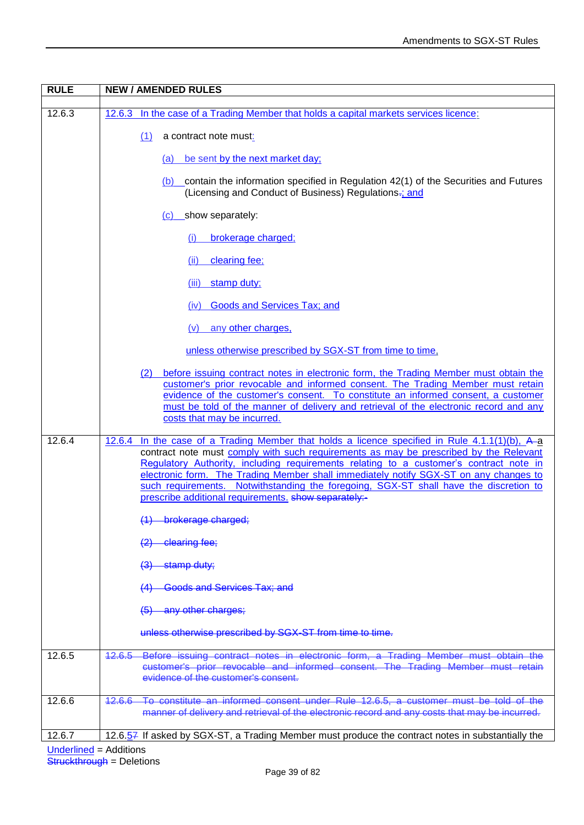| <b>RULE</b>         | <b>NEW / AMENDED RULES</b>                                                                                                                                                                                                                                                                                                                                                                                                |
|---------------------|---------------------------------------------------------------------------------------------------------------------------------------------------------------------------------------------------------------------------------------------------------------------------------------------------------------------------------------------------------------------------------------------------------------------------|
| 12.6.3              | In the case of a Trading Member that holds a capital markets services licence:<br>12.6.3                                                                                                                                                                                                                                                                                                                                  |
|                     | (1)<br>a contract note must:                                                                                                                                                                                                                                                                                                                                                                                              |
|                     | be sent by the next market day;<br>(a)                                                                                                                                                                                                                                                                                                                                                                                    |
|                     | $(b)$ contain the information specified in Regulation 42(1) of the Securities and Futures<br>(Licensing and Conduct of Business) Regulations-; and                                                                                                                                                                                                                                                                        |
|                     | $(c)$ show separately:                                                                                                                                                                                                                                                                                                                                                                                                    |
|                     | brokerage charged;<br>(i)                                                                                                                                                                                                                                                                                                                                                                                                 |
|                     | clearing fee;<br>(ii)                                                                                                                                                                                                                                                                                                                                                                                                     |
|                     | stamp duty;<br>(iii)                                                                                                                                                                                                                                                                                                                                                                                                      |
|                     | Goods and Services Tax; and<br>(iv)                                                                                                                                                                                                                                                                                                                                                                                       |
|                     | any other charges,<br>(v)                                                                                                                                                                                                                                                                                                                                                                                                 |
|                     | unless otherwise prescribed by SGX-ST from time to time,                                                                                                                                                                                                                                                                                                                                                                  |
|                     | before issuing contract notes in electronic form, the Trading Member must obtain the<br>(2)<br>customer's prior revocable and informed consent. The Trading Member must retain<br>evidence of the customer's consent. To constitute an informed consent, a customer<br>must be told of the manner of delivery and retrieval of the electronic record and any<br>costs that may be incurred.                               |
| 12.6.4              | In the case of a Trading Member that holds a licence specified in Rule $4.1.1(1)(b)$ , A-a<br>12.6.4                                                                                                                                                                                                                                                                                                                      |
|                     | contract note must comply with such requirements as may be prescribed by the Relevant<br>Regulatory Authority, including requirements relating to a customer's contract note in<br>electronic form. The Trading Member shall immediately notify SGX-ST on any changes to<br>such requirements. Notwithstanding the foregoing, SGX-ST shall have the discretion to<br>prescribe additional requirements. show separately:- |
|                     | (1) brokerage charged;                                                                                                                                                                                                                                                                                                                                                                                                    |
|                     | -clearing fee;                                                                                                                                                                                                                                                                                                                                                                                                            |
|                     | stamp duty;<br>$\left(3\right)$                                                                                                                                                                                                                                                                                                                                                                                           |
|                     | <b>Goods and Services Tax; and</b><br><u>(4)</u>                                                                                                                                                                                                                                                                                                                                                                          |
|                     | (5) any other charges;                                                                                                                                                                                                                                                                                                                                                                                                    |
|                     | unless otherwise prescribed by SGX-ST from time to time.                                                                                                                                                                                                                                                                                                                                                                  |
| 12.6.5              | Before issuing contract notes in electronic form, a Trading Member must obtain the<br>$42.6.5 -$<br>customer's prior revocable and informed consent. The Trading Member must retain<br>evidence of the customer's consent.                                                                                                                                                                                                |
| 12.6.6              | 12.6.6 To constitute an informed consent under Rule 12.6.5, a customer must be told of the<br>manner of delivery and retrieval of the electronic record and any costs that may be incurred.                                                                                                                                                                                                                               |
| $12.\overline{6.7}$ | 12.6.57 If asked by SGX-ST, a Trading Member must produce the contract notes in substantially the                                                                                                                                                                                                                                                                                                                         |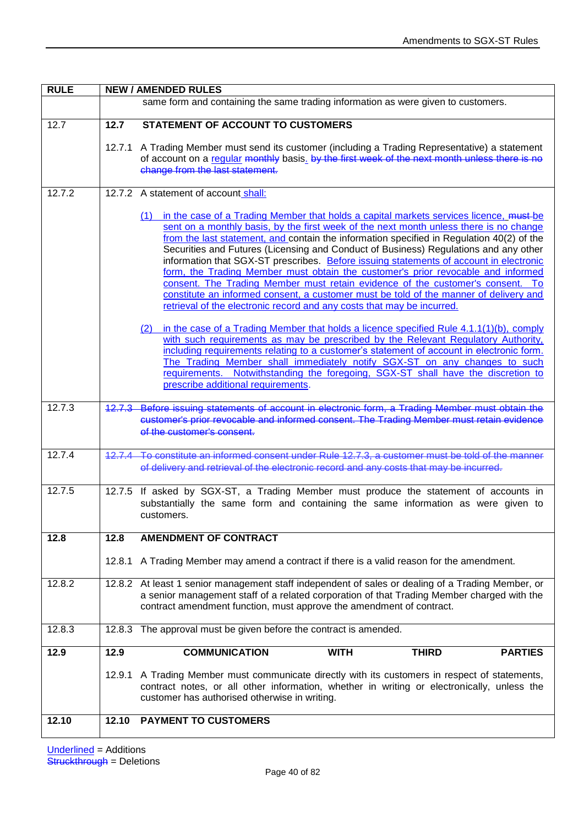| <b>RULE</b> | <b>NEW / AMENDED RULES</b> |                                                                                                                                                                                                                                                                                                                                                                                                                                                                                                                                                                                                                                                                                                                                                                                                                                                                                                                                                                                                                                                                                                                                                                                                                                                                                                        |  |
|-------------|----------------------------|--------------------------------------------------------------------------------------------------------------------------------------------------------------------------------------------------------------------------------------------------------------------------------------------------------------------------------------------------------------------------------------------------------------------------------------------------------------------------------------------------------------------------------------------------------------------------------------------------------------------------------------------------------------------------------------------------------------------------------------------------------------------------------------------------------------------------------------------------------------------------------------------------------------------------------------------------------------------------------------------------------------------------------------------------------------------------------------------------------------------------------------------------------------------------------------------------------------------------------------------------------------------------------------------------------|--|
|             |                            | same form and containing the same trading information as were given to customers.                                                                                                                                                                                                                                                                                                                                                                                                                                                                                                                                                                                                                                                                                                                                                                                                                                                                                                                                                                                                                                                                                                                                                                                                                      |  |
| 12.7        | 12.7                       | <b>STATEMENT OF ACCOUNT TO CUSTOMERS</b>                                                                                                                                                                                                                                                                                                                                                                                                                                                                                                                                                                                                                                                                                                                                                                                                                                                                                                                                                                                                                                                                                                                                                                                                                                                               |  |
|             |                            | 12.7.1 A Trading Member must send its customer (including a Trading Representative) a statement<br>of account on a regular monthly basis. by the first week of the next month unless there is no<br>change from the last statement.                                                                                                                                                                                                                                                                                                                                                                                                                                                                                                                                                                                                                                                                                                                                                                                                                                                                                                                                                                                                                                                                    |  |
| 12.7.2      |                            | 12.7.2 A statement of account shall:                                                                                                                                                                                                                                                                                                                                                                                                                                                                                                                                                                                                                                                                                                                                                                                                                                                                                                                                                                                                                                                                                                                                                                                                                                                                   |  |
|             |                            | (1) in the case of a Trading Member that holds a capital markets services licence, must-be<br>sent on a monthly basis, by the first week of the next month unless there is no change<br>from the last statement, and contain the information specified in Regulation 40(2) of the<br>Securities and Futures (Licensing and Conduct of Business) Regulations and any other<br>information that SGX-ST prescribes. Before issuing statements of account in electronic<br>form, the Trading Member must obtain the customer's prior revocable and informed<br>consent. The Trading Member must retain evidence of the customer's consent. To<br>constitute an informed consent, a customer must be told of the manner of delivery and<br>retrieval of the electronic record and any costs that may be incurred.<br>in the case of a Trading Member that holds a licence specified Rule 4.1.1(1)(b), comply<br>(2)<br>with such requirements as may be prescribed by the Relevant Regulatory Authority,<br>including requirements relating to a customer's statement of account in electronic form.<br>The Trading Member shall immediately notify SGX-ST on any changes to such<br>requirements. Notwithstanding the foregoing, SGX-ST shall have the discretion to<br>prescribe additional requirements. |  |
| 12.7.3      |                            | 12.7.3 Before issuing statements of account in electronic form, a Trading Member must obtain the<br>customer's prior revocable and informed consent. The Trading Member must retain evidence<br>of the customer's consent.                                                                                                                                                                                                                                                                                                                                                                                                                                                                                                                                                                                                                                                                                                                                                                                                                                                                                                                                                                                                                                                                             |  |
| 12.7.4      |                            | 12.7.4 To constitute an informed consent under Rule 12.7.3, a customer must be told of the manner                                                                                                                                                                                                                                                                                                                                                                                                                                                                                                                                                                                                                                                                                                                                                                                                                                                                                                                                                                                                                                                                                                                                                                                                      |  |
|             |                            | of delivery and retrieval of the electronic record and any costs that may be incurred.                                                                                                                                                                                                                                                                                                                                                                                                                                                                                                                                                                                                                                                                                                                                                                                                                                                                                                                                                                                                                                                                                                                                                                                                                 |  |
| 12.7.5      |                            | 12.7.5 If asked by SGX-ST, a Trading Member must produce the statement of accounts in<br>substantially the same form and containing the same information as were given to<br>customers.                                                                                                                                                                                                                                                                                                                                                                                                                                                                                                                                                                                                                                                                                                                                                                                                                                                                                                                                                                                                                                                                                                                |  |
| 12.8        | 12.8                       | <b>AMENDMENT OF CONTRACT</b>                                                                                                                                                                                                                                                                                                                                                                                                                                                                                                                                                                                                                                                                                                                                                                                                                                                                                                                                                                                                                                                                                                                                                                                                                                                                           |  |
|             |                            | 12.8.1 A Trading Member may amend a contract if there is a valid reason for the amendment.                                                                                                                                                                                                                                                                                                                                                                                                                                                                                                                                                                                                                                                                                                                                                                                                                                                                                                                                                                                                                                                                                                                                                                                                             |  |
| 12.8.2      |                            | 12.8.2 At least 1 senior management staff independent of sales or dealing of a Trading Member, or<br>a senior management staff of a related corporation of that Trading Member charged with the<br>contract amendment function, must approve the amendment of contract.                                                                                                                                                                                                                                                                                                                                                                                                                                                                                                                                                                                                                                                                                                                                                                                                                                                                                                                                                                                                                                |  |
| 12.8.3      |                            | 12.8.3 The approval must be given before the contract is amended.                                                                                                                                                                                                                                                                                                                                                                                                                                                                                                                                                                                                                                                                                                                                                                                                                                                                                                                                                                                                                                                                                                                                                                                                                                      |  |
| 12.9        | 12.9                       | <b>COMMUNICATION</b><br><b>WITH</b><br><b>THIRD</b><br><b>PARTIES</b>                                                                                                                                                                                                                                                                                                                                                                                                                                                                                                                                                                                                                                                                                                                                                                                                                                                                                                                                                                                                                                                                                                                                                                                                                                  |  |
|             | 12.9.1                     | A Trading Member must communicate directly with its customers in respect of statements,<br>contract notes, or all other information, whether in writing or electronically, unless the<br>customer has authorised otherwise in writing.                                                                                                                                                                                                                                                                                                                                                                                                                                                                                                                                                                                                                                                                                                                                                                                                                                                                                                                                                                                                                                                                 |  |
| 12.10       | 12.10                      | <b>PAYMENT TO CUSTOMERS</b>                                                                                                                                                                                                                                                                                                                                                                                                                                                                                                                                                                                                                                                                                                                                                                                                                                                                                                                                                                                                                                                                                                                                                                                                                                                                            |  |
|             |                            |                                                                                                                                                                                                                                                                                                                                                                                                                                                                                                                                                                                                                                                                                                                                                                                                                                                                                                                                                                                                                                                                                                                                                                                                                                                                                                        |  |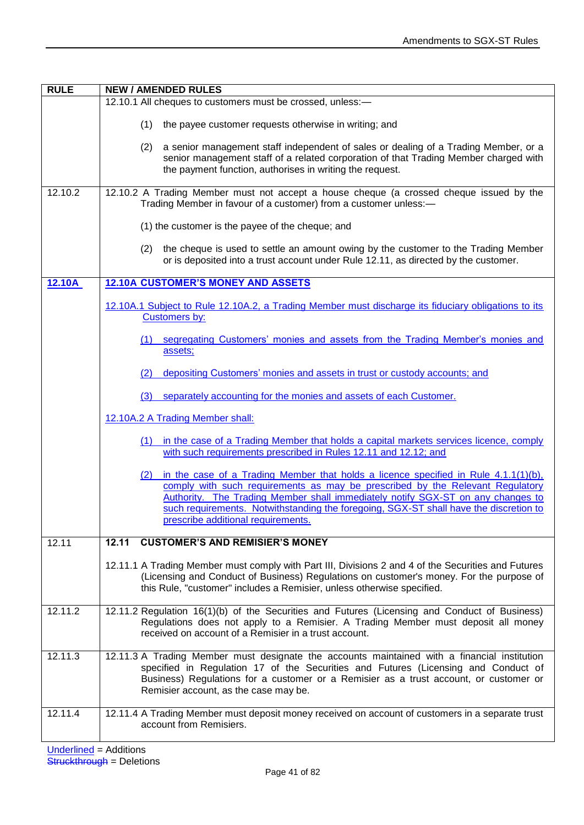| <b>RULE</b> | <b>NEW / AMENDED RULES</b>                                                                                                                                                                                                                                                                                                                                                                    |  |  |
|-------------|-----------------------------------------------------------------------------------------------------------------------------------------------------------------------------------------------------------------------------------------------------------------------------------------------------------------------------------------------------------------------------------------------|--|--|
|             | 12.10.1 All cheques to customers must be crossed, unless:-                                                                                                                                                                                                                                                                                                                                    |  |  |
|             | (1)<br>the payee customer requests otherwise in writing; and                                                                                                                                                                                                                                                                                                                                  |  |  |
|             | (2) a senior management staff independent of sales or dealing of a Trading Member, or a<br>senior management staff of a related corporation of that Trading Member charged with<br>the payment function, authorises in writing the request.                                                                                                                                                   |  |  |
| 12.10.2     | 12.10.2 A Trading Member must not accept a house cheque (a crossed cheque issued by the<br>Trading Member in favour of a customer) from a customer unless:-                                                                                                                                                                                                                                   |  |  |
|             | (1) the customer is the payee of the cheque; and                                                                                                                                                                                                                                                                                                                                              |  |  |
|             | the cheque is used to settle an amount owing by the customer to the Trading Member<br>(2)<br>or is deposited into a trust account under Rule 12.11, as directed by the customer.                                                                                                                                                                                                              |  |  |
| 12.10A      | <b>12.10A CUSTOMER'S MONEY AND ASSETS</b>                                                                                                                                                                                                                                                                                                                                                     |  |  |
|             | 12.10A.1 Subject to Rule 12.10A.2, a Trading Member must discharge its fiduciary obligations to its<br><b>Customers by:</b>                                                                                                                                                                                                                                                                   |  |  |
|             | segregating Customers' monies and assets from the Trading Member's monies and<br>(1)<br>assets;                                                                                                                                                                                                                                                                                               |  |  |
|             | depositing Customers' monies and assets in trust or custody accounts; and<br>(2)                                                                                                                                                                                                                                                                                                              |  |  |
|             | separately accounting for the monies and assets of each Customer.<br>(3)                                                                                                                                                                                                                                                                                                                      |  |  |
|             | 12.10A.2 A Trading Member shall:                                                                                                                                                                                                                                                                                                                                                              |  |  |
|             | (1) in the case of a Trading Member that holds a capital markets services licence, comply<br>with such requirements prescribed in Rules 12.11 and 12.12; and                                                                                                                                                                                                                                  |  |  |
|             | (2) in the case of a Trading Member that holds a licence specified in Rule $4.1.1(1)(b)$ ,<br>comply with such requirements as may be prescribed by the Relevant Regulatory<br>Authority. The Trading Member shall immediately notify SGX-ST on any changes to<br>such requirements. Notwithstanding the foregoing, SGX-ST shall have the discretion to<br>prescribe additional requirements. |  |  |
| 12.11       | 12.11<br><b>CUSTOMER'S AND REMISIER'S MONEY</b>                                                                                                                                                                                                                                                                                                                                               |  |  |
|             | 12.11.1 A Trading Member must comply with Part III, Divisions 2 and 4 of the Securities and Futures<br>(Licensing and Conduct of Business) Regulations on customer's money. For the purpose of<br>this Rule, "customer" includes a Remisier, unless otherwise specified.                                                                                                                      |  |  |
| 12.11.2     | 12.11.2 Regulation 16(1)(b) of the Securities and Futures (Licensing and Conduct of Business)<br>Regulations does not apply to a Remisier. A Trading Member must deposit all money<br>received on account of a Remisier in a trust account.                                                                                                                                                   |  |  |
| 12.11.3     | 12.11.3 A Trading Member must designate the accounts maintained with a financial institution<br>specified in Regulation 17 of the Securities and Futures (Licensing and Conduct of<br>Business) Regulations for a customer or a Remisier as a trust account, or customer or<br>Remisier account, as the case may be.                                                                          |  |  |
| 12.11.4     | 12.11.4 A Trading Member must deposit money received on account of customers in a separate trust<br>account from Remisiers.                                                                                                                                                                                                                                                                   |  |  |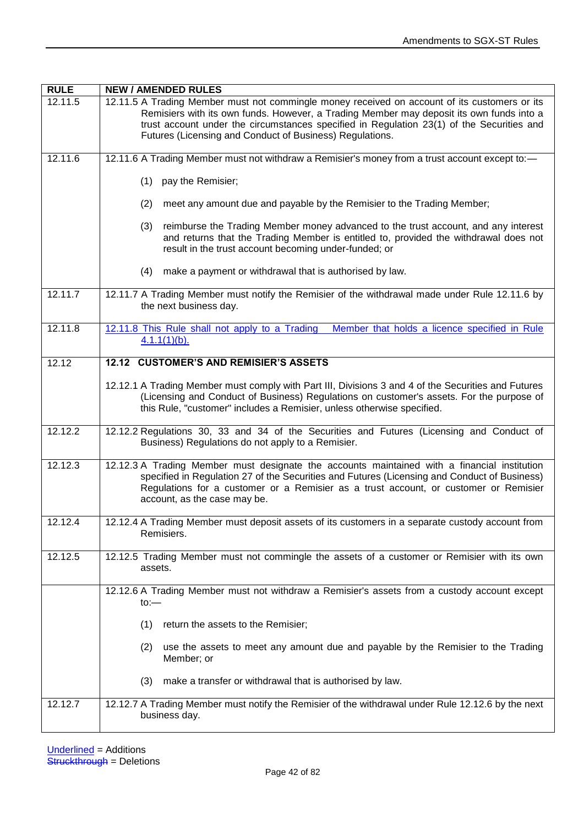| <b>RULE</b> | <b>NEW / AMENDED RULES</b>                                                                                                                                                                                                                                                                                                                         |
|-------------|----------------------------------------------------------------------------------------------------------------------------------------------------------------------------------------------------------------------------------------------------------------------------------------------------------------------------------------------------|
| 12.11.5     | 12.11.5 A Trading Member must not commingle money received on account of its customers or its<br>Remisiers with its own funds. However, a Trading Member may deposit its own funds into a<br>trust account under the circumstances specified in Regulation 23(1) of the Securities and<br>Futures (Licensing and Conduct of Business) Regulations. |
| 12.11.6     | 12.11.6 A Trading Member must not withdraw a Remisier's money from a trust account except to:-                                                                                                                                                                                                                                                     |
|             | pay the Remisier;<br>(1)                                                                                                                                                                                                                                                                                                                           |
|             | meet any amount due and payable by the Remisier to the Trading Member;<br>(2)                                                                                                                                                                                                                                                                      |
|             | reimburse the Trading Member money advanced to the trust account, and any interest<br>(3)<br>and returns that the Trading Member is entitled to, provided the withdrawal does not<br>result in the trust account becoming under-funded; or                                                                                                         |
|             | make a payment or withdrawal that is authorised by law.<br>(4)                                                                                                                                                                                                                                                                                     |
| 12.11.7     | 12.11.7 A Trading Member must notify the Remisier of the withdrawal made under Rule 12.11.6 by<br>the next business day.                                                                                                                                                                                                                           |
| 12.11.8     | 12.11.8 This Rule shall not apply to a Trading Member that holds a licence specified in Rule<br>$4.1.1(1)(b)$ .                                                                                                                                                                                                                                    |
| 12.12       | 12.12 CUSTOMER'S AND REMISIER'S ASSETS                                                                                                                                                                                                                                                                                                             |
|             | 12.12.1 A Trading Member must comply with Part III, Divisions 3 and 4 of the Securities and Futures<br>(Licensing and Conduct of Business) Regulations on customer's assets. For the purpose of<br>this Rule, "customer" includes a Remisier, unless otherwise specified.                                                                          |
| 12.12.2     | 12.12.2 Regulations 30, 33 and 34 of the Securities and Futures (Licensing and Conduct of<br>Business) Regulations do not apply to a Remisier.                                                                                                                                                                                                     |
| 12.12.3     | 12.12.3 A Trading Member must designate the accounts maintained with a financial institution<br>specified in Regulation 27 of the Securities and Futures (Licensing and Conduct of Business)<br>Regulations for a customer or a Remisier as a trust account, or customer or Remisier<br>account, as the case may be.                               |
| 12.12.4     | 12.12.4 A Trading Member must deposit assets of its customers in a separate custody account from<br>Remisiers.                                                                                                                                                                                                                                     |
| 12.12.5     | 12.12.5 Trading Member must not commingle the assets of a customer or Remisier with its own<br>assets.                                                                                                                                                                                                                                             |
|             | 12.12.6 A Trading Member must not withdraw a Remisier's assets from a custody account except<br>$to:=$                                                                                                                                                                                                                                             |
|             | return the assets to the Remisier;<br>(1)                                                                                                                                                                                                                                                                                                          |
|             | use the assets to meet any amount due and payable by the Remisier to the Trading<br>(2)<br>Member; or                                                                                                                                                                                                                                              |
|             | make a transfer or withdrawal that is authorised by law.<br>(3)                                                                                                                                                                                                                                                                                    |
| 12.12.7     | 12.12.7 A Trading Member must notify the Remisier of the withdrawal under Rule 12.12.6 by the next<br>business day.                                                                                                                                                                                                                                |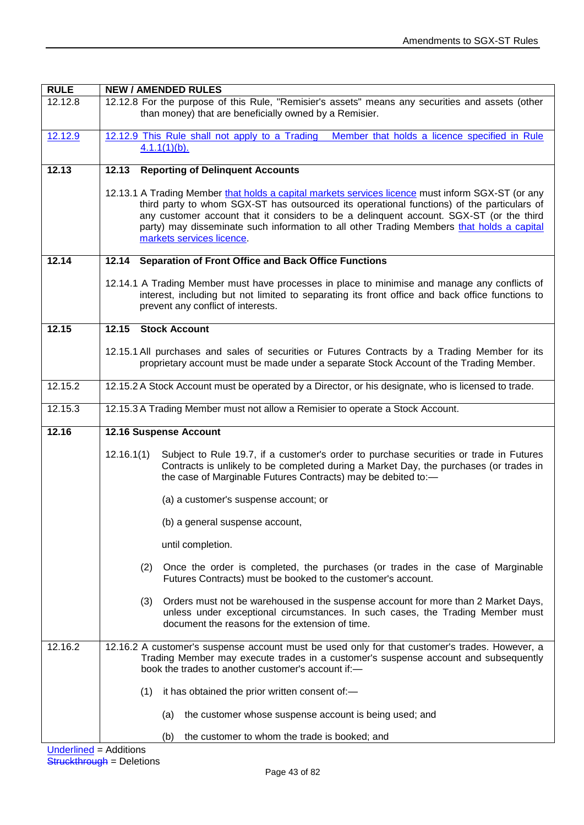| <b>RULE</b> | <b>NEW / AMENDED RULES</b>                                                                                                                                                                                                                                                                                                                                                                                           |  |  |
|-------------|----------------------------------------------------------------------------------------------------------------------------------------------------------------------------------------------------------------------------------------------------------------------------------------------------------------------------------------------------------------------------------------------------------------------|--|--|
| 12.12.8     | 12.12.8 For the purpose of this Rule, "Remisier's assets" means any securities and assets (other<br>than money) that are beneficially owned by a Remisier.                                                                                                                                                                                                                                                           |  |  |
| 12.12.9     | 12.12.9 This Rule shall not apply to a Trading Member that holds a licence specified in Rule<br>$4.1.1(1)(b)$ .                                                                                                                                                                                                                                                                                                      |  |  |
| 12.13       | <b>Reporting of Delinquent Accounts</b><br>12.13                                                                                                                                                                                                                                                                                                                                                                     |  |  |
|             | 12.13.1 A Trading Member that holds a capital markets services licence must inform SGX-ST (or any<br>third party to whom SGX-ST has outsourced its operational functions) of the particulars of<br>any customer account that it considers to be a delinquent account. SGX-ST (or the third<br>party) may disseminate such information to all other Trading Members that holds a capital<br>markets services licence. |  |  |
| 12.14       | 12.14 Separation of Front Office and Back Office Functions                                                                                                                                                                                                                                                                                                                                                           |  |  |
|             | 12.14.1 A Trading Member must have processes in place to minimise and manage any conflicts of<br>interest, including but not limited to separating its front office and back office functions to<br>prevent any conflict of interests.                                                                                                                                                                               |  |  |
| 12.15       | 12.15<br><b>Stock Account</b>                                                                                                                                                                                                                                                                                                                                                                                        |  |  |
|             | 12.15.1 All purchases and sales of securities or Futures Contracts by a Trading Member for its<br>proprietary account must be made under a separate Stock Account of the Trading Member.                                                                                                                                                                                                                             |  |  |
| 12.15.2     | 12.15.2 A Stock Account must be operated by a Director, or his designate, who is licensed to trade.                                                                                                                                                                                                                                                                                                                  |  |  |
| 12.15.3     | 12.15.3 A Trading Member must not allow a Remisier to operate a Stock Account.                                                                                                                                                                                                                                                                                                                                       |  |  |
| 12.16       | 12.16 Suspense Account                                                                                                                                                                                                                                                                                                                                                                                               |  |  |
|             | 12.16.1(1)<br>Subject to Rule 19.7, if a customer's order to purchase securities or trade in Futures<br>Contracts is unlikely to be completed during a Market Day, the purchases (or trades in<br>the case of Marginable Futures Contracts) may be debited to:-                                                                                                                                                      |  |  |
|             | (a) a customer's suspense account; or                                                                                                                                                                                                                                                                                                                                                                                |  |  |
|             | (b) a general suspense account,                                                                                                                                                                                                                                                                                                                                                                                      |  |  |
|             | until completion.                                                                                                                                                                                                                                                                                                                                                                                                    |  |  |
|             | (2)<br>Once the order is completed, the purchases (or trades in the case of Marginable<br>Futures Contracts) must be booked to the customer's account.                                                                                                                                                                                                                                                               |  |  |
|             | (3) Orders must not be warehoused in the suspense account for more than 2 Market Days,<br>unless under exceptional circumstances. In such cases, the Trading Member must<br>document the reasons for the extension of time.                                                                                                                                                                                          |  |  |
| 12.16.2     | 12.16.2 A customer's suspense account must be used only for that customer's trades. However, a<br>Trading Member may execute trades in a customer's suspense account and subsequently<br>book the trades to another customer's account if:-                                                                                                                                                                          |  |  |
|             | (1)<br>it has obtained the prior written consent of:-                                                                                                                                                                                                                                                                                                                                                                |  |  |
|             | the customer whose suspense account is being used; and<br>(a)                                                                                                                                                                                                                                                                                                                                                        |  |  |
|             | the customer to whom the trade is booked; and<br>(b)                                                                                                                                                                                                                                                                                                                                                                 |  |  |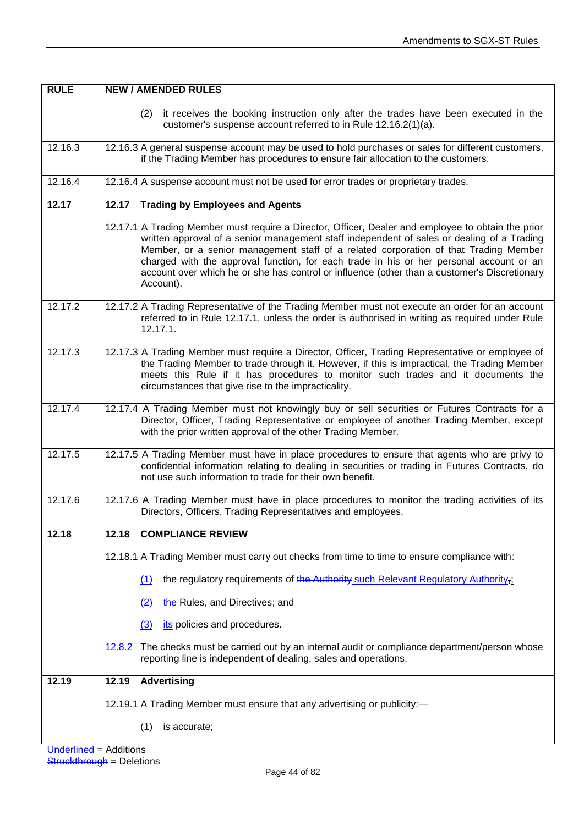| <b>RULE</b> | <b>NEW / AMENDED RULES</b>                                                                                                                                                                                                                                                                                                                                                                                                                                                                       |  |
|-------------|--------------------------------------------------------------------------------------------------------------------------------------------------------------------------------------------------------------------------------------------------------------------------------------------------------------------------------------------------------------------------------------------------------------------------------------------------------------------------------------------------|--|
|             | it receives the booking instruction only after the trades have been executed in the<br>(2)<br>customer's suspense account referred to in Rule 12.16.2(1)(a).                                                                                                                                                                                                                                                                                                                                     |  |
| 12.16.3     | 12.16.3 A general suspense account may be used to hold purchases or sales for different customers,<br>if the Trading Member has procedures to ensure fair allocation to the customers.                                                                                                                                                                                                                                                                                                           |  |
| 12.16.4     | 12.16.4 A suspense account must not be used for error trades or proprietary trades.                                                                                                                                                                                                                                                                                                                                                                                                              |  |
| 12.17       | 12.17 Trading by Employees and Agents                                                                                                                                                                                                                                                                                                                                                                                                                                                            |  |
|             | 12.17.1 A Trading Member must require a Director, Officer, Dealer and employee to obtain the prior<br>written approval of a senior management staff independent of sales or dealing of a Trading<br>Member, or a senior management staff of a related corporation of that Trading Member<br>charged with the approval function, for each trade in his or her personal account or an<br>account over which he or she has control or influence (other than a customer's Discretionary<br>Account). |  |
| 12.17.2     | 12.17.2 A Trading Representative of the Trading Member must not execute an order for an account<br>referred to in Rule 12.17.1, unless the order is authorised in writing as required under Rule<br>12.17.1.                                                                                                                                                                                                                                                                                     |  |
| 12.17.3     | 12.17.3 A Trading Member must require a Director, Officer, Trading Representative or employee of<br>the Trading Member to trade through it. However, if this is impractical, the Trading Member<br>meets this Rule if it has procedures to monitor such trades and it documents the<br>circumstances that give rise to the impracticality.                                                                                                                                                       |  |
| 12.17.4     | 12.17.4 A Trading Member must not knowingly buy or sell securities or Futures Contracts for a<br>Director, Officer, Trading Representative or employee of another Trading Member, except<br>with the prior written approval of the other Trading Member.                                                                                                                                                                                                                                         |  |
| 12.17.5     | 12.17.5 A Trading Member must have in place procedures to ensure that agents who are privy to<br>confidential information relating to dealing in securities or trading in Futures Contracts, do<br>not use such information to trade for their own benefit.                                                                                                                                                                                                                                      |  |
| 12.17.6     | 12.17.6 A Trading Member must have in place procedures to monitor the trading activities of its<br>Directors, Officers, Trading Representatives and employees.                                                                                                                                                                                                                                                                                                                                   |  |
| 12.18       | <b>COMPLIANCE REVIEW</b><br>12.18                                                                                                                                                                                                                                                                                                                                                                                                                                                                |  |
|             | 12.18.1 A Trading Member must carry out checks from time to time to ensure compliance with:                                                                                                                                                                                                                                                                                                                                                                                                      |  |
|             | the regulatory requirements of the Authority such Relevant Regulatory Authority,;<br>(1)                                                                                                                                                                                                                                                                                                                                                                                                         |  |
|             | the Rules, and Directives; and<br>(2)                                                                                                                                                                                                                                                                                                                                                                                                                                                            |  |
|             | its policies and procedures.<br>(3)                                                                                                                                                                                                                                                                                                                                                                                                                                                              |  |
|             | The checks must be carried out by an internal audit or compliance department/person whose<br>12.8.2<br>reporting line is independent of dealing, sales and operations.                                                                                                                                                                                                                                                                                                                           |  |
| 12.19       | 12.19<br><b>Advertising</b>                                                                                                                                                                                                                                                                                                                                                                                                                                                                      |  |
|             | 12.19.1 A Trading Member must ensure that any advertising or publicity:-                                                                                                                                                                                                                                                                                                                                                                                                                         |  |
|             | (1)<br>is accurate;                                                                                                                                                                                                                                                                                                                                                                                                                                                                              |  |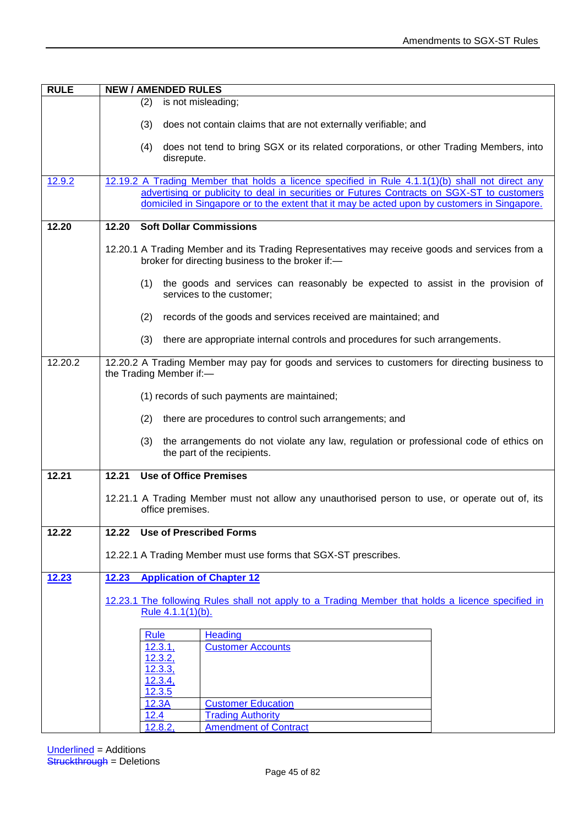| <b>RULE</b> | <b>NEW / AMENDED RULES</b>                                                                                                                                                                 |  |
|-------------|--------------------------------------------------------------------------------------------------------------------------------------------------------------------------------------------|--|
|             | (2)<br>is not misleading;                                                                                                                                                                  |  |
|             | (3)<br>does not contain claims that are not externally verifiable; and                                                                                                                     |  |
|             |                                                                                                                                                                                            |  |
|             | does not tend to bring SGX or its related corporations, or other Trading Members, into<br>(4)<br>disrepute.                                                                                |  |
| 12.9.2      | 12.19.2 A Trading Member that holds a licence specified in Rule 4.1.1(1)(b) shall not direct any                                                                                           |  |
|             | advertising or publicity to deal in securities or Futures Contracts on SGX-ST to customers<br>domiciled in Singapore or to the extent that it may be acted upon by customers in Singapore. |  |
| 12.20       | <b>Soft Dollar Commissions</b><br>12.20                                                                                                                                                    |  |
|             |                                                                                                                                                                                            |  |
|             | 12.20.1 A Trading Member and its Trading Representatives may receive goods and services from a<br>broker for directing business to the broker if:-                                         |  |
|             | (1)<br>the goods and services can reasonably be expected to assist in the provision of<br>services to the customer;                                                                        |  |
|             | (2)<br>records of the goods and services received are maintained; and                                                                                                                      |  |
|             | (3)<br>there are appropriate internal controls and procedures for such arrangements.                                                                                                       |  |
| 12.20.2     | 12.20.2 A Trading Member may pay for goods and services to customers for directing business to                                                                                             |  |
|             | the Trading Member if:-                                                                                                                                                                    |  |
|             | (1) records of such payments are maintained;                                                                                                                                               |  |
|             | there are procedures to control such arrangements; and<br>(2)                                                                                                                              |  |
|             | the arrangements do not violate any law, regulation or professional code of ethics on<br>(3)<br>the part of the recipients.                                                                |  |
| 12.21       | 12.21<br><b>Use of Office Premises</b>                                                                                                                                                     |  |
|             | 12.21.1 A Trading Member must not allow any unauthorised person to use, or operate out of, its                                                                                             |  |
|             | office premises.                                                                                                                                                                           |  |
| 12.22       | <b>Use of Prescribed Forms</b><br>12.22                                                                                                                                                    |  |
|             |                                                                                                                                                                                            |  |
|             | 12.22.1 A Trading Member must use forms that SGX-ST prescribes.                                                                                                                            |  |
| 12.23       | <b>Application of Chapter 12</b><br>12.23                                                                                                                                                  |  |
|             | 12.23.1 The following Rules shall not apply to a Trading Member that holds a licence specified in                                                                                          |  |
|             | Rule 4.1.1(1)(b).                                                                                                                                                                          |  |
|             |                                                                                                                                                                                            |  |
|             | <b>Heading</b><br><b>Rule</b>                                                                                                                                                              |  |
|             | <b>Customer Accounts</b><br>12.3.1,<br>12.3.2,                                                                                                                                             |  |
|             | 12.3.3,                                                                                                                                                                                    |  |
|             | 12.3.4,                                                                                                                                                                                    |  |
|             | 12.3.5                                                                                                                                                                                     |  |
|             | 12.3A<br><b>Customer Education</b><br><b>Trading Authority</b><br>12.4                                                                                                                     |  |
|             | 12.8.2,<br><b>Amendment of Contract</b>                                                                                                                                                    |  |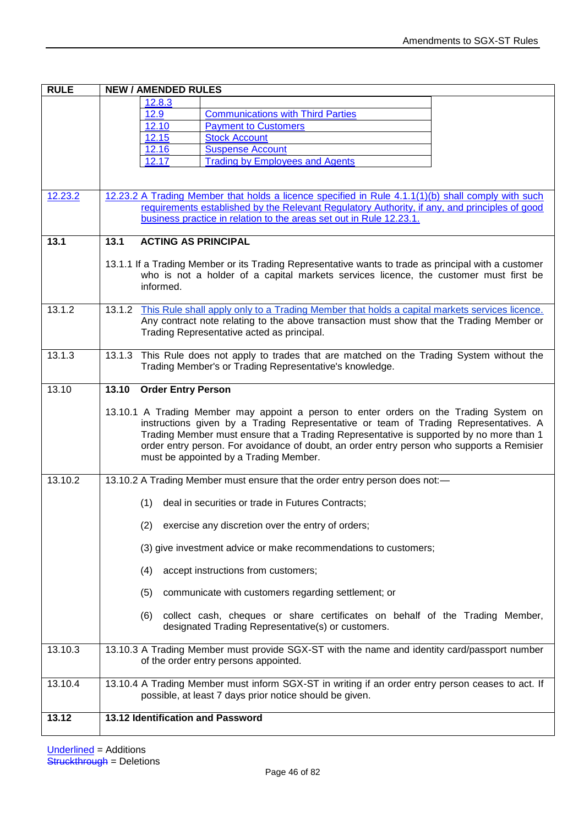| <b>RULE</b> | <b>NEW / AMENDED RULES</b>                                                                                                                                                                       |  |  |
|-------------|--------------------------------------------------------------------------------------------------------------------------------------------------------------------------------------------------|--|--|
|             | 12.8.3                                                                                                                                                                                           |  |  |
|             | <u>12.9</u><br><b>Communications with Third Parties</b>                                                                                                                                          |  |  |
|             | 12.10<br><b>Payment to Customers</b>                                                                                                                                                             |  |  |
|             | 12.15<br><b>Stock Account</b>                                                                                                                                                                    |  |  |
|             | 12.16<br><b>Suspense Account</b><br><b>Trading by Employees and Agents</b><br>12.17                                                                                                              |  |  |
|             |                                                                                                                                                                                                  |  |  |
|             |                                                                                                                                                                                                  |  |  |
| 12.23.2     | 12.23.2 A Trading Member that holds a licence specified in Rule 4.1.1(1)(b) shall comply with such                                                                                               |  |  |
|             | requirements established by the Relevant Requlatory Authority, if any, and principles of good                                                                                                    |  |  |
|             | business practice in relation to the areas set out in Rule 12.23.1.                                                                                                                              |  |  |
| 13.1        | 13.1<br><b>ACTING AS PRINCIPAL</b>                                                                                                                                                               |  |  |
|             |                                                                                                                                                                                                  |  |  |
|             | 13.1.1 If a Trading Member or its Trading Representative wants to trade as principal with a customer                                                                                             |  |  |
|             | who is not a holder of a capital markets services licence, the customer must first be                                                                                                            |  |  |
|             | informed.                                                                                                                                                                                        |  |  |
|             |                                                                                                                                                                                                  |  |  |
| 13.1.2      | 13.1.2 This Rule shall apply only to a Trading Member that holds a capital markets services licence.<br>Any contract note relating to the above transaction must show that the Trading Member or |  |  |
|             | Trading Representative acted as principal.                                                                                                                                                       |  |  |
|             |                                                                                                                                                                                                  |  |  |
| 13.1.3      | 13.1.3 This Rule does not apply to trades that are matched on the Trading System without the                                                                                                     |  |  |
|             | Trading Member's or Trading Representative's knowledge.                                                                                                                                          |  |  |
|             | 13.10                                                                                                                                                                                            |  |  |
| 13.10       | <b>Order Entry Person</b>                                                                                                                                                                        |  |  |
|             | 13.10.1 A Trading Member may appoint a person to enter orders on the Trading System on                                                                                                           |  |  |
|             | instructions given by a Trading Representative or team of Trading Representatives. A                                                                                                             |  |  |
|             | Trading Member must ensure that a Trading Representative is supported by no more than 1                                                                                                          |  |  |
|             | order entry person. For avoidance of doubt, an order entry person who supports a Remisier                                                                                                        |  |  |
|             | must be appointed by a Trading Member.                                                                                                                                                           |  |  |
| 13.10.2     | 13.10.2 A Trading Member must ensure that the order entry person does not:-                                                                                                                      |  |  |
|             |                                                                                                                                                                                                  |  |  |
|             | deal in securities or trade in Futures Contracts;<br>(1)                                                                                                                                         |  |  |
|             | (2) exercise any discretion over the entry of orders;                                                                                                                                            |  |  |
|             | (3) give investment advice or make recommendations to customers;                                                                                                                                 |  |  |
|             | accept instructions from customers;<br>(4)                                                                                                                                                       |  |  |
|             | (5)<br>communicate with customers regarding settlement; or                                                                                                                                       |  |  |
|             |                                                                                                                                                                                                  |  |  |
|             | collect cash, cheques or share certificates on behalf of the Trading Member,<br>(6)<br>designated Trading Representative(s) or customers.                                                        |  |  |
| 13.10.3     | 13.10.3 A Trading Member must provide SGX-ST with the name and identity card/passport number<br>of the order entry persons appointed.                                                            |  |  |
| 13.10.4     | 13.10.4 A Trading Member must inform SGX-ST in writing if an order entry person ceases to act. If<br>possible, at least 7 days prior notice should be given.                                     |  |  |
| 13.12       | 13.12 Identification and Password                                                                                                                                                                |  |  |
|             |                                                                                                                                                                                                  |  |  |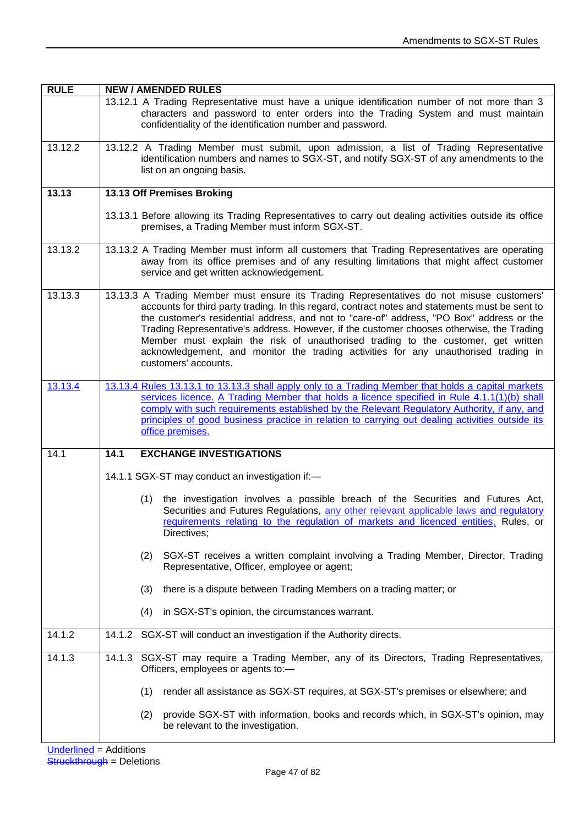| <b>RULE</b> | <b>NEW / AMENDED RULES</b>                                                                                                                                                                                                                                                                                                                                                                                                                                                                                                                                                                 |  |  |
|-------------|--------------------------------------------------------------------------------------------------------------------------------------------------------------------------------------------------------------------------------------------------------------------------------------------------------------------------------------------------------------------------------------------------------------------------------------------------------------------------------------------------------------------------------------------------------------------------------------------|--|--|
|             | 13.12.1 A Trading Representative must have a unique identification number of not more than 3<br>characters and password to enter orders into the Trading System and must maintain<br>confidentiality of the identification number and password.                                                                                                                                                                                                                                                                                                                                            |  |  |
| 13.12.2     | 13.12.2 A Trading Member must submit, upon admission, a list of Trading Representative<br>identification numbers and names to SGX-ST, and notify SGX-ST of any amendments to the<br>list on an ongoing basis.                                                                                                                                                                                                                                                                                                                                                                              |  |  |
| 13.13       | 13.13 Off Premises Broking                                                                                                                                                                                                                                                                                                                                                                                                                                                                                                                                                                 |  |  |
|             | 13.13.1 Before allowing its Trading Representatives to carry out dealing activities outside its office<br>premises, a Trading Member must inform SGX-ST.                                                                                                                                                                                                                                                                                                                                                                                                                                   |  |  |
| 13.13.2     | 13.13.2 A Trading Member must inform all customers that Trading Representatives are operating<br>away from its office premises and of any resulting limitations that might affect customer<br>service and get written acknowledgement.                                                                                                                                                                                                                                                                                                                                                     |  |  |
| 13.13.3     | 13.13.3 A Trading Member must ensure its Trading Representatives do not misuse customers'<br>accounts for third party trading. In this regard, contract notes and statements must be sent to<br>the customer's residential address, and not to "care-of" address, "PO Box" address or the<br>Trading Representative's address. However, if the customer chooses otherwise, the Trading<br>Member must explain the risk of unauthorised trading to the customer, get written<br>acknowledgement, and monitor the trading activities for any unauthorised trading in<br>customers' accounts. |  |  |
| 13.13.4     | 13.13.4 Rules 13.13.1 to 13.13.3 shall apply only to a Trading Member that holds a capital markets<br>services licence. A Trading Member that holds a licence specified in Rule 4.1.1(1)(b) shall<br>comply with such requirements established by the Relevant Regulatory Authority, if any, and<br>principles of good business practice in relation to carrying out dealing activities outside its<br>office premises.                                                                                                                                                                    |  |  |
| 14.1        | <b>EXCHANGE INVESTIGATIONS</b><br>14.1                                                                                                                                                                                                                                                                                                                                                                                                                                                                                                                                                     |  |  |
|             | 14.1.1 SGX-ST may conduct an investigation if:-                                                                                                                                                                                                                                                                                                                                                                                                                                                                                                                                            |  |  |
|             | the investigation involves a possible breach of the Securities and Futures Act,<br>(1)<br>Securities and Futures Regulations, any other relevant applicable laws and regulatory<br>requirements relating to the regulation of markets and licenced entities. Rules, or<br>Directives;                                                                                                                                                                                                                                                                                                      |  |  |
|             | (2)<br>SGX-ST receives a written complaint involving a Trading Member, Director, Trading<br>Representative, Officer, employee or agent;                                                                                                                                                                                                                                                                                                                                                                                                                                                    |  |  |
|             | there is a dispute between Trading Members on a trading matter; or<br>(3)                                                                                                                                                                                                                                                                                                                                                                                                                                                                                                                  |  |  |
|             | in SGX-ST's opinion, the circumstances warrant.<br>(4)                                                                                                                                                                                                                                                                                                                                                                                                                                                                                                                                     |  |  |
| 14.1.2      | 14.1.2 SGX-ST will conduct an investigation if the Authority directs.                                                                                                                                                                                                                                                                                                                                                                                                                                                                                                                      |  |  |
| 14.1.3      | SGX-ST may require a Trading Member, any of its Directors, Trading Representatives,<br>14.1.3<br>Officers, employees or agents to:-                                                                                                                                                                                                                                                                                                                                                                                                                                                        |  |  |
|             | (1)<br>render all assistance as SGX-ST requires, at SGX-ST's premises or elsewhere; and                                                                                                                                                                                                                                                                                                                                                                                                                                                                                                    |  |  |
|             | provide SGX-ST with information, books and records which, in SGX-ST's opinion, may<br>(2)<br>be relevant to the investigation.                                                                                                                                                                                                                                                                                                                                                                                                                                                             |  |  |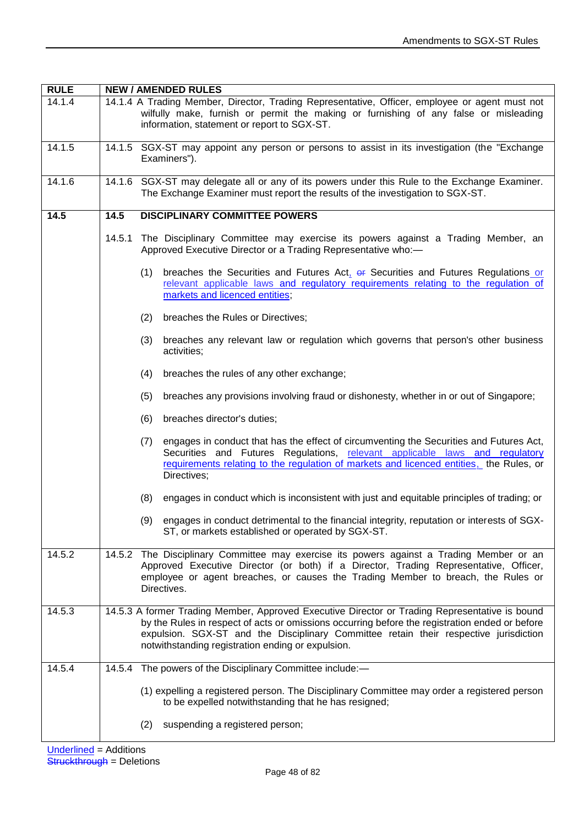| <b>RULE</b> | <b>NEW / AMENDED RULES</b> |                                                                                                                                                                                                                                                                                                                                                |  |
|-------------|----------------------------|------------------------------------------------------------------------------------------------------------------------------------------------------------------------------------------------------------------------------------------------------------------------------------------------------------------------------------------------|--|
| 14.1.4      |                            | 14.1.4 A Trading Member, Director, Trading Representative, Officer, employee or agent must not<br>wilfully make, furnish or permit the making or furnishing of any false or misleading<br>information, statement or report to SGX-ST.                                                                                                          |  |
| 14.1.5      |                            | 14.1.5 SGX-ST may appoint any person or persons to assist in its investigation (the "Exchange"<br>Examiners").                                                                                                                                                                                                                                 |  |
| 14.1.6      |                            | 14.1.6 SGX-ST may delegate all or any of its powers under this Rule to the Exchange Examiner.<br>The Exchange Examiner must report the results of the investigation to SGX-ST.                                                                                                                                                                 |  |
| 14.5        | 14.5                       | <b>DISCIPLINARY COMMITTEE POWERS</b>                                                                                                                                                                                                                                                                                                           |  |
|             | 14.5.1                     | The Disciplinary Committee may exercise its powers against a Trading Member, an<br>Approved Executive Director or a Trading Representative who:-                                                                                                                                                                                               |  |
|             | (1)                        | breaches the Securities and Futures Act, or Securities and Futures Regulations or<br>relevant applicable laws and regulatory requirements relating to the regulation of<br>markets and licenced entities;                                                                                                                                      |  |
|             | (2)                        | breaches the Rules or Directives;                                                                                                                                                                                                                                                                                                              |  |
|             | (3)                        | breaches any relevant law or regulation which governs that person's other business<br>activities;                                                                                                                                                                                                                                              |  |
|             | (4)                        | breaches the rules of any other exchange;                                                                                                                                                                                                                                                                                                      |  |
|             | (5)                        | breaches any provisions involving fraud or dishonesty, whether in or out of Singapore;                                                                                                                                                                                                                                                         |  |
|             | (6)                        | breaches director's duties;                                                                                                                                                                                                                                                                                                                    |  |
|             | (7)                        | engages in conduct that has the effect of circumventing the Securities and Futures Act,<br>Securities and Futures Regulations, relevant applicable laws and regulatory<br>requirements relating to the regulation of markets and licenced entities, the Rules, or<br>Directives;                                                               |  |
|             | (8)                        | engages in conduct which is inconsistent with just and equitable principles of trading; or                                                                                                                                                                                                                                                     |  |
|             | (9)                        | engages in conduct detrimental to the financial integrity, reputation or interests of SGX-<br>ST, or markets established or operated by SGX-ST.                                                                                                                                                                                                |  |
| 14.5.2      |                            | 14.5.2 The Disciplinary Committee may exercise its powers against a Trading Member or an<br>Approved Executive Director (or both) if a Director, Trading Representative, Officer,<br>employee or agent breaches, or causes the Trading Member to breach, the Rules or<br>Directives.                                                           |  |
| 14.5.3      |                            | 14.5.3 A former Trading Member, Approved Executive Director or Trading Representative is bound<br>by the Rules in respect of acts or omissions occurring before the registration ended or before<br>expulsion. SGX-ST and the Disciplinary Committee retain their respective jurisdiction<br>notwithstanding registration ending or expulsion. |  |
| 14.5.4      |                            | 14.5.4 The powers of the Disciplinary Committee include:-                                                                                                                                                                                                                                                                                      |  |
|             |                            | (1) expelling a registered person. The Disciplinary Committee may order a registered person<br>to be expelled notwithstanding that he has resigned;                                                                                                                                                                                            |  |
|             | (2)                        | suspending a registered person;                                                                                                                                                                                                                                                                                                                |  |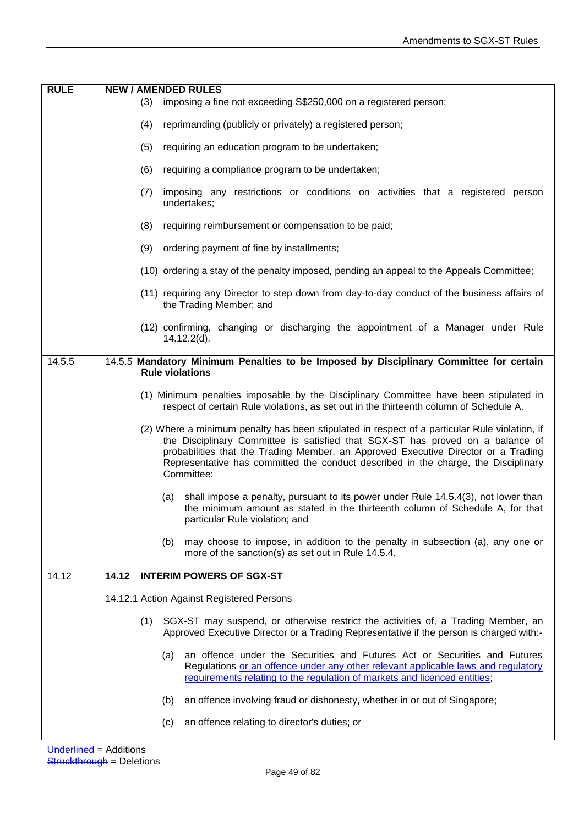| <b>RULE</b> | <b>NEW / AMENDED RULES</b>                                                                                                                                                                                                                                                                                                                                                |  |  |  |  |
|-------------|---------------------------------------------------------------------------------------------------------------------------------------------------------------------------------------------------------------------------------------------------------------------------------------------------------------------------------------------------------------------------|--|--|--|--|
|             | imposing a fine not exceeding S\$250,000 on a registered person;<br>(3)                                                                                                                                                                                                                                                                                                   |  |  |  |  |
|             | reprimanding (publicly or privately) a registered person;<br>(4)                                                                                                                                                                                                                                                                                                          |  |  |  |  |
|             | (5)<br>requiring an education program to be undertaken;                                                                                                                                                                                                                                                                                                                   |  |  |  |  |
|             | (6)<br>requiring a compliance program to be undertaken;                                                                                                                                                                                                                                                                                                                   |  |  |  |  |
|             | imposing any restrictions or conditions on activities that a registered person<br>(7)<br>undertakes;                                                                                                                                                                                                                                                                      |  |  |  |  |
|             | (8)<br>requiring reimbursement or compensation to be paid;                                                                                                                                                                                                                                                                                                                |  |  |  |  |
|             | ordering payment of fine by installments;<br>(9)                                                                                                                                                                                                                                                                                                                          |  |  |  |  |
|             | (10) ordering a stay of the penalty imposed, pending an appeal to the Appeals Committee;                                                                                                                                                                                                                                                                                  |  |  |  |  |
|             | (11) requiring any Director to step down from day-to-day conduct of the business affairs of<br>the Trading Member; and                                                                                                                                                                                                                                                    |  |  |  |  |
|             | (12) confirming, changing or discharging the appointment of a Manager under Rule<br>$14.12.2(d)$ .                                                                                                                                                                                                                                                                        |  |  |  |  |
| 14.5.5      | 14.5.5 Mandatory Minimum Penalties to be Imposed by Disciplinary Committee for certain                                                                                                                                                                                                                                                                                    |  |  |  |  |
|             | <b>Rule violations</b>                                                                                                                                                                                                                                                                                                                                                    |  |  |  |  |
|             | (1) Minimum penalties imposable by the Disciplinary Committee have been stipulated in<br>respect of certain Rule violations, as set out in the thirteenth column of Schedule A.                                                                                                                                                                                           |  |  |  |  |
|             | (2) Where a minimum penalty has been stipulated in respect of a particular Rule violation, if<br>the Disciplinary Committee is satisfied that SGX-ST has proved on a balance of<br>probabilities that the Trading Member, an Approved Executive Director or a Trading<br>Representative has committed the conduct described in the charge, the Disciplinary<br>Committee: |  |  |  |  |
|             | shall impose a penalty, pursuant to its power under Rule 14.5.4(3), not lower than<br>(a)<br>the minimum amount as stated in the thirteenth column of Schedule A, for that<br>particular Rule violation; and                                                                                                                                                              |  |  |  |  |
|             | may choose to impose, in addition to the penalty in subsection (a), any one or<br>(b)<br>more of the sanction(s) as set out in Rule 14.5.4.                                                                                                                                                                                                                               |  |  |  |  |
| 14.12       | <b>INTERIM POWERS OF SGX-ST</b><br>14.12                                                                                                                                                                                                                                                                                                                                  |  |  |  |  |
|             | 14.12.1 Action Against Registered Persons                                                                                                                                                                                                                                                                                                                                 |  |  |  |  |
|             | SGX-ST may suspend, or otherwise restrict the activities of, a Trading Member, an<br>(1)<br>Approved Executive Director or a Trading Representative if the person is charged with:-                                                                                                                                                                                       |  |  |  |  |
|             | an offence under the Securities and Futures Act or Securities and Futures<br>(a)<br>Regulations or an offence under any other relevant applicable laws and regulatory<br>requirements relating to the regulation of markets and licenced entities,                                                                                                                        |  |  |  |  |
|             | an offence involving fraud or dishonesty, whether in or out of Singapore;<br>(b)                                                                                                                                                                                                                                                                                          |  |  |  |  |
|             | an offence relating to director's duties; or<br>(c)                                                                                                                                                                                                                                                                                                                       |  |  |  |  |
|             |                                                                                                                                                                                                                                                                                                                                                                           |  |  |  |  |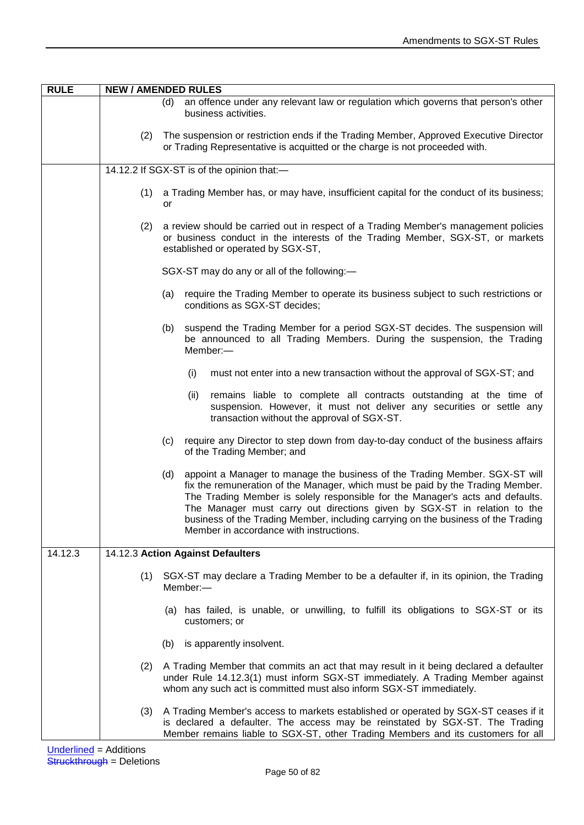| <b>RULE</b> | <b>NEW / AMENDED RULES</b>                                                                                                                                                |                                                                                                                                                                                                                                                                                                                                                                                                                                                                   |  |  |
|-------------|---------------------------------------------------------------------------------------------------------------------------------------------------------------------------|-------------------------------------------------------------------------------------------------------------------------------------------------------------------------------------------------------------------------------------------------------------------------------------------------------------------------------------------------------------------------------------------------------------------------------------------------------------------|--|--|
|             |                                                                                                                                                                           | an offence under any relevant law or regulation which governs that person's other<br>(d)<br>business activities.                                                                                                                                                                                                                                                                                                                                                  |  |  |
|             |                                                                                                                                                                           | (2) The suspension or restriction ends if the Trading Member, Approved Executive Director<br>or Trading Representative is acquitted or the charge is not proceeded with.                                                                                                                                                                                                                                                                                          |  |  |
|             | 14.12.2 If SGX-ST is of the opinion that:-                                                                                                                                |                                                                                                                                                                                                                                                                                                                                                                                                                                                                   |  |  |
|             | a Trading Member has, or may have, insufficient capital for the conduct of its business;<br>(1)<br>or                                                                     |                                                                                                                                                                                                                                                                                                                                                                                                                                                                   |  |  |
|             | (2)                                                                                                                                                                       | a review should be carried out in respect of a Trading Member's management policies<br>or business conduct in the interests of the Trading Member, SGX-ST, or markets<br>established or operated by SGX-ST,                                                                                                                                                                                                                                                       |  |  |
|             |                                                                                                                                                                           | SGX-ST may do any or all of the following:-                                                                                                                                                                                                                                                                                                                                                                                                                       |  |  |
|             |                                                                                                                                                                           | require the Trading Member to operate its business subject to such restrictions or<br>(a)<br>conditions as SGX-ST decides;                                                                                                                                                                                                                                                                                                                                        |  |  |
|             | suspend the Trading Member for a period SGX-ST decides. The suspension will<br>(b)<br>be announced to all Trading Members. During the suspension, the Trading<br>Member:- |                                                                                                                                                                                                                                                                                                                                                                                                                                                                   |  |  |
|             |                                                                                                                                                                           | must not enter into a new transaction without the approval of SGX-ST; and<br>(i)                                                                                                                                                                                                                                                                                                                                                                                  |  |  |
|             |                                                                                                                                                                           | remains liable to complete all contracts outstanding at the time of<br>(ii)<br>suspension. However, it must not deliver any securities or settle any<br>transaction without the approval of SGX-ST.                                                                                                                                                                                                                                                               |  |  |
|             |                                                                                                                                                                           | require any Director to step down from day-to-day conduct of the business affairs<br>(c)<br>of the Trading Member; and                                                                                                                                                                                                                                                                                                                                            |  |  |
|             |                                                                                                                                                                           | appoint a Manager to manage the business of the Trading Member. SGX-ST will<br>(d)<br>fix the remuneration of the Manager, which must be paid by the Trading Member.<br>The Trading Member is solely responsible for the Manager's acts and defaults.<br>The Manager must carry out directions given by SGX-ST in relation to the<br>business of the Trading Member, including carrying on the business of the Trading<br>Member in accordance with instructions. |  |  |
| 14.12.3     | 14.12.3 Action Against Defaulters                                                                                                                                         |                                                                                                                                                                                                                                                                                                                                                                                                                                                                   |  |  |
|             | (1)                                                                                                                                                                       | SGX-ST may declare a Trading Member to be a defaulter if, in its opinion, the Trading<br>Member:-                                                                                                                                                                                                                                                                                                                                                                 |  |  |
|             |                                                                                                                                                                           | (a) has failed, is unable, or unwilling, to fulfill its obligations to SGX-ST or its<br>customers; or                                                                                                                                                                                                                                                                                                                                                             |  |  |
|             |                                                                                                                                                                           | is apparently insolvent.<br>(b)                                                                                                                                                                                                                                                                                                                                                                                                                                   |  |  |
|             | (2)                                                                                                                                                                       | A Trading Member that commits an act that may result in it being declared a defaulter<br>under Rule 14.12.3(1) must inform SGX-ST immediately. A Trading Member against<br>whom any such act is committed must also inform SGX-ST immediately.                                                                                                                                                                                                                    |  |  |
|             | (3)                                                                                                                                                                       | A Trading Member's access to markets established or operated by SGX-ST ceases if it<br>is declared a defaulter. The access may be reinstated by SGX-ST. The Trading<br>Member remains liable to SGX-ST, other Trading Members and its customers for all                                                                                                                                                                                                           |  |  |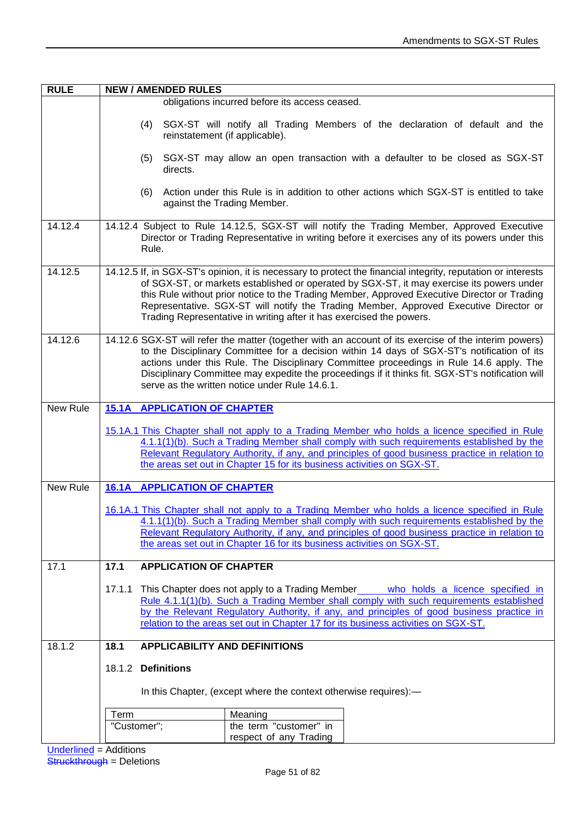| <b>RULE</b> | <b>NEW / AMENDED RULES</b>                                                                                                                                                                                                                                                                                                                                                                                                                                                 |  |  |  |  |
|-------------|----------------------------------------------------------------------------------------------------------------------------------------------------------------------------------------------------------------------------------------------------------------------------------------------------------------------------------------------------------------------------------------------------------------------------------------------------------------------------|--|--|--|--|
|             | obligations incurred before its access ceased.                                                                                                                                                                                                                                                                                                                                                                                                                             |  |  |  |  |
|             | SGX-ST will notify all Trading Members of the declaration of default and the<br>(4)<br>reinstatement (if applicable).                                                                                                                                                                                                                                                                                                                                                      |  |  |  |  |
|             | (5)<br>SGX-ST may allow an open transaction with a defaulter to be closed as SGX-ST<br>directs.                                                                                                                                                                                                                                                                                                                                                                            |  |  |  |  |
|             | Action under this Rule is in addition to other actions which SGX-ST is entitled to take<br>(6)<br>against the Trading Member.                                                                                                                                                                                                                                                                                                                                              |  |  |  |  |
| 14.12.4     | 14.12.4 Subject to Rule 14.12.5, SGX-ST will notify the Trading Member, Approved Executive<br>Director or Trading Representative in writing before it exercises any of its powers under this<br>Rule.                                                                                                                                                                                                                                                                      |  |  |  |  |
| 14.12.5     | 14.12.5 If, in SGX-ST's opinion, it is necessary to protect the financial integrity, reputation or interests<br>of SGX-ST, or markets established or operated by SGX-ST, it may exercise its powers under<br>this Rule without prior notice to the Trading Member, Approved Executive Director or Trading<br>Representative. SGX-ST will notify the Trading Member, Approved Executive Director or<br>Trading Representative in writing after it has exercised the powers. |  |  |  |  |
| 14.12.6     | 14.12.6 SGX-ST will refer the matter (together with an account of its exercise of the interim powers)<br>to the Disciplinary Committee for a decision within 14 days of SGX-ST's notification of its<br>actions under this Rule. The Disciplinary Committee proceedings in Rule 14.6 apply. The<br>Disciplinary Committee may expedite the proceedings if it thinks fit. SGX-ST's notification will<br>serve as the written notice under Rule 14.6.1.                      |  |  |  |  |
| New Rule    | <b>15.1A APPLICATION OF CHAPTER</b>                                                                                                                                                                                                                                                                                                                                                                                                                                        |  |  |  |  |
|             | 15.1A.1 This Chapter shall not apply to a Trading Member who holds a licence specified in Rule<br>4.1.1(1)(b). Such a Trading Member shall comply with such requirements established by the<br>Relevant Regulatory Authority, if any, and principles of good business practice in relation to<br>the areas set out in Chapter 15 for its business activities on SGX-ST.                                                                                                    |  |  |  |  |
| New Rule    | <b>16.1A APPLICATION OF CHAPTER</b>                                                                                                                                                                                                                                                                                                                                                                                                                                        |  |  |  |  |
|             | 16.1A.1 This Chapter shall not apply to a Trading Member who holds a licence specified in Rule<br>4.1.1(1)(b). Such a Trading Member shall comply with such requirements established by the<br>Relevant Regulatory Authority, if any, and principles of good business practice in relation to<br>the areas set out in Chapter 16 for its business activities on SGX-ST.                                                                                                    |  |  |  |  |
| 17.1        | <b>APPLICATION OF CHAPTER</b><br>17.1                                                                                                                                                                                                                                                                                                                                                                                                                                      |  |  |  |  |
|             | This Chapter does not apply to a Trading Member who holds a licence specified in<br>17.1.1<br>Rule 4.1.1(1)(b). Such a Trading Member shall comply with such requirements established<br>by the Relevant Regulatory Authority, if any, and principles of good business practice in<br>relation to the areas set out in Chapter 17 for its business activities on SGX-ST.                                                                                                   |  |  |  |  |
| 18.1.2      | <b>APPLICABILITY AND DEFINITIONS</b><br>18.1                                                                                                                                                                                                                                                                                                                                                                                                                               |  |  |  |  |
|             | 18.1.2 Definitions                                                                                                                                                                                                                                                                                                                                                                                                                                                         |  |  |  |  |
|             | In this Chapter, (except where the context otherwise requires):-                                                                                                                                                                                                                                                                                                                                                                                                           |  |  |  |  |
|             | Term<br>Meaning                                                                                                                                                                                                                                                                                                                                                                                                                                                            |  |  |  |  |
|             | the term "customer" in<br>"Customer";<br>respect of any Trading                                                                                                                                                                                                                                                                                                                                                                                                            |  |  |  |  |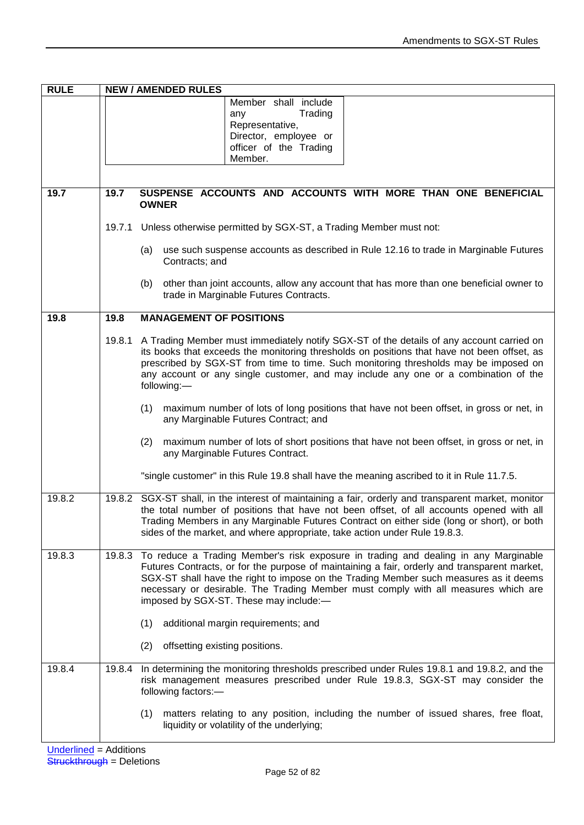| <b>RULE</b> |                                                                                                               | <b>NEW / AMENDED RULES</b>                                                                                                                                                                                                                                                                                                                                                                                   |  |  |  |
|-------------|---------------------------------------------------------------------------------------------------------------|--------------------------------------------------------------------------------------------------------------------------------------------------------------------------------------------------------------------------------------------------------------------------------------------------------------------------------------------------------------------------------------------------------------|--|--|--|
|             |                                                                                                               | Member shall include<br>Trading<br>any<br>Representative,<br>Director, employee or<br>officer of the Trading<br>Member.                                                                                                                                                                                                                                                                                      |  |  |  |
| 19.7        | 19.7                                                                                                          | SUSPENSE ACCOUNTS AND ACCOUNTS WITH MORE THAN ONE BENEFICIAL                                                                                                                                                                                                                                                                                                                                                 |  |  |  |
|             |                                                                                                               | <b>OWNER</b>                                                                                                                                                                                                                                                                                                                                                                                                 |  |  |  |
|             |                                                                                                               | 19.7.1 Unless otherwise permitted by SGX-ST, a Trading Member must not:                                                                                                                                                                                                                                                                                                                                      |  |  |  |
|             | use such suspense accounts as described in Rule 12.16 to trade in Marginable Futures<br>(a)<br>Contracts; and |                                                                                                                                                                                                                                                                                                                                                                                                              |  |  |  |
|             |                                                                                                               | other than joint accounts, allow any account that has more than one beneficial owner to<br>(b)<br>trade in Marginable Futures Contracts.                                                                                                                                                                                                                                                                     |  |  |  |
| 19.8        | 19.8                                                                                                          | <b>MANAGEMENT OF POSITIONS</b>                                                                                                                                                                                                                                                                                                                                                                               |  |  |  |
|             | 19.8.1                                                                                                        | A Trading Member must immediately notify SGX-ST of the details of any account carried on<br>its books that exceeds the monitoring thresholds on positions that have not been offset, as<br>prescribed by SGX-ST from time to time. Such monitoring thresholds may be imposed on<br>any account or any single customer, and may include any one or a combination of the<br>following:-                        |  |  |  |
|             |                                                                                                               | maximum number of lots of long positions that have not been offset, in gross or net, in<br>(1)<br>any Marginable Futures Contract; and                                                                                                                                                                                                                                                                       |  |  |  |
|             |                                                                                                               | maximum number of lots of short positions that have not been offset, in gross or net, in<br>(2)<br>any Marginable Futures Contract.                                                                                                                                                                                                                                                                          |  |  |  |
|             |                                                                                                               | "single customer" in this Rule 19.8 shall have the meaning ascribed to it in Rule 11.7.5.                                                                                                                                                                                                                                                                                                                    |  |  |  |
| 19.8.2      |                                                                                                               | 19.8.2 SGX-ST shall, in the interest of maintaining a fair, orderly and transparent market, monitor<br>the total number of positions that have not been offset, of all accounts opened with all<br>Trading Members in any Marginable Futures Contract on either side (long or short), or both<br>sides of the market, and where appropriate, take action under Rule 19.8.3.                                  |  |  |  |
| 19.8.3      | 19.8.3                                                                                                        | To reduce a Trading Member's risk exposure in trading and dealing in any Marginable<br>Futures Contracts, or for the purpose of maintaining a fair, orderly and transparent market,<br>SGX-ST shall have the right to impose on the Trading Member such measures as it deems<br>necessary or desirable. The Trading Member must comply with all measures which are<br>imposed by SGX-ST. These may include:- |  |  |  |
|             |                                                                                                               | additional margin requirements; and<br>(1)                                                                                                                                                                                                                                                                                                                                                                   |  |  |  |
|             |                                                                                                               | offsetting existing positions.<br>(2)                                                                                                                                                                                                                                                                                                                                                                        |  |  |  |
| 19.8.4      |                                                                                                               | 19.8.4 In determining the monitoring thresholds prescribed under Rules 19.8.1 and 19.8.2, and the<br>risk management measures prescribed under Rule 19.8.3, SGX-ST may consider the<br>following factors:-                                                                                                                                                                                                   |  |  |  |
|             |                                                                                                               | matters relating to any position, including the number of issued shares, free float,<br>(1)<br>liquidity or volatility of the underlying;                                                                                                                                                                                                                                                                    |  |  |  |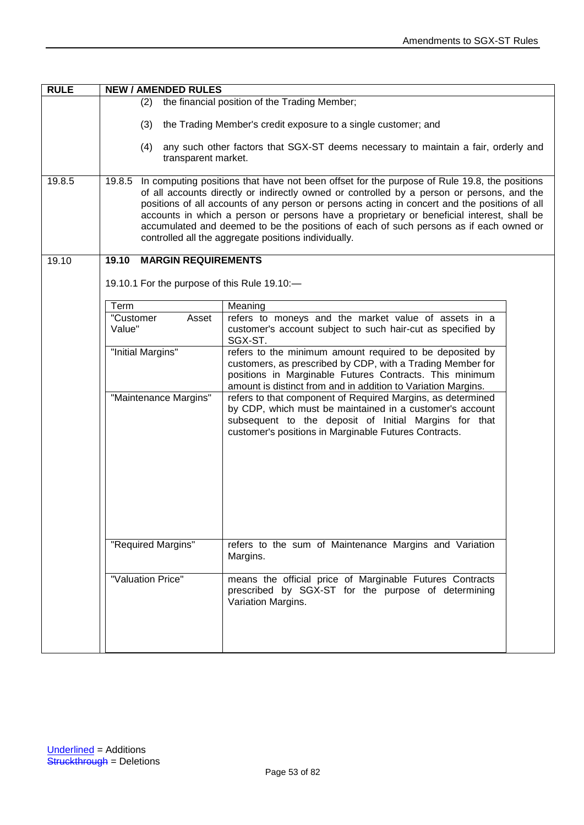| <b>RULE</b> | <b>NEW / AMENDED RULES</b>                                                                                                                                                                                                                                                                                                                                                                                                                                                                                                                           |                                                                                                                                                                                                                                                    |  |
|-------------|------------------------------------------------------------------------------------------------------------------------------------------------------------------------------------------------------------------------------------------------------------------------------------------------------------------------------------------------------------------------------------------------------------------------------------------------------------------------------------------------------------------------------------------------------|----------------------------------------------------------------------------------------------------------------------------------------------------------------------------------------------------------------------------------------------------|--|
|             | the financial position of the Trading Member;<br>(2)                                                                                                                                                                                                                                                                                                                                                                                                                                                                                                 |                                                                                                                                                                                                                                                    |  |
|             | the Trading Member's credit exposure to a single customer; and<br>(3)                                                                                                                                                                                                                                                                                                                                                                                                                                                                                |                                                                                                                                                                                                                                                    |  |
|             | any such other factors that SGX-ST deems necessary to maintain a fair, orderly and<br>(4)<br>transparent market.                                                                                                                                                                                                                                                                                                                                                                                                                                     |                                                                                                                                                                                                                                                    |  |
| 19.8.5      | In computing positions that have not been offset for the purpose of Rule 19.8, the positions<br>19.8.5<br>of all accounts directly or indirectly owned or controlled by a person or persons, and the<br>positions of all accounts of any person or persons acting in concert and the positions of all<br>accounts in which a person or persons have a proprietary or beneficial interest, shall be<br>accumulated and deemed to be the positions of each of such persons as if each owned or<br>controlled all the aggregate positions individually. |                                                                                                                                                                                                                                                    |  |
| 19.10       | 19.10<br><b>MARGIN REQUIREMENTS</b>                                                                                                                                                                                                                                                                                                                                                                                                                                                                                                                  |                                                                                                                                                                                                                                                    |  |
|             | 19.10.1 For the purpose of this Rule 19.10:-                                                                                                                                                                                                                                                                                                                                                                                                                                                                                                         |                                                                                                                                                                                                                                                    |  |
|             | Term                                                                                                                                                                                                                                                                                                                                                                                                                                                                                                                                                 | Meaning                                                                                                                                                                                                                                            |  |
|             | Asset<br>"Customer                                                                                                                                                                                                                                                                                                                                                                                                                                                                                                                                   | refers to moneys and the market value of assets in a                                                                                                                                                                                               |  |
|             | Value"                                                                                                                                                                                                                                                                                                                                                                                                                                                                                                                                               | customer's account subject to such hair-cut as specified by<br>SGX-ST.                                                                                                                                                                             |  |
|             | "Initial Margins"                                                                                                                                                                                                                                                                                                                                                                                                                                                                                                                                    | refers to the minimum amount required to be deposited by<br>customers, as prescribed by CDP, with a Trading Member for<br>positions in Marginable Futures Contracts. This minimum<br>amount is distinct from and in addition to Variation Margins. |  |
|             | "Maintenance Margins"                                                                                                                                                                                                                                                                                                                                                                                                                                                                                                                                | refers to that component of Required Margins, as determined<br>by CDP, which must be maintained in a customer's account<br>subsequent to the deposit of Initial Margins for that<br>customer's positions in Marginable Futures Contracts.          |  |
|             | "Required Margins"                                                                                                                                                                                                                                                                                                                                                                                                                                                                                                                                   | refers to the sum of Maintenance Margins and Variation<br>Margins.                                                                                                                                                                                 |  |
|             | "Valuation Price"                                                                                                                                                                                                                                                                                                                                                                                                                                                                                                                                    | means the official price of Marginable Futures Contracts<br>prescribed by SGX-ST for the purpose of determining<br>Variation Margins.                                                                                                              |  |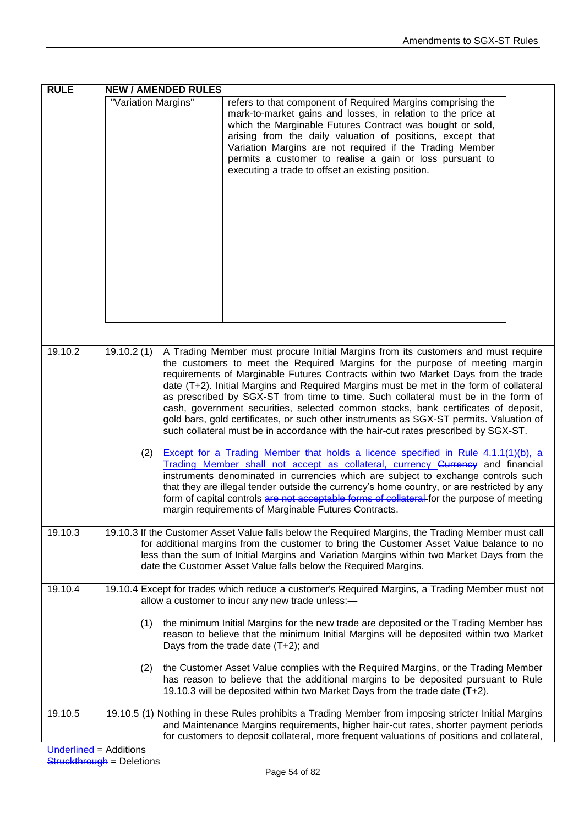| <b>RULE</b> | <b>NEW / AMENDED RULES</b>                                                                                                                                                                                                                                                                                                                                                                                                                                                                                                                                                                                                                                                                                                                                                                                                                                                                                                                                                                                                                                                                                                                       |  |  |  |
|-------------|--------------------------------------------------------------------------------------------------------------------------------------------------------------------------------------------------------------------------------------------------------------------------------------------------------------------------------------------------------------------------------------------------------------------------------------------------------------------------------------------------------------------------------------------------------------------------------------------------------------------------------------------------------------------------------------------------------------------------------------------------------------------------------------------------------------------------------------------------------------------------------------------------------------------------------------------------------------------------------------------------------------------------------------------------------------------------------------------------------------------------------------------------|--|--|--|
|             | "Variation Margins"<br>refers to that component of Required Margins comprising the<br>mark-to-market gains and losses, in relation to the price at<br>which the Marginable Futures Contract was bought or sold,<br>arising from the daily valuation of positions, except that<br>Variation Margins are not required if the Trading Member<br>permits a customer to realise a gain or loss pursuant to<br>executing a trade to offset an existing position.                                                                                                                                                                                                                                                                                                                                                                                                                                                                                                                                                                                                                                                                                       |  |  |  |
| 19.10.2     | 19.10.2(1)<br>A Trading Member must procure Initial Margins from its customers and must require                                                                                                                                                                                                                                                                                                                                                                                                                                                                                                                                                                                                                                                                                                                                                                                                                                                                                                                                                                                                                                                  |  |  |  |
|             | the customers to meet the Required Margins for the purpose of meeting margin<br>requirements of Marginable Futures Contracts within two Market Days from the trade<br>date (T+2). Initial Margins and Required Margins must be met in the form of collateral<br>as prescribed by SGX-ST from time to time. Such collateral must be in the form of<br>cash, government securities, selected common stocks, bank certificates of deposit,<br>gold bars, gold certificates, or such other instruments as SGX-ST permits. Valuation of<br>such collateral must be in accordance with the hair-cut rates prescribed by SGX-ST.<br>Except for a Trading Member that holds a licence specified in Rule 4.1.1(1)(b), a<br>(2)<br>Trading Member shall not accept as collateral, currency Currency and financial<br>instruments denominated in currencies which are subject to exchange controls such<br>that they are illegal tender outside the currency's home country, or are restricted by any<br>form of capital controls are not acceptable forms of collateral for the purpose of meeting<br>margin requirements of Marginable Futures Contracts. |  |  |  |
| 19.10.3     | 19.10.3 If the Customer Asset Value falls below the Required Margins, the Trading Member must call<br>for additional margins from the customer to bring the Customer Asset Value balance to no<br>less than the sum of Initial Margins and Variation Margins within two Market Days from the<br>date the Customer Asset Value falls below the Required Margins.                                                                                                                                                                                                                                                                                                                                                                                                                                                                                                                                                                                                                                                                                                                                                                                  |  |  |  |
| 19.10.4     | 19.10.4 Except for trades which reduce a customer's Required Margins, a Trading Member must not<br>allow a customer to incur any new trade unless:-                                                                                                                                                                                                                                                                                                                                                                                                                                                                                                                                                                                                                                                                                                                                                                                                                                                                                                                                                                                              |  |  |  |
|             | the minimum Initial Margins for the new trade are deposited or the Trading Member has<br>(1)<br>reason to believe that the minimum Initial Margins will be deposited within two Market<br>Days from the trade date $(T+2)$ ; and                                                                                                                                                                                                                                                                                                                                                                                                                                                                                                                                                                                                                                                                                                                                                                                                                                                                                                                 |  |  |  |
|             | the Customer Asset Value complies with the Required Margins, or the Trading Member<br>(2)<br>has reason to believe that the additional margins to be deposited pursuant to Rule<br>19.10.3 will be deposited within two Market Days from the trade date (T+2).                                                                                                                                                                                                                                                                                                                                                                                                                                                                                                                                                                                                                                                                                                                                                                                                                                                                                   |  |  |  |
| 19.10.5     | 19.10.5 (1) Nothing in these Rules prohibits a Trading Member from imposing stricter Initial Margins<br>and Maintenance Margins requirements, higher hair-cut rates, shorter payment periods<br>for customers to deposit collateral, more frequent valuations of positions and collateral,                                                                                                                                                                                                                                                                                                                                                                                                                                                                                                                                                                                                                                                                                                                                                                                                                                                       |  |  |  |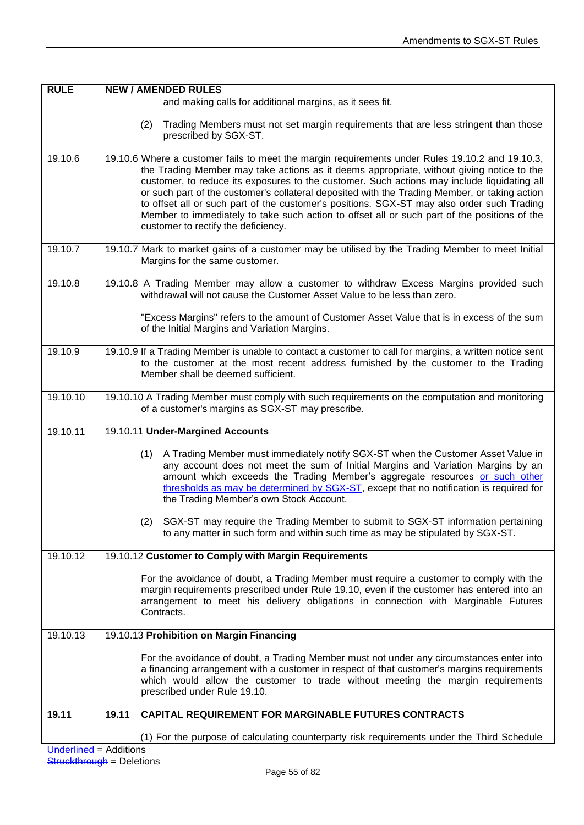| <b>RULE</b>                   | <b>NEW / AMENDED RULES</b>                                                                                                                                                                                                                                                                                                                                                                                                                                                                                                                                                                                                        |  |  |  |
|-------------------------------|-----------------------------------------------------------------------------------------------------------------------------------------------------------------------------------------------------------------------------------------------------------------------------------------------------------------------------------------------------------------------------------------------------------------------------------------------------------------------------------------------------------------------------------------------------------------------------------------------------------------------------------|--|--|--|
|                               | and making calls for additional margins, as it sees fit.                                                                                                                                                                                                                                                                                                                                                                                                                                                                                                                                                                          |  |  |  |
|                               | Trading Members must not set margin requirements that are less stringent than those<br>(2)<br>prescribed by SGX-ST.                                                                                                                                                                                                                                                                                                                                                                                                                                                                                                               |  |  |  |
| 19.10.6                       | 19.10.6 Where a customer fails to meet the margin requirements under Rules 19.10.2 and 19.10.3,<br>the Trading Member may take actions as it deems appropriate, without giving notice to the<br>customer, to reduce its exposures to the customer. Such actions may include liquidating all<br>or such part of the customer's collateral deposited with the Trading Member, or taking action<br>to offset all or such part of the customer's positions. SGX-ST may also order such Trading<br>Member to immediately to take such action to offset all or such part of the positions of the<br>customer to rectify the deficiency. |  |  |  |
| 19.10.7                       | 19.10.7 Mark to market gains of a customer may be utilised by the Trading Member to meet Initial<br>Margins for the same customer.                                                                                                                                                                                                                                                                                                                                                                                                                                                                                                |  |  |  |
| 19.10.8                       | 19.10.8 A Trading Member may allow a customer to withdraw Excess Margins provided such<br>withdrawal will not cause the Customer Asset Value to be less than zero.                                                                                                                                                                                                                                                                                                                                                                                                                                                                |  |  |  |
|                               | "Excess Margins" refers to the amount of Customer Asset Value that is in excess of the sum<br>of the Initial Margins and Variation Margins.                                                                                                                                                                                                                                                                                                                                                                                                                                                                                       |  |  |  |
| 19.10.9                       | 19.10.9 If a Trading Member is unable to contact a customer to call for margins, a written notice sent<br>to the customer at the most recent address furnished by the customer to the Trading<br>Member shall be deemed sufficient.                                                                                                                                                                                                                                                                                                                                                                                               |  |  |  |
| 19.10.10                      | 19.10.10 A Trading Member must comply with such requirements on the computation and monitoring<br>of a customer's margins as SGX-ST may prescribe.                                                                                                                                                                                                                                                                                                                                                                                                                                                                                |  |  |  |
| 19.10.11                      | 19.10.11 Under-Margined Accounts                                                                                                                                                                                                                                                                                                                                                                                                                                                                                                                                                                                                  |  |  |  |
|                               | A Trading Member must immediately notify SGX-ST when the Customer Asset Value in<br>(1)<br>any account does not meet the sum of Initial Margins and Variation Margins by an<br>amount which exceeds the Trading Member's aggregate resources or such other<br>thresholds as may be determined by SGX-ST, except that no notification is required for<br>the Trading Member's own Stock Account.<br>(2) SGX-ST may require the Trading Member to submit to SGX-ST information pertaining<br>to any matter in such form and within such time as may be stipulated by SGX-ST.                                                        |  |  |  |
| 19.10.12                      | 19.10.12 Customer to Comply with Margin Requirements                                                                                                                                                                                                                                                                                                                                                                                                                                                                                                                                                                              |  |  |  |
|                               | For the avoidance of doubt, a Trading Member must require a customer to comply with the<br>margin requirements prescribed under Rule 19.10, even if the customer has entered into an<br>arrangement to meet his delivery obligations in connection with Marginable Futures<br>Contracts.                                                                                                                                                                                                                                                                                                                                          |  |  |  |
| 19.10.13                      | 19.10.13 Prohibition on Margin Financing                                                                                                                                                                                                                                                                                                                                                                                                                                                                                                                                                                                          |  |  |  |
|                               | For the avoidance of doubt, a Trading Member must not under any circumstances enter into<br>a financing arrangement with a customer in respect of that customer's margins requirements<br>which would allow the customer to trade without meeting the margin requirements<br>prescribed under Rule 19.10.                                                                                                                                                                                                                                                                                                                         |  |  |  |
| 19.11                         | <b>CAPITAL REQUIREMENT FOR MARGINABLE FUTURES CONTRACTS</b><br>19.11                                                                                                                                                                                                                                                                                                                                                                                                                                                                                                                                                              |  |  |  |
|                               | (1) For the purpose of calculating counterparty risk requirements under the Third Schedule                                                                                                                                                                                                                                                                                                                                                                                                                                                                                                                                        |  |  |  |
| <b>Underlined = Additions</b> |                                                                                                                                                                                                                                                                                                                                                                                                                                                                                                                                                                                                                                   |  |  |  |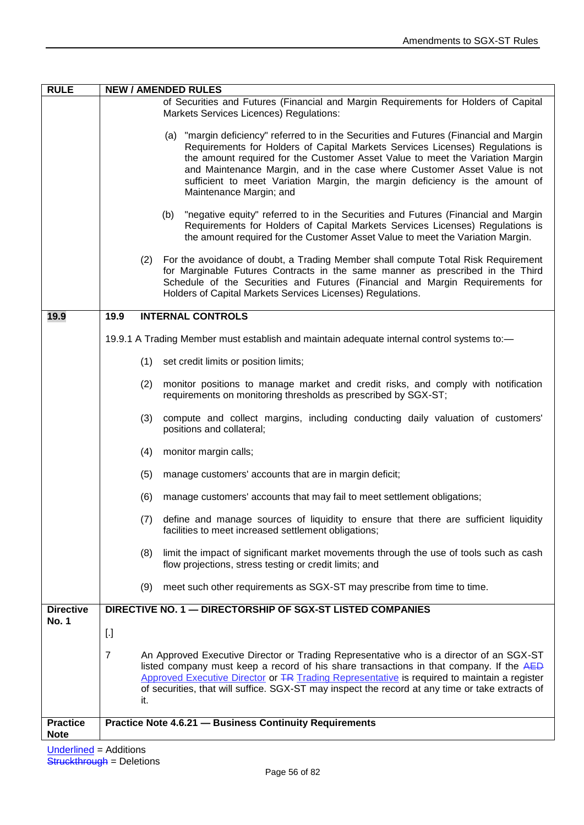| <b>RULE</b>                    | <b>NEW / AMENDED RULES</b>                                                                                                                                                                                                                                                                                                                                                                                                                       |  |  |  |
|--------------------------------|--------------------------------------------------------------------------------------------------------------------------------------------------------------------------------------------------------------------------------------------------------------------------------------------------------------------------------------------------------------------------------------------------------------------------------------------------|--|--|--|
|                                | of Securities and Futures (Financial and Margin Requirements for Holders of Capital<br>Markets Services Licences) Regulations:                                                                                                                                                                                                                                                                                                                   |  |  |  |
|                                | (a) "margin deficiency" referred to in the Securities and Futures (Financial and Margin<br>Requirements for Holders of Capital Markets Services Licenses) Regulations is<br>the amount required for the Customer Asset Value to meet the Variation Margin<br>and Maintenance Margin, and in the case where Customer Asset Value is not<br>sufficient to meet Variation Margin, the margin deficiency is the amount of<br>Maintenance Margin; and |  |  |  |
|                                | "negative equity" referred to in the Securities and Futures (Financial and Margin<br>(b)<br>Requirements for Holders of Capital Markets Services Licenses) Regulations is<br>the amount required for the Customer Asset Value to meet the Variation Margin.                                                                                                                                                                                      |  |  |  |
|                                | (2) For the avoidance of doubt, a Trading Member shall compute Total Risk Requirement<br>for Marginable Futures Contracts in the same manner as prescribed in the Third<br>Schedule of the Securities and Futures (Financial and Margin Requirements for<br>Holders of Capital Markets Services Licenses) Regulations.                                                                                                                           |  |  |  |
| 19.9                           | <b>INTERNAL CONTROLS</b><br>19.9                                                                                                                                                                                                                                                                                                                                                                                                                 |  |  |  |
|                                | 19.9.1 A Trading Member must establish and maintain adequate internal control systems to:-                                                                                                                                                                                                                                                                                                                                                       |  |  |  |
|                                | (1)<br>set credit limits or position limits;                                                                                                                                                                                                                                                                                                                                                                                                     |  |  |  |
|                                | (2)<br>monitor positions to manage market and credit risks, and comply with notification<br>requirements on monitoring thresholds as prescribed by SGX-ST;                                                                                                                                                                                                                                                                                       |  |  |  |
|                                | compute and collect margins, including conducting daily valuation of customers'<br>(3)<br>positions and collateral;                                                                                                                                                                                                                                                                                                                              |  |  |  |
|                                | monitor margin calls;<br>(4)                                                                                                                                                                                                                                                                                                                                                                                                                     |  |  |  |
|                                | (5)<br>manage customers' accounts that are in margin deficit;                                                                                                                                                                                                                                                                                                                                                                                    |  |  |  |
|                                | (6)<br>manage customers' accounts that may fail to meet settlement obligations;                                                                                                                                                                                                                                                                                                                                                                  |  |  |  |
|                                | define and manage sources of liquidity to ensure that there are sufficient liquidity<br>(7)<br>facilities to meet increased settlement obligations;                                                                                                                                                                                                                                                                                              |  |  |  |
|                                | limit the impact of significant market movements through the use of tools such as cash<br>(8)<br>flow projections, stress testing or credit limits; and                                                                                                                                                                                                                                                                                          |  |  |  |
|                                | (9)<br>meet such other requirements as SGX-ST may prescribe from time to time.                                                                                                                                                                                                                                                                                                                                                                   |  |  |  |
| <b>Directive</b>               | DIRECTIVE NO. 1 - DIRECTORSHIP OF SGX-ST LISTED COMPANIES                                                                                                                                                                                                                                                                                                                                                                                        |  |  |  |
| <b>No. 1</b>                   | $[.]$                                                                                                                                                                                                                                                                                                                                                                                                                                            |  |  |  |
|                                | $\overline{7}$<br>An Approved Executive Director or Trading Representative who is a director of an SGX-ST<br>listed company must keep a record of his share transactions in that company. If the AED<br>Approved Executive Director or TR Trading Representative is required to maintain a register<br>of securities, that will suffice. SGX-ST may inspect the record at any time or take extracts of<br>it.                                    |  |  |  |
| <b>Practice</b><br><b>Note</b> | <b>Practice Note 4.6.21 - Business Continuity Requirements</b>                                                                                                                                                                                                                                                                                                                                                                                   |  |  |  |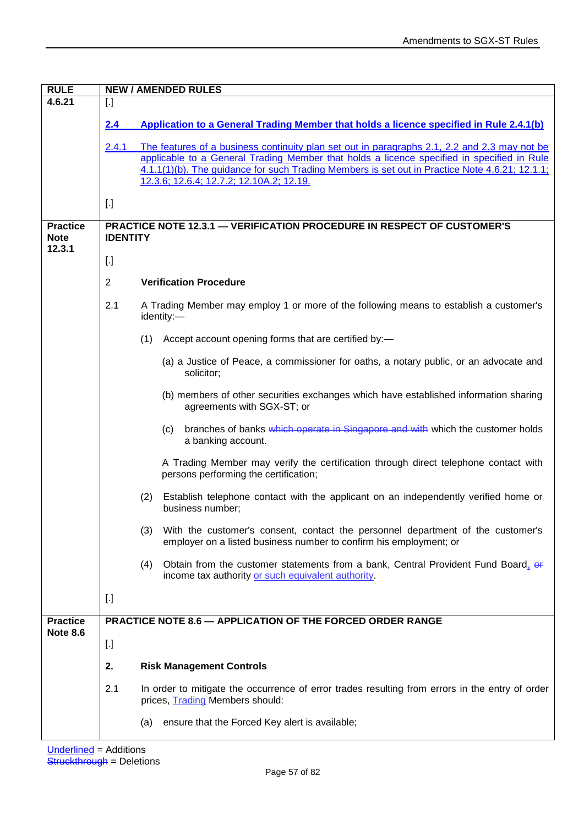| <b>RULE</b>                              | <b>NEW / AMENDED RULES</b>                                                                       |                                                                                                                                                                                                                                                                                                                                          |  |  |
|------------------------------------------|--------------------------------------------------------------------------------------------------|------------------------------------------------------------------------------------------------------------------------------------------------------------------------------------------------------------------------------------------------------------------------------------------------------------------------------------------|--|--|
| 4.6.21                                   | $[.]$                                                                                            |                                                                                                                                                                                                                                                                                                                                          |  |  |
|                                          | 2.4                                                                                              | Application to a General Trading Member that holds a licence specified in Rule 2.4.1(b)                                                                                                                                                                                                                                                  |  |  |
|                                          | 2.4.1                                                                                            | The features of a business continuity plan set out in paragraphs 2.1, 2.2 and 2.3 may not be<br>applicable to a General Trading Member that holds a licence specified in specified in Rule<br>4.1.1(1)(b). The guidance for such Trading Members is set out in Practice Note 4.6.21; 12.1.1;<br>12.3.6; 12.6.4; 12.7.2; 12.10A.2; 12.19. |  |  |
|                                          | $[.]$                                                                                            |                                                                                                                                                                                                                                                                                                                                          |  |  |
| <b>Practice</b><br><b>Note</b><br>12.3.1 | <b>PRACTICE NOTE 12.3.1 - VERIFICATION PROCEDURE IN RESPECT OF CUSTOMER'S</b><br><b>IDENTITY</b> |                                                                                                                                                                                                                                                                                                                                          |  |  |
|                                          | $\left[ . \right]$                                                                               |                                                                                                                                                                                                                                                                                                                                          |  |  |
|                                          | $\overline{2}$                                                                                   | <b>Verification Procedure</b>                                                                                                                                                                                                                                                                                                            |  |  |
|                                          | 2.1                                                                                              | A Trading Member may employ 1 or more of the following means to establish a customer's<br>identity:-                                                                                                                                                                                                                                     |  |  |
|                                          |                                                                                                  | Accept account opening forms that are certified by:-<br>(1)                                                                                                                                                                                                                                                                              |  |  |
|                                          |                                                                                                  | (a) a Justice of Peace, a commissioner for oaths, a notary public, or an advocate and<br>solicitor;                                                                                                                                                                                                                                      |  |  |
|                                          |                                                                                                  | (b) members of other securities exchanges which have established information sharing<br>agreements with SGX-ST; or                                                                                                                                                                                                                       |  |  |
|                                          |                                                                                                  | branches of banks which operate in Singapore and with which the customer holds<br>(C)<br>a banking account.                                                                                                                                                                                                                              |  |  |
|                                          |                                                                                                  | A Trading Member may verify the certification through direct telephone contact with<br>persons performing the certification;                                                                                                                                                                                                             |  |  |
|                                          |                                                                                                  | Establish telephone contact with the applicant on an independently verified home or<br>(2)<br>business number;                                                                                                                                                                                                                           |  |  |
|                                          |                                                                                                  | With the customer's consent, contact the personnel department of the customer's<br>(3)<br>employer on a listed business number to confirm his employment; or                                                                                                                                                                             |  |  |
|                                          |                                                                                                  | (4)<br>Obtain from the customer statements from a bank, Central Provident Fund Board, $\theta$<br>income tax authority or such equivalent authority                                                                                                                                                                                      |  |  |
|                                          | $\left[ . \right]$                                                                               |                                                                                                                                                                                                                                                                                                                                          |  |  |
| <b>Practice</b><br><b>Note 8.6</b>       |                                                                                                  | PRACTICE NOTE 8.6 - APPLICATION OF THE FORCED ORDER RANGE                                                                                                                                                                                                                                                                                |  |  |
|                                          | $\left[ . \right]$                                                                               |                                                                                                                                                                                                                                                                                                                                          |  |  |
|                                          | 2.                                                                                               | <b>Risk Management Controls</b>                                                                                                                                                                                                                                                                                                          |  |  |
|                                          | 2.1                                                                                              | In order to mitigate the occurrence of error trades resulting from errors in the entry of order<br>prices, Trading Members should:                                                                                                                                                                                                       |  |  |
|                                          |                                                                                                  | ensure that the Forced Key alert is available;<br>(a)                                                                                                                                                                                                                                                                                    |  |  |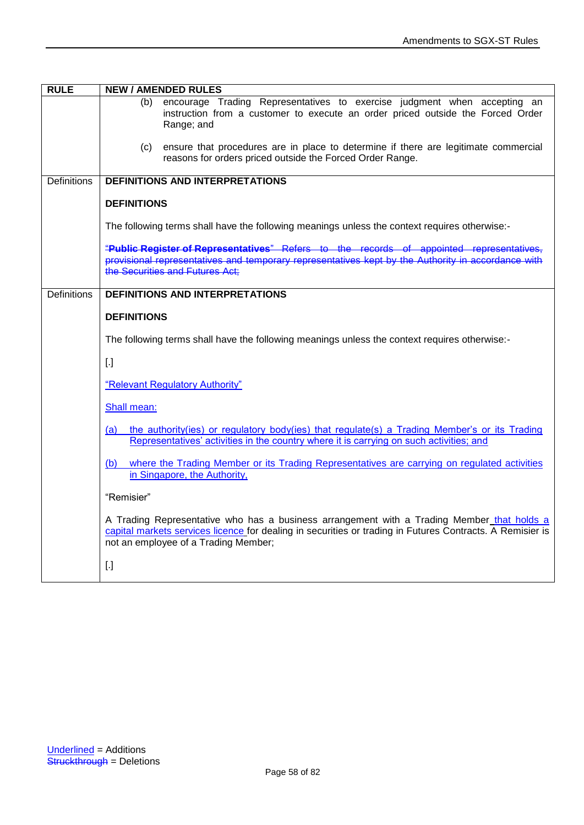| <b>RULE</b>        | <b>NEW / AMENDED RULES</b>                                                                                                                                                                                                                      |  |  |  |
|--------------------|-------------------------------------------------------------------------------------------------------------------------------------------------------------------------------------------------------------------------------------------------|--|--|--|
|                    | encourage Trading Representatives to exercise judgment when accepting an<br>(b)<br>instruction from a customer to execute an order priced outside the Forced Order<br>Range; and                                                                |  |  |  |
|                    | ensure that procedures are in place to determine if there are legitimate commercial<br>(c)<br>reasons for orders priced outside the Forced Order Range.                                                                                         |  |  |  |
| <b>Definitions</b> | <b>DEFINITIONS AND INTERPRETATIONS</b>                                                                                                                                                                                                          |  |  |  |
|                    | <b>DEFINITIONS</b>                                                                                                                                                                                                                              |  |  |  |
|                    | The following terms shall have the following meanings unless the context requires otherwise:-                                                                                                                                                   |  |  |  |
|                    | "Public Register of Representatives" Refers to the records of appointed representative<br>provisional representatives and temporary representatives kept by the Authority in accordance with<br>the Securities and Futures Act:                 |  |  |  |
| <b>Definitions</b> | <b>DEFINITIONS AND INTERPRETATIONS</b>                                                                                                                                                                                                          |  |  |  |
|                    | <b>DEFINITIONS</b>                                                                                                                                                                                                                              |  |  |  |
|                    | The following terms shall have the following meanings unless the context requires otherwise:-                                                                                                                                                   |  |  |  |
|                    | $[.]$                                                                                                                                                                                                                                           |  |  |  |
|                    | "Relevant Regulatory Authority"                                                                                                                                                                                                                 |  |  |  |
|                    | Shall mean:                                                                                                                                                                                                                                     |  |  |  |
|                    | the authority(ies) or regulatory body(ies) that regulate(s) a Trading Member's or its Trading<br>(a)<br>Representatives' activities in the country where it is carrying on such activities; and                                                 |  |  |  |
|                    | where the Trading Member or its Trading Representatives are carrying on regulated activities<br>(b)<br>in Singapore, the Authority,                                                                                                             |  |  |  |
|                    | "Remisier"                                                                                                                                                                                                                                      |  |  |  |
|                    | A Trading Representative who has a business arrangement with a Trading Member_that holds a<br>capital markets services licence for dealing in securities or trading in Futures Contracts. A Remisier is<br>not an employee of a Trading Member; |  |  |  |
|                    | $[.]$                                                                                                                                                                                                                                           |  |  |  |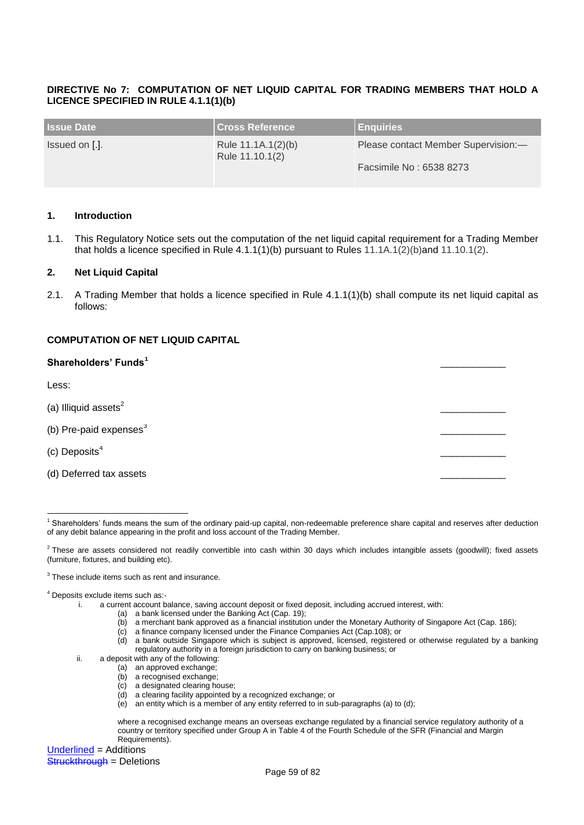## **DIRECTIVE No 7: COMPUTATION OF NET LIQUID CAPITAL FOR TRADING MEMBERS THAT HOLD A LICENCE SPECIFIED IN RULE 4.1.1(1)(b)**

| <b>Issue Date</b> | <b>Cross Reference</b>                | <b>Enquiries</b>                    |
|-------------------|---------------------------------------|-------------------------------------|
| Issued on [.].    | Rule 11.1A.1(2)(b)<br>Rule 11.10.1(2) | Please contact Member Supervision:- |
|                   |                                       | Facsimile No: 6538 8273             |

#### **1. Introduction**

1.1. This Regulatory Notice sets out the computation of the net liquid capital requirement for a Trading Member that holds a licence specified in Rule 4.1.1(1)(b) pursuant to Rules 11.1A.1(2)(b)and 11.10.1(2).

#### **2. Net Liquid Capital**

2.1. A Trading Member that holds a licence specified in Rule 4.1.1(1)(b) shall compute its net liquid capital as follows:

#### **COMPUTATION OF NET LIQUID CAPITAL**

| Shareholders' Funds <sup>1</sup> |  |
|----------------------------------|--|
| Less:                            |  |
| (a) Illiquid assets $2$          |  |
| (b) Pre-paid expenses $3$        |  |
| (c) Deposits $4$                 |  |
| (d) Deferred tax assets          |  |

<u>.</u> <sup>1</sup> Shareholders' funds means the sum of the ordinary paid-up capital, non-redeemable preference share capital and reserves after deduction of any debit balance appearing in the profit and loss account of the Trading Member.

- i. a current account balance, saving account deposit or fixed deposit, including accrued interest, with:
	- (a) a bank licensed under the Banking Act (Cap. 19);
		- (b) a merchant bank approved as a financial institution under the Monetary Authority of Singapore Act (Cap. 186);
		- (c) a finance company licensed under the Finance Companies Act (Cap.108); or
		- (d) a bank outside Singapore which is subject is approved, licensed, registered or otherwise regulated by a banking regulatory authority in a foreign jurisdiction to carry on banking business; or
- ii. a deposit with any of the following:
	- (a) an approved exchange;
	- (b) a recognised exchange;
	- (c) a designated clearing house;
	- (d) a clearing facility appointed by a recognized exchange; or
	- $\overrightarrow{e}$  an entity which is a member of any entity referred to in sub-paragraphs (a) to (d);

where a recognised exchange means an overseas exchange regulated by a financial service regulatory authority of a country or territory specified under Group A in Table 4 of the Fourth Schedule of the SFR (Financial and Margin Requirements).

Underlined = Additions **Struckthrough = Deletions** 

 $^2$  These are assets considered not readily convertible into cash within 30 days which includes intangible assets (goodwill); fixed assets (furniture, fixtures, and building etc).

<sup>&</sup>lt;sup>3</sup> These include items such as rent and insurance.

<sup>4</sup> Deposits exclude items such as:-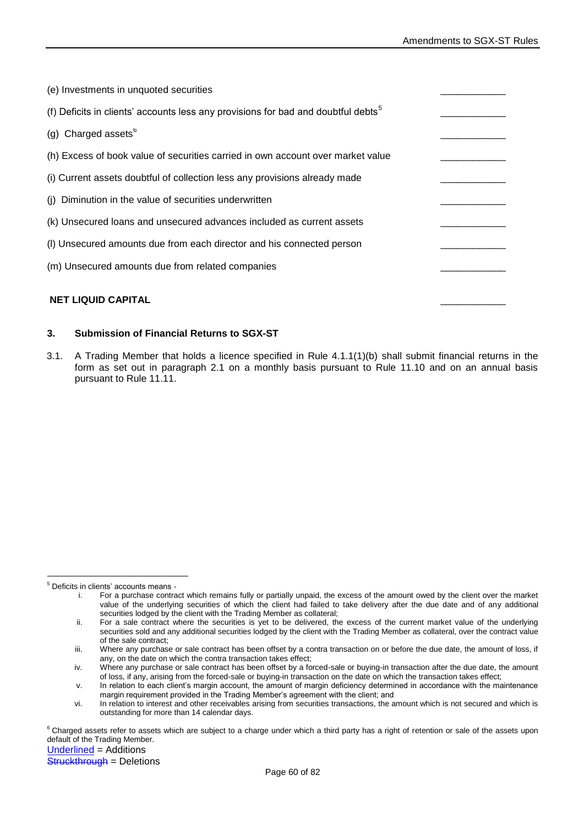| (e) Investments in unquoted securities                                                        |  |
|-----------------------------------------------------------------------------------------------|--|
| (f) Deficits in clients' accounts less any provisions for bad and doubtful debts <sup>5</sup> |  |
| (g) Charged assets $6$                                                                        |  |
| (h) Excess of book value of securities carried in own account over market value               |  |
| (i) Current assets doubtful of collection less any provisions already made                    |  |
| (i) Diminution in the value of securities underwritten                                        |  |
| (k) Unsecured loans and unsecured advances included as current assets                         |  |
| (I) Unsecured amounts due from each director and his connected person                         |  |
| (m) Unsecured amounts due from related companies                                              |  |
| <b>NET LIQUID CAPITAL</b>                                                                     |  |

# **3. Submission of Financial Returns to SGX-ST**

3.1. A Trading Member that holds a licence specified in Rule 4.1.1(1)(b) shall submit financial returns in the form as set out in paragraph 2.1 on a monthly basis pursuant to Rule 11.10 and on an annual basis pursuant to Rule 11.11.

<sup>&</sup>lt;u>.</u> <sup>5</sup> Deficits in clients' accounts means -

i. For a purchase contract which remains fully or partially unpaid, the excess of the amount owed by the client over the market value of the underlying securities of which the client had failed to take delivery after the due date and of any additional securities lodged by the client with the Trading Member as collateral;

ii. For a sale contract where the securities is yet to be delivered, the excess of the current market value of the underlying securities sold and any additional securities lodged by the client with the Trading Member as collateral, over the contract value of the sale contract;

iii. Where any purchase or sale contract has been offset by a contra transaction on or before the due date, the amount of loss, if any, on the date on which the contra transaction takes effect;

iv. Where any purchase or sale contract has been offset by a forced-sale or buying-in transaction after the due date, the amount of loss, if any, arising from the forced-sale or buying-in transaction on the date on which the transaction takes effect;

v. In relation to each client's margin account, the amount of margin deficiency determined in accordance with the maintenance margin requirement provided in the Trading Member's agreement with the client; and

vi. In relation to interest and other receivables arising from securities transactions, the amount which is not secured and which is outstanding for more than 14 calendar days.

<sup>&</sup>lt;sup>6</sup> Charged assets refer to assets which are subject to a charge under which a third party has a right of retention or sale of the assets upon default of the Trading Member.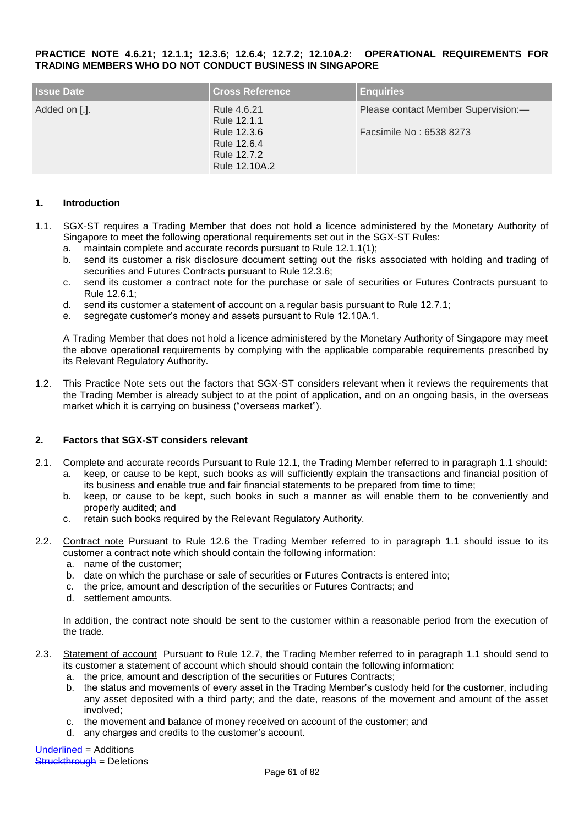#### **PRACTICE NOTE 4.6.21; 12.1.1; 12.3.6; 12.6.4; 12.7.2; 12.10A.2: OPERATIONAL REQUIREMENTS FOR TRADING MEMBERS WHO DO NOT CONDUCT BUSINESS IN SINGAPORE**

| <b>Issue Date</b> | <b>Cross Reference</b>                                                                   | <b>Enquiries</b>                                               |
|-------------------|------------------------------------------------------------------------------------------|----------------------------------------------------------------|
| Added on [.].     | Rule 4.6.21<br>Rule 12.1.1<br>Rule 12.3.6<br>Rule 12.6.4<br>Rule 12.7.2<br>Rule 12.10A.2 | Please contact Member Supervision:-<br>Facsimile No: 6538 8273 |

#### **1. Introduction**

- 1.1. SGX-ST requires a Trading Member that does not hold a licence administered by the Monetary Authority of Singapore to meet the following operational requirements set out in the SGX-ST Rules:
	- a. maintain complete and accurate records pursuant to Rule 12.1.1(1);
	- b. send its customer a risk disclosure document setting out the risks associated with holding and trading of securities and Futures Contracts pursuant to Rule 12.3.6;
	- c. send its customer a contract note for the purchase or sale of securities or Futures Contracts pursuant to Rule 12.6.1;
	- d. send its customer a statement of account on a regular basis pursuant to Rule 12.7.1;
	- e. segregate customer's money and assets pursuant to Rule 12.10A.1.

A Trading Member that does not hold a licence administered by the Monetary Authority of Singapore may meet the above operational requirements by complying with the applicable comparable requirements prescribed by its Relevant Regulatory Authority.

1.2. This Practice Note sets out the factors that SGX-ST considers relevant when it reviews the requirements that the Trading Member is already subject to at the point of application, and on an ongoing basis, in the overseas market which it is carrying on business ("overseas market").

#### **2. Factors that SGX-ST considers relevant**

- 2.1. Complete and accurate records Pursuant to Rule 12.1, the Trading Member referred to in paragraph 1.1 should: a. keep, or cause to be kept, such books as will sufficiently explain the transactions and financial position of its business and enable true and fair financial statements to be prepared from time to time;
	- b. keep, or cause to be kept, such books in such a manner as will enable them to be conveniently and properly audited; and
	- c. retain such books required by the Relevant Regulatory Authority.
- 2.2. Contract note Pursuant to Rule 12.6 the Trading Member referred to in paragraph 1.1 should issue to its customer a contract note which should contain the following information:
	- a. name of the customer;
	- b. date on which the purchase or sale of securities or Futures Contracts is entered into;
	- c. the price, amount and description of the securities or Futures Contracts; and
	- d. settlement amounts.

In addition, the contract note should be sent to the customer within a reasonable period from the execution of the trade.

- 2.3. Statement of account Pursuant to Rule 12.7, the Trading Member referred to in paragraph 1.1 should send to its customer a statement of account which should should contain the following information:
	- a. the price, amount and description of the securities or Futures Contracts;
	- b. the status and movements of every asset in the Trading Member's custody held for the customer, including any asset deposited with a third party; and the date, reasons of the movement and amount of the asset involved;
	- c. the movement and balance of money received on account of the customer; and
	- d. any charges and credits to the customer's account.

Underlined = Additions **Struckthrough = Deletions**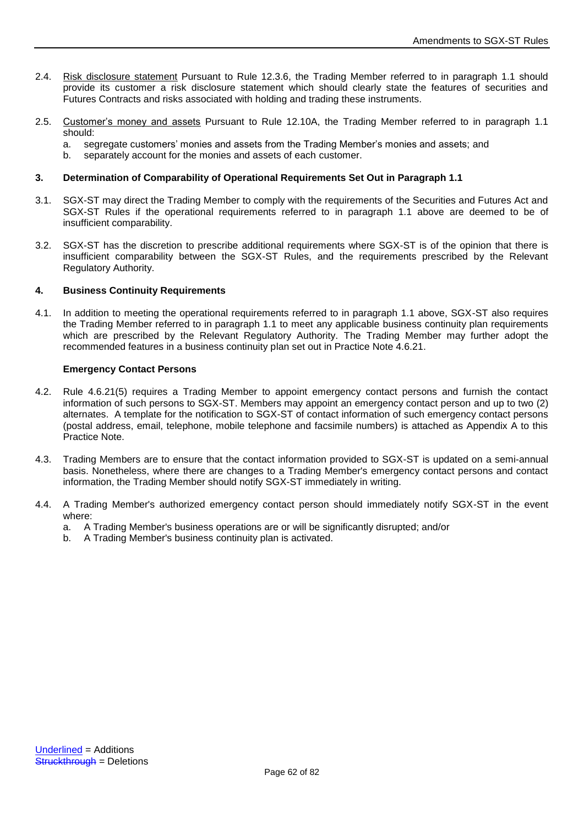- 2.4. Risk disclosure statement Pursuant to Rule 12.3.6, the Trading Member referred to in paragraph 1.1 should provide its customer a risk disclosure statement which should clearly state the features of securities and Futures Contracts and risks associated with holding and trading these instruments.
- 2.5. Customer's money and assets Pursuant to Rule 12.10A, the Trading Member referred to in paragraph 1.1 should:
	- a. segregate customers' monies and assets from the Trading Member's monies and assets; and
	- separately account for the monies and assets of each customer.

# **3. Determination of Comparability of Operational Requirements Set Out in Paragraph 1.1**

- 3.1. SGX-ST may direct the Trading Member to comply with the requirements of the Securities and Futures Act and SGX-ST Rules if the operational requirements referred to in paragraph 1.1 above are deemed to be of insufficient comparability.
- 3.2. SGX-ST has the discretion to prescribe additional requirements where SGX-ST is of the opinion that there is insufficient comparability between the SGX-ST Rules, and the requirements prescribed by the Relevant Regulatory Authority.

# **4. Business Continuity Requirements**

4.1. In addition to meeting the operational requirements referred to in paragraph 1.1 above, SGX-ST also requires the Trading Member referred to in paragraph 1.1 to meet any applicable business continuity plan requirements which are prescribed by the Relevant Regulatory Authority. The Trading Member may further adopt the recommended features in a business continuity plan set out in Practice Note 4.6.21.

# **Emergency Contact Persons**

- 4.2. Rule 4.6.21(5) requires a Trading Member to appoint emergency contact persons and furnish the contact information of such persons to SGX-ST. Members may appoint an emergency contact person and up to two (2) alternates. A template for the notification to SGX-ST of contact information of such emergency contact persons (postal address, email, telephone, mobile telephone and facsimile numbers) is attached as Appendix A to this Practice Note.
- 4.3. Trading Members are to ensure that the contact information provided to SGX-ST is updated on a semi-annual basis. Nonetheless, where there are changes to a Trading Member's emergency contact persons and contact information, the Trading Member should notify SGX-ST immediately in writing.
- 4.4. A Trading Member's authorized emergency contact person should immediately notify SGX-ST in the event where:
	- a. A Trading Member's business operations are or will be significantly disrupted; and/or
	- b. A Trading Member's business continuity plan is activated.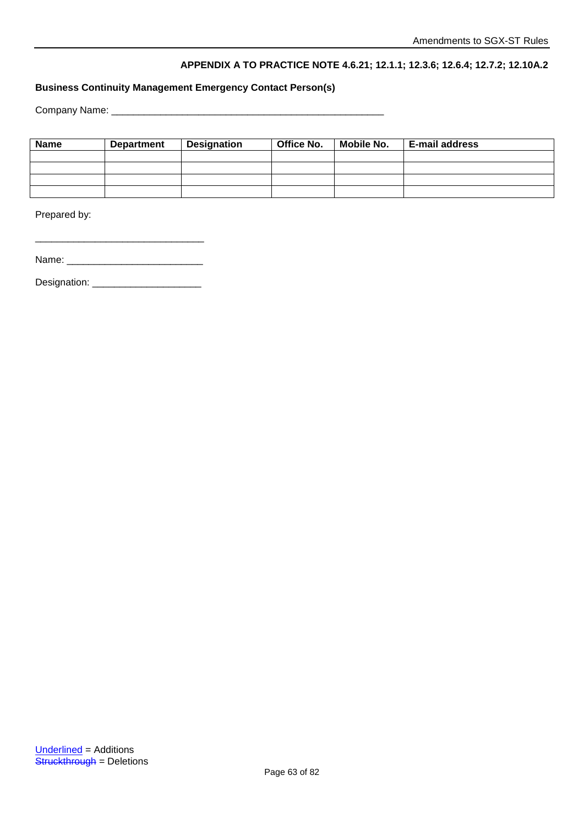# **APPENDIX A TO PRACTICE NOTE 4.6.21; 12.1.1; 12.3.6; 12.6.4; 12.7.2; 12.10A.2**

# **Business Continuity Management Emergency Contact Person(s)**

Company Name: \_\_\_\_\_\_\_\_\_\_\_\_\_\_\_\_\_\_\_\_\_\_\_\_\_\_\_\_\_\_\_\_\_\_\_\_\_\_\_\_\_\_\_\_\_\_\_\_\_\_

| <b>Name</b> | <b>Department</b> | Office No.<br><b>Designation</b> |  | <b>Mobile No.</b> | <b>E-mail address</b> |
|-------------|-------------------|----------------------------------|--|-------------------|-----------------------|
|             |                   |                                  |  |                   |                       |
|             |                   |                                  |  |                   |                       |
|             |                   |                                  |  |                   |                       |
|             |                   |                                  |  |                   |                       |

Prepared by:

| Name: |  |
|-------|--|
|-------|--|

\_\_\_\_\_\_\_\_\_\_\_\_\_\_\_\_\_\_\_\_\_\_\_\_\_\_\_\_\_\_\_

Designation: \_\_\_\_\_\_\_\_\_\_\_\_\_\_\_\_\_\_\_\_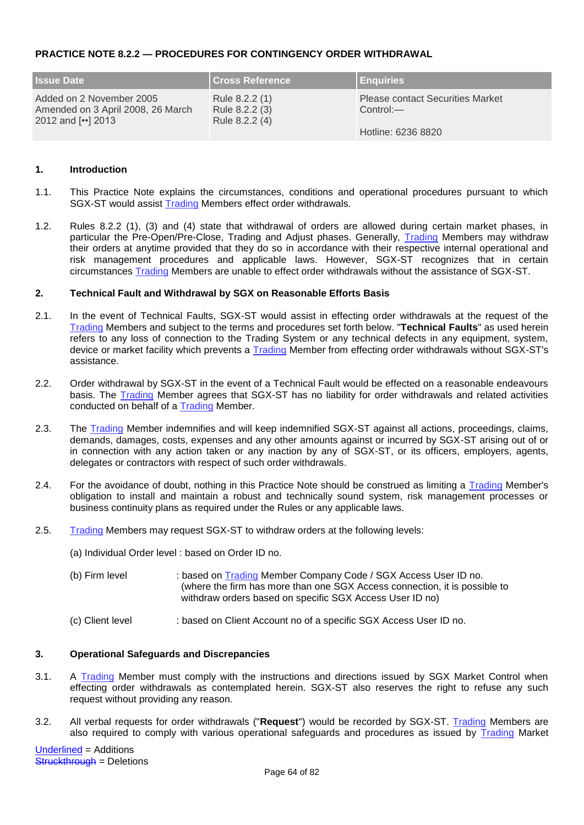# **PRACTICE NOTE 8.2.2 — PROCEDURES FOR CONTINGENCY ORDER WITHDRAWAL**

| <b>Issue Date</b>                                                                 | <b>Cross Reference</b>                             | <b>Enquiries</b>                                        |
|-----------------------------------------------------------------------------------|----------------------------------------------------|---------------------------------------------------------|
| Added on 2 November 2005<br>Amended on 3 April 2008, 26 March<br>2012 and [] 2013 | Rule 8.2.2 (1)<br>Rule 8.2.2 (3)<br>Rule 8.2.2 (4) | <b>Please contact Securities Market</b><br>$Control:$ — |
|                                                                                   |                                                    | Hotline: 6236 8820                                      |

# **1. Introduction**

- 1.1. This Practice Note explains the circumstances, conditions and operational procedures pursuant to which SGX-ST would assist Trading Members effect order withdrawals.
- 1.2. Rules 8.2.2 (1), (3) and (4) state that withdrawal of orders are allowed during certain market phases, in particular the Pre-Open/Pre-Close, Trading and Adjust phases. Generally, Trading Members may withdraw their orders at anytime provided that they do so in accordance with their respective internal operational and risk management procedures and applicable laws. However, SGX-ST recognizes that in certain circumstances Trading Members are unable to effect order withdrawals without the assistance of SGX-ST.

#### **2. Technical Fault and Withdrawal by SGX on Reasonable Efforts Basis**

- 2.1. In the event of Technical Faults, SGX-ST would assist in effecting order withdrawals at the request of the Trading Members and subject to the terms and procedures set forth below. "**Technical Faults**" as used herein refers to any loss of connection to the Trading System or any technical defects in any equipment, system, device or market facility which prevents a Trading Member from effecting order withdrawals without SGX-ST's assistance.
- 2.2. Order withdrawal by SGX-ST in the event of a Technical Fault would be effected on a reasonable endeavours basis. The **Trading** Member agrees that SGX-ST has no liability for order withdrawals and related activities conducted on behalf of a Trading Member.
- 2.3. The Trading Member indemnifies and will keep indemnified SGX-ST against all actions, proceedings, claims, demands, damages, costs, expenses and any other amounts against or incurred by SGX-ST arising out of or in connection with any action taken or any inaction by any of SGX-ST, or its officers, employers, agents, delegates or contractors with respect of such order withdrawals.
- 2.4. For the avoidance of doubt, nothing in this Practice Note should be construed as limiting a Trading Member's obligation to install and maintain a robust and technically sound system, risk management processes or business continuity plans as required under the Rules or any applicable laws.
- 2.5. Trading Members may request SGX-ST to withdraw orders at the following levels:
	- (a) Individual Order level : based on Order ID no.
	- (b) Firm level : based on Trading Member Company Code / SGX Access User ID no. (where the firm has more than one SGX Access connection, it is possible to withdraw orders based on specific SGX Access User ID no)
	- (c) Client level : based on Client Account no of a specific SGX Access User ID no.

# **3. Operational Safeguards and Discrepancies**

- 3.1. A Trading Member must comply with the instructions and directions issued by SGX Market Control when effecting order withdrawals as contemplated herein. SGX-ST also reserves the right to refuse any such request without providing any reason.
- 3.2. All verbal requests for order withdrawals ("**Request**") would be recorded by SGX-ST. Trading Members are also required to comply with various operational safeguards and procedures as issued by Trading Market

Underlined = Additions Struckthrough = Deletions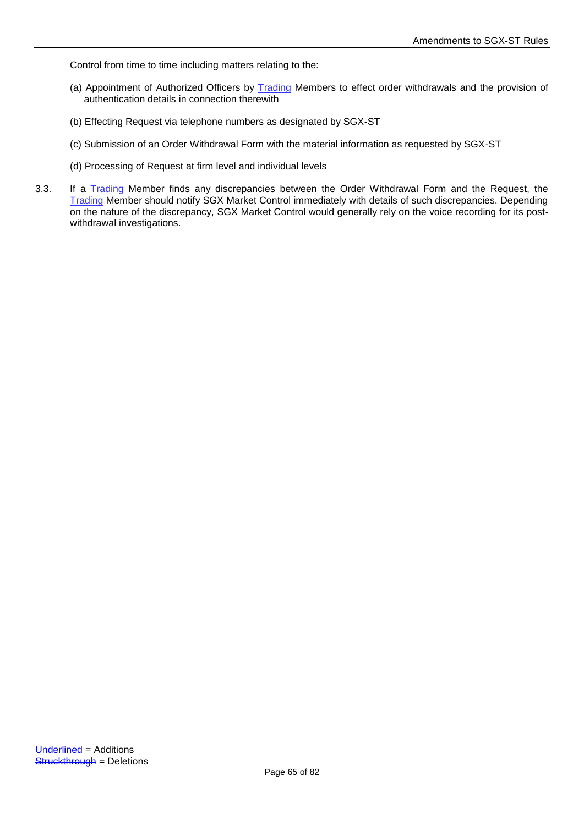Control from time to time including matters relating to the:

- (a) Appointment of Authorized Officers by Trading Members to effect order withdrawals and the provision of authentication details in connection therewith
- (b) Effecting Request via telephone numbers as designated by SGX-ST
- (c) Submission of an Order Withdrawal Form with the material information as requested by SGX-ST
- (d) Processing of Request at firm level and individual levels
- 3.3. If a Trading Member finds any discrepancies between the Order Withdrawal Form and the Request, the Trading Member should notify SGX Market Control immediately with details of such discrepancies. Depending on the nature of the discrepancy, SGX Market Control would generally rely on the voice recording for its postwithdrawal investigations.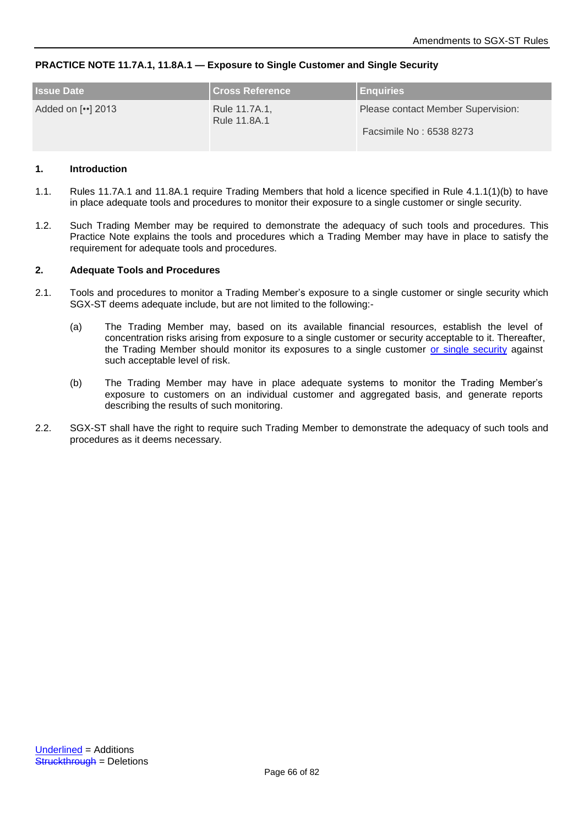# **PRACTICE NOTE 11.7A.1, 11.8A.1 — Exposure to Single Customer and Single Security**

| <b>Issue Date</b> | <b>I Cross Reference</b> <sup>1</sup> | <b>Enquiries</b>                   |
|-------------------|---------------------------------------|------------------------------------|
| Added on [] 2013  | Rule 11.7A.1,<br>Rule 11.8A.1         | Please contact Member Supervision: |
|                   |                                       | Facsimile No: 6538 8273            |

#### **1. Introduction**

- 1.1. Rules 11.7A.1 and 11.8A.1 require Trading Members that hold a licence specified in Rule 4.1.1(1)(b) to have in place adequate tools and procedures to monitor their exposure to a single customer or single security.
- 1.2. Such Trading Member may be required to demonstrate the adequacy of such tools and procedures. This Practice Note explains the tools and procedures which a Trading Member may have in place to satisfy the requirement for adequate tools and procedures.

#### **2. Adequate Tools and Procedures**

- 2.1. Tools and procedures to monitor a Trading Member's exposure to a single customer or single security which SGX-ST deems adequate include, but are not limited to the following:-
	- (a) The Trading Member may, based on its available financial resources, establish the level of concentration risks arising from exposure to a single customer or security acceptable to it. Thereafter, the Trading Member should monitor its exposures to a single customer or single security against such acceptable level of risk.
	- (b) The Trading Member may have in place adequate systems to monitor the Trading Member's exposure to customers on an individual customer and aggregated basis, and generate reports describing the results of such monitoring.
- 2.2. SGX-ST shall have the right to require such Trading Member to demonstrate the adequacy of such tools and procedures as it deems necessary.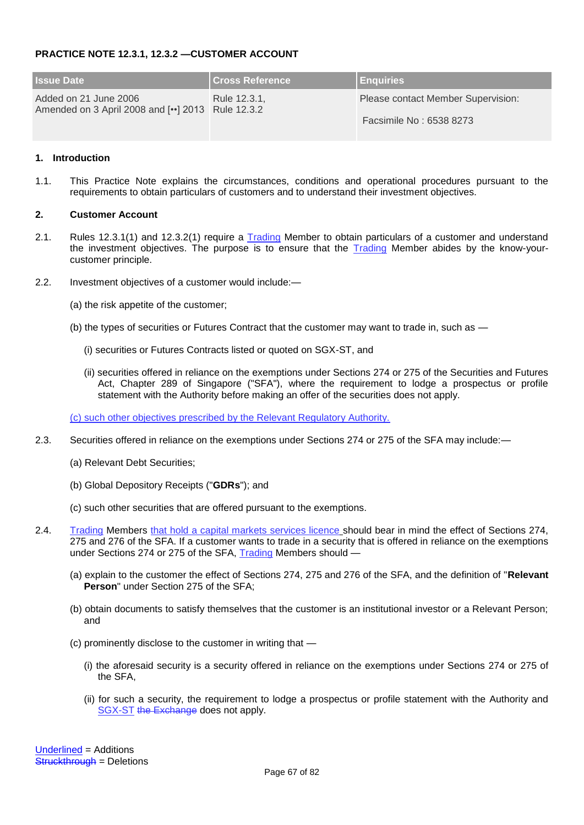# **PRACTICE NOTE 12.3.1, 12.3.2 —CUSTOMER ACCOUNT**

| <b>Issue Date</b>                                                        | <b>Cross Reference</b> | <b>Enquiries</b>                   |
|--------------------------------------------------------------------------|------------------------|------------------------------------|
| Added on 21 June 2006<br>Amended on 3 April 2008 and [] 2013 Rule 12.3.2 | Rule 12.3.1.           | Please contact Member Supervision: |
|                                                                          |                        | Facsimile No: 6538 8273            |

## **1. Introduction**

1.1. This Practice Note explains the circumstances, conditions and operational procedures pursuant to the requirements to obtain particulars of customers and to understand their investment objectives.

#### **2. Customer Account**

- 2.1. Rules 12.3.1(1) and 12.3.2(1) require a Trading Member to obtain particulars of a customer and understand the investment objectives. The purpose is to ensure that the **Trading Member abides by the know-your**customer principle.
- 2.2. Investment objectives of a customer would include:—
	- (a) the risk appetite of the customer;
	- (b) the types of securities or Futures Contract that the customer may want to trade in, such as
		- (i) securities or Futures Contracts listed or quoted on SGX-ST, and
		- (ii) securities offered in reliance on the exemptions under Sections 274 or 275 of the Securities and Futures Act, Chapter 289 of Singapore ("SFA"), where the requirement to lodge a prospectus or profile statement with the Authority before making an offer of the securities does not apply.

(c) such other objectives prescribed by the Relevant Regulatory Authority.

- 2.3. Securities offered in reliance on the exemptions under Sections 274 or 275 of the SFA may include:—
	- (a) Relevant Debt Securities;
	- (b) Global Depository Receipts ("**GDRs**"); and
	- (c) such other securities that are offered pursuant to the exemptions.
- 2.4. Trading Members that hold a capital markets services licence should bear in mind the effect of Sections 274, 275 and 276 of the SFA. If a customer wants to trade in a security that is offered in reliance on the exemptions under Sections 274 or 275 of the SFA, Trading Members should —
	- (a) explain to the customer the effect of Sections 274, 275 and 276 of the SFA, and the definition of "**Relevant Person**" under Section 275 of the SFA;
	- (b) obtain documents to satisfy themselves that the customer is an institutional investor or a Relevant Person; and
	- (c) prominently disclose to the customer in writing that
		- (i) the aforesaid security is a security offered in reliance on the exemptions under Sections 274 or 275 of the SFA,
		- (ii) for such a security, the requirement to lodge a prospectus or profile statement with the Authority and SGX-ST the Exchange does not apply.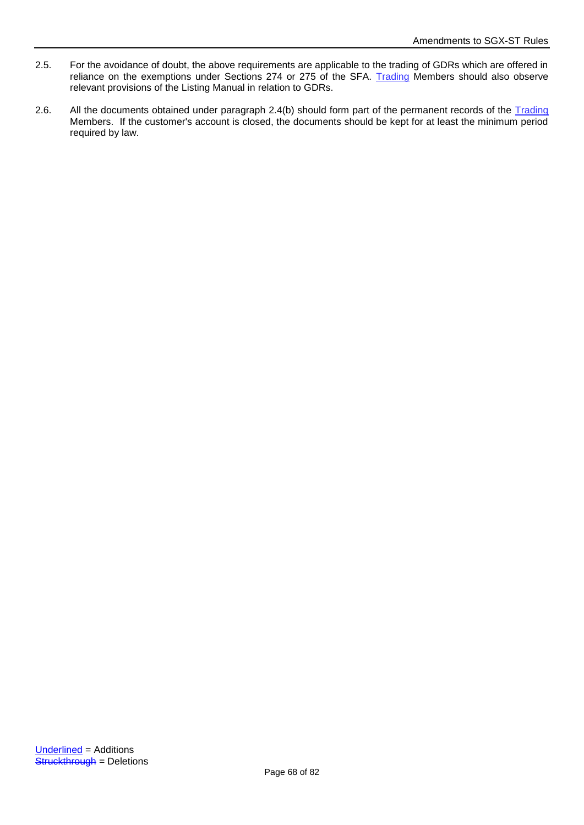- 2.5. For the avoidance of doubt, the above requirements are applicable to the trading of GDRs which are offered in reliance on the exemptions under Sections 274 or 275 of the SFA. Trading Members should also observe relevant provisions of the Listing Manual in relation to GDRs.
- 2.6. All the documents obtained under paragraph 2.4(b) should form part of the permanent records of the Trading Members. If the customer's account is closed, the documents should be kept for at least the minimum period required by law.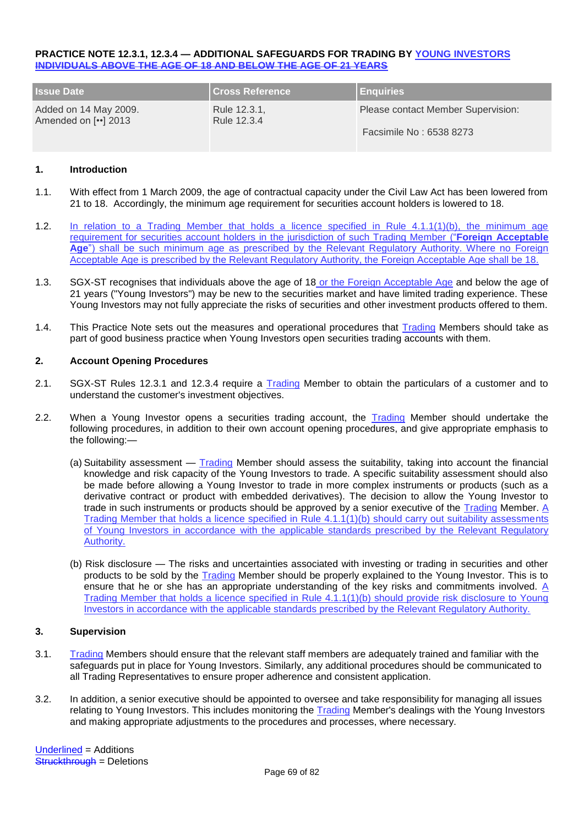#### **PRACTICE NOTE 12.3.1, 12.3.4 — ADDITIONAL SAFEGUARDS FOR TRADING BY YOUNG INVESTORS INDIVIDUALS ABOVE THE AGE OF 18 AND BELOW THE AGE OF 21 YEARS**

| <b>Issue Date</b>                                                    | <b>Cross Reference</b>      | <b>Enquiries</b>                   |
|----------------------------------------------------------------------|-----------------------------|------------------------------------|
| Added on 14 May 2009.<br>Amended on $\lceil \cdot \cdot \rceil$ 2013 | Rule 12.3.1,<br>Rule 12.3.4 | Please contact Member Supervision: |
|                                                                      |                             | Facsimile No: 6538 8273            |

# **1. Introduction**

- 1.1. With effect from 1 March 2009, the age of contractual capacity under the Civil Law Act has been lowered from 21 to 18. Accordingly, the minimum age requirement for securities account holders is lowered to 18.
- 1.2. In relation to a Trading Member that holds a licence specified in Rule 4.1.1(1)(b), the minimum age requirement for securities account holders in the jurisdiction of such Trading Member ("**Foreign Acceptable Age**") shall be such minimum age as prescribed by the Relevant Regulatory Authority. Where no Foreign Acceptable Age is prescribed by the Relevant Regulatory Authority, the Foreign Acceptable Age shall be 18.
- 1.3. SGX-ST recognises that individuals above the age of 18 or the Foreign Acceptable Age and below the age of 21 years ("Young Investors") may be new to the securities market and have limited trading experience. These Young Investors may not fully appreciate the risks of securities and other investment products offered to them.
- 1.4. This Practice Note sets out the measures and operational procedures that Trading Members should take as part of good business practice when Young Investors open securities trading accounts with them.

## **2. Account Opening Procedures**

- 2.1. SGX-ST Rules 12.3.1 and 12.3.4 require a Trading Member to obtain the particulars of a customer and to understand the customer's investment objectives.
- 2.2. When a Young Investor opens a securities trading account, the Trading Member should undertake the following procedures, in addition to their own account opening procedures, and give appropriate emphasis to the following:—
	- (a) Suitability assessment Trading Member should assess the suitability, taking into account the financial knowledge and risk capacity of the Young Investors to trade. A specific suitability assessment should also be made before allowing a Young Investor to trade in more complex instruments or products (such as a derivative contract or product with embedded derivatives). The decision to allow the Young Investor to trade in such instruments or products should be approved by a senior executive of the  $\overline{\text{rading}}$  Member. A Trading Member that holds a licence specified in Rule 4.1.1(1)(b) should carry out suitability assessments of Young Investors in accordance with the applicable standards prescribed by the Relevant Regulatory Authority.
	- (b) Risk disclosure The risks and uncertainties associated with investing or trading in securities and other products to be sold by the Trading Member should be properly explained to the Young Investor. This is to ensure that he or she has an appropriate understanding of the key risks and commitments involved. A Trading Member that holds a licence specified in Rule 4.1.1(1)(b) should provide risk disclosure to Young Investors in accordance with the applicable standards prescribed by the Relevant Regulatory Authority.

#### **3. Supervision**

- 3.1. Trading Members should ensure that the relevant staff members are adequately trained and familiar with the safeguards put in place for Young Investors. Similarly, any additional procedures should be communicated to all Trading Representatives to ensure proper adherence and consistent application.
- 3.2. In addition, a senior executive should be appointed to oversee and take responsibility for managing all issues relating to Young Investors. This includes monitoring the Trading Member's dealings with the Young Investors and making appropriate adjustments to the procedures and processes, where necessary.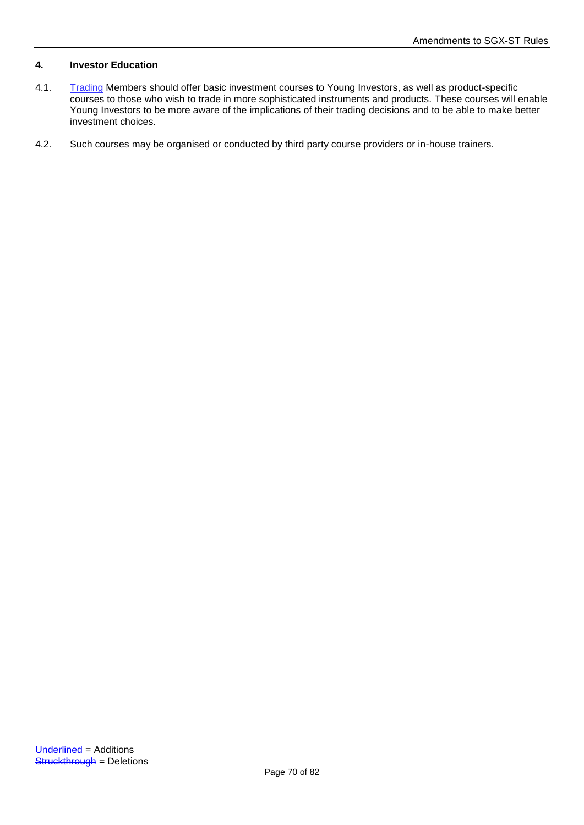# **4. Investor Education**

- 4.1. Trading Members should offer basic investment courses to Young Investors, as well as product-specific courses to those who wish to trade in more sophisticated instruments and products. These courses will enable Young Investors to be more aware of the implications of their trading decisions and to be able to make better investment choices.
- 4.2. Such courses may be organised or conducted by third party course providers or in-house trainers.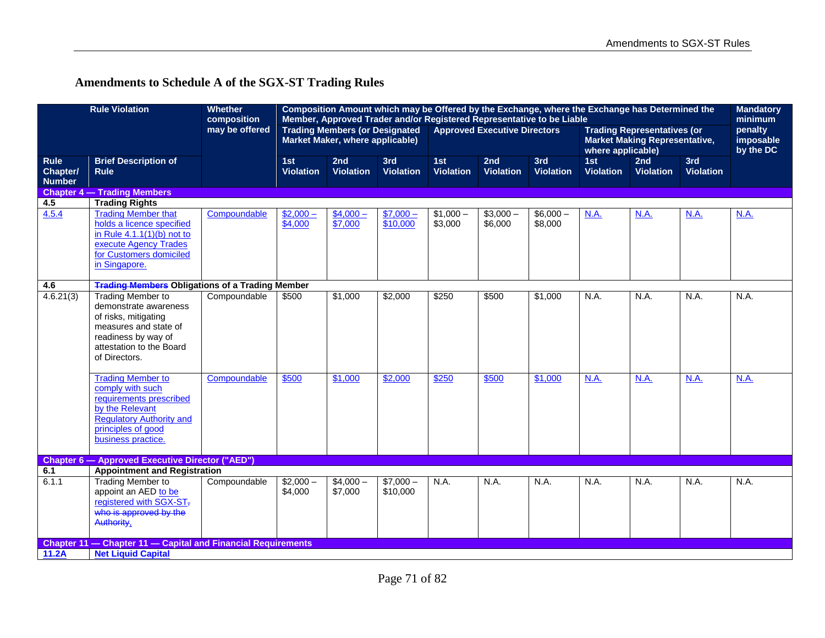# **Amendments to Schedule A of the SGX-ST Trading Rules**

|                                          | <b>Rule Violation</b>                                                                                                                                                     | <b>Whether</b><br>composition |                         | Composition Amount which may be Offered by the Exchange, where the Exchange has Determined the<br>Member, Approved Trader and/or Registered Representative to be Liable |                         |                         |                                                                                                                                        |                         |                         | <b>Mandatory</b><br>minimum |                                   |             |
|------------------------------------------|---------------------------------------------------------------------------------------------------------------------------------------------------------------------------|-------------------------------|-------------------------|-------------------------------------------------------------------------------------------------------------------------------------------------------------------------|-------------------------|-------------------------|----------------------------------------------------------------------------------------------------------------------------------------|-------------------------|-------------------------|-----------------------------|-----------------------------------|-------------|
|                                          |                                                                                                                                                                           | may be offered                |                         | <b>Trading Members (or Designated</b><br>Market Maker, where applicable)                                                                                                |                         |                         | <b>Approved Executive Directors</b><br><b>Trading Representatives (or</b><br><b>Market Making Representative,</b><br>where applicable) |                         |                         |                             | penalty<br>imposable<br>by the DC |             |
| <b>Rule</b><br>Chapter/<br><b>Number</b> | <b>Brief Description of</b><br><b>Rule</b>                                                                                                                                |                               | 1st<br><b>Violation</b> | 2nd<br><b>Violation</b>                                                                                                                                                 | 3rd<br><b>Violation</b> | 1st<br><b>Violation</b> | 2nd<br><b>Violation</b>                                                                                                                | 3rd<br><b>Violation</b> | 1st<br><b>Violation</b> | 2nd<br><b>Violation</b>     | 3rd<br><b>Violation</b>           |             |
|                                          | <b>Chapter 4 - Trading Members</b>                                                                                                                                        |                               |                         |                                                                                                                                                                         |                         |                         |                                                                                                                                        |                         |                         |                             |                                   |             |
| 4.5                                      | <b>Trading Rights</b>                                                                                                                                                     |                               |                         |                                                                                                                                                                         |                         |                         |                                                                                                                                        |                         |                         |                             |                                   |             |
| 4.5.4                                    | <b>Trading Member that</b><br>holds a licence specified<br>in Rule $4.1.1(1)(b)$ not to<br>execute Agency Trades<br>for Customers domiciled<br>in Singapore.              | Compoundable                  | $$2,000-$<br>\$4,000    | $$4,000-$<br>\$7,000                                                                                                                                                    | $$7,000-$<br>\$10,000   | $$1,000-$<br>\$3,000    | $$3,000-$<br>\$6,000                                                                                                                   | $$6,000-$<br>\$8,000    | N.A.                    | N.A.                        | <b>N.A.</b>                       | <b>N.A.</b> |
| 4.6                                      | <b>Trading Members Obligations of a Trading Member</b>                                                                                                                    |                               |                         |                                                                                                                                                                         |                         |                         |                                                                                                                                        |                         |                         |                             |                                   |             |
| 4.6.21(3)                                | <b>Trading Member to</b><br>demonstrate awareness<br>of risks, mitigating<br>measures and state of<br>readiness by way of<br>attestation to the Board<br>of Directors.    | Compoundable                  | \$500                   | \$1,000                                                                                                                                                                 | \$2,000                 | \$250                   | \$500                                                                                                                                  | \$1,000                 | N.A.                    | N.A.                        | N.A.                              | N.A.        |
|                                          | <b>Trading Member to</b><br>comply with such<br>requirements prescribed<br>by the Relevant<br><b>Regulatory Authority and</b><br>principles of good<br>business practice. | Compoundable                  | \$500                   | \$1,000                                                                                                                                                                 | \$2,000                 | \$250                   | \$500                                                                                                                                  | \$1,000                 | N.A.                    | N.A.                        | N.A.                              | N.A.        |
|                                          | <b>Chapter 6 - Approved Executive Director ("AED")</b>                                                                                                                    |                               |                         |                                                                                                                                                                         |                         |                         |                                                                                                                                        |                         |                         |                             |                                   |             |
| 6.1                                      | <b>Appointment and Registration</b>                                                                                                                                       |                               |                         |                                                                                                                                                                         |                         |                         |                                                                                                                                        |                         |                         |                             |                                   |             |
| 6.1.1                                    | <b>Trading Member to</b><br>appoint an AED to be<br>registered with SGX-ST,<br>who is approved by the<br>Authority,                                                       | Compoundable                  | $$2,000-$<br>\$4,000    | $$4,000-$<br>\$7,000                                                                                                                                                    | $$7,000-$<br>\$10,000   | N.A.                    | N.A.                                                                                                                                   | N.A.                    | N.A.                    | N.A.                        | N.A.                              | N.A.        |
|                                          | Chapter 11 - Chapter 11 - Capital and Financial Requirements                                                                                                              |                               |                         |                                                                                                                                                                         |                         |                         |                                                                                                                                        |                         |                         |                             |                                   |             |
| 11.2A                                    | <b>Net Liquid Capital</b>                                                                                                                                                 |                               |                         |                                                                                                                                                                         |                         |                         |                                                                                                                                        |                         |                         |                             |                                   |             |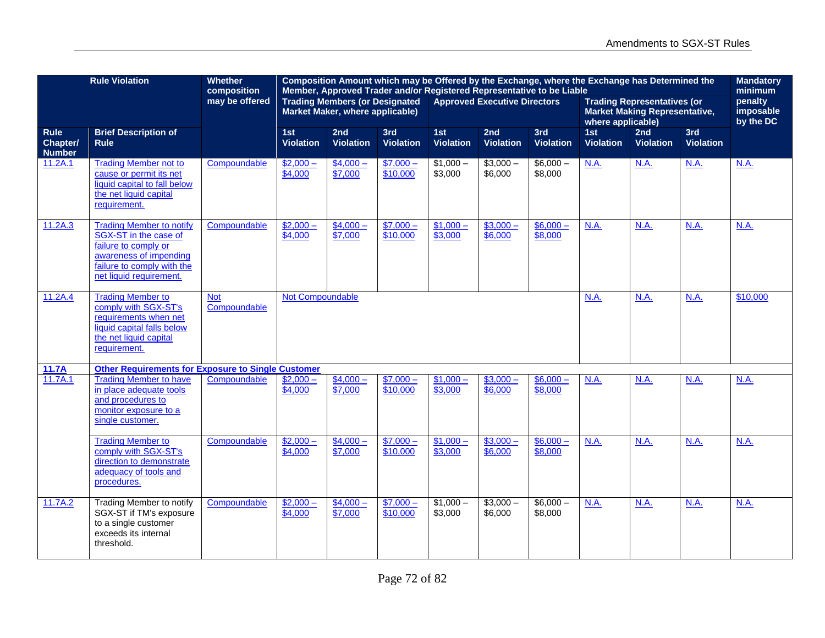|                                          | <b>Rule Violation</b>                                                                                                                                               | <b>Whether</b><br>composition | Composition Amount which may be Offered by the Exchange, where the Exchange has Determined the<br>Member, Approved Trader and/or Registered Representative to be Liable |                         |                         |                         |                         |                                                                                                 |                         | <b>Mandatory</b><br>minimum |                                   |             |
|------------------------------------------|---------------------------------------------------------------------------------------------------------------------------------------------------------------------|-------------------------------|-------------------------------------------------------------------------------------------------------------------------------------------------------------------------|-------------------------|-------------------------|-------------------------|-------------------------|-------------------------------------------------------------------------------------------------|-------------------------|-----------------------------|-----------------------------------|-------------|
|                                          |                                                                                                                                                                     | may be offered                | <b>Trading Members (or Designated</b><br><b>Approved Executive Directors</b><br>Market Maker, where applicable)                                                         |                         |                         |                         |                         | <b>Trading Representatives (or</b><br><b>Market Making Representative,</b><br>where applicable) |                         |                             | penalty<br>imposable<br>by the DC |             |
| <b>Rule</b><br>Chapter/<br><b>Number</b> | <b>Brief Description of</b><br><b>Rule</b>                                                                                                                          |                               | 1st<br><b>Violation</b>                                                                                                                                                 | 2nd<br><b>Violation</b> | 3rd<br><b>Violation</b> | 1st<br><b>Violation</b> | 2nd<br><b>Violation</b> | 3rd<br><b>Violation</b>                                                                         | 1st<br><b>Violation</b> | 2nd<br><b>Violation</b>     | 3rd<br><b>Violation</b>           |             |
| 11.2A.1                                  | <b>Trading Member not to</b><br>cause or permit its net<br>liquid capital to fall below<br>the net liquid capital<br>requirement.                                   | Compoundable                  | $$2,000-$<br>\$4,000                                                                                                                                                    | $$4,000-$<br>\$7,000    | $$7,000-$<br>\$10,000   | $$1,000-$<br>\$3,000    | $$3,000-$<br>\$6,000    | $$6,000-$<br>\$8,000                                                                            | N.A.                    | <b>N.A.</b>                 | <b>N.A.</b>                       | <b>N.A.</b> |
| 11.2A.3                                  | <b>Trading Member to notify</b><br>SGX-ST in the case of<br>failure to comply or<br>awareness of impending<br>failure to comply with the<br>net liquid requirement. | Compoundable                  | $$2,000-$<br>\$4,000                                                                                                                                                    | $$4,000-$<br>\$7,000    | $$7,000-$<br>\$10,000   | $$1,000-$<br>\$3,000    | $$3,000-$<br>\$6,000    | $$6,000-$<br>\$8,000                                                                            | N.A.                    | N.A.                        | N.A.                              | N.A.        |
| 11.2A.4                                  | <b>Trading Member to</b><br>comply with SGX-ST's<br>requirements when net<br>liquid capital falls below<br>the net liquid capital<br>requirement.                   | <b>Not</b><br>Compoundable    | <b>Not Compoundable</b>                                                                                                                                                 |                         |                         |                         |                         |                                                                                                 | N.A.                    | N.A.                        | N.A.                              | \$10,000    |
| 11.7A                                    | <b>Other Requirements for Exposure to Single Customer</b>                                                                                                           |                               |                                                                                                                                                                         |                         |                         |                         |                         |                                                                                                 |                         |                             |                                   |             |
| 11.7A.1                                  | <b>Trading Member to have</b><br>in place adequate tools<br>and procedures to<br>monitor exposure to a<br>single customer.                                          | Compoundable                  | $$2,000-$<br>\$4,000                                                                                                                                                    | $$4,000-$<br>\$7,000    | $$7,000-$<br>\$10,000   | $$1,000-$<br>\$3,000    | $$3,000-$<br>\$6,000    | $$6,000-$<br>\$8,000                                                                            | N.A.                    | N.A.                        | N.A.                              | N.A.        |
|                                          | <b>Trading Member to</b><br>comply with SGX-ST's<br>direction to demonstrate<br>adequacy of tools and<br>procedures.                                                | Compoundable                  | $$2,000-$<br>\$4,000                                                                                                                                                    | $$4,000-$<br>\$7,000    | $$7,000-$<br>\$10,000   | $$1,000-$<br>\$3,000    | $$3,000-$<br>\$6,000    | $$6,000-$<br>\$8,000                                                                            | N.A.                    | N.A.                        | N.A.                              | N.A.        |
| 11.7A.2                                  | <b>Trading Member to notify</b><br>SGX-ST if TM's exposure<br>to a single customer<br>exceeds its internal<br>threshold.                                            | Compoundable                  | $$2,000-$<br>\$4,000                                                                                                                                                    | $$4,000-$<br>\$7,000    | $$7,000-$<br>\$10,000   | $$1,000-$<br>\$3,000    | $$3,000-$<br>\$6,000    | $$6,000-$<br>\$8,000                                                                            | <b>N.A.</b>             | N.A.                        | N.A.                              | N.A.        |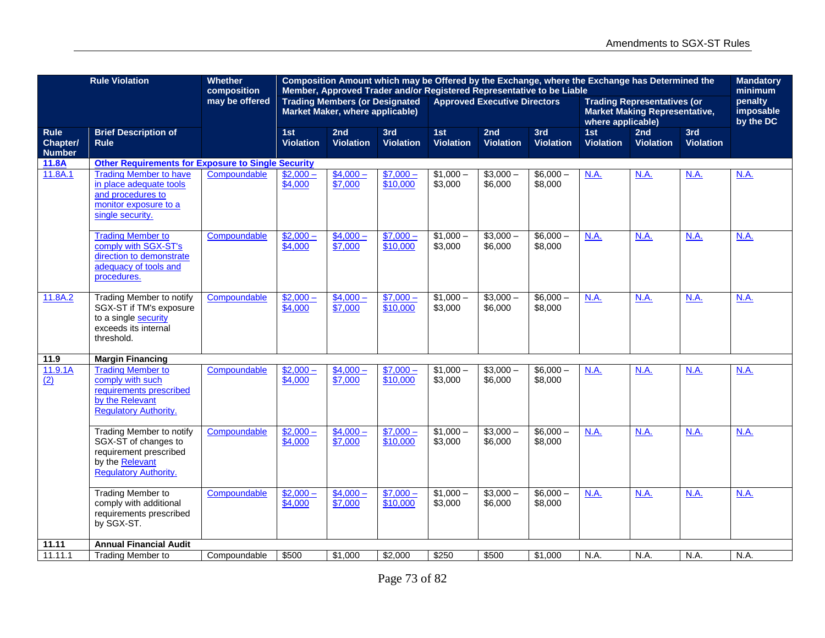|                                          | <b>Rule Violation</b>                                                                                                                | <b>Whether</b><br>composition | Composition Amount which may be Offered by the Exchange, where the Exchange has Determined the<br>Member, Approved Trader and/or Registered Representative to be Liable |                                                                          |                         |                         |                                     |                         |                                                                                                 |                         |                                   |             |
|------------------------------------------|--------------------------------------------------------------------------------------------------------------------------------------|-------------------------------|-------------------------------------------------------------------------------------------------------------------------------------------------------------------------|--------------------------------------------------------------------------|-------------------------|-------------------------|-------------------------------------|-------------------------|-------------------------------------------------------------------------------------------------|-------------------------|-----------------------------------|-------------|
|                                          |                                                                                                                                      | may be offered                |                                                                                                                                                                         | <b>Trading Members (or Designated</b><br>Market Maker, where applicable) |                         |                         | <b>Approved Executive Directors</b> |                         | <b>Trading Representatives (or</b><br><b>Market Making Representative,</b><br>where applicable) |                         | penalty<br>imposable<br>by the DC |             |
| <b>Rule</b><br>Chapter/<br><b>Number</b> | <b>Brief Description of</b><br><b>Rule</b>                                                                                           |                               | 1st<br><b>Violation</b>                                                                                                                                                 | 2nd<br><b>Violation</b>                                                  | 3rd<br><b>Violation</b> | 1st<br><b>Violation</b> | 2nd<br><b>Violation</b>             | 3rd<br><b>Violation</b> | 1st<br><b>Violation</b>                                                                         | 2nd<br><b>Violation</b> | 3rd<br><b>Violation</b>           |             |
| 11.8A                                    | <b>Other Requirements for Exposure to Single Security</b>                                                                            |                               |                                                                                                                                                                         |                                                                          |                         |                         |                                     |                         |                                                                                                 |                         |                                   |             |
| 11.8A.1                                  | <b>Trading Member to have</b><br>in place adequate tools<br>and procedures to<br>monitor exposure to a<br>single security.           | Compoundable                  | $$2,000-$<br>\$4,000                                                                                                                                                    | $$4,000-$<br>\$7,000                                                     | $$7,000-$<br>\$10,000   | $$1,000-$<br>\$3,000    | $$3,000-$<br>\$6,000                | $$6,000-$<br>\$8,000    | N.A.                                                                                            | <b>N.A.</b>             | <b>N.A.</b>                       | <b>N.A.</b> |
|                                          | <b>Trading Member to</b><br>comply with SGX-ST's<br>direction to demonstrate<br>adequacy of tools and<br>procedures.                 | Compoundable                  | $$2,000-$<br>\$4,000                                                                                                                                                    | $$4,000-$<br>\$7,000                                                     | $$7,000-$<br>\$10,000   | $$1,000-$<br>\$3,000    | $$3,000-$<br>\$6,000                | $$6,000-$<br>\$8,000    | N.A.                                                                                            | <b>N.A.</b>             | <b>N.A.</b>                       | <b>N.A.</b> |
| 11.8A.2                                  | <b>Trading Member to notify</b><br>SGX-ST if TM's exposure<br>to a single security<br>exceeds its internal<br>threshold.             | Compoundable                  | $$2,000-$<br>$\sqrt{4,000}$                                                                                                                                             | $$4,000-$<br>\$7,000                                                     | $$7,000-$<br>\$10,000   | $$1,000-$<br>\$3,000    | $$3,000-$<br>\$6,000                | $$6,000-$<br>\$8,000    | <b>N.A.</b>                                                                                     | N.A.                    | N.A.                              | N.A.        |
| 11.9                                     | <b>Margin Financing</b>                                                                                                              |                               |                                                                                                                                                                         |                                                                          |                         |                         |                                     |                         |                                                                                                 |                         |                                   |             |
| 11.9.1A<br>$\overline{(2)}$              | <b>Trading Member to</b><br>comply with such<br>requirements prescribed<br>by the Relevant<br><b>Regulatory Authority.</b>           | Compoundable                  | $$2,000-$<br>\$4,000                                                                                                                                                    | $$4,000-$<br>\$7,000                                                     | $$7,000-$<br>\$10,000   | $$1,000-$<br>\$3,000    | $$3,000-$<br>\$6,000                | $$6,000-$<br>\$8,000    | N.A.                                                                                            | <b>N.A.</b>             | N.A.                              | N.A.        |
|                                          | <b>Trading Member to notify</b><br>SGX-ST of changes to<br>requirement prescribed<br>by the Relevant<br><b>Regulatory Authority.</b> | Compoundable                  | $$2,000-$<br>\$4,000                                                                                                                                                    | $$4,000-$<br>\$7,000                                                     | $$7,000-$<br>\$10,000   | $$1,000-$<br>\$3,000    | $$3,000-$<br>\$6,000                | $$6,000-$<br>\$8,000    | N.A.                                                                                            | N.A.                    | N.A.                              | <b>N.A.</b> |
|                                          | <b>Trading Member to</b><br>comply with additional<br>requirements prescribed<br>by SGX-ST.                                          | Compoundable                  | $$2,000-$<br>\$4,000                                                                                                                                                    | $$4,000-$<br>\$7,000                                                     | $$7,000-$<br>\$10,000   | $$1,000-$<br>\$3,000    | $$3,000-$<br>\$6,000                | $$6,000-$<br>\$8,000    | N.A.                                                                                            | <b>N.A.</b>             | <b>N.A.</b>                       | <b>N.A.</b> |
| 11.11                                    | <b>Annual Financial Audit</b>                                                                                                        |                               |                                                                                                                                                                         |                                                                          |                         |                         |                                     |                         |                                                                                                 |                         |                                   |             |
| 11.11.1                                  | <b>Trading Member to</b>                                                                                                             | Compoundable                  | \$500                                                                                                                                                                   | \$1,000                                                                  | \$2,000                 | \$250                   | \$500                               | \$1,000                 | N.A.                                                                                            | N.A.                    | N.A.                              | N.A.        |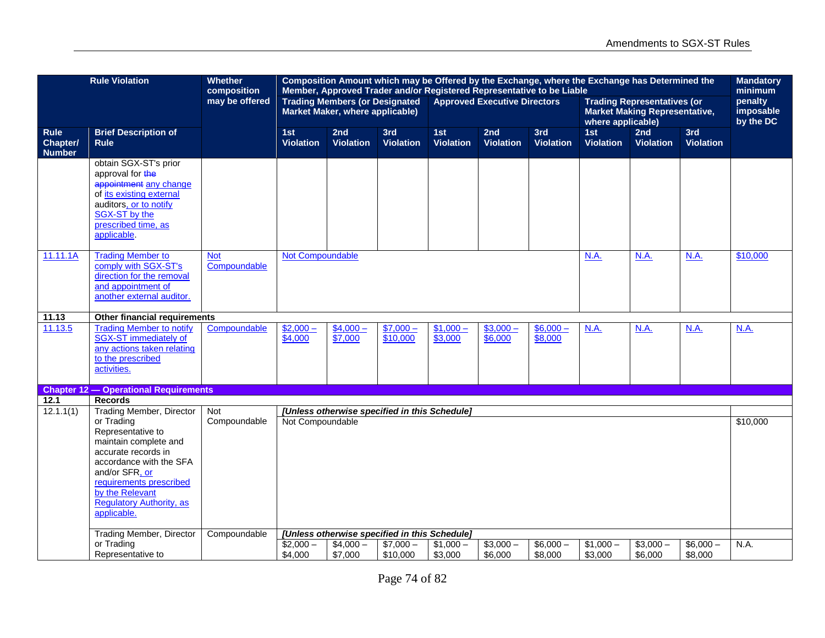|                                          | <b>Rule Violation</b>                                                                                                                                                                                                        | <b>Whether</b><br>composition |                         |                                                                          |                         |                         | Composition Amount which may be Offered by the Exchange, where the Exchange has Determined the<br>Member, Approved Trader and/or Registered Representative to be Liable |                         |                         | <b>Mandatory</b><br>minimum                                                |                         |                                   |
|------------------------------------------|------------------------------------------------------------------------------------------------------------------------------------------------------------------------------------------------------------------------------|-------------------------------|-------------------------|--------------------------------------------------------------------------|-------------------------|-------------------------|-------------------------------------------------------------------------------------------------------------------------------------------------------------------------|-------------------------|-------------------------|----------------------------------------------------------------------------|-------------------------|-----------------------------------|
|                                          |                                                                                                                                                                                                                              | may be offered                |                         | <b>Trading Members (or Designated</b><br>Market Maker, where applicable) |                         |                         | <b>Approved Executive Directors</b>                                                                                                                                     |                         | where applicable)       | <b>Trading Representatives (or</b><br><b>Market Making Representative,</b> |                         | penalty<br>imposable<br>by the DC |
| <b>Rule</b><br>Chapter/<br><b>Number</b> | <b>Brief Description of</b><br><b>Rule</b>                                                                                                                                                                                   |                               | 1st<br><b>Violation</b> | 2nd<br><b>Violation</b>                                                  | 3rd<br><b>Violation</b> | 1st<br><b>Violation</b> | 2nd<br><b>Violation</b>                                                                                                                                                 | 3rd<br><b>Violation</b> | 1st<br><b>Violation</b> | 2nd<br><b>Violation</b>                                                    | 3rd<br><b>Violation</b> |                                   |
|                                          | obtain SGX-ST's prior<br>approval for the<br>appointment any change<br>of its existing external<br>auditors, or to notify<br>SGX-ST by the<br>prescribed time, as<br>applicable.                                             |                               |                         |                                                                          |                         |                         |                                                                                                                                                                         |                         |                         |                                                                            |                         |                                   |
| 11.11.1A                                 | <b>Trading Member to</b><br>comply with SGX-ST's<br>direction for the removal<br>and appointment of<br>another external auditor.                                                                                             | <b>Not</b><br>Compoundable    | <b>Not Compoundable</b> |                                                                          |                         |                         |                                                                                                                                                                         |                         | <b>N.A.</b>             | <b>N.A.</b>                                                                | N.A.                    | \$10,000                          |
| 11.13                                    | Other financial requirements                                                                                                                                                                                                 |                               |                         |                                                                          |                         |                         |                                                                                                                                                                         |                         |                         |                                                                            |                         |                                   |
| 11.13.5                                  | <b>Trading Member to notify</b><br>SGX-ST immediately of<br>any actions taken relating<br>to the prescribed<br>activities.                                                                                                   | Compoundable                  | $$2,000-$<br>\$4,000    | $$4,000-$<br>\$7,000                                                     | $$7,000-$<br>\$10,000   | $$1,000-$<br>\$3,000    | $$3,000-$<br>\$6,000                                                                                                                                                    | $$6,000-$<br>\$8,000    | <b>N.A.</b>             | <b>N.A.</b>                                                                | <b>N.A.</b>             | <b>N.A.</b>                       |
|                                          | <b>Chapter 12 - Operational Requirements</b>                                                                                                                                                                                 |                               |                         |                                                                          |                         |                         |                                                                                                                                                                         |                         |                         |                                                                            |                         |                                   |
| 12.1<br>12.1.1(1)                        | <b>Records</b><br><b>Trading Member, Director</b>                                                                                                                                                                            | Not                           |                         | [Unless otherwise specified in this Schedule]                            |                         |                         |                                                                                                                                                                         |                         |                         |                                                                            |                         |                                   |
|                                          | or Trading<br>Representative to<br>maintain complete and<br>accurate records in<br>accordance with the SFA<br>and/or SFR, or<br>requirements prescribed<br>by the Relevant<br><b>Regulatory Authority, as</b><br>applicable. | Compoundable                  | Not Compoundable        |                                                                          |                         |                         |                                                                                                                                                                         |                         |                         |                                                                            |                         | \$10,000                          |
|                                          | <b>Trading Member, Director</b>                                                                                                                                                                                              | Compoundable                  |                         | [Unless otherwise specified in this Schedule]                            |                         |                         |                                                                                                                                                                         |                         |                         |                                                                            |                         |                                   |
|                                          | or Trading<br>Representative to                                                                                                                                                                                              |                               | $$2,000-$<br>\$4,000    | $$4.000-$<br>\$7,000                                                     | $$7,000-$<br>\$10,000   | $$1,000-$<br>\$3,000    | $$3,000-$<br>\$6,000                                                                                                                                                    | $$6,000-$<br>\$8,000    | $$1,000-$<br>\$3,000    | $$3,000-$<br>\$6,000                                                       | $$6,000-$<br>\$8,000    | N.A.                              |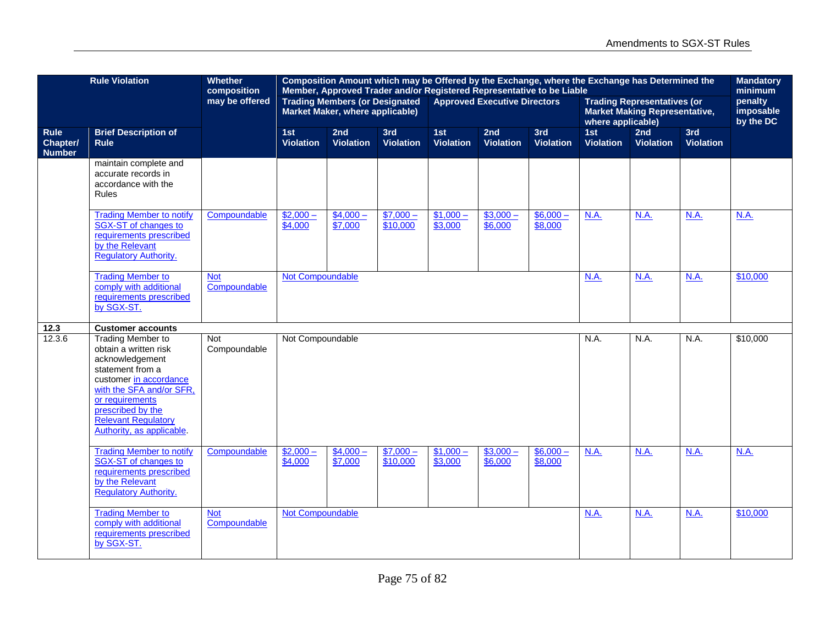|                                          | <b>Rule Violation</b>                                                                                                                                                                                                                             | <b>Whether</b><br>composition | Composition Amount which may be Offered by the Exchange, where the Exchange has Determined the<br>Member, Approved Trader and/or Registered Representative to be Liable<br><b>Trading Members (or Designated</b><br><b>Approved Executive Directors</b> |                                 |                         |                         |                         |                         |                         |                                                                            |                         |                                              |  |  |
|------------------------------------------|---------------------------------------------------------------------------------------------------------------------------------------------------------------------------------------------------------------------------------------------------|-------------------------------|---------------------------------------------------------------------------------------------------------------------------------------------------------------------------------------------------------------------------------------------------------|---------------------------------|-------------------------|-------------------------|-------------------------|-------------------------|-------------------------|----------------------------------------------------------------------------|-------------------------|----------------------------------------------|--|--|
|                                          |                                                                                                                                                                                                                                                   | may be offered                |                                                                                                                                                                                                                                                         | Market Maker, where applicable) |                         |                         |                         |                         | where applicable)       | <b>Trading Representatives (or</b><br><b>Market Making Representative,</b> |                         | minimum<br>penalty<br>imposable<br>by the DC |  |  |
| <b>Rule</b><br>Chapter/<br><b>Number</b> | <b>Brief Description of</b><br><b>Rule</b>                                                                                                                                                                                                        |                               | 1st<br><b>Violation</b>                                                                                                                                                                                                                                 | 2nd<br><b>Violation</b>         | 3rd<br><b>Violation</b> | 1st<br><b>Violation</b> | 2nd<br><b>Violation</b> | 3rd<br><b>Violation</b> | 1st<br><b>Violation</b> | 2nd<br><b>Violation</b>                                                    | 3rd<br><b>Violation</b> |                                              |  |  |
|                                          | maintain complete and<br>accurate records in<br>accordance with the<br><b>Rules</b>                                                                                                                                                               |                               |                                                                                                                                                                                                                                                         |                                 |                         |                         |                         |                         |                         |                                                                            |                         |                                              |  |  |
|                                          | <b>Trading Member to notify</b><br>SGX-ST of changes to<br>requirements prescribed<br>by the Relevant<br><b>Regulatory Authority.</b>                                                                                                             | Compoundable                  | $$2,000-$<br>\$4,000                                                                                                                                                                                                                                    | $$4,000-$<br>\$7,000            | $$7,000-$<br>\$10,000   | $$1,000-$<br>\$3,000    | $$3,000-$<br>\$6,000    | $$6,000-$<br>\$8,000    | N.A.                    | <b>N.A.</b>                                                                | <b>N.A.</b>             | <b>N.A.</b>                                  |  |  |
|                                          | <b>Trading Member to</b><br>comply with additional<br>requirements prescribed<br>by SGX-ST.                                                                                                                                                       | <b>Not</b><br>Compoundable    | Not Compoundable                                                                                                                                                                                                                                        |                                 |                         |                         |                         |                         | <b>N.A.</b>             | <b>N.A.</b>                                                                | <b>N.A.</b>             | \$10,000                                     |  |  |
| 12.3                                     | <b>Customer accounts</b>                                                                                                                                                                                                                          |                               |                                                                                                                                                                                                                                                         |                                 |                         |                         |                         |                         |                         |                                                                            |                         |                                              |  |  |
| 12.3.6                                   | <b>Trading Member to</b><br>obtain a written risk<br>acknowledgement<br>statement from a<br>customer in accordance<br>with the SFA and/or SFR,<br>or requirements<br>prescribed by the<br><b>Relevant Regulatory</b><br>Authority, as applicable. | <b>Not</b><br>Compoundable    | Not Compoundable                                                                                                                                                                                                                                        |                                 |                         |                         |                         |                         | N.A.                    | N.A.                                                                       | N.A.                    | \$10,000                                     |  |  |
|                                          | <b>Trading Member to notify</b><br>SGX-ST of changes to<br>requirements prescribed<br>by the Relevant<br><b>Regulatory Authority.</b>                                                                                                             | Compoundable                  | $$2,000-$<br>\$4,000                                                                                                                                                                                                                                    | $$4,000-$<br>\$7,000            | $$7,000-$<br>\$10,000   | $$1,000-$<br>\$3,000    | $$3,000-$<br>\$6,000    | $$6,000-$<br>\$8,000    | <b>N.A.</b>             | <b>N.A.</b>                                                                | <b>N.A.</b>             | N.A.                                         |  |  |
|                                          | <b>Trading Member to</b><br>comply with additional<br>requirements prescribed<br>by SGX-ST.                                                                                                                                                       | <b>Not</b><br>Compoundable    | Not Compoundable                                                                                                                                                                                                                                        |                                 |                         |                         |                         |                         | N.A.                    | <b>N.A.</b>                                                                | <b>N.A.</b>             | \$10,000                                     |  |  |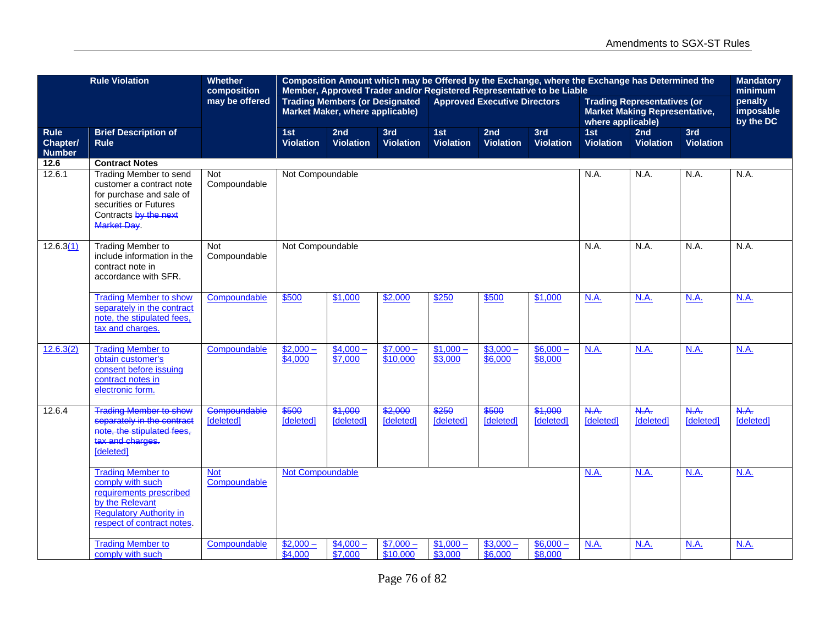|                                          | <b>Rule Violation</b>                                                                                                                                  | <b>Whether</b><br>composition |                         | Composition Amount which may be Offered by the Exchange, where the Exchange has Determined the<br>Member, Approved Trader and/or Registered Representative to be Liable |                         |                         |                                     |                         |                          | <b>Mandatory</b><br>minimum                                                |                         |                                   |
|------------------------------------------|--------------------------------------------------------------------------------------------------------------------------------------------------------|-------------------------------|-------------------------|-------------------------------------------------------------------------------------------------------------------------------------------------------------------------|-------------------------|-------------------------|-------------------------------------|-------------------------|--------------------------|----------------------------------------------------------------------------|-------------------------|-----------------------------------|
|                                          |                                                                                                                                                        | may be offered                |                         | <b>Trading Members (or Designated</b><br>Market Maker, where applicable)                                                                                                |                         |                         | <b>Approved Executive Directors</b> |                         | where applicable)        | <b>Trading Representatives (or</b><br><b>Market Making Representative,</b> |                         | penalty<br>imposable<br>by the DC |
| <b>Rule</b><br>Chapter/<br><b>Number</b> | <b>Brief Description of</b><br><b>Rule</b>                                                                                                             |                               | 1st<br><b>Violation</b> | 2nd<br><b>Violation</b>                                                                                                                                                 | 3rd<br><b>Violation</b> | 1st<br><b>Violation</b> | 2nd<br><b>Violation</b>             | 3rd<br><b>Violation</b> | 1st<br><b>Violation</b>  | 2nd<br><b>Violation</b>                                                    | 3rd<br><b>Violation</b> |                                   |
| 12.6                                     | <b>Contract Notes</b>                                                                                                                                  |                               |                         |                                                                                                                                                                         |                         |                         |                                     |                         |                          |                                                                            |                         |                                   |
| 12.6.1                                   | <b>Trading Member to send</b><br>customer a contract note<br>for purchase and sale of<br>securities or Futures<br>Contracts by the next<br>Market Day. | <b>Not</b><br>Compoundable    | Not Compoundable        | N.A.<br>N.A.<br>N.A.                                                                                                                                                    |                         |                         |                                     |                         |                          |                                                                            |                         |                                   |
| 12.6.3(1)                                | <b>Trading Member to</b><br>include information in the<br>contract note in<br>accordance with SFR.                                                     | Not<br>Compoundable           |                         | Not Compoundable<br>N.A.<br>N.A.                                                                                                                                        |                         |                         |                                     |                         |                          |                                                                            |                         | N.A.                              |
|                                          | <b>Trading Member to show</b><br>separately in the contract<br>note, the stipulated fees,<br>tax and charges.                                          | Compoundable                  | \$500                   | \$1,000                                                                                                                                                                 | \$2,000                 | \$250                   | \$500                               | \$1,000                 | N.A.                     | N.A.                                                                       | N.A.                    | N.A.                              |
| 12.6.3(2)                                | <b>Trading Member to</b><br>obtain customer's<br>consent before issuing<br>contract notes in<br>electronic form.                                       | Compoundable                  | $$2,000-$<br>\$4,000    | $$4,000-$<br>\$7,000                                                                                                                                                    | $$7,000-$<br>\$10,000   | $$1,000-$<br>\$3,000    | $$3,000-$<br>\$6,000                | $$6,000-$<br>\$8,000    | N.A.                     | N.A.                                                                       | N.A.                    | N.A.                              |
| 12.6.4                                   | Trading Member to show<br>separately in the contract<br>note, the stipulated fees,<br>tax and charges.<br>[deleted]                                    | Compoundable<br>[deleted]     | \$500<br>[deleted]      | \$1,000<br>[deleted]                                                                                                                                                    | \$2,000<br>[deleted]    | \$250<br>[deleted]      | \$500<br>[deleted]                  | \$1,000<br>[deleted]    | N.A.<br><b>Ideletedl</b> | N.A.<br>[deleted]                                                          | N.A.<br>[deleted]       | N.A.<br>[deleted]                 |
|                                          | <b>Trading Member to</b><br>comply with such<br>requirements prescribed<br>by the Relevant<br>Regulatory Authority in<br>respect of contract notes.    | <b>Not</b><br>Compoundable    | <b>Not Compoundable</b> |                                                                                                                                                                         |                         |                         |                                     |                         | N.A.                     | N.A.                                                                       | N.A.                    | N.A.                              |
|                                          | <b>Trading Member to</b><br>comply with such                                                                                                           | Compoundable                  | $$2,000-$<br>\$4,000    | $$4,000-$<br>\$7,000                                                                                                                                                    | $$7,000-$<br>\$10,000   | $$1,000-$<br>\$3,000    | $$3,000-$<br>\$6,000                | $$6,000-$<br>\$8,000    | N.A.                     | N.A.                                                                       | N.A.                    | N.A.                              |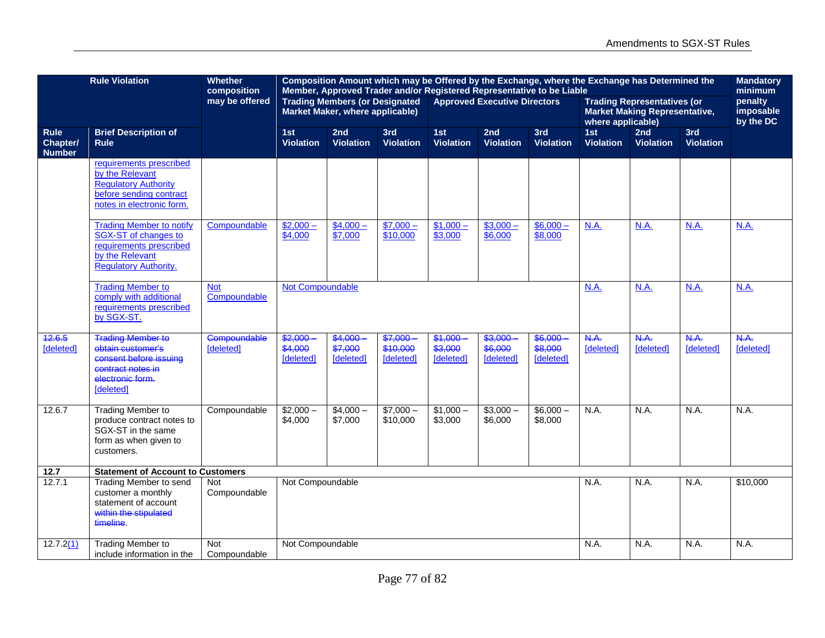|                                          | <b>Rule Violation</b>                                                                                                                 | Composition Amount which may be Offered by the Exchange, where the Exchange has Determined the<br>Member, Approved Trader and/or Registered Representative to be Liable<br><b>Trading Members (or Designated</b><br><b>Approved Executive Directors</b><br><b>Trading Representatives (or</b> |                                 |                                 |                                  |                                 |                                |                                |                         | <b>Mandatory</b><br>minimum          |                         |                                   |
|------------------------------------------|---------------------------------------------------------------------------------------------------------------------------------------|-----------------------------------------------------------------------------------------------------------------------------------------------------------------------------------------------------------------------------------------------------------------------------------------------|---------------------------------|---------------------------------|----------------------------------|---------------------------------|--------------------------------|--------------------------------|-------------------------|--------------------------------------|-------------------------|-----------------------------------|
|                                          |                                                                                                                                       | composition<br>may be offered                                                                                                                                                                                                                                                                 |                                 | Market Maker, where applicable) |                                  |                                 |                                |                                | where applicable)       | <b>Market Making Representative,</b> |                         | penalty<br>imposable<br>by the DC |
| <b>Rule</b><br>Chapter/<br><b>Number</b> | <b>Brief Description of</b><br><b>Rule</b>                                                                                            |                                                                                                                                                                                                                                                                                               | 1st<br><b>Violation</b>         | 2nd<br><b>Violation</b>         | 3rd<br><b>Violation</b>          | 1st<br><b>Violation</b>         | 2nd<br><b>Violation</b>        | 3rd<br><b>Violation</b>        | 1st<br><b>Violation</b> | 2nd<br><b>Violation</b>              | 3rd<br><b>Violation</b> |                                   |
|                                          | requirements prescribed<br>by the Relevant<br><b>Regulatory Authority</b><br>before sending contract<br>notes in electronic form.     |                                                                                                                                                                                                                                                                                               |                                 |                                 |                                  |                                 |                                |                                |                         |                                      |                         |                                   |
|                                          | <b>Trading Member to notify</b><br>SGX-ST of changes to<br>requirements prescribed<br>by the Relevant<br><b>Regulatory Authority.</b> | Compoundable                                                                                                                                                                                                                                                                                  | $$2,000-$<br>\$4,000            | $$4,000-$<br>\$7,000            | $$7,000-$<br>\$10,000            | $$1,000-$<br>\$3,000            | $$3,000-$<br>\$6,000           | $$6,000-$<br>\$8,000           | <b>N.A.</b>             | <b>N.A.</b>                          | N.A.                    | N.A.                              |
|                                          | <b>Trading Member to</b><br>comply with additional<br>requirements prescribed<br>by SGX-ST.                                           | <b>Not</b><br>Compoundable                                                                                                                                                                                                                                                                    | <b>Not Compoundable</b>         |                                 |                                  |                                 |                                |                                | <b>N.A.</b>             | <b>N.A.</b>                          | N.A.                    | N.A.                              |
| 12.6.5<br>[deleted]                      | Trading Member to<br>obtain customer's<br>consent before issuing<br>contract notes in<br>electronic form.<br>[deleted]                | Compoundable<br>[deleted]                                                                                                                                                                                                                                                                     | \$2,000<br>\$4,000<br>[deleted] | \$4,000<br>\$7,000<br>[deleted] | \$7,000<br>\$10,000<br>[deleted] | \$1,000<br>\$3,000<br>[deleted] | 23,000<br>\$6,000<br>[deleted] | 999.92<br>\$8,000<br>[deleted] | N.A.<br>[deleted]       | <b>N.A.</b><br>[deleted]             | N.A.<br>[deleted]       | N.A.<br>[deleted]                 |
| 12.6.7                                   | <b>Trading Member to</b><br>produce contract notes to<br>SGX-ST in the same<br>form as when given to<br>customers.                    | Compoundable                                                                                                                                                                                                                                                                                  | $$2,000-$<br>\$4,000            | $\sqrt{$4,000}$ –<br>\$7,000    | $$7,000-$<br>\$10,000            | $$1,000-$<br>\$3,000            | $$3,000-$<br>\$6,000           | $$6,000-$<br>\$8,000           | N.A.                    | N.A.                                 | N.A.                    | N.A.                              |
| 12.7                                     | <b>Statement of Account to Customers</b>                                                                                              |                                                                                                                                                                                                                                                                                               |                                 |                                 |                                  |                                 |                                |                                |                         |                                      |                         |                                   |
| 12.7.1                                   | <b>Trading Member to send</b><br>customer a monthly<br>statement of account<br>within the stipulated<br>timeline.                     | <b>Not</b><br>Compoundable                                                                                                                                                                                                                                                                    |                                 | Not Compoundable                |                                  |                                 |                                |                                | N.A.                    | N.A.                                 | N.A.                    | \$10,000                          |
| 12.7.2(1)                                | <b>Trading Member to</b><br>include information in the                                                                                | Not<br>Compoundable                                                                                                                                                                                                                                                                           | Not Compoundable                |                                 |                                  |                                 |                                |                                | N.A.                    | N.A.                                 | N.A.                    | N.A.                              |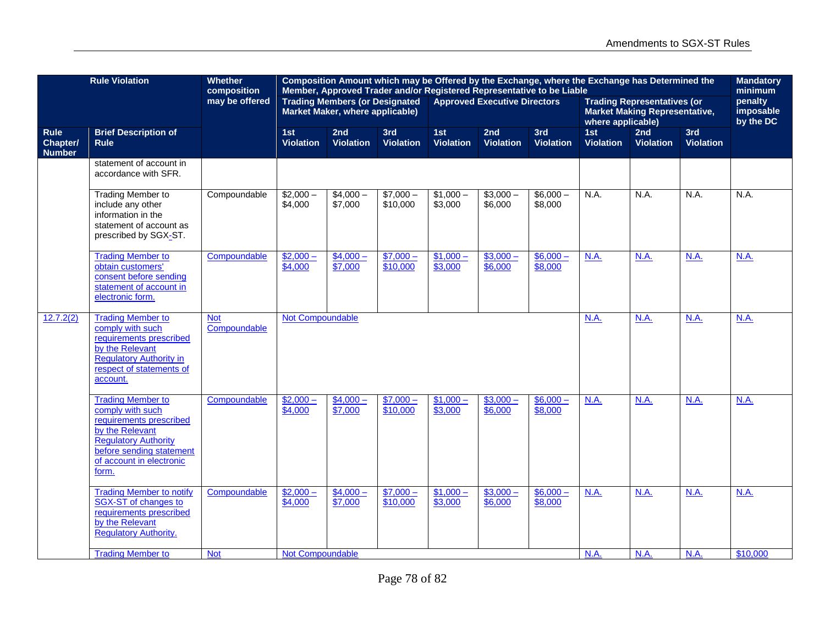|                                          | <b>Rule Violation</b>                                                                                                                                                                      | <b>Whether</b><br>composition | Composition Amount which may be Offered by the Exchange, where the Exchange has Determined the<br>Member, Approved Trader and/or Registered Representative to be Liable<br><b>Trading Members (or Designated</b><br><b>Approved Executive Directors</b> |                                 |                       |                         |                         |                         |                         |                                                                            | <b>Mandatory</b><br>minimum |                                   |
|------------------------------------------|--------------------------------------------------------------------------------------------------------------------------------------------------------------------------------------------|-------------------------------|---------------------------------------------------------------------------------------------------------------------------------------------------------------------------------------------------------------------------------------------------------|---------------------------------|-----------------------|-------------------------|-------------------------|-------------------------|-------------------------|----------------------------------------------------------------------------|-----------------------------|-----------------------------------|
|                                          |                                                                                                                                                                                            | may be offered                |                                                                                                                                                                                                                                                         | Market Maker, where applicable) |                       |                         |                         |                         | where applicable)       | <b>Trading Representatives (or</b><br><b>Market Making Representative,</b> |                             | penalty<br>imposable<br>by the DC |
| <b>Rule</b><br>Chapter/<br><b>Number</b> | <b>Brief Description of</b><br><b>Rule</b>                                                                                                                                                 |                               | 1st<br><b>Violation</b>                                                                                                                                                                                                                                 | 2nd<br><b>Violation</b>         | 3rd<br>Violation      | 1st<br><b>Violation</b> | 2nd<br><b>Violation</b> | 3rd<br><b>Violation</b> | 1st<br><b>Violation</b> | 2nd<br><b>Violation</b>                                                    | 3rd<br><b>Violation</b>     |                                   |
|                                          | statement of account in<br>accordance with SFR.                                                                                                                                            |                               |                                                                                                                                                                                                                                                         |                                 |                       |                         |                         |                         |                         |                                                                            |                             |                                   |
|                                          | <b>Trading Member to</b><br>include any other<br>information in the<br>statement of account as<br>prescribed by SGX-ST.                                                                    | Compoundable                  | $$2,000-$<br>\$4,000                                                                                                                                                                                                                                    | $$4,000-$<br>\$7,000            | $$7,000-$<br>\$10,000 | $$1,000-$<br>\$3,000    | $$3,000-$<br>\$6,000    | $$6,000-$<br>\$8,000    | N.A.                    | N.A.                                                                       | N.A.                        | N.A.                              |
|                                          | <b>Trading Member to</b><br>obtain customers'<br>consent before sending<br>statement of account in<br>electronic form.                                                                     | Compoundable                  | $$2,000-$<br>\$4,000                                                                                                                                                                                                                                    | $$4,000-$<br>\$7,000            | $$7,000-$<br>\$10,000 | $$1,000 -$<br>\$3,000   | $$3,000-$<br>\$6,000    | $$6,000 -$<br>\$8,000   | N.A.                    | <b>N.A.</b>                                                                | <b>N.A.</b>                 | <b>N.A.</b>                       |
| 12.7.2(2)                                | <b>Trading Member to</b><br>comply with such<br>requirements prescribed<br>by the Relevant<br><b>Regulatory Authority in</b><br>respect of statements of<br>account.                       | <b>Not</b><br>Compoundable    | Not Compoundable                                                                                                                                                                                                                                        |                                 |                       |                         |                         |                         | N.A.                    | N.A.                                                                       | N.A.                        | N.A.                              |
|                                          | <b>Trading Member to</b><br>comply with such<br>requirements prescribed<br>by the Relevant<br><b>Regulatory Authority</b><br>before sending statement<br>of account in electronic<br>form. | Compoundable                  | $$2,000-$<br>\$4,000                                                                                                                                                                                                                                    | $$4,000-$<br>\$7,000            | $$7,000-$<br>\$10,000 | $$1,000-$<br>\$3,000    | $$3,000-$<br>\$6,000    | $$6,000-$<br>\$8,000    | <b>N.A.</b>             | <b>N.A.</b>                                                                | <b>N.A.</b>                 | <b>N.A.</b>                       |
|                                          | <b>Trading Member to notify</b><br>SGX-ST of changes to<br>requirements prescribed<br>by the Relevant<br><b>Regulatory Authority.</b>                                                      | Compoundable                  | $$2,000-$<br>\$4,000                                                                                                                                                                                                                                    | $$4,000-$<br>\$7,000            | $$7,000-$<br>\$10,000 | $$1,000-$<br>\$3,000    | $$3,000-$<br>\$6,000    | $$6,000-$<br>\$8,000    | N.A.                    | N.A.                                                                       | N.A.                        | N.A.                              |
|                                          | <b>Trading Member to</b>                                                                                                                                                                   | <b>Not</b>                    | <b>Not Compoundable</b>                                                                                                                                                                                                                                 |                                 |                       |                         |                         |                         | N.A.                    | N.A.                                                                       | N.A.                        | \$10,000                          |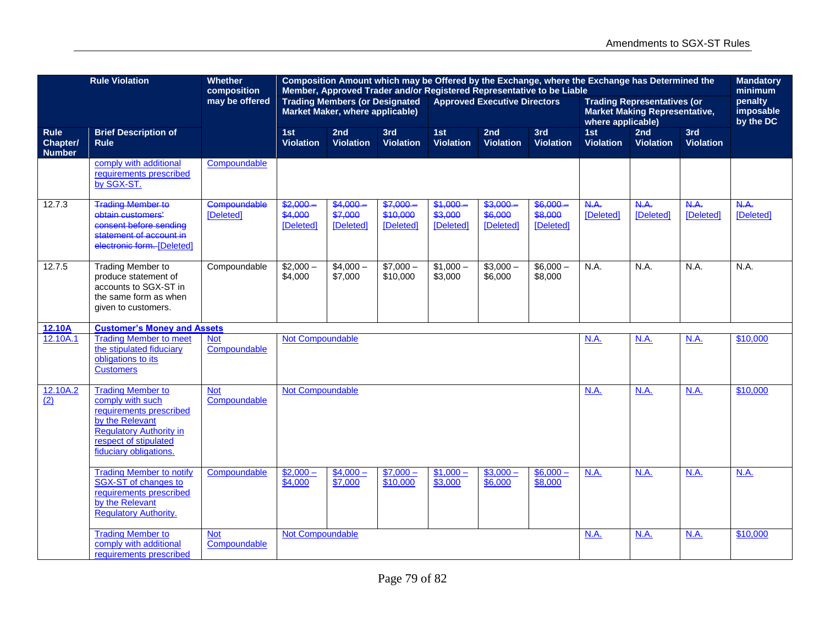| <b>Rule Violation</b><br><b>Whether</b><br>Composition Amount which may be Offered by the Exchange, where the Exchange has Determined the<br>composition<br>Member, Approved Trader and/or Registered Representative to be Liable<br><b>Trading Members (or Designated</b><br><b>Approved Executive Directors</b> |                                                                                                                                                                                 |                            |                                    |                                    |                                     |                                 |                                 |                                  |                          |                                                                            | <b>Mandatory</b><br>minimum |                                   |
|-------------------------------------------------------------------------------------------------------------------------------------------------------------------------------------------------------------------------------------------------------------------------------------------------------------------|---------------------------------------------------------------------------------------------------------------------------------------------------------------------------------|----------------------------|------------------------------------|------------------------------------|-------------------------------------|---------------------------------|---------------------------------|----------------------------------|--------------------------|----------------------------------------------------------------------------|-----------------------------|-----------------------------------|
|                                                                                                                                                                                                                                                                                                                   |                                                                                                                                                                                 | may be offered             |                                    | Market Maker, where applicable)    |                                     |                                 |                                 |                                  | where applicable)        | <b>Trading Representatives (or</b><br><b>Market Making Representative,</b> |                             | penalty<br>imposable<br>by the DC |
| <b>Rule</b><br>Chapter/<br><b>Number</b>                                                                                                                                                                                                                                                                          | <b>Brief Description of</b><br><b>Rule</b>                                                                                                                                      |                            | 1st<br><b>Violation</b>            | 2nd<br><b>Violation</b>            | 3rd<br><b>Violation</b>             | 1st<br><b>Violation</b>         | 2nd<br><b>Violation</b>         | 3rd<br><b>Violation</b>          | 1st<br><b>Violation</b>  | 2nd<br><b>Violation</b>                                                    | 3rd<br><b>Violation</b>     |                                   |
|                                                                                                                                                                                                                                                                                                                   | comply with additional<br>requirements prescribed<br>by SGX-ST.                                                                                                                 | Compoundable               |                                    |                                    |                                     |                                 |                                 |                                  |                          |                                                                            |                             |                                   |
| 12.7.3                                                                                                                                                                                                                                                                                                            | <b>Trading Member to</b><br>obtain customers'<br>consent before sending<br>statement of account in<br>electronic form. [Deleted]                                                | Compoundable<br>[Deleted]  | $$2,000 -$<br>\$4,000<br>[Deleted] | $$4,000 -$<br>\$7,000<br>[Deleted] | $$7.000 -$<br>\$10,000<br>[Deleted] | \$1,000<br>\$3,000<br>[Deleted] | \$3,000<br>\$6,000<br>[Deleted] | \$6.000-<br>\$8,000<br>[Deleted] | N.A.<br><b>[Deleted]</b> | N.A.<br><b>[Deleted]</b>                                                   | N.A.<br><b>[Deleted]</b>    | N.A.<br>[Deleted]                 |
| 12.7.5                                                                                                                                                                                                                                                                                                            | <b>Trading Member to</b><br>produce statement of<br>accounts to SGX-ST in<br>the same form as when<br>given to customers.                                                       | Compoundable               | $$2,000-$<br>\$4,000               | $$4,000-$<br>\$7,000               | $$7,000-$<br>\$10,000               | $$1,000-$<br>\$3,000            | $$3,000-$<br>\$6,000            | $$6,000-$<br>\$8,000             | N.A.                     | N.A.                                                                       | N.A.                        | N.A.                              |
| 12.10A                                                                                                                                                                                                                                                                                                            | <b>Customer's Money and Assets</b>                                                                                                                                              |                            |                                    |                                    |                                     |                                 |                                 |                                  |                          |                                                                            |                             |                                   |
| 12.10A.1                                                                                                                                                                                                                                                                                                          | <b>Trading Member to meet</b><br>the stipulated fiduciary<br>obligations to its<br><b>Customers</b>                                                                             | <b>Not</b><br>Compoundable | <b>Not Compoundable</b>            |                                    |                                     |                                 |                                 |                                  | <b>N.A.</b>              | N.A.                                                                       | N.A.                        | \$10,000                          |
| 12.10A.2<br>$\overline{(2)}$                                                                                                                                                                                                                                                                                      | <b>Trading Member to</b><br>comply with such<br>requirements prescribed<br>by the Relevant<br><b>Regulatory Authority in</b><br>respect of stipulated<br>fiduciary obligations. | <b>Not</b><br>Compoundable | <b>Not Compoundable</b>            |                                    |                                     |                                 |                                 |                                  | N.A.                     | N.A.                                                                       | N.A.                        | \$10,000                          |
|                                                                                                                                                                                                                                                                                                                   | <b>Trading Member to notify</b><br>SGX-ST of changes to<br>requirements prescribed<br>by the Relevant<br>Regulatory Authority.                                                  | Compoundable               | $$2,000-$<br>\$4,000               | $$4,000-$<br>\$7,000               | $$7,000-$<br>\$10,000               | $$1,000-$<br>\$3,000            | $$3,000-$<br>\$6,000            | $$6,000-$<br>\$8,000             | <b>N.A.</b>              | <b>N.A.</b>                                                                | <b>N.A.</b>                 | <b>N.A.</b>                       |
|                                                                                                                                                                                                                                                                                                                   | <b>Trading Member to</b><br>comply with additional<br>requirements prescribed                                                                                                   | <b>Not</b><br>Compoundable | Not Compoundable                   |                                    |                                     |                                 |                                 |                                  | N.A.                     | N.A.                                                                       | N.A.                        | \$10,000                          |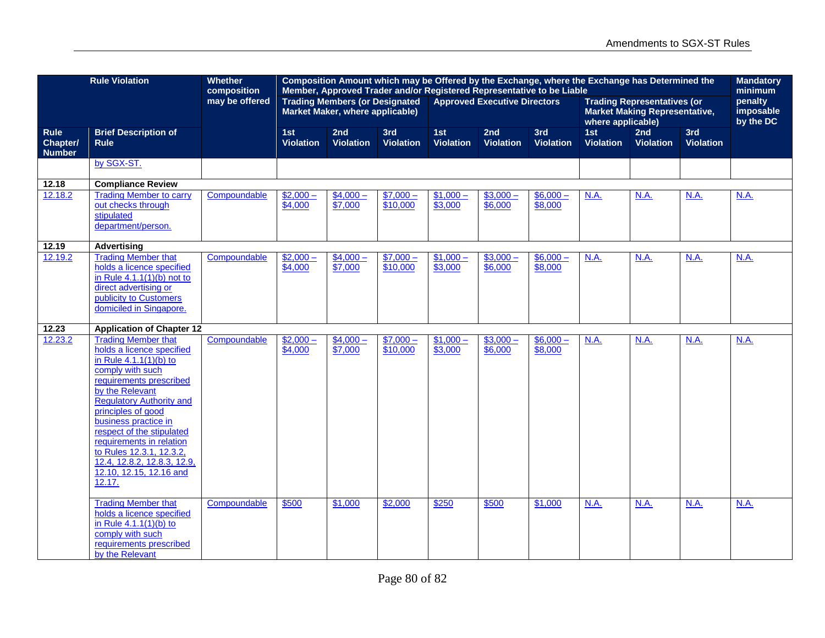|                                          | <b>Rule Violation</b>                                                                                                                                                                                                                                                                                                                                                                           | <b>Whether</b><br>composition | Composition Amount which may be Offered by the Exchange, where the Exchange has Determined the<br>Member, Approved Trader and/or Registered Representative to be Liable<br><b>Trading Members (or Designated</b><br><b>Approved Executive Directors</b><br><b>Trading Representatives (or</b> |                                 |                         |                         |                         |                         |                                                           |                         | <b>Mandatory</b><br>minimum       |      |
|------------------------------------------|-------------------------------------------------------------------------------------------------------------------------------------------------------------------------------------------------------------------------------------------------------------------------------------------------------------------------------------------------------------------------------------------------|-------------------------------|-----------------------------------------------------------------------------------------------------------------------------------------------------------------------------------------------------------------------------------------------------------------------------------------------|---------------------------------|-------------------------|-------------------------|-------------------------|-------------------------|-----------------------------------------------------------|-------------------------|-----------------------------------|------|
|                                          |                                                                                                                                                                                                                                                                                                                                                                                                 | may be offered                |                                                                                                                                                                                                                                                                                               | Market Maker, where applicable) |                         |                         |                         |                         | <b>Market Making Representative,</b><br>where applicable) |                         | penalty<br>imposable<br>by the DC |      |
| <b>Rule</b><br>Chapter/<br><b>Number</b> | <b>Brief Description of</b><br><b>Rule</b>                                                                                                                                                                                                                                                                                                                                                      |                               | 1st<br><b>Violation</b>                                                                                                                                                                                                                                                                       | 2nd<br><b>Violation</b>         | 3rd<br><b>Violation</b> | 1st<br><b>Violation</b> | 2nd<br><b>Violation</b> | 3rd<br><b>Violation</b> | 1st<br><b>Violation</b>                                   | 2nd<br><b>Violation</b> | 3rd<br><b>Violation</b>           |      |
|                                          | by SGX-ST.                                                                                                                                                                                                                                                                                                                                                                                      |                               |                                                                                                                                                                                                                                                                                               |                                 |                         |                         |                         |                         |                                                           |                         |                                   |      |
| 12.18                                    | <b>Compliance Review</b>                                                                                                                                                                                                                                                                                                                                                                        |                               |                                                                                                                                                                                                                                                                                               |                                 |                         |                         |                         |                         |                                                           |                         |                                   |      |
| 12.18.2                                  | <b>Trading Member to carry</b><br>out checks through<br>stipulated<br>department/person.                                                                                                                                                                                                                                                                                                        | Compoundable                  | $$2,000-$<br>\$4,000                                                                                                                                                                                                                                                                          | $$4,000-$<br>\$7,000            | $$7,000-$<br>\$10,000   | $$1,000-$<br>\$3,000    | $$3,000-$<br>\$6,000    | $$6,000-$<br>\$8,000    | N.A.                                                      | N.A.                    | <b>N.A.</b>                       | N.A. |
| 12.19                                    | <b>Advertising</b>                                                                                                                                                                                                                                                                                                                                                                              |                               |                                                                                                                                                                                                                                                                                               |                                 |                         |                         |                         |                         |                                                           |                         |                                   |      |
| 12.19.2                                  | <b>Trading Member that</b><br>holds a licence specified<br>in Rule $4.1.1(1)(b)$ not to<br>direct advertising or<br>publicity to Customers<br>domiciled in Singapore.                                                                                                                                                                                                                           | Compoundable                  | $$2,000-$<br>\$4,000                                                                                                                                                                                                                                                                          | $$4,000-$<br>\$7,000            | $$7,000-$<br>\$10,000   | $$1,000-$<br>\$3,000    | $$3,000-$<br>\$6,000    | $$6,000-$<br>\$8,000    | N.A.                                                      | N.A.                    | N.A.                              | N.A. |
| 12.23                                    | <b>Application of Chapter 12</b>                                                                                                                                                                                                                                                                                                                                                                |                               |                                                                                                                                                                                                                                                                                               |                                 |                         |                         |                         |                         |                                                           |                         |                                   |      |
| 12.23.2                                  | <b>Trading Member that</b><br>holds a licence specified<br>in Rule $4.1.1(1)(b)$ to<br>comply with such<br>requirements prescribed<br>by the Relevant<br><b>Regulatory Authority and</b><br>principles of good<br>business practice in<br>respect of the stipulated<br>requirements in relation<br>to Rules 12.3.1, 12.3.2,<br>12.4, 12.8.2, 12.8.3, 12.9,<br>12.10, 12.15, 12.16 and<br>12.17. | Compoundable                  | $$2,000-$<br>\$4,000                                                                                                                                                                                                                                                                          | $$4,000-$<br>\$7,000            | $$7,000-$<br>\$10,000   | $$1,000-$<br>\$3,000    | $$3,000-$<br>\$6,000    | $$6,000-$<br>\$8,000    | N.A.                                                      | N.A.                    | N.A.                              | N.A. |
|                                          | <b>Trading Member that</b><br>holds a licence specified<br>in Rule $4.1.1(1)(b)$ to<br>comply with such<br>requirements prescribed<br>by the Relevant                                                                                                                                                                                                                                           | Compoundable                  | \$500                                                                                                                                                                                                                                                                                         | \$1,000                         | \$2,000                 | \$250                   | \$500                   | \$1,000                 | <b>N.A.</b>                                               | N.A.                    | <b>N.A.</b>                       | N.A. |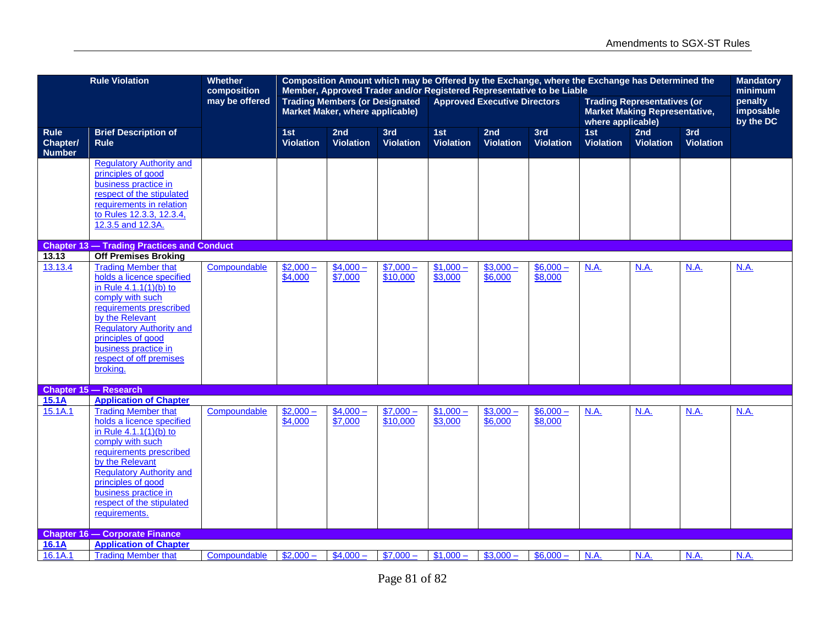|                                                 | <b>Rule Violation</b>                                                                                                                                                                                                                                                                                        | <b>Whether</b><br>composition | Composition Amount which may be Offered by the Exchange, where the Exchange has Determined the<br>Member, Approved Trader and/or Registered Representative to be Liable<br><b>Trading Members (or Designated</b><br><b>Approved Executive Directors</b> |                                 |                         |                         |                         |                         |                                                                                                 |                         | <b>Mandatory</b><br>minimum |                                   |
|-------------------------------------------------|--------------------------------------------------------------------------------------------------------------------------------------------------------------------------------------------------------------------------------------------------------------------------------------------------------------|-------------------------------|---------------------------------------------------------------------------------------------------------------------------------------------------------------------------------------------------------------------------------------------------------|---------------------------------|-------------------------|-------------------------|-------------------------|-------------------------|-------------------------------------------------------------------------------------------------|-------------------------|-----------------------------|-----------------------------------|
|                                                 |                                                                                                                                                                                                                                                                                                              | may be offered                |                                                                                                                                                                                                                                                         | Market Maker, where applicable) |                         |                         |                         |                         | <b>Trading Representatives (or</b><br><b>Market Making Representative,</b><br>where applicable) |                         |                             | penalty<br>imposable<br>by the DC |
| <b>Rule</b><br><b>Chapter/</b><br><b>Number</b> | <b>Brief Description of</b><br><b>Rule</b>                                                                                                                                                                                                                                                                   |                               | 1st<br>Violation                                                                                                                                                                                                                                        | 2nd<br><b>Violation</b>         | 3rd<br><b>Violation</b> | 1st<br><b>Violation</b> | 2nd<br><b>Violation</b> | 3rd<br><b>Violation</b> | 1st<br><b>Violation</b>                                                                         | 2nd<br><b>Violation</b> | 3rd<br><b>Violation</b>     |                                   |
|                                                 | <b>Regulatory Authority and</b><br>principles of good<br>business practice in<br>respect of the stipulated<br>requirements in relation<br>to Rules 12.3.3, 12.3.4,<br>12.3.5 and 12.3A.                                                                                                                      |                               |                                                                                                                                                                                                                                                         |                                 |                         |                         |                         |                         |                                                                                                 |                         |                             |                                   |
|                                                 | <b>Chapter 13 - Trading Practices and Conduct</b>                                                                                                                                                                                                                                                            |                               |                                                                                                                                                                                                                                                         |                                 |                         |                         |                         |                         |                                                                                                 |                         |                             |                                   |
| 13.13<br>13.13.4                                | <b>Off Premises Broking</b><br><b>Trading Member that</b><br>holds a licence specified<br>in Rule $4.1.1(1)(b)$ to<br>comply with such<br>requirements prescribed<br>by the Relevant<br><b>Regulatory Authority and</b><br>principles of good<br>business practice in<br>respect of off premises<br>broking. | Compoundable                  | $$2,000-$<br>\$4,000                                                                                                                                                                                                                                    | $$4,000-$<br>\$7,000            | $$7,000-$<br>\$10,000   | $$1,000-$<br>\$3,000    | $$3,000-$<br>\$6,000    | $$6,000-$<br>\$8,000    | N.A.                                                                                            | N.A.                    | N.A.                        | N.A.                              |
| 15.1A                                           | Chapter 15 - Research<br><b>Application of Chapter</b>                                                                                                                                                                                                                                                       |                               |                                                                                                                                                                                                                                                         |                                 |                         |                         |                         |                         |                                                                                                 |                         |                             |                                   |
| 15.1A.1                                         | <b>Trading Member that</b><br>holds a licence specified<br>in Rule $4.1.1(1)(b)$ to<br>comply with such<br>requirements prescribed<br>by the Relevant<br><b>Regulatory Authority and</b><br>principles of good<br>business practice in<br>respect of the stipulated<br>requirements.                         | Compoundable                  | $$2,000-$<br>\$4,000                                                                                                                                                                                                                                    | $$4,000-$<br>\$7,000            | $$7,000-$<br>\$10,000   | $$1,000-$<br>\$3,000    | $$3,000-$<br>\$6,000    | $$6,000-$<br>\$8,000    | N.A.                                                                                            | N.A.                    | N.A.                        | N.A.                              |
| 16.1A                                           | <b>Chapter 16 - Corporate Finance</b><br><b>Application of Chapter</b>                                                                                                                                                                                                                                       |                               |                                                                                                                                                                                                                                                         |                                 |                         |                         |                         |                         |                                                                                                 |                         |                             |                                   |
| 16.1A.1                                         | <b>Trading Member that</b>                                                                                                                                                                                                                                                                                   | Compoundable                  | $\sqrt{$2,000}$ –                                                                                                                                                                                                                                       | $$4,000-$                       | $$7,000-$               | $$1,000-$               | $$3,000-$               | $$6,000-$               | <b>N.A.</b>                                                                                     | <b>N.A.</b>             | N.A.                        | N.A.                              |